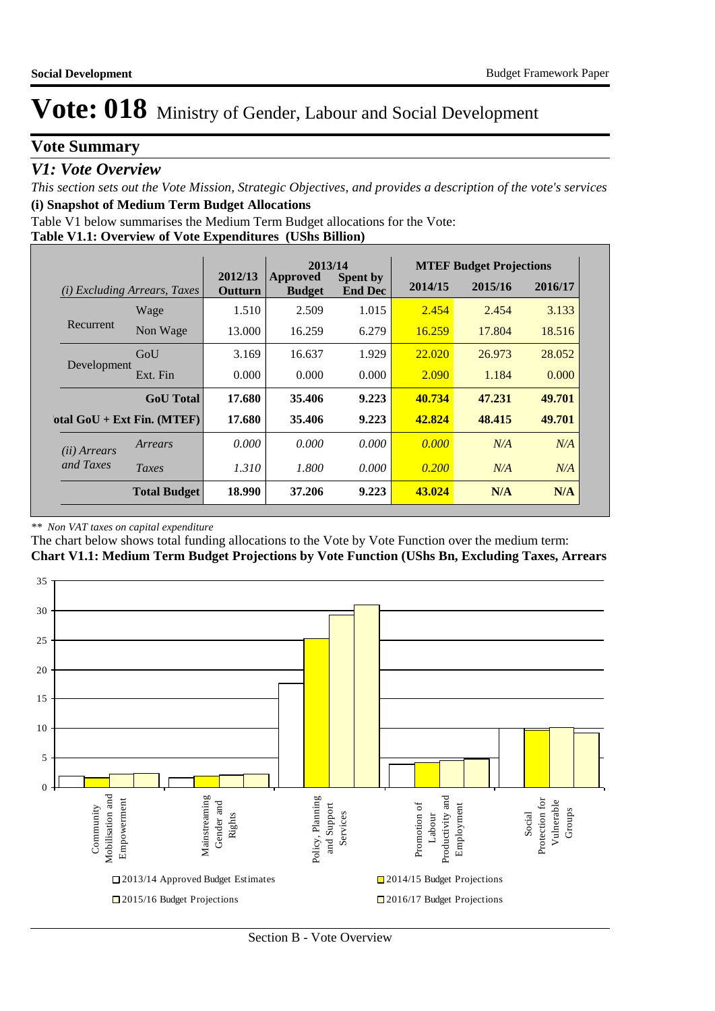## **Vote Summary**

## *V1: Vote Overview*

*This section sets out the Vote Mission, Strategic Objectives, and provides a description of the vote's services* **(i) Snapshot of Medium Term Budget Allocations** 

Table V1 below summarises the Medium Term Budget allocations for the Vote:

### **Table V1.1: Overview of Vote Expenditures (UShs Billion)**

|                       |                              |                    | 2013/14                          |                                   |         | <b>MTEF Budget Projections</b> |         |
|-----------------------|------------------------------|--------------------|----------------------------------|-----------------------------------|---------|--------------------------------|---------|
|                       | (i) Excluding Arrears, Taxes | 2012/13<br>Outturn | <b>Approved</b><br><b>Budget</b> | <b>Spent by</b><br><b>End Dec</b> | 2014/15 | 2015/16                        | 2016/17 |
|                       | Wage                         | 1.510              | 2.509                            | 1.015                             | 2.454   | 2.454                          | 3.133   |
| Recurrent             | Non Wage                     | 13.000             | 16.259                           | 6.279                             | 16.259  | 17.804                         | 18.516  |
|                       | GoU                          | 3.169              | 16.637                           | 1.929                             | 22.020  | 26.973                         | 28.052  |
| Development           | Ext. Fin                     | 0.000              | 0.000                            | 0.000                             | 2.090   | 1.184                          | 0.000   |
|                       | <b>GoU</b> Total             | 17.680             | 35.406                           | 9.223                             | 40.734  | 47.231                         | 49.701  |
|                       | otal $GoU + Ext Fin. (MTEF)$ | 17.680             | 35.406                           | 9.223                             | 42.824  | 48.415                         | 49.701  |
| ( <i>ii</i> ) Arrears | Arrears                      | 0.000              | 0.000                            | 0.000                             | 0.000   | N/A                            | N/A     |
| and Taxes             | Taxes                        | 1.310              | 1.800                            | 0.000                             | 0.200   | N/A                            | N/A     |
|                       | <b>Total Budget</b>          | 18.990             | 37.206                           | 9.223                             | 43.024  | N/A                            | N/A     |

### *\*\* Non VAT taxes on capital expenditure*

The chart below shows total funding allocations to the Vote by Vote Function over the medium term:

**Chart V1.1: Medium Term Budget Projections by Vote Function (UShs Bn, Excluding Taxes, Arrears**

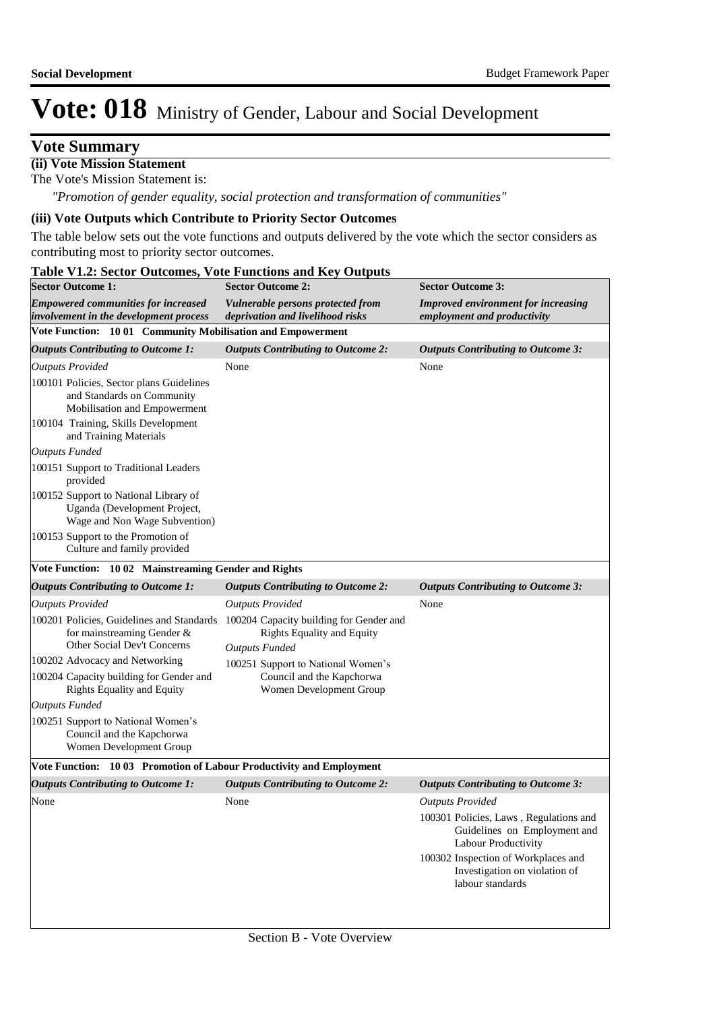## **Vote Summary**

**(ii) Vote Mission Statement**

The Vote's Mission Statement is:

*"Promotion of gender equality, social protection and transformation of communities"*

### **(iii) Vote Outputs which Contribute to Priority Sector Outcomes**

The table below sets out the vote functions and outputs delivered by the vote which the sector considers as contributing most to priority sector outcomes.

| <b>Sector Outcome 1:</b>                                                                               | <b>Sector Outcome 2:</b>                                                                              | <b>Sector Outcome 3:</b>                                                                      |  |
|--------------------------------------------------------------------------------------------------------|-------------------------------------------------------------------------------------------------------|-----------------------------------------------------------------------------------------------|--|
| <b>Empowered communities for increased</b><br>involvement in the development process                   | Vulnerable persons protected from<br>deprivation and livelihood risks                                 | <b>Improved environment for increasing</b><br>employment and productivity                     |  |
| Vote Function: 10 01 Community Mobilisation and Empowerment                                            |                                                                                                       |                                                                                               |  |
| <b>Outputs Contributing to Outcome 1:</b>                                                              | <b>Outputs Contributing to Outcome 2:</b>                                                             | <b>Outputs Contributing to Outcome 3:</b>                                                     |  |
| <b>Outputs Provided</b>                                                                                | None                                                                                                  | None                                                                                          |  |
| 100101 Policies, Sector plans Guidelines<br>and Standards on Community<br>Mobilisation and Empowerment |                                                                                                       |                                                                                               |  |
| 100104 Training, Skills Development<br>and Training Materials                                          |                                                                                                       |                                                                                               |  |
| <b>Outputs Funded</b>                                                                                  |                                                                                                       |                                                                                               |  |
| 100151 Support to Traditional Leaders<br>provided                                                      |                                                                                                       |                                                                                               |  |
| 100152 Support to National Library of<br>Uganda (Development Project,<br>Wage and Non Wage Subvention) |                                                                                                       |                                                                                               |  |
| 100153 Support to the Promotion of<br>Culture and family provided                                      |                                                                                                       |                                                                                               |  |
| Vote Function: 10 02 Mainstreaming Gender and Rights                                                   |                                                                                                       |                                                                                               |  |
| <b>Outputs Contributing to Outcome 1:</b>                                                              | <b>Outputs Contributing to Outcome 2:</b>                                                             | <b>Outputs Contributing to Outcome 3:</b>                                                     |  |
| <b>Outputs Provided</b>                                                                                | <b>Outputs Provided</b>                                                                               | None                                                                                          |  |
| 100201 Policies, Guidelines and Standards<br>for mainstreaming Gender &<br>Other Social Dev't Concerns | 100204 Capacity building for Gender and<br><b>Rights Equality and Equity</b><br><b>Outputs Funded</b> |                                                                                               |  |
| 100202 Advocacy and Networking                                                                         | 100251 Support to National Women's                                                                    |                                                                                               |  |
| 100204 Capacity building for Gender and<br><b>Rights Equality and Equity</b>                           | Council and the Kapchorwa<br>Women Development Group                                                  |                                                                                               |  |
| <b>Outputs Funded</b>                                                                                  |                                                                                                       |                                                                                               |  |
| 100251 Support to National Women's<br>Council and the Kapchorwa<br>Women Development Group             |                                                                                                       |                                                                                               |  |
| Vote Function: 1003 Promotion of Labour Productivity and Employment                                    |                                                                                                       |                                                                                               |  |
| <b>Outputs Contributing to Outcome 1:</b>                                                              | <b>Outputs Contributing to Outcome 2:</b>                                                             | <b>Outputs Contributing to Outcome 3:</b>                                                     |  |
| None                                                                                                   | None                                                                                                  | <b>Outputs Provided</b>                                                                       |  |
|                                                                                                        |                                                                                                       | 100301 Policies, Laws, Regulations and<br>Guidelines on Employment and<br>Labour Productivity |  |
|                                                                                                        |                                                                                                       | 100302 Inspection of Workplaces and<br>Investigation on violation of<br>labour standards      |  |
|                                                                                                        |                                                                                                       |                                                                                               |  |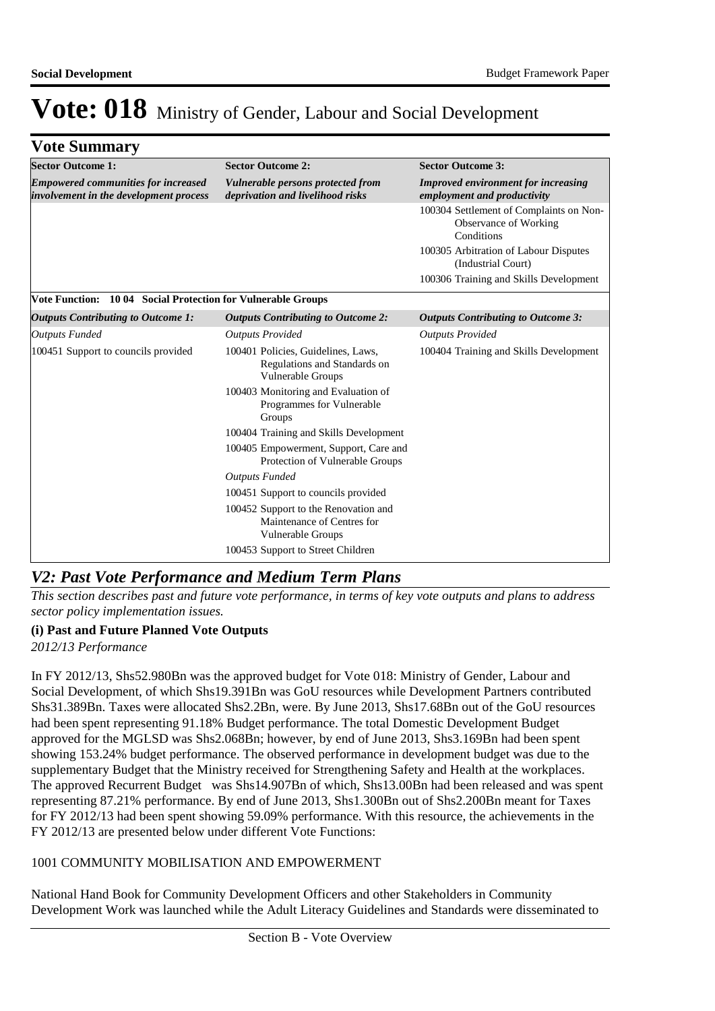## **Vote Summary**

| <b>Sector Outcome 1:</b>                                                             | <b>Sector Outcome 2:</b>                                                                       | <b>Sector Outcome 3:</b>                                                       |
|--------------------------------------------------------------------------------------|------------------------------------------------------------------------------------------------|--------------------------------------------------------------------------------|
| <b>Empowered communities for increased</b><br>involvement in the development process | Vulnerable persons protected from<br>deprivation and livelihood risks                          | <b>Improved environment for increasing</b><br>employment and productivity      |
|                                                                                      |                                                                                                | 100304 Settlement of Complaints on Non-<br>Observance of Working<br>Conditions |
|                                                                                      |                                                                                                | 100305 Arbitration of Labour Disputes<br>(Industrial Court)                    |
|                                                                                      |                                                                                                | 100306 Training and Skills Development                                         |
| Vote Function: 10 04 Social Protection for Vulnerable Groups                         |                                                                                                |                                                                                |
| <b>Outputs Contributing to Outcome 1:</b>                                            | <b>Outputs Contributing to Outcome 2:</b>                                                      | <b>Outputs Contributing to Outcome 3:</b>                                      |
| <b>Outputs Funded</b>                                                                | <b>Outputs Provided</b>                                                                        | <b>Outputs Provided</b>                                                        |
| 100451 Support to councils provided                                                  | 100401 Policies, Guidelines, Laws,<br>Regulations and Standards on<br>Vulnerable Groups        | 100404 Training and Skills Development                                         |
|                                                                                      | 100403 Monitoring and Evaluation of<br>Programmes for Vulnerable<br>Groups                     |                                                                                |
|                                                                                      | 100404 Training and Skills Development                                                         |                                                                                |
|                                                                                      | 100405 Empowerment, Support, Care and<br>Protection of Vulnerable Groups                       |                                                                                |
|                                                                                      | <b>Outputs Funded</b>                                                                          |                                                                                |
|                                                                                      | 100451 Support to councils provided                                                            |                                                                                |
|                                                                                      | 100452 Support to the Renovation and<br>Maintenance of Centres for<br><b>Vulnerable Groups</b> |                                                                                |
|                                                                                      | 100453 Support to Street Children                                                              |                                                                                |

## *V2: Past Vote Performance and Medium Term Plans*

*This section describes past and future vote performance, in terms of key vote outputs and plans to address sector policy implementation issues.* 

### **(i) Past and Future Planned Vote Outputs**

*2012/13 Performance*

In FY 2012/13, Shs52.980Bn was the approved budget for Vote 018: Ministry of Gender, Labour and Social Development, of which Shs19.391Bn was GoU resources while Development Partners contributed Shs31.389Bn. Taxes were allocated Shs2.2Bn, were. By June 2013, Shs17.68Bn out of the GoU resources had been spent representing 91.18% Budget performance. The total Domestic Development Budget approved for the MGLSD was Shs2.068Bn; however, by end of June 2013, Shs3.169Bn had been spent showing 153.24% budget performance. The observed performance in development budget was due to the supplementary Budget that the Ministry received for Strengthening Safety and Health at the workplaces. The approved Recurrent Budget was Shs14.907Bn of which, Shs13.00Bn had been released and was spent representing 87.21% performance. By end of June 2013, Shs1.300Bn out of Shs2.200Bn meant for Taxes for FY 2012/13 had been spent showing 59.09% performance. With this resource, the achievements in the FY 2012/13 are presented below under different Vote Functions:

### 1001 COMMUNITY MOBILISATION AND EMPOWERMENT

National Hand Book for Community Development Officers and other Stakeholders in Community Development Work was launched while the Adult Literacy Guidelines and Standards were disseminated to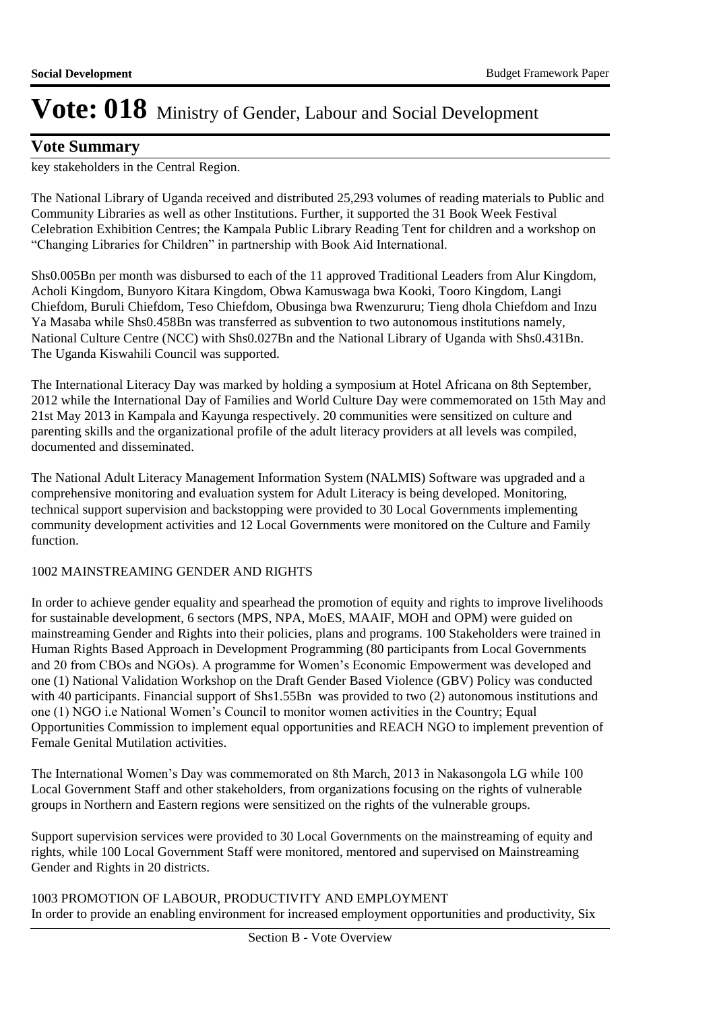## **Vote Summary**

key stakeholders in the Central Region.

The National Library of Uganda received and distributed 25,293 volumes of reading materials to Public and Community Libraries as well as other Institutions. Further, it supported the 31 Book Week Festival Celebration Exhibition Centres; the Kampala Public Library Reading Tent for children and a workshop on "Changing Libraries for Children" in partnership with Book Aid International.

Shs0.005Bn per month was disbursed to each of the 11 approved Traditional Leaders from Alur Kingdom, Acholi Kingdom, Bunyoro Kitara Kingdom, Obwa Kamuswaga bwa Kooki, Tooro Kingdom, Langi Chiefdom, Buruli Chiefdom, Teso Chiefdom, Obusinga bwa Rwenzururu; Tieng dhola Chiefdom and Inzu Ya Masaba while Shs0.458Bn was transferred as subvention to two autonomous institutions namely, National Culture Centre (NCC) with Shs0.027Bn and the National Library of Uganda with Shs0.431Bn. The Uganda Kiswahili Council was supported.

The International Literacy Day was marked by holding a symposium at Hotel Africana on 8th September, 2012 while the International Day of Families and World Culture Day were commemorated on 15th May and 21st May 2013 in Kampala and Kayunga respectively. 20 communities were sensitized on culture and parenting skills and the organizational profile of the adult literacy providers at all levels was compiled, documented and disseminated.

The National Adult Literacy Management Information System (NALMIS) Software was upgraded and a comprehensive monitoring and evaluation system for Adult Literacy is being developed. Monitoring, technical support supervision and backstopping were provided to 30 Local Governments implementing community development activities and 12 Local Governments were monitored on the Culture and Family function.

### 1002 MAINSTREAMING GENDER AND RIGHTS

In order to achieve gender equality and spearhead the promotion of equity and rights to improve livelihoods for sustainable development, 6 sectors (MPS, NPA, MoES, MAAIF, MOH and OPM) were guided on mainstreaming Gender and Rights into their policies, plans and programs. 100 Stakeholders were trained in Human Rights Based Approach in Development Programming (80 participants from Local Governments and 20 from CBOs and NGOs). A programme for Women's Economic Empowerment was developed and one (1) National Validation Workshop on the Draft Gender Based Violence (GBV) Policy was conducted with 40 participants. Financial support of Shs1.55Bn was provided to two (2) autonomous institutions and one (1) NGO i.e National Women's Council to monitor women activities in the Country; Equal Opportunities Commission to implement equal opportunities and REACH NGO to implement prevention of Female Genital Mutilation activities.

The International Women's Day was commemorated on 8th March, 2013 in Nakasongola LG while 100 Local Government Staff and other stakeholders, from organizations focusing on the rights of vulnerable groups in Northern and Eastern regions were sensitized on the rights of the vulnerable groups.

Support supervision services were provided to 30 Local Governments on the mainstreaming of equity and rights, while 100 Local Government Staff were monitored, mentored and supervised on Mainstreaming Gender and Rights in 20 districts.

1003 PROMOTION OF LABOUR, PRODUCTIVITY AND EMPLOYMENT In order to provide an enabling environment for increased employment opportunities and productivity, Six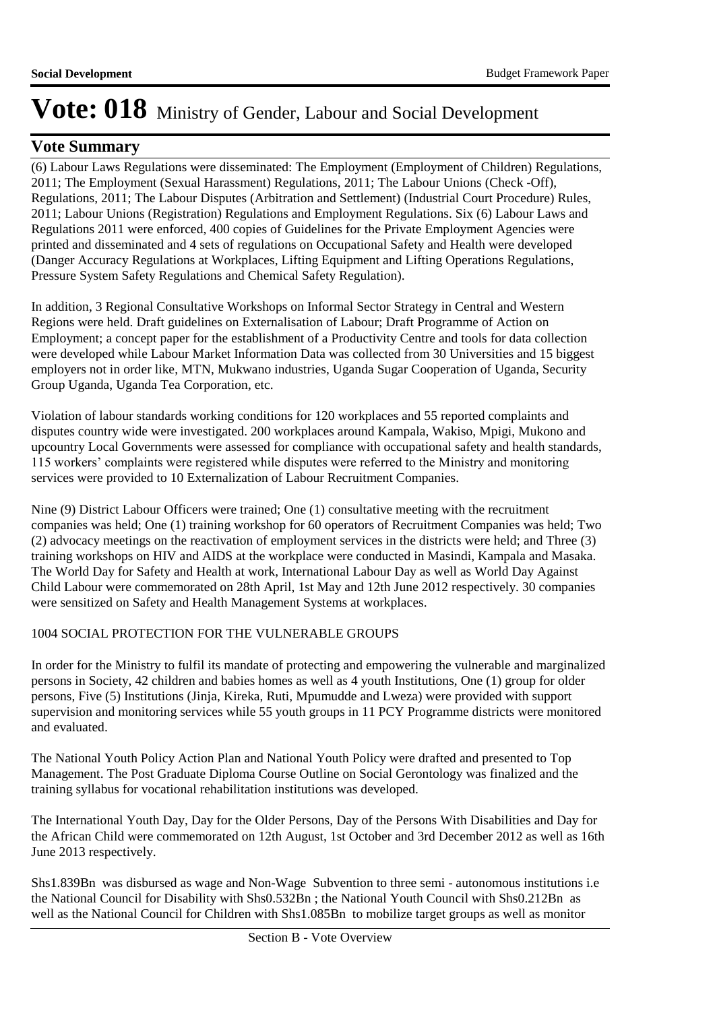## **Vote Summary**

(6) Labour Laws Regulations were disseminated: The Employment (Employment of Children) Regulations, 2011; The Employment (Sexual Harassment) Regulations, 2011; The Labour Unions (Check -Off), Regulations, 2011; The Labour Disputes (Arbitration and Settlement) (Industrial Court Procedure) Rules, 2011; Labour Unions (Registration) Regulations and Employment Regulations. Six (6) Labour Laws and Regulations 2011 were enforced, 400 copies of Guidelines for the Private Employment Agencies were printed and disseminated and 4 sets of regulations on Occupational Safety and Health were developed (Danger Accuracy Regulations at Workplaces, Lifting Equipment and Lifting Operations Regulations, Pressure System Safety Regulations and Chemical Safety Regulation).

In addition, 3 Regional Consultative Workshops on Informal Sector Strategy in Central and Western Regions were held. Draft guidelines on Externalisation of Labour; Draft Programme of Action on Employment; a concept paper for the establishment of a Productivity Centre and tools for data collection were developed while Labour Market Information Data was collected from 30 Universities and 15 biggest employers not in order like, MTN, Mukwano industries, Uganda Sugar Cooperation of Uganda, Security Group Uganda, Uganda Tea Corporation, etc.

Violation of labour standards working conditions for 120 workplaces and 55 reported complaints and disputes country wide were investigated. 200 workplaces around Kampala, Wakiso, Mpigi, Mukono and upcountry Local Governments were assessed for compliance with occupational safety and health standards, 115 workers' complaints were registered while disputes were referred to the Ministry and monitoring services were provided to 10 Externalization of Labour Recruitment Companies.

Nine (9) District Labour Officers were trained; One (1) consultative meeting with the recruitment companies was held; One (1) training workshop for 60 operators of Recruitment Companies was held; Two (2) advocacy meetings on the reactivation of employment services in the districts were held; and Three (3) training workshops on HIV and AIDS at the workplace were conducted in Masindi, Kampala and Masaka. The World Day for Safety and Health at work, International Labour Day as well as World Day Against Child Labour were commemorated on 28th April, 1st May and 12th June 2012 respectively. 30 companies were sensitized on Safety and Health Management Systems at workplaces.

### 1004 SOCIAL PROTECTION FOR THE VULNERABLE GROUPS

In order for the Ministry to fulfil its mandate of protecting and empowering the vulnerable and marginalized persons in Society, 42 children and babies homes as well as 4 youth Institutions, One (1) group for older persons, Five (5) Institutions (Jinja, Kireka, Ruti, Mpumudde and Lweza) were provided with support supervision and monitoring services while 55 youth groups in 11 PCY Programme districts were monitored and evaluated.

The National Youth Policy Action Plan and National Youth Policy were drafted and presented to Top Management. The Post Graduate Diploma Course Outline on Social Gerontology was finalized and the training syllabus for vocational rehabilitation institutions was developed.

The International Youth Day, Day for the Older Persons, Day of the Persons With Disabilities and Day for the African Child were commemorated on 12th August, 1st October and 3rd December 2012 as well as 16th June 2013 respectively.

Shs1.839Bn was disbursed as wage and Non-Wage Subvention to three semi - autonomous institutions i.e the National Council for Disability with Shs0.532Bn ; the National Youth Council with Shs0.212Bn as well as the National Council for Children with Shs1.085Bn to mobilize target groups as well as monitor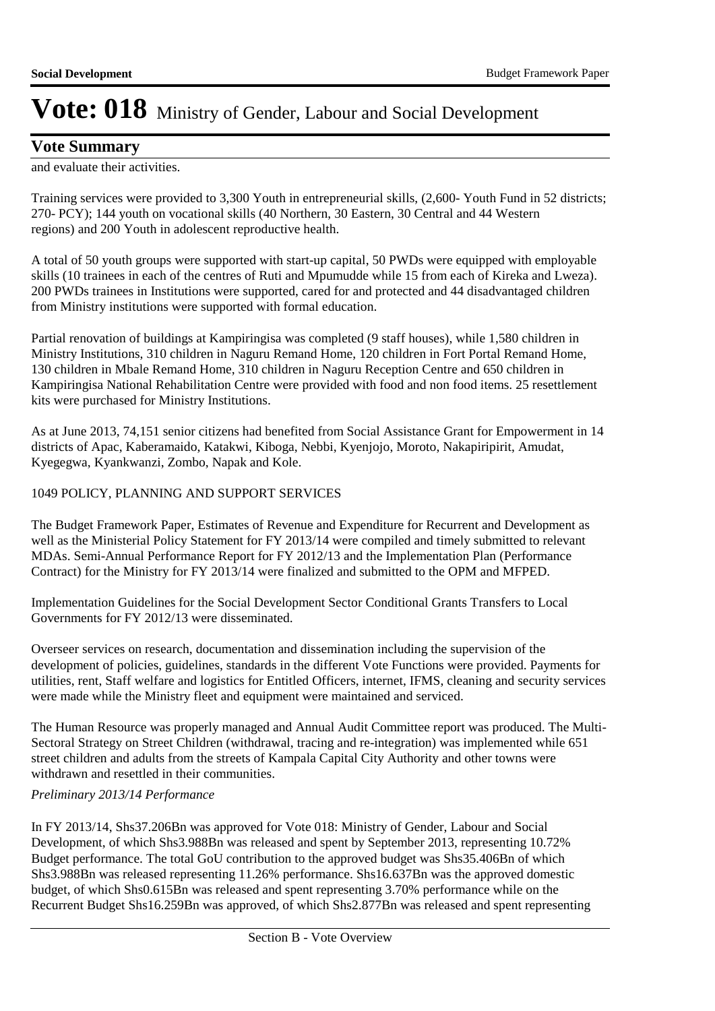## **Vote Summary**

and evaluate their activities.

Training services were provided to 3,300 Youth in entrepreneurial skills, (2,600- Youth Fund in 52 districts; 270- PCY); 144 youth on vocational skills (40 Northern, 30 Eastern, 30 Central and 44 Western regions) and 200 Youth in adolescent reproductive health.

A total of 50 youth groups were supported with start-up capital, 50 PWDs were equipped with employable skills (10 trainees in each of the centres of Ruti and Mpumudde while 15 from each of Kireka and Lweza). 200 PWDs trainees in Institutions were supported, cared for and protected and 44 disadvantaged children from Ministry institutions were supported with formal education.

Partial renovation of buildings at Kampiringisa was completed (9 staff houses), while 1,580 children in Ministry Institutions, 310 children in Naguru Remand Home, 120 children in Fort Portal Remand Home, 130 children in Mbale Remand Home, 310 children in Naguru Reception Centre and 650 children in Kampiringisa National Rehabilitation Centre were provided with food and non food items. 25 resettlement kits were purchased for Ministry Institutions.

As at June 2013, 74,151 senior citizens had benefited from Social Assistance Grant for Empowerment in 14 districts of Apac, Kaberamaido, Katakwi, Kiboga, Nebbi, Kyenjojo, Moroto, Nakapiripirit, Amudat, Kyegegwa, Kyankwanzi, Zombo, Napak and Kole.

### 1049 POLICY, PLANNING AND SUPPORT SERVICES

The Budget Framework Paper, Estimates of Revenue and Expenditure for Recurrent and Development as well as the Ministerial Policy Statement for FY 2013/14 were compiled and timely submitted to relevant MDAs. Semi-Annual Performance Report for FY 2012/13 and the Implementation Plan (Performance Contract) for the Ministry for FY 2013/14 were finalized and submitted to the OPM and MFPED.

Implementation Guidelines for the Social Development Sector Conditional Grants Transfers to Local Governments for FY 2012/13 were disseminated.

Overseer services on research, documentation and dissemination including the supervision of the development of policies, guidelines, standards in the different Vote Functions were provided. Payments for utilities, rent, Staff welfare and logistics for Entitled Officers, internet, IFMS, cleaning and security services were made while the Ministry fleet and equipment were maintained and serviced.

The Human Resource was properly managed and Annual Audit Committee report was produced. The Multi-Sectoral Strategy on Street Children (withdrawal, tracing and re-integration) was implemented while 651 street children and adults from the streets of Kampala Capital City Authority and other towns were withdrawn and resettled in their communities.

### *Preliminary 2013/14 Performance*

In FY 2013/14, Shs37.206Bn was approved for Vote 018: Ministry of Gender, Labour and Social Development, of which Shs3.988Bn was released and spent by September 2013, representing 10.72% Budget performance. The total GoU contribution to the approved budget was Shs35.406Bn of which Shs3.988Bn was released representing 11.26% performance. Shs16.637Bn was the approved domestic budget, of which Shs0.615Bn was released and spent representing 3.70% performance while on the Recurrent Budget Shs16.259Bn was approved, of which Shs2.877Bn was released and spent representing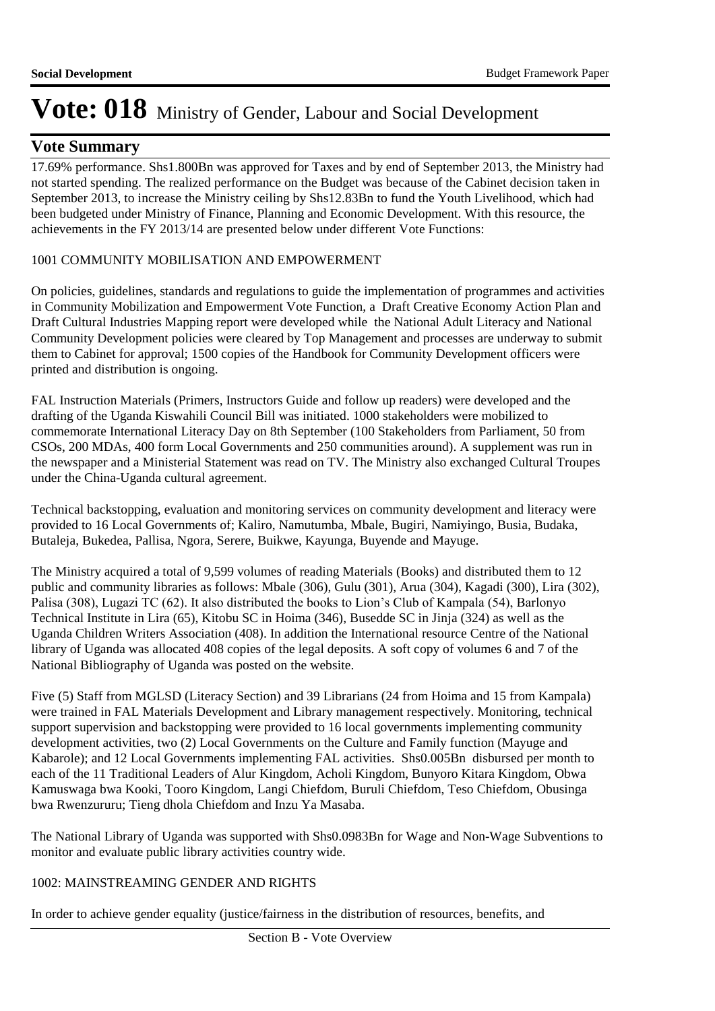## **Vote Summary**

17.69% performance. Shs1.800Bn was approved for Taxes and by end of September 2013, the Ministry had not started spending. The realized performance on the Budget was because of the Cabinet decision taken in September 2013, to increase the Ministry ceiling by Shs12.83Bn to fund the Youth Livelihood, which had been budgeted under Ministry of Finance, Planning and Economic Development. With this resource, the achievements in the FY 2013/14 are presented below under different Vote Functions:

### 1001 COMMUNITY MOBILISATION AND EMPOWERMENT

On policies, guidelines, standards and regulations to guide the implementation of programmes and activities in Community Mobilization and Empowerment Vote Function, a Draft Creative Economy Action Plan and Draft Cultural Industries Mapping report were developed while the National Adult Literacy and National Community Development policies were cleared by Top Management and processes are underway to submit them to Cabinet for approval; 1500 copies of the Handbook for Community Development officers were printed and distribution is ongoing.

FAL Instruction Materials (Primers, Instructors Guide and follow up readers) were developed and the drafting of the Uganda Kiswahili Council Bill was initiated. 1000 stakeholders were mobilized to commemorate International Literacy Day on 8th September (100 Stakeholders from Parliament, 50 from CSOs, 200 MDAs, 400 form Local Governments and 250 communities around). A supplement was run in the newspaper and a Ministerial Statement was read on TV. The Ministry also exchanged Cultural Troupes under the China-Uganda cultural agreement.

Technical backstopping, evaluation and monitoring services on community development and literacy were provided to 16 Local Governments of; Kaliro, Namutumba, Mbale, Bugiri, Namiyingo, Busia, Budaka, Butaleja, Bukedea, Pallisa, Ngora, Serere, Buikwe, Kayunga, Buyende and Mayuge.

The Ministry acquired a total of 9,599 volumes of reading Materials (Books) and distributed them to 12 public and community libraries as follows: Mbale (306), Gulu (301), Arua (304), Kagadi (300), Lira (302), Palisa (308), Lugazi TC (62). It also distributed the books to Lion's Club of Kampala (54), Barlonyo Technical Institute in Lira (65), Kitobu SC in Hoima (346), Busedde SC in Jinja (324) as well as the Uganda Children Writers Association (408). In addition the International resource Centre of the National library of Uganda was allocated 408 copies of the legal deposits. A soft copy of volumes 6 and 7 of the National Bibliography of Uganda was posted on the website.

Five (5) Staff from MGLSD (Literacy Section) and 39 Librarians (24 from Hoima and 15 from Kampala) were trained in FAL Materials Development and Library management respectively. Monitoring, technical support supervision and backstopping were provided to 16 local governments implementing community development activities, two (2) Local Governments on the Culture and Family function (Mayuge and Kabarole); and 12 Local Governments implementing FAL activities. Shs0.005Bn disbursed per month to each of the 11 Traditional Leaders of Alur Kingdom, Acholi Kingdom, Bunyoro Kitara Kingdom, Obwa Kamuswaga bwa Kooki, Tooro Kingdom, Langi Chiefdom, Buruli Chiefdom, Teso Chiefdom, Obusinga bwa Rwenzururu; Tieng dhola Chiefdom and Inzu Ya Masaba.

The National Library of Uganda was supported with Shs0.0983Bn for Wage and Non-Wage Subventions to monitor and evaluate public library activities country wide.

### 1002: MAINSTREAMING GENDER AND RIGHTS

In order to achieve gender equality (justice/fairness in the distribution of resources, benefits, and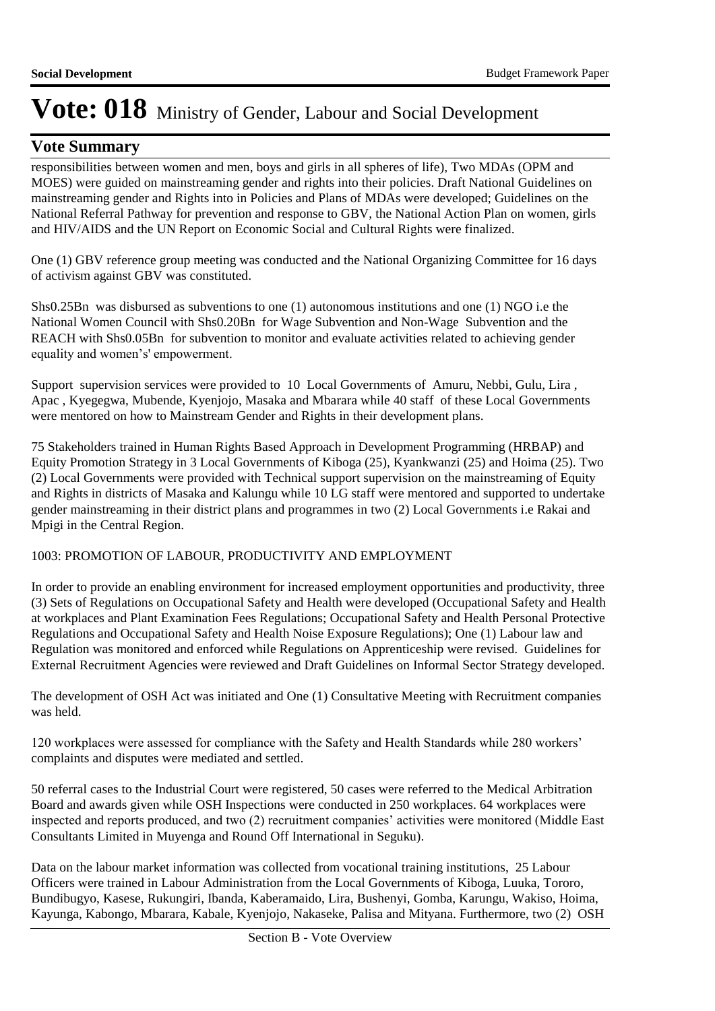## **Vote Summary**

responsibilities between women and men, boys and girls in all spheres of life), Two MDAs (OPM and MOES) were guided on mainstreaming gender and rights into their policies. Draft National Guidelines on mainstreaming gender and Rights into in Policies and Plans of MDAs were developed; Guidelines on the National Referral Pathway for prevention and response to GBV, the National Action Plan on women, girls and HIV/AIDS and the UN Report on Economic Social and Cultural Rights were finalized.

One (1) GBV reference group meeting was conducted and the National Organizing Committee for 16 days of activism against GBV was constituted.

Shs0.25Bn was disbursed as subventions to one (1) autonomous institutions and one (1) NGO i.e the National Women Council with Shs0.20Bn for Wage Subvention and Non-Wage Subvention and the REACH with Shs0.05Bn for subvention to monitor and evaluate activities related to achieving gender equality and women's' empowerment.

Support supervision services were provided to 10 Local Governments of Amuru, Nebbi, Gulu, Lira , Apac , Kyegegwa, Mubende, Kyenjojo, Masaka and Mbarara while 40 staff of these Local Governments were mentored on how to Mainstream Gender and Rights in their development plans.

75 Stakeholders trained in Human Rights Based Approach in Development Programming (HRBAP) and Equity Promotion Strategy in 3 Local Governments of Kiboga (25), Kyankwanzi (25) and Hoima (25). Two (2) Local Governments were provided with Technical support supervision on the mainstreaming of Equity and Rights in districts of Masaka and Kalungu while 10 LG staff were mentored and supported to undertake gender mainstreaming in their district plans and programmes in two (2) Local Governments i.e Rakai and Mpigi in the Central Region.

### 1003: PROMOTION OF LABOUR, PRODUCTIVITY AND EMPLOYMENT

In order to provide an enabling environment for increased employment opportunities and productivity, three (3) Sets of Regulations on Occupational Safety and Health were developed (Occupational Safety and Health at workplaces and Plant Examination Fees Regulations; Occupational Safety and Health Personal Protective Regulations and Occupational Safety and Health Noise Exposure Regulations); One (1) Labour law and Regulation was monitored and enforced while Regulations on Apprenticeship were revised. Guidelines for External Recruitment Agencies were reviewed and Draft Guidelines on Informal Sector Strategy developed.

The development of OSH Act was initiated and One (1) Consultative Meeting with Recruitment companies was held.

120 workplaces were assessed for compliance with the Safety and Health Standards while 280 workers' complaints and disputes were mediated and settled.

50 referral cases to the Industrial Court were registered, 50 cases were referred to the Medical Arbitration Board and awards given while OSH Inspections were conducted in 250 workplaces. 64 workplaces were inspected and reports produced, and two (2) recruitment companies' activities were monitored (Middle East Consultants Limited in Muyenga and Round Off International in Seguku).

Data on the labour market information was collected from vocational training institutions, 25 Labour Officers were trained in Labour Administration from the Local Governments of Kiboga, Luuka, Tororo, Bundibugyo, Kasese, Rukungiri, Ibanda, Kaberamaido, Lira, Bushenyi, Gomba, Karungu, Wakiso, Hoima, Kayunga, Kabongo, Mbarara, Kabale, Kyenjojo, Nakaseke, Palisa and Mityana. Furthermore, two (2) OSH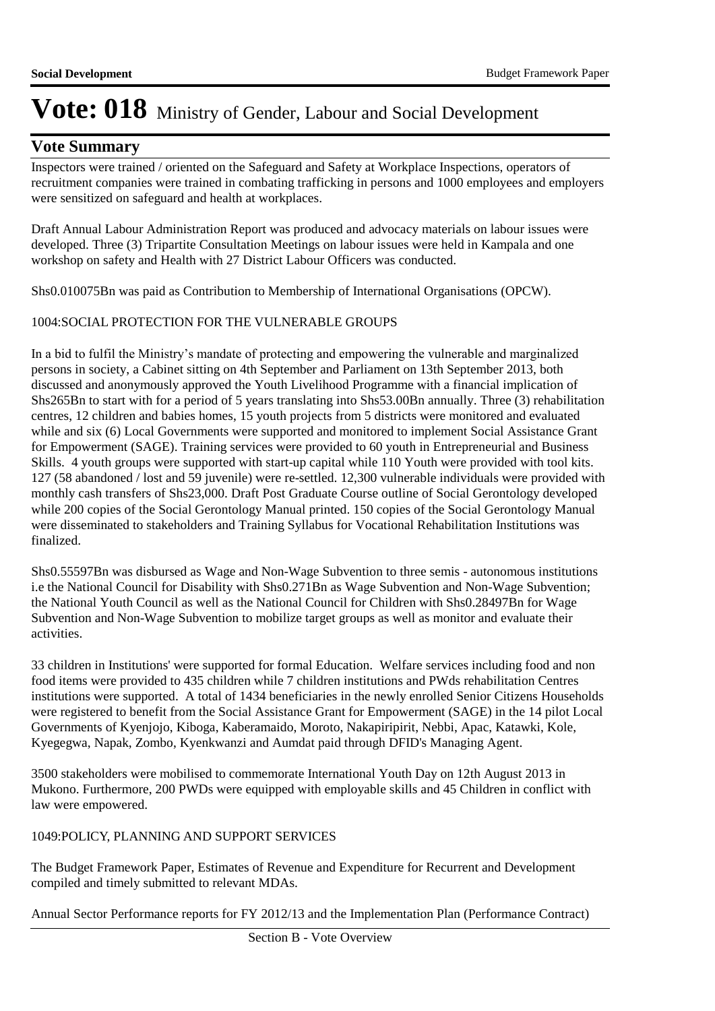## **Vote Summary**

Inspectors were trained / oriented on the Safeguard and Safety at Workplace Inspections, operators of recruitment companies were trained in combating trafficking in persons and 1000 employees and employers were sensitized on safeguard and health at workplaces.

Draft Annual Labour Administration Report was produced and advocacy materials on labour issues were developed. Three (3) Tripartite Consultation Meetings on labour issues were held in Kampala and one workshop on safety and Health with 27 District Labour Officers was conducted.

Shs0.010075Bn was paid as Contribution to Membership of International Organisations (OPCW).

### 1004: SOCIAL PROTECTION FOR THE VULNERABLE GROUPS

In a bid to fulfil the Ministry's mandate of protecting and empowering the vulnerable and marginalized persons in society, a Cabinet sitting on 4th September and Parliament on 13th September 2013, both discussed and anonymously approved the Youth Livelihood Programme with a financial implication of Shs265Bn to start with for a period of 5 years translating into Shs53.00Bn annually. Three (3) rehabilitation centres, 12 children and babies homes, 15 youth projects from 5 districts were monitored and evaluated while and six (6) Local Governments were supported and monitored to implement Social Assistance Grant for Empowerment (SAGE). Training services were provided to 60 youth in Entrepreneurial and Business Skills. 4 youth groups were supported with start-up capital while 110 Youth were provided with tool kits. 127 (58 abandoned / lost and 59 juvenile) were re-settled. 12,300 vulnerable individuals were provided with monthly cash transfers of Shs23,000. Draft Post Graduate Course outline of Social Gerontology developed while 200 copies of the Social Gerontology Manual printed. 150 copies of the Social Gerontology Manual were disseminated to stakeholders and Training Syllabus for Vocational Rehabilitation Institutions was finalized.

Shs0.55597Bn was disbursed as Wage and Non-Wage Subvention to three semis - autonomous institutions i.e the National Council for Disability with Shs0.271Bn as Wage Subvention and Non-Wage Subvention; the National Youth Council as well as the National Council for Children with Shs0.28497Bn for Wage Subvention and Non-Wage Subvention to mobilize target groups as well as monitor and evaluate their activities.

33 children in Institutions' were supported for formal Education. Welfare services including food and non food items were provided to 435 children while 7 children institutions and PWds rehabilitation Centres institutions were supported. A total of 1434 beneficiaries in the newly enrolled Senior Citizens Households were registered to benefit from the Social Assistance Grant for Empowerment (SAGE) in the 14 pilot Local Governments of Kyenjojo, Kiboga, Kaberamaido, Moroto, Nakapiripirit, Nebbi, Apac, Katawki, Kole, Kyegegwa, Napak, Zombo, Kyenkwanzi and Aumdat paid through DFID's Managing Agent.

3500 stakeholders were mobilised to commemorate International Youth Day on 12th August 2013 in Mukono. Furthermore, 200 PWDs were equipped with employable skills and 45 Children in conflict with law were empowered.

### 1049: POLICY, PLANNING AND SUPPORT SERVICES

The Budget Framework Paper, Estimates of Revenue and Expenditure for Recurrent and Development compiled and timely submitted to relevant MDAs.

Annual Sector Performance reports for FY 2012/13 and the Implementation Plan (Performance Contract)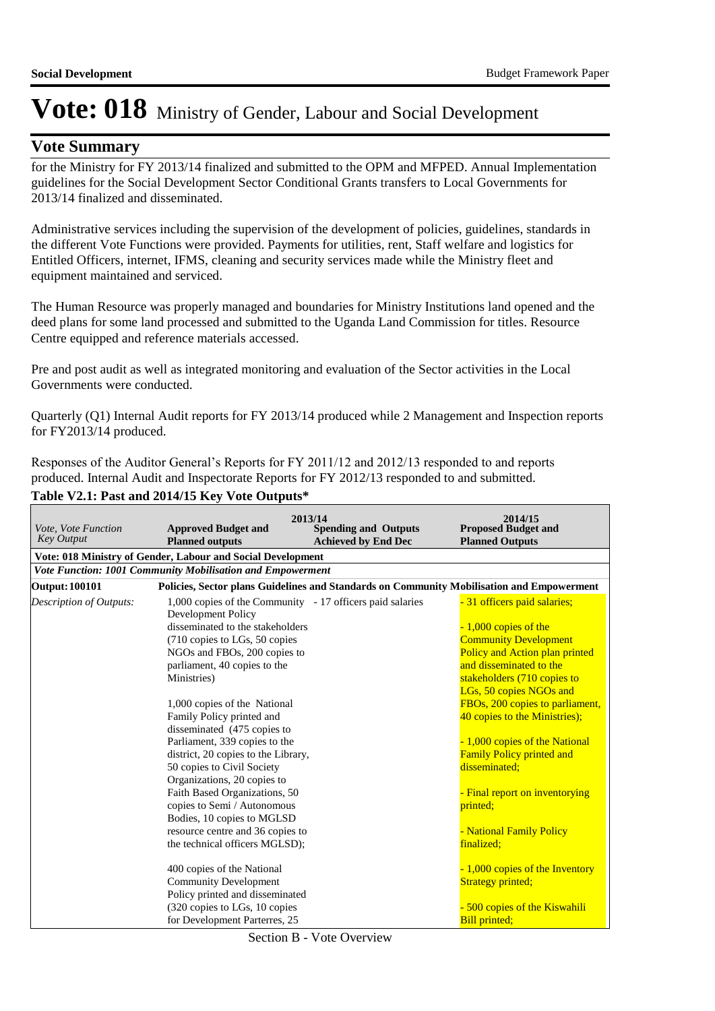### **Vote Summary**

for the Ministry for FY 2013/14 finalized and submitted to the OPM and MFPED. Annual Implementation guidelines for the Social Development Sector Conditional Grants transfers to Local Governments for 2013/14 finalized and disseminated.

Administrative services including the supervision of the development of policies, guidelines, standards in the different Vote Functions were provided. Payments for utilities, rent, Staff welfare and logistics for Entitled Officers, internet, IFMS, cleaning and security services made while the Ministry fleet and equipment maintained and serviced.

The Human Resource was properly managed and boundaries for Ministry Institutions land opened and the deed plans for some land processed and submitted to the Uganda Land Commission for titles. Resource Centre equipped and reference materials accessed.

Pre and post audit as well as integrated monitoring and evaluation of the Sector activities in the Local Governments were conducted.

Quarterly (Q1) Internal Audit reports for FY 2013/14 produced while 2 Management and Inspection reports for FY2013/14 produced.

Responses of the Auditor General's Reports for FY 2011/12 and 2012/13 responded to and reports produced. Internal Audit and Inspectorate Reports for FY 2012/13 responded to and submitted. **Table V2.1: Past and 2014/15 Key Vote Outputs\***

| Vote, Vote Function<br><b>Key Output</b> | 2013/14<br><b>Approved Budget and</b><br><b>Spending and Outputs</b><br><b>Planned outputs</b><br><b>Achieved by End Dec</b> | 2014/15<br><b>Proposed Budget and</b><br><b>Planned Outputs</b> |
|------------------------------------------|------------------------------------------------------------------------------------------------------------------------------|-----------------------------------------------------------------|
|                                          | Vote: 018 Ministry of Gender, Labour and Social Development                                                                  |                                                                 |
|                                          | Vote Function: 1001 Community Mobilisation and Empowerment                                                                   |                                                                 |
| <b>Output: 100101</b>                    | Policies, Sector plans Guidelines and Standards on Community Mobilisation and Empowerment                                    |                                                                 |
| Description of Outputs:                  | 1,000 copies of the Community - 17 officers paid salaries<br>Development Policy                                              | - 31 officers paid salaries;                                    |
|                                          | disseminated to the stakeholders                                                                                             | $-1,000$ copies of the                                          |
|                                          | (710 copies to LGs, 50 copies                                                                                                | <b>Community Development</b>                                    |
|                                          | NGOs and FBOs, 200 copies to                                                                                                 | Policy and Action plan printed                                  |
|                                          | parliament, 40 copies to the                                                                                                 | and disseminated to the                                         |
|                                          | Ministries)                                                                                                                  | stakeholders (710 copies to                                     |
|                                          |                                                                                                                              | LGs, 50 copies NGOs and                                         |
|                                          | 1,000 copies of the National                                                                                                 | FBOs, 200 copies to parliament,                                 |
|                                          | Family Policy printed and                                                                                                    | 40 copies to the Ministries);                                   |
|                                          | disseminated (475 copies to                                                                                                  |                                                                 |
|                                          | Parliament, 339 copies to the                                                                                                | - 1,000 copies of the National                                  |
|                                          | district, 20 copies to the Library,                                                                                          | <b>Family Policy printed and</b>                                |
|                                          | 50 copies to Civil Society                                                                                                   | disseminated:                                                   |
|                                          | Organizations, 20 copies to                                                                                                  |                                                                 |
|                                          | Faith Based Organizations, 50                                                                                                | - Final report on inventorying                                  |
|                                          | copies to Semi / Autonomous                                                                                                  | printed;                                                        |
|                                          | Bodies, 10 copies to MGLSD                                                                                                   |                                                                 |
|                                          | resource centre and 36 copies to                                                                                             | - National Family Policy                                        |
|                                          | the technical officers MGLSD);                                                                                               | finalized:                                                      |
|                                          | 400 copies of the National                                                                                                   | - 1,000 copies of the Inventory                                 |
|                                          | <b>Community Development</b>                                                                                                 | <b>Strategy printed;</b>                                        |
|                                          | Policy printed and disseminated                                                                                              |                                                                 |
|                                          | (320 copies to LGs, 10 copies                                                                                                | - 500 copies of the Kiswahili                                   |
|                                          | for Development Parterres, 25                                                                                                | <b>Bill printed;</b>                                            |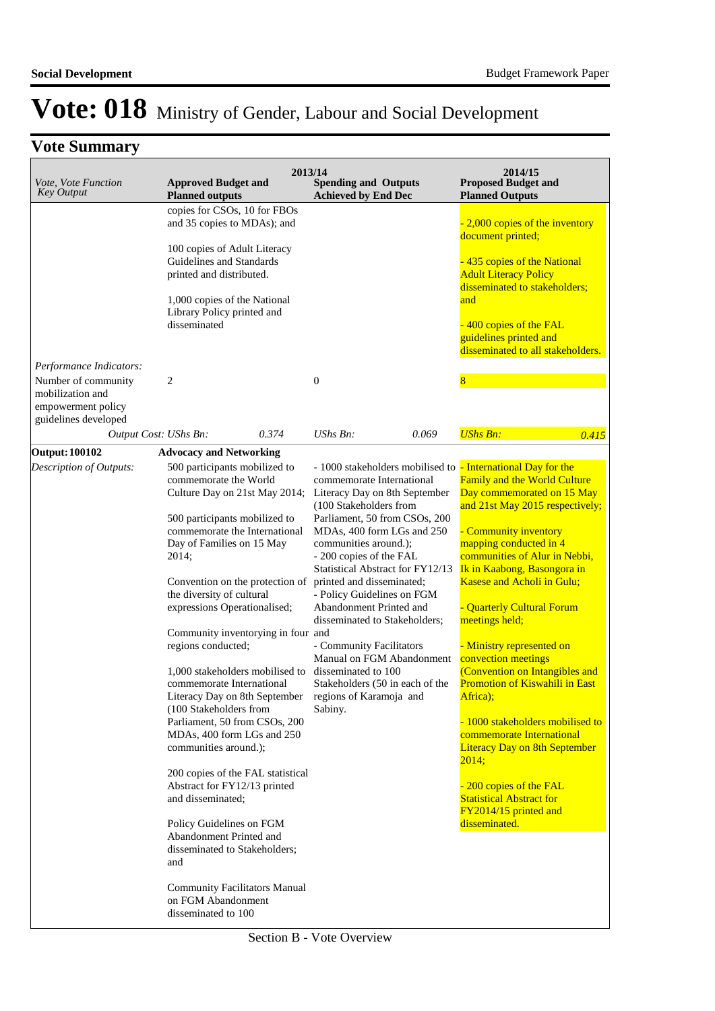| Vote, Vote Function<br><b>Key Output</b>                                                 | <b>Approved Budget and</b><br><b>Planned outputs</b>                                                                                                                                                                                                                                                                                                                                                                                                                                                                                                                                                                                                                                                                                                                                                                                                                                 | 2013/14 | <b>Spending and Outputs</b><br><b>Achieved by End Dec</b>                                                                                                                                                                                                                                                                                                                                                                                                                                        |       | 2014/15<br><b>Proposed Budget and</b><br><b>Planned Outputs</b>                                                                                                                                                                                                                                                                                                                                                                                                                                                                                                                                                                                                                                                                           |  |
|------------------------------------------------------------------------------------------|--------------------------------------------------------------------------------------------------------------------------------------------------------------------------------------------------------------------------------------------------------------------------------------------------------------------------------------------------------------------------------------------------------------------------------------------------------------------------------------------------------------------------------------------------------------------------------------------------------------------------------------------------------------------------------------------------------------------------------------------------------------------------------------------------------------------------------------------------------------------------------------|---------|--------------------------------------------------------------------------------------------------------------------------------------------------------------------------------------------------------------------------------------------------------------------------------------------------------------------------------------------------------------------------------------------------------------------------------------------------------------------------------------------------|-------|-------------------------------------------------------------------------------------------------------------------------------------------------------------------------------------------------------------------------------------------------------------------------------------------------------------------------------------------------------------------------------------------------------------------------------------------------------------------------------------------------------------------------------------------------------------------------------------------------------------------------------------------------------------------------------------------------------------------------------------------|--|
|                                                                                          | copies for CSOs, 10 for FBOs<br>and 35 copies to MDAs); and<br>100 copies of Adult Literacy<br>Guidelines and Standards<br>printed and distributed.<br>1,000 copies of the National<br>Library Policy printed and<br>disseminated                                                                                                                                                                                                                                                                                                                                                                                                                                                                                                                                                                                                                                                    |         |                                                                                                                                                                                                                                                                                                                                                                                                                                                                                                  |       | 2,000 copies of the inventory<br>document printed;<br>-435 copies of the National<br><b>Adult Literacy Policy</b><br>disseminated to stakeholders;<br>and<br>400 copies of the FAL<br>guidelines printed and<br>disseminated to all stakeholders.                                                                                                                                                                                                                                                                                                                                                                                                                                                                                         |  |
| Performance Indicators:<br>Number of community<br>mobilization and<br>empowerment policy | 2                                                                                                                                                                                                                                                                                                                                                                                                                                                                                                                                                                                                                                                                                                                                                                                                                                                                                    |         | $\boldsymbol{0}$                                                                                                                                                                                                                                                                                                                                                                                                                                                                                 |       | $\overline{\mathbf{8}}$                                                                                                                                                                                                                                                                                                                                                                                                                                                                                                                                                                                                                                                                                                                   |  |
| guidelines developed<br>Output Cost: UShs Bn:                                            |                                                                                                                                                                                                                                                                                                                                                                                                                                                                                                                                                                                                                                                                                                                                                                                                                                                                                      | 0.374   | UShs Bn:                                                                                                                                                                                                                                                                                                                                                                                                                                                                                         | 0.069 | <b>UShs Bn:</b><br>0.415                                                                                                                                                                                                                                                                                                                                                                                                                                                                                                                                                                                                                                                                                                                  |  |
| <b>Output: 100102</b>                                                                    | <b>Advocacy and Networking</b>                                                                                                                                                                                                                                                                                                                                                                                                                                                                                                                                                                                                                                                                                                                                                                                                                                                       |         |                                                                                                                                                                                                                                                                                                                                                                                                                                                                                                  |       |                                                                                                                                                                                                                                                                                                                                                                                                                                                                                                                                                                                                                                                                                                                                           |  |
| Description of Outputs:                                                                  | 500 participants mobilized to<br>commemorate the World<br>Culture Day on 21st May 2014;<br>500 participants mobilized to<br>commemorate the International<br>Day of Families on 15 May<br>2014;<br>Convention on the protection of<br>the diversity of cultural<br>expressions Operationalised;<br>Community inventorying in four and<br>regions conducted;<br>1,000 stakeholders mobilised to<br>commemorate International<br>Literacy Day on 8th September regions of Karamoja and<br>(100 Stakeholders from<br>Parliament, 50 from CSOs, 200<br>MDAs, 400 form LGs and 250<br>communities around.);<br>200 copies of the FAL statistical<br>Abstract for FY12/13 printed<br>and disseminated;<br>Policy Guidelines on FGM<br>Abandonment Printed and<br>disseminated to Stakeholders;<br>and<br><b>Community Facilitators Manual</b><br>on FGM Abandonment<br>disseminated to 100 |         | commemorate International<br>Literacy Day on 8th September<br>(100 Stakeholders from<br>Parliament, 50 from CSOs, 200<br>MDAs, 400 form LGs and 250<br>communities around.);<br>- 200 copies of the FAL<br>Statistical Abstract for FY12/13<br>printed and disseminated;<br>- Policy Guidelines on FGM<br>Abandonment Printed and<br>disseminated to Stakeholders;<br>- Community Facilitators<br>Manual on FGM Abandonment<br>disseminated to 100<br>Stakeholders (50 in each of the<br>Sabiny. |       | - 1000 stakeholders mobilised to - International Day for the<br><b>Family and the World Culture</b><br>Day commemorated on 15 May<br>and 21st May 2015 respectively;<br>- Community inventory<br>mapping conducted in 4<br>communities of Alur in Nebbi,<br>Ik in Kaabong, Basongora in<br>Kasese and Acholi in Gulu;<br>- Quarterly Cultural Forum<br>meetings held;<br>- Ministry represented on<br>convection meetings<br>(Convention on Intangibles and<br><b>Promotion of Kiswahili in East</b><br>Africa);<br>- 1000 stakeholders mobilised to<br>commemorate International<br><b>Literacy Day on 8th September</b><br>2014:<br>-200 copies of the FAL<br><b>Statistical Abstract for</b><br>FY2014/15 printed and<br>disseminated. |  |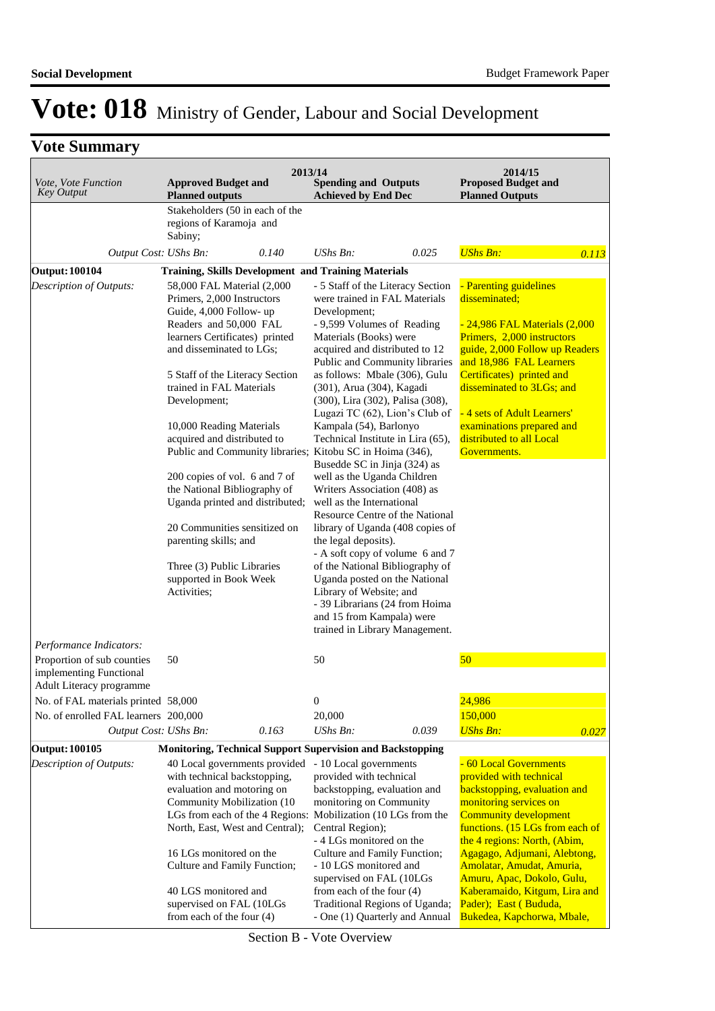## **Vote Summary**

| Vote, Vote Function<br><b>Key Output</b>                                          | 2013/14<br><b>Approved Budget and</b><br><b>Planned outputs</b>                                                                                                                                                                                                                                                                                                                                                                                                                                                                                                                                                        | <b>Spending and Outputs</b><br><b>Achieved by End Dec</b>                                                                                                                                                                                                                                                                                                                                                                                                                                                                                                                                                                                                                                                                                                                                                                                                                       | 2014/15<br><b>Proposed Budget and</b><br><b>Planned Outputs</b>                                                                                                                                                                                                                                                                              |
|-----------------------------------------------------------------------------------|------------------------------------------------------------------------------------------------------------------------------------------------------------------------------------------------------------------------------------------------------------------------------------------------------------------------------------------------------------------------------------------------------------------------------------------------------------------------------------------------------------------------------------------------------------------------------------------------------------------------|---------------------------------------------------------------------------------------------------------------------------------------------------------------------------------------------------------------------------------------------------------------------------------------------------------------------------------------------------------------------------------------------------------------------------------------------------------------------------------------------------------------------------------------------------------------------------------------------------------------------------------------------------------------------------------------------------------------------------------------------------------------------------------------------------------------------------------------------------------------------------------|----------------------------------------------------------------------------------------------------------------------------------------------------------------------------------------------------------------------------------------------------------------------------------------------------------------------------------------------|
|                                                                                   | Stakeholders (50 in each of the                                                                                                                                                                                                                                                                                                                                                                                                                                                                                                                                                                                        |                                                                                                                                                                                                                                                                                                                                                                                                                                                                                                                                                                                                                                                                                                                                                                                                                                                                                 |                                                                                                                                                                                                                                                                                                                                              |
|                                                                                   | regions of Karamoja and<br>Sabiny;                                                                                                                                                                                                                                                                                                                                                                                                                                                                                                                                                                                     |                                                                                                                                                                                                                                                                                                                                                                                                                                                                                                                                                                                                                                                                                                                                                                                                                                                                                 |                                                                                                                                                                                                                                                                                                                                              |
| Output Cost: UShs Bn:                                                             | 0.140                                                                                                                                                                                                                                                                                                                                                                                                                                                                                                                                                                                                                  | $UShs Bn$ :<br>0.025                                                                                                                                                                                                                                                                                                                                                                                                                                                                                                                                                                                                                                                                                                                                                                                                                                                            | <b>UShs Bn:</b><br>0.113                                                                                                                                                                                                                                                                                                                     |
| <b>Output: 100104</b>                                                             | <b>Training, Skills Development and Training Materials</b>                                                                                                                                                                                                                                                                                                                                                                                                                                                                                                                                                             |                                                                                                                                                                                                                                                                                                                                                                                                                                                                                                                                                                                                                                                                                                                                                                                                                                                                                 |                                                                                                                                                                                                                                                                                                                                              |
| Description of Outputs:<br>Performance Indicators:                                | 58,000 FAL Material (2,000<br>Primers, 2,000 Instructors<br>Guide, 4,000 Follow- up<br>Readers and 50,000 FAL<br>learners Certificates) printed<br>and disseminated to LGs;<br>5 Staff of the Literacy Section<br>trained in FAL Materials<br>Development;<br>10,000 Reading Materials<br>acquired and distributed to<br>Public and Community libraries; Kitobu SC in Hoima (346),<br>200 copies of vol. 6 and 7 of<br>the National Bibliography of<br>Uganda printed and distributed;<br>20 Communities sensitized on<br>parenting skills; and<br>Three (3) Public Libraries<br>supported in Book Week<br>Activities; | - 5 Staff of the Literacy Section<br>were trained in FAL Materials<br>Development;<br>- 9,599 Volumes of Reading<br>Materials (Books) were<br>acquired and distributed to 12<br>Public and Community libraries<br>as follows: Mbale (306), Gulu<br>(301), Arua (304), Kagadi<br>(300), Lira (302), Palisa (308),<br>Lugazi TC (62), Lion's Club of<br>Kampala (54), Barlonyo<br>Technical Institute in Lira (65),<br>Busedde SC in Jinja (324) as<br>well as the Uganda Children<br>Writers Association (408) as<br>well as the International<br>Resource Centre of the National<br>library of Uganda (408 copies of<br>the legal deposits).<br>- A soft copy of volume 6 and 7<br>of the National Bibliography of<br>Uganda posted on the National<br>Library of Website; and<br>- 39 Librarians (24 from Hoima<br>and 15 from Kampala) were<br>trained in Library Management. | - Parenting guidelines<br>disseminated;<br><u>- 24,986 FAL Materials (2,000</u><br>Primers, 2,000 instructors<br>guide, 2,000 Follow up Readers<br>and 18,986 FAL Learners<br>Certificates) printed and<br>disseminated to 3LGs; and<br>- 4 sets of Adult Learners'<br>examinations prepared and<br>distributed to all Local<br>Governments. |
| Proportion of sub counties<br>implementing Functional<br>Adult Literacy programme | 50                                                                                                                                                                                                                                                                                                                                                                                                                                                                                                                                                                                                                     | 50                                                                                                                                                                                                                                                                                                                                                                                                                                                                                                                                                                                                                                                                                                                                                                                                                                                                              | 50                                                                                                                                                                                                                                                                                                                                           |
| No. of FAL materials printed 58,000                                               |                                                                                                                                                                                                                                                                                                                                                                                                                                                                                                                                                                                                                        | 0                                                                                                                                                                                                                                                                                                                                                                                                                                                                                                                                                                                                                                                                                                                                                                                                                                                                               | 24,986                                                                                                                                                                                                                                                                                                                                       |
| No. of enrolled FAL learners 200,000                                              |                                                                                                                                                                                                                                                                                                                                                                                                                                                                                                                                                                                                                        | 20,000                                                                                                                                                                                                                                                                                                                                                                                                                                                                                                                                                                                                                                                                                                                                                                                                                                                                          | 150,000                                                                                                                                                                                                                                                                                                                                      |
| Output Cost: UShs Bn:                                                             | 0.163                                                                                                                                                                                                                                                                                                                                                                                                                                                                                                                                                                                                                  | UShs Bn:<br>0.039                                                                                                                                                                                                                                                                                                                                                                                                                                                                                                                                                                                                                                                                                                                                                                                                                                                               | <b>UShs Bn:</b><br>0.027                                                                                                                                                                                                                                                                                                                     |
| <b>Output: 100105</b>                                                             | <b>Monitoring, Technical Support Supervision and Backstopping</b>                                                                                                                                                                                                                                                                                                                                                                                                                                                                                                                                                      |                                                                                                                                                                                                                                                                                                                                                                                                                                                                                                                                                                                                                                                                                                                                                                                                                                                                                 |                                                                                                                                                                                                                                                                                                                                              |
| Description of Outputs:                                                           | 40 Local governments provided                                                                                                                                                                                                                                                                                                                                                                                                                                                                                                                                                                                          | - 10 Local governments                                                                                                                                                                                                                                                                                                                                                                                                                                                                                                                                                                                                                                                                                                                                                                                                                                                          | - 60 Local Governments                                                                                                                                                                                                                                                                                                                       |
|                                                                                   | with technical backstopping,                                                                                                                                                                                                                                                                                                                                                                                                                                                                                                                                                                                           | provided with technical                                                                                                                                                                                                                                                                                                                                                                                                                                                                                                                                                                                                                                                                                                                                                                                                                                                         | provided with technical                                                                                                                                                                                                                                                                                                                      |
|                                                                                   | evaluation and motoring on                                                                                                                                                                                                                                                                                                                                                                                                                                                                                                                                                                                             | backstopping, evaluation and                                                                                                                                                                                                                                                                                                                                                                                                                                                                                                                                                                                                                                                                                                                                                                                                                                                    | backstopping, evaluation and                                                                                                                                                                                                                                                                                                                 |
|                                                                                   | Community Mobilization (10)                                                                                                                                                                                                                                                                                                                                                                                                                                                                                                                                                                                            | monitoring on Community                                                                                                                                                                                                                                                                                                                                                                                                                                                                                                                                                                                                                                                                                                                                                                                                                                                         | monitoring services on                                                                                                                                                                                                                                                                                                                       |
|                                                                                   | LGs from each of the 4 Regions:<br>North, East, West and Central);                                                                                                                                                                                                                                                                                                                                                                                                                                                                                                                                                     | Mobilization (10 LGs from the<br>Central Region);                                                                                                                                                                                                                                                                                                                                                                                                                                                                                                                                                                                                                                                                                                                                                                                                                               | <b>Community development</b><br>functions. (15 LGs from each of                                                                                                                                                                                                                                                                              |
|                                                                                   |                                                                                                                                                                                                                                                                                                                                                                                                                                                                                                                                                                                                                        | - 4 LGs monitored on the                                                                                                                                                                                                                                                                                                                                                                                                                                                                                                                                                                                                                                                                                                                                                                                                                                                        | the 4 regions: North, (Abim,                                                                                                                                                                                                                                                                                                                 |
|                                                                                   | 16 LGs monitored on the<br>Culture and Family Function;                                                                                                                                                                                                                                                                                                                                                                                                                                                                                                                                                                | Culture and Family Function;<br>- 10 LGS monitored and<br>supervised on FAL (10LGs                                                                                                                                                                                                                                                                                                                                                                                                                                                                                                                                                                                                                                                                                                                                                                                              | Agagago, Adjumani, Alebtong,<br>Amolatar, Amudat, Amuria,                                                                                                                                                                                                                                                                                    |
|                                                                                   | 40 LGS monitored and                                                                                                                                                                                                                                                                                                                                                                                                                                                                                                                                                                                                   | from each of the four $(4)$                                                                                                                                                                                                                                                                                                                                                                                                                                                                                                                                                                                                                                                                                                                                                                                                                                                     | Amuru, Apac, Dokolo, Gulu,<br>Kaberamaido, Kitgum, Lira and                                                                                                                                                                                                                                                                                  |
|                                                                                   | supervised on FAL (10LGs                                                                                                                                                                                                                                                                                                                                                                                                                                                                                                                                                                                               | Traditional Regions of Uganda;                                                                                                                                                                                                                                                                                                                                                                                                                                                                                                                                                                                                                                                                                                                                                                                                                                                  | Pader); East (Bududa,                                                                                                                                                                                                                                                                                                                        |
|                                                                                   | from each of the four (4)                                                                                                                                                                                                                                                                                                                                                                                                                                                                                                                                                                                              | - One (1) Quarterly and Annual                                                                                                                                                                                                                                                                                                                                                                                                                                                                                                                                                                                                                                                                                                                                                                                                                                                  | Bukedea, Kapchorwa, Mbale,                                                                                                                                                                                                                                                                                                                   |

Section B - Vote Overview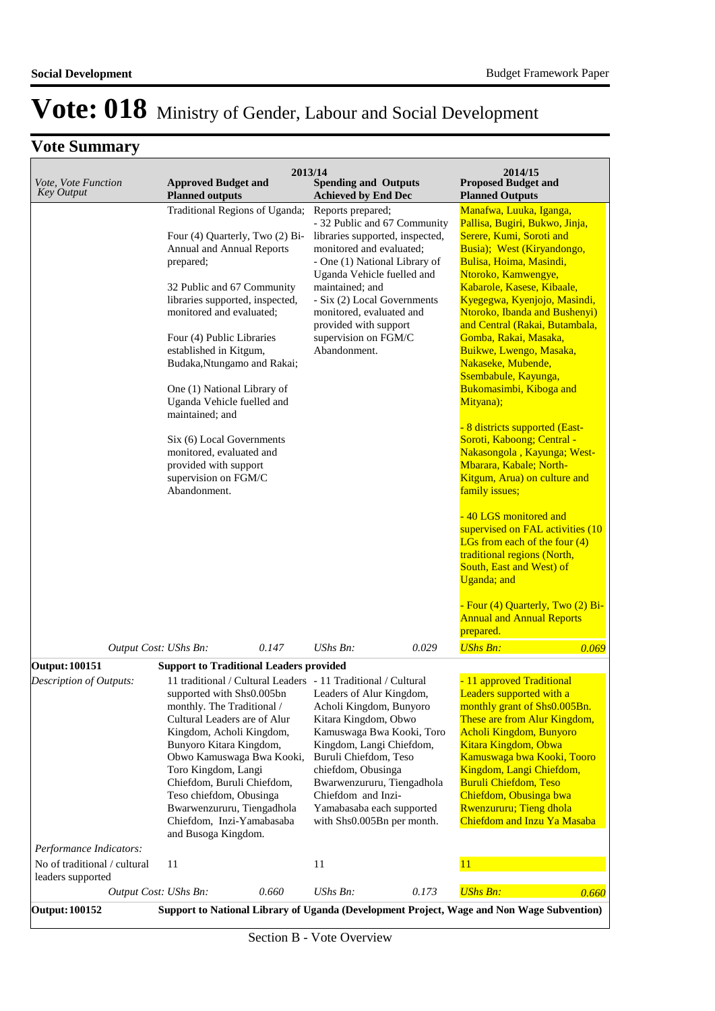## **Vote Summary**

| Vote, Vote Function<br><b>Key Output</b>                | <b>Approved Budget and</b>                                                                                                                                                                                                                                                                                                                                                                                                                                                                                                         | 2013/14<br><b>Spending and Outputs</b>                                                                                                                                                                                                                                                                                                                       | 2014/15<br><b>Proposed Budget and</b>                                                                                                                                                                                                                                                                                                                                                                                                                                                                                                                                                                                                                                                                                                                                                                                                                                                                                          |
|---------------------------------------------------------|------------------------------------------------------------------------------------------------------------------------------------------------------------------------------------------------------------------------------------------------------------------------------------------------------------------------------------------------------------------------------------------------------------------------------------------------------------------------------------------------------------------------------------|--------------------------------------------------------------------------------------------------------------------------------------------------------------------------------------------------------------------------------------------------------------------------------------------------------------------------------------------------------------|--------------------------------------------------------------------------------------------------------------------------------------------------------------------------------------------------------------------------------------------------------------------------------------------------------------------------------------------------------------------------------------------------------------------------------------------------------------------------------------------------------------------------------------------------------------------------------------------------------------------------------------------------------------------------------------------------------------------------------------------------------------------------------------------------------------------------------------------------------------------------------------------------------------------------------|
|                                                         | <b>Planned outputs</b><br>Traditional Regions of Uganda;<br>Four (4) Quarterly, Two (2) Bi-<br>Annual and Annual Reports<br>prepared;<br>32 Public and 67 Community<br>libraries supported, inspected,<br>monitored and evaluated;<br>Four (4) Public Libraries<br>established in Kitgum,<br>Budaka, Ntungamo and Rakai;<br>One (1) National Library of<br>Uganda Vehicle fuelled and<br>maintained; and<br>Six (6) Local Governments<br>monitored, evaluated and<br>provided with support<br>supervision on FGM/C<br>Abandonment. | <b>Achieved by End Dec</b><br>Reports prepared;<br>- 32 Public and 67 Community<br>libraries supported, inspected,<br>monitored and evaluated;<br>- One (1) National Library of<br>Uganda Vehicle fuelled and<br>maintained; and<br>- Six (2) Local Governments<br>monitored, evaluated and<br>provided with support<br>supervision on FGM/C<br>Abandonment. | <b>Planned Outputs</b><br>Manafwa, Luuka, Iganga,<br>Pallisa, Bugiri, Bukwo, Jinja,<br>Serere, Kumi, Soroti and<br>Busia); West (Kiryandongo,<br>Bulisa, Hoima, Masindi,<br>Ntoroko, Kamwengye,<br>Kabarole, Kasese, Kibaale,<br>Kyegegwa, Kyenjojo, Masindi,<br>Ntoroko, Ibanda and Bushenyi)<br>and Central (Rakai, Butambala,<br>Gomba, Rakai, Masaka,<br>Buikwe, Lwengo, Masaka,<br>Nakaseke, Mubende,<br>Ssembabule, Kayunga,<br>Bukomasimbi, Kiboga and<br>Mityana);<br>- 8 districts supported (East-<br>Soroti, Kaboong; Central -<br>Nakasongola, Kayunga; West-<br>Mbarara, Kabale; North-<br>Kitgum, Arua) on culture and<br>family issues;<br>-40 LGS monitored and<br>supervised on FAL activities (10<br>LGs from each of the four $(4)$<br>traditional regions (North,<br>South, East and West) of<br><b>Uganda</b> ; and<br>- Four (4) Quarterly, Two (2) Bi-<br><b>Annual and Annual Reports</b><br>prepared. |
| Output Cost: UShs Bn:                                   | 0.147                                                                                                                                                                                                                                                                                                                                                                                                                                                                                                                              | UShs Bn:<br>0.029                                                                                                                                                                                                                                                                                                                                            | <b>UShs Bn:</b><br>0.069                                                                                                                                                                                                                                                                                                                                                                                                                                                                                                                                                                                                                                                                                                                                                                                                                                                                                                       |
| Output: 100151                                          | <b>Support to Traditional Leaders provided</b>                                                                                                                                                                                                                                                                                                                                                                                                                                                                                     |                                                                                                                                                                                                                                                                                                                                                              |                                                                                                                                                                                                                                                                                                                                                                                                                                                                                                                                                                                                                                                                                                                                                                                                                                                                                                                                |
| Description of Outputs:                                 | 11 traditional / Cultural Leaders - 11 Traditional / Cultural<br>supported with Shs0.005bn<br>monthly. The Traditional /<br>Cultural Leaders are of Alur<br>Kingdom, Acholi Kingdom,<br>Bunyoro Kitara Kingdom,<br>Obwo Kamuswaga Bwa Kooki,<br>Toro Kingdom, Langi<br>Chiefdom, Buruli Chiefdom,<br>Teso chiefdom, Obusinga<br>Bwarwenzururu, Tiengadhola<br>Chiefdom, Inzi-Yamabasaba<br>and Busoga Kingdom.                                                                                                                     | Leaders of Alur Kingdom,<br>Acholi Kingdom, Bunyoro<br>Kitara Kingdom, Obwo<br>Kamuswaga Bwa Kooki, Toro<br>Kingdom, Langi Chiefdom,<br>Buruli Chiefdom, Teso<br>chiefdom, Obusinga<br>Bwarwenzururu, Tiengadhola<br>Chiefdom and Inzi-<br>Yamabasaba each supported<br>with Shs0.005Bn per month.                                                           | - 11 approved Traditional<br>Leaders supported with a<br>monthly grant of Shs0.005Bn.<br>These are from Alur Kingdom,<br>Acholi Kingdom, Bunyoro<br>Kitara Kingdom, Obwa<br>Kamuswaga bwa Kooki, Tooro<br>Kingdom, Langi Chiefdom,<br><b>Buruli Chiefdom, Teso</b><br>Chiefdom, Obusinga bwa<br><b>Rwenzururu; Tieng dhola</b><br>Chiefdom and Inzu Ya Masaba                                                                                                                                                                                                                                                                                                                                                                                                                                                                                                                                                                  |
| Performance Indicators:<br>No of traditional / cultural | 11                                                                                                                                                                                                                                                                                                                                                                                                                                                                                                                                 | 11                                                                                                                                                                                                                                                                                                                                                           | 11                                                                                                                                                                                                                                                                                                                                                                                                                                                                                                                                                                                                                                                                                                                                                                                                                                                                                                                             |
| leaders supported                                       |                                                                                                                                                                                                                                                                                                                                                                                                                                                                                                                                    |                                                                                                                                                                                                                                                                                                                                                              |                                                                                                                                                                                                                                                                                                                                                                                                                                                                                                                                                                                                                                                                                                                                                                                                                                                                                                                                |
| Output Cost: UShs Bn:                                   | 0.660                                                                                                                                                                                                                                                                                                                                                                                                                                                                                                                              | UShs Bn:<br>0.173                                                                                                                                                                                                                                                                                                                                            | <b>UShs Bn:</b><br>0.660                                                                                                                                                                                                                                                                                                                                                                                                                                                                                                                                                                                                                                                                                                                                                                                                                                                                                                       |
| <b>Output: 100152</b>                                   |                                                                                                                                                                                                                                                                                                                                                                                                                                                                                                                                    |                                                                                                                                                                                                                                                                                                                                                              | Support to National Library of Uganda (Development Project, Wage and Non Wage Subvention)                                                                                                                                                                                                                                                                                                                                                                                                                                                                                                                                                                                                                                                                                                                                                                                                                                      |

Section B - Vote Overview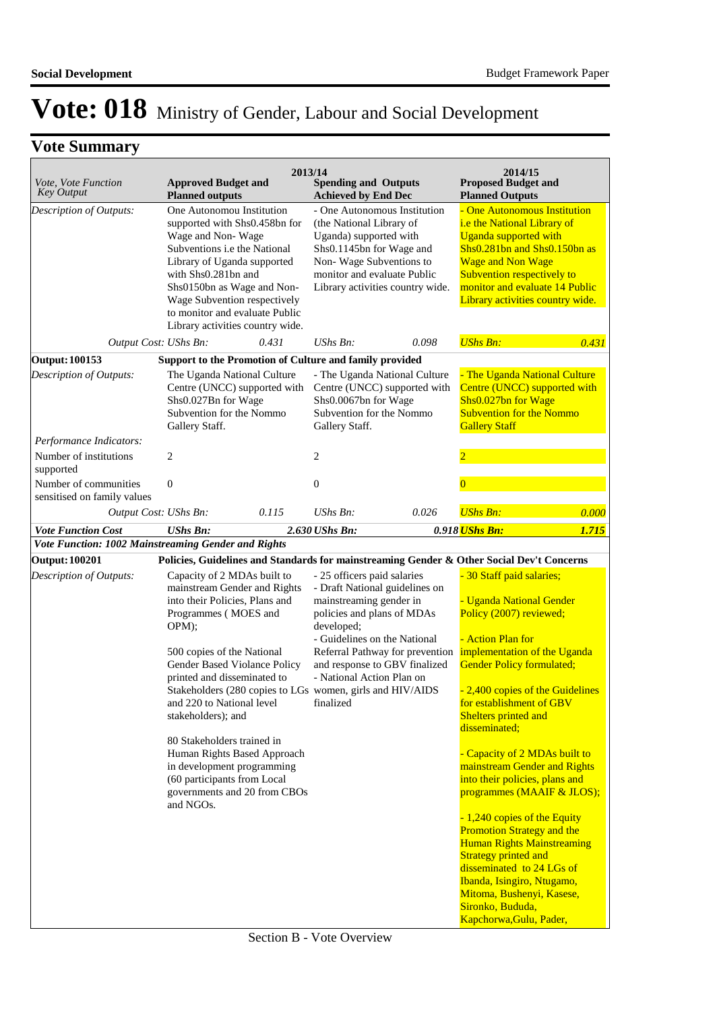| Vote, Vote Function<br><b>Key Output</b>             | <b>Approved Budget and</b><br><b>Planned outputs</b>                                                                                                                                                                                                                                                                                                                                     | 2013/14                                                                                                                  | <b>Spending and Outputs</b><br><b>Achieved by End Dec</b>                                                                                                                    |                                                                                                    | 2014/15<br><b>Proposed Budget and</b><br><b>Planned Outputs</b>                                                                                                                                                                                                                                                                                                                                                                                                                                                                                                                           |       |
|------------------------------------------------------|------------------------------------------------------------------------------------------------------------------------------------------------------------------------------------------------------------------------------------------------------------------------------------------------------------------------------------------------------------------------------------------|--------------------------------------------------------------------------------------------------------------------------|------------------------------------------------------------------------------------------------------------------------------------------------------------------------------|----------------------------------------------------------------------------------------------------|-------------------------------------------------------------------------------------------------------------------------------------------------------------------------------------------------------------------------------------------------------------------------------------------------------------------------------------------------------------------------------------------------------------------------------------------------------------------------------------------------------------------------------------------------------------------------------------------|-------|
| Description of Outputs:                              | One Autonomou Institution<br>supported with Shs0.458bn for<br>Wage and Non-Wage<br>Subventions i.e the National<br>Library of Uganda supported<br>with Shs0.281bn and<br>Shs0150bn as Wage and Non-<br>Wage Subvention respectively<br>to monitor and evaluate Public<br>Library activities country wide.                                                                                |                                                                                                                          | (the National Library of<br>Uganda) supported with<br>Shs0.1145bn for Wage and<br>Non-Wage Subventions to<br>monitor and evaluate Public                                     | - One Autonomous Institution<br>Library activities country wide.                                   | - One Autonomous Institution<br>i.e the National Library of<br><b>Uganda supported with</b><br>Shs0.281bn and Shs0.150bn as<br><b>Wage and Non Wage</b><br>Subvention respectively to<br>monitor and evaluate 14 Public<br>Library activities country wide.                                                                                                                                                                                                                                                                                                                               |       |
| Output Cost: UShs Bn:                                |                                                                                                                                                                                                                                                                                                                                                                                          | 0.431                                                                                                                    | UShs Bn:                                                                                                                                                                     | 0.098                                                                                              | <b>UShs Bn:</b>                                                                                                                                                                                                                                                                                                                                                                                                                                                                                                                                                                           | 0.431 |
| <b>Output: 100153</b>                                | Support to the Promotion of Culture and family provided                                                                                                                                                                                                                                                                                                                                  |                                                                                                                          |                                                                                                                                                                              |                                                                                                    |                                                                                                                                                                                                                                                                                                                                                                                                                                                                                                                                                                                           |       |
| Description of Outputs:                              | The Uganda National Culture<br>Shs0.027Bn for Wage<br>Subvention for the Nommo<br>Gallery Staff.                                                                                                                                                                                                                                                                                         | Centre (UNCC) supported with                                                                                             | Shs0.0067bn for Wage<br>Subvention for the Nommo<br>Gallery Staff.                                                                                                           | - The Uganda National Culture<br>Centre (UNCC) supported with                                      | - The Uganda National Culture<br>Centre (UNCC) supported with<br>Shs0.027bn for Wage<br><b>Subvention for the Nommo</b><br><b>Gallery Staff</b>                                                                                                                                                                                                                                                                                                                                                                                                                                           |       |
| Performance Indicators:                              |                                                                                                                                                                                                                                                                                                                                                                                          |                                                                                                                          |                                                                                                                                                                              |                                                                                                    |                                                                                                                                                                                                                                                                                                                                                                                                                                                                                                                                                                                           |       |
| Number of institutions<br>supported                  | $\overline{c}$                                                                                                                                                                                                                                                                                                                                                                           |                                                                                                                          | $\overline{c}$                                                                                                                                                               |                                                                                                    | $\overline{2}$                                                                                                                                                                                                                                                                                                                                                                                                                                                                                                                                                                            |       |
| Number of communities<br>sensitised on family values | $\boldsymbol{0}$                                                                                                                                                                                                                                                                                                                                                                         |                                                                                                                          | $\boldsymbol{0}$                                                                                                                                                             |                                                                                                    |                                                                                                                                                                                                                                                                                                                                                                                                                                                                                                                                                                                           |       |
| Output Cost: UShs Bn:                                |                                                                                                                                                                                                                                                                                                                                                                                          | 0.115                                                                                                                    | UShs Bn:                                                                                                                                                                     | 0.026                                                                                              | <b>UShs Bn:</b>                                                                                                                                                                                                                                                                                                                                                                                                                                                                                                                                                                           | 0.000 |
| <b>Vote Function Cost</b>                            | <b>UShs Bn:</b>                                                                                                                                                                                                                                                                                                                                                                          |                                                                                                                          | 2.630 UShs Bn:                                                                                                                                                               |                                                                                                    | 0.918 <i>UShs Bn:</i>                                                                                                                                                                                                                                                                                                                                                                                                                                                                                                                                                                     | 1.715 |
| Vote Function: 1002 Mainstreaming Gender and Rights  |                                                                                                                                                                                                                                                                                                                                                                                          |                                                                                                                          |                                                                                                                                                                              |                                                                                                    |                                                                                                                                                                                                                                                                                                                                                                                                                                                                                                                                                                                           |       |
| <b>Output: 100201</b>                                |                                                                                                                                                                                                                                                                                                                                                                                          |                                                                                                                          |                                                                                                                                                                              |                                                                                                    | Policies, Guidelines and Standards for mainstreaming Gender & Other Social Dev't Concerns                                                                                                                                                                                                                                                                                                                                                                                                                                                                                                 |       |
| Description of Outputs:                              | Capacity of 2 MDAs built to<br>mainstream Gender and Rights<br>into their Policies, Plans and<br>Programmes (MOES and<br>$OPM$ ;<br>500 copies of the National<br>Gender Based Violance Policy<br>printed and disseminated to<br>and 220 to National level<br>stakeholders); and<br>80 Stakeholders trained in<br>in development programming<br>(60 participants from Local<br>and NGOs. | Stakeholders (280 copies to LGs women, girls and HIV/AIDS<br>Human Rights Based Approach<br>governments and 20 from CBOs | - 25 officers paid salaries<br>mainstreaming gender in<br>policies and plans of MDAs<br>developed;<br>- Guidelines on the National<br>- National Action Plan on<br>finalized | - Draft National guidelines on<br>Referral Pathway for prevention<br>and response to GBV finalized | - 30 Staff paid salaries;<br>- Uganda National Gender<br>Policy (2007) reviewed;<br>- Action Plan for<br>implementation of the Uganda<br><b>Gender Policy formulated;</b><br>- 2,400 copies of the Guidelines<br>for establishment of GBV<br>Shelters printed and<br>disseminated;<br>- Capacity of 2 MDAs built to<br>mainstream Gender and Rights<br>into their policies, plans and<br>programmes (MAAIF & JLOS);<br>- 1,240 copies of the Equity<br><b>Promotion Strategy and the</b><br><b>Human Rights Mainstreaming</b><br><b>Strategy printed and</b><br>disseminated to 24 LGs of |       |
|                                                      |                                                                                                                                                                                                                                                                                                                                                                                          |                                                                                                                          |                                                                                                                                                                              |                                                                                                    | Ibanda, Isingiro, Ntugamo,<br>Mitoma, Bushenyi, Kasese,<br>Sironko, Bududa,<br>Kapchorwa, Gulu, Pader,                                                                                                                                                                                                                                                                                                                                                                                                                                                                                    |       |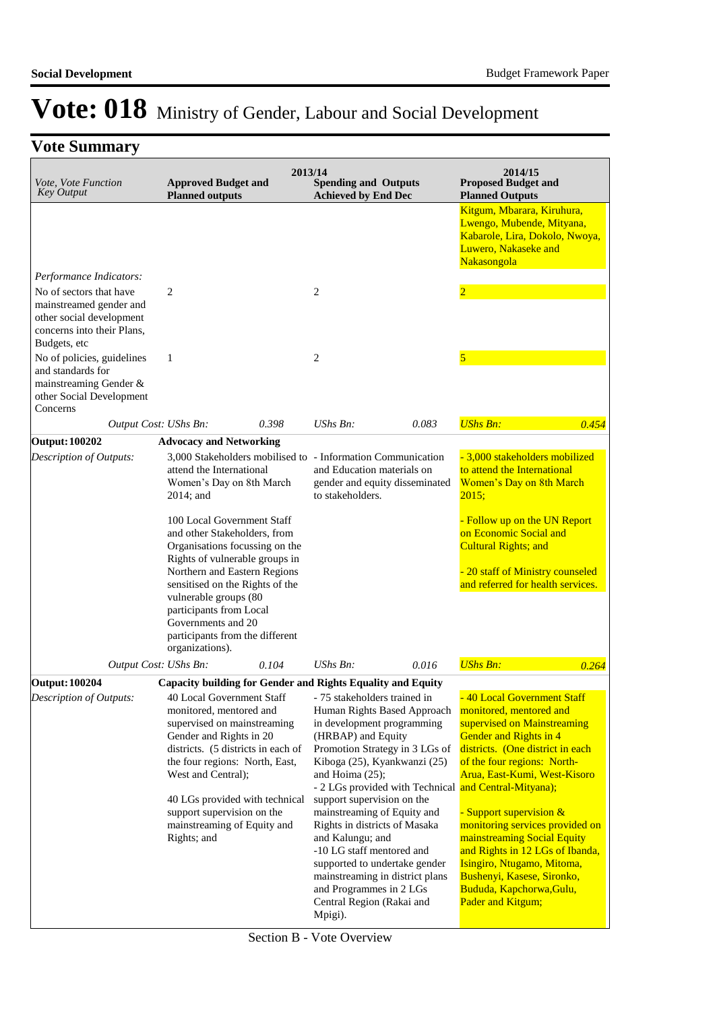|                                                                                                                              |                                                                                                                                                                                                                                                                                                                                                                                                                                          | 2013/14                                                                                                                                                                                                                                                                                                                                                                                                                                                                                                                | 2014/15                                                                                                                                                                                                                                                                                                                                                                                                                                                         |
|------------------------------------------------------------------------------------------------------------------------------|------------------------------------------------------------------------------------------------------------------------------------------------------------------------------------------------------------------------------------------------------------------------------------------------------------------------------------------------------------------------------------------------------------------------------------------|------------------------------------------------------------------------------------------------------------------------------------------------------------------------------------------------------------------------------------------------------------------------------------------------------------------------------------------------------------------------------------------------------------------------------------------------------------------------------------------------------------------------|-----------------------------------------------------------------------------------------------------------------------------------------------------------------------------------------------------------------------------------------------------------------------------------------------------------------------------------------------------------------------------------------------------------------------------------------------------------------|
| Vote, Vote Function<br><b>Key Output</b>                                                                                     | <b>Approved Budget and</b><br><b>Planned outputs</b>                                                                                                                                                                                                                                                                                                                                                                                     | <b>Spending and Outputs</b><br><b>Achieved by End Dec</b>                                                                                                                                                                                                                                                                                                                                                                                                                                                              | <b>Proposed Budget and</b><br><b>Planned Outputs</b>                                                                                                                                                                                                                                                                                                                                                                                                            |
|                                                                                                                              |                                                                                                                                                                                                                                                                                                                                                                                                                                          |                                                                                                                                                                                                                                                                                                                                                                                                                                                                                                                        | Kitgum, Mbarara, Kiruhura,<br>Lwengo, Mubende, Mityana,<br>Kabarole, Lira, Dokolo, Nwoya,<br>Luwero, Nakaseke and<br>Nakasongola                                                                                                                                                                                                                                                                                                                                |
| Performance Indicators:                                                                                                      |                                                                                                                                                                                                                                                                                                                                                                                                                                          |                                                                                                                                                                                                                                                                                                                                                                                                                                                                                                                        |                                                                                                                                                                                                                                                                                                                                                                                                                                                                 |
| No of sectors that have<br>mainstreamed gender and<br>other social development<br>concerns into their Plans,<br>Budgets, etc | $\overline{c}$                                                                                                                                                                                                                                                                                                                                                                                                                           | $\overline{c}$                                                                                                                                                                                                                                                                                                                                                                                                                                                                                                         | $\overline{2}$                                                                                                                                                                                                                                                                                                                                                                                                                                                  |
| No of policies, guidelines<br>and standards for<br>mainstreaming Gender &<br>other Social Development<br>Concerns            | $\mathbf{1}$                                                                                                                                                                                                                                                                                                                                                                                                                             | $\overline{2}$                                                                                                                                                                                                                                                                                                                                                                                                                                                                                                         | 5                                                                                                                                                                                                                                                                                                                                                                                                                                                               |
|                                                                                                                              | 0.398<br>Output Cost: UShs Bn:                                                                                                                                                                                                                                                                                                                                                                                                           | UShs Bn:<br>0.083                                                                                                                                                                                                                                                                                                                                                                                                                                                                                                      | <b>UShs Bn:</b><br>0.454                                                                                                                                                                                                                                                                                                                                                                                                                                        |
| <b>Output: 100202</b><br>Description of Outputs:                                                                             | <b>Advocacy and Networking</b><br>attend the International<br>Women's Day on 8th March<br>2014; and<br>100 Local Government Staff<br>and other Stakeholders, from<br>Organisations focussing on the<br>Rights of vulnerable groups in<br>Northern and Eastern Regions<br>sensitised on the Rights of the<br>vulnerable groups (80<br>participants from Local<br>Governments and 20<br>participants from the different<br>organizations). | 3,000 Stakeholders mobilised to - Information Communication<br>and Education materials on<br>gender and equity disseminated<br>to stakeholders.                                                                                                                                                                                                                                                                                                                                                                        | - 3,000 stakeholders mobilized<br>to attend the International<br>Women's Day on 8th March<br>2015;<br>- Follow up on the UN Report<br>on Economic Social and<br><b>Cultural Rights; and</b><br>- 20 staff of Ministry counseled<br>and referred for health services.                                                                                                                                                                                            |
|                                                                                                                              | Output Cost: UShs Bn:<br>0.104                                                                                                                                                                                                                                                                                                                                                                                                           | $UShs Bn$ :<br>0.016                                                                                                                                                                                                                                                                                                                                                                                                                                                                                                   | <b>UShs Bn:</b><br>0.264                                                                                                                                                                                                                                                                                                                                                                                                                                        |
| <b>Output: 100204</b>                                                                                                        | <b>Capacity building for Gender and Rights Equality and Equity</b>                                                                                                                                                                                                                                                                                                                                                                       |                                                                                                                                                                                                                                                                                                                                                                                                                                                                                                                        |                                                                                                                                                                                                                                                                                                                                                                                                                                                                 |
| <b>Description of Outputs:</b>                                                                                               | 40 Local Government Staff - 75 stakeholders trained in<br>monitored, mentored and<br>supervised on mainstreaming<br>Gender and Rights in 20<br>districts. (5 districts in each of<br>the four regions: North, East,<br>West and Central);<br>40 LGs provided with technical<br>support supervision on the<br>mainstreaming of Equity and<br>Rights; and                                                                                  | Human Rights Based Approach<br>in development programming<br>(HRBAP) and Equity<br>Promotion Strategy in 3 LGs of<br>Kiboga (25), Kyankwanzi (25)<br>and Hoima $(25)$ ;<br>- 2 LGs provided with Technical and Central-Mityana);<br>support supervision on the<br>mainstreaming of Equity and<br>Rights in districts of Masaka<br>and Kalungu; and<br>-10 LG staff mentored and<br>supported to undertake gender<br>mainstreaming in district plans<br>and Programmes in 2 LGs<br>Central Region (Rakai and<br>Mpigi). | - 40 Local Government Staff<br>monitored, mentored and<br>supervised on Mainstreaming<br>Gender and Rights in 4<br>districts. (One district in each<br>of the four regions: North-<br>Arua, East-Kumi, West-Kisoro<br>- Support supervision &<br>monitoring services provided on<br>mainstreaming Social Equity<br>and Rights in 12 LGs of Ibanda,<br>Isingiro, Ntugamo, Mitoma,<br>Bushenyi, Kasese, Sironko,<br>Bududa, Kapchorwa, Gulu,<br>Pader and Kitgum; |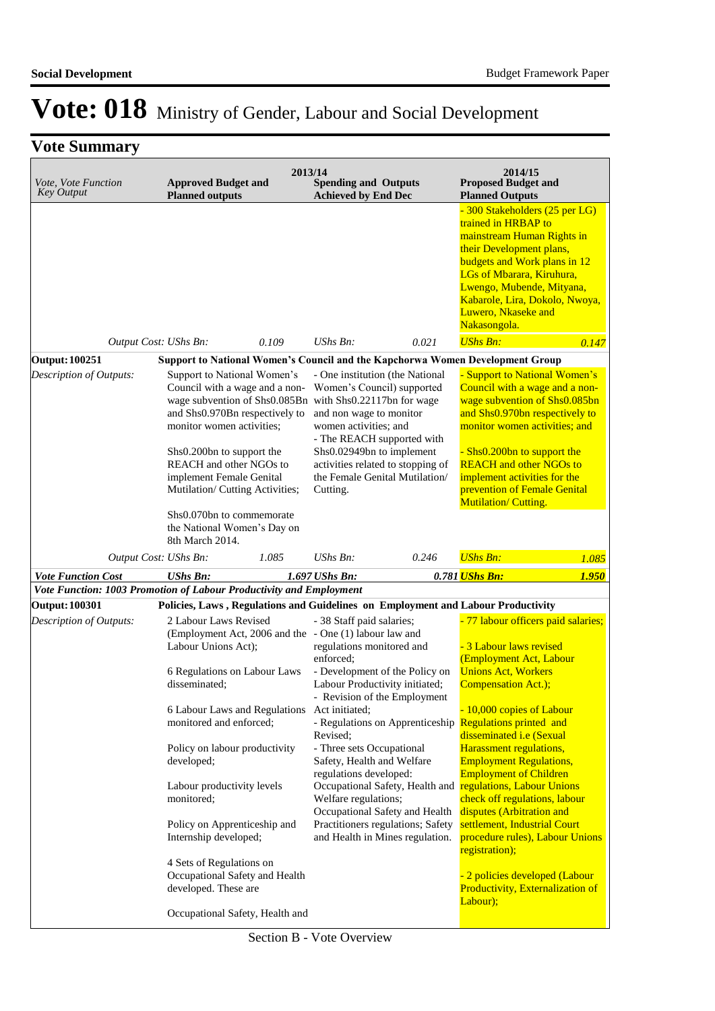| <i>Vote, Vote Function</i><br><b>Key Output</b>                                              | <b>Approved Budget and</b><br><b>Planned outputs</b>                                                                                                                                                                                                                                                                                         |       | 2013/14<br><b>Spending and Outputs</b><br><b>Achieved by End Dec</b>                      |                                                                                                                                                                    | 2014/15<br><b>Proposed Budget and</b><br><b>Planned Outputs</b>                                                                                                                                                                                                                                                             |       |
|----------------------------------------------------------------------------------------------|----------------------------------------------------------------------------------------------------------------------------------------------------------------------------------------------------------------------------------------------------------------------------------------------------------------------------------------------|-------|-------------------------------------------------------------------------------------------|--------------------------------------------------------------------------------------------------------------------------------------------------------------------|-----------------------------------------------------------------------------------------------------------------------------------------------------------------------------------------------------------------------------------------------------------------------------------------------------------------------------|-------|
|                                                                                              |                                                                                                                                                                                                                                                                                                                                              |       |                                                                                           |                                                                                                                                                                    | - 300 Stakeholders (25 per LG)<br>trained in HRBAP to<br>mainstream Human Rights in<br>their Development plans,<br>budgets and Work plans in 12<br>LGs of Mbarara, Kiruhura,<br>Lwengo, Mubende, Mityana,<br>Kabarole, Lira, Dokolo, Nwoya,<br>Luwero, Nkaseke and<br>Nakasongola.                                          |       |
|                                                                                              | Output Cost: UShs Bn:                                                                                                                                                                                                                                                                                                                        | 0.109 | UShs Bn:                                                                                  | 0.021                                                                                                                                                              | <b>UShs Bn:</b>                                                                                                                                                                                                                                                                                                             | 0.147 |
| <b>Output: 100251</b>                                                                        |                                                                                                                                                                                                                                                                                                                                              |       |                                                                                           |                                                                                                                                                                    | <b>Support to National Women's Council and the Kapchorwa Women Development Group</b>                                                                                                                                                                                                                                        |       |
| Description of Outputs:                                                                      | Support to National Women's<br>Council with a wage and a non-<br>wage subvention of Shs0.085Bn with Shs0.22117bn for wage<br>and Shs0.970Bn respectively to<br>monitor women activities;<br>Shs0.200bn to support the<br>REACH and other NGOs to<br>implement Female Genital<br>Mutilation/ Cutting Activities;<br>Shs0.070bn to commemorate |       | and non wage to monitor<br>women activities; and<br>Shs0.02949bn to implement<br>Cutting. | - One institution (the National<br>Women's Council) supported<br>- The REACH supported with<br>activities related to stopping of<br>the Female Genital Mutilation/ | - Support to National Women's<br>Council with a wage and a non-<br>wage subvention of Shs0.085bn<br>and Shs0.970bn respectively to<br>monitor women activities; and<br>- Shs0.200bn to support the<br><b>REACH</b> and other NGOs to<br>implement activities for the<br>prevention of Female Genital<br>Mutilation/Cutting. |       |
|                                                                                              | the National Women's Day on<br>8th March 2014.                                                                                                                                                                                                                                                                                               |       |                                                                                           |                                                                                                                                                                    |                                                                                                                                                                                                                                                                                                                             |       |
|                                                                                              | Output Cost: UShs Bn:                                                                                                                                                                                                                                                                                                                        | 1.085 | UShs Bn:                                                                                  | 0.246                                                                                                                                                              | <b>UShs Bn:</b>                                                                                                                                                                                                                                                                                                             | 1.085 |
| <b>Vote Function Cost</b>                                                                    | <b>UShs Bn:</b>                                                                                                                                                                                                                                                                                                                              |       | 1.697 UShs Bn:                                                                            |                                                                                                                                                                    | 0.781 <i>UShs Bn:</i>                                                                                                                                                                                                                                                                                                       | 1.950 |
| Vote Function: 1003 Promotion of Labour Productivity and Employment<br><b>Output: 100301</b> |                                                                                                                                                                                                                                                                                                                                              |       |                                                                                           |                                                                                                                                                                    | Policies, Laws, Regulations and Guidelines on Employment and Labour Productivity                                                                                                                                                                                                                                            |       |
| Description of Outputs:                                                                      | 2 Labour Laws Revised                                                                                                                                                                                                                                                                                                                        |       | - 38 Staff paid salaries;                                                                 |                                                                                                                                                                    | - 77 labour officers paid salaries;                                                                                                                                                                                                                                                                                         |       |
|                                                                                              | (Employment Act, 2006 and the - One (1) labour law and<br>Labour Unions Act);<br>6 Regulations on Labour Laws<br>disseminated:                                                                                                                                                                                                               |       | regulations monitored and<br>enforced;                                                    | - Development of the Policy on<br>Labour Productivity initiated;<br>- Revision of the Employment                                                                   | - 3 Labour laws revised<br>(Employment Act, Labour<br><b>Unions Act, Workers</b><br>Compensation Act.);                                                                                                                                                                                                                     |       |
|                                                                                              | 6 Labour Laws and Regulations<br>monitored and enforced;<br>Policy on labour productivity                                                                                                                                                                                                                                                    |       | Act initiated;<br>Revised;<br>- Three sets Occupational                                   |                                                                                                                                                                    | - 10,000 copies of Labour<br>- Regulations on Apprenticeship Regulations printed and<br>disseminated i.e (Sexual<br>Harassment regulations,                                                                                                                                                                                 |       |
|                                                                                              | developed;<br>Labour productivity levels                                                                                                                                                                                                                                                                                                     |       | Safety, Health and Welfare<br>regulations developed:                                      |                                                                                                                                                                    | <b>Employment Regulations,</b><br><b>Employment of Children</b><br>Occupational Safety, Health and regulations, Labour Unions                                                                                                                                                                                               |       |
|                                                                                              | monitored;                                                                                                                                                                                                                                                                                                                                   |       | Welfare regulations;                                                                      | Occupational Safety and Health<br>Practitioners regulations; Safety                                                                                                | check off regulations, labour<br>disputes (Arbitration and<br>settlement, Industrial Court                                                                                                                                                                                                                                  |       |
|                                                                                              | Policy on Apprenticeship and<br>Internship developed;                                                                                                                                                                                                                                                                                        |       |                                                                                           | and Health in Mines regulation.                                                                                                                                    | procedure rules), Labour Unions<br>registration);                                                                                                                                                                                                                                                                           |       |
|                                                                                              | 4 Sets of Regulations on<br>Occupational Safety and Health<br>developed. These are                                                                                                                                                                                                                                                           |       |                                                                                           |                                                                                                                                                                    | - 2 policies developed (Labour<br>Productivity, Externalization of<br>Labour);                                                                                                                                                                                                                                              |       |
|                                                                                              | Occupational Safety, Health and                                                                                                                                                                                                                                                                                                              |       |                                                                                           |                                                                                                                                                                    |                                                                                                                                                                                                                                                                                                                             |       |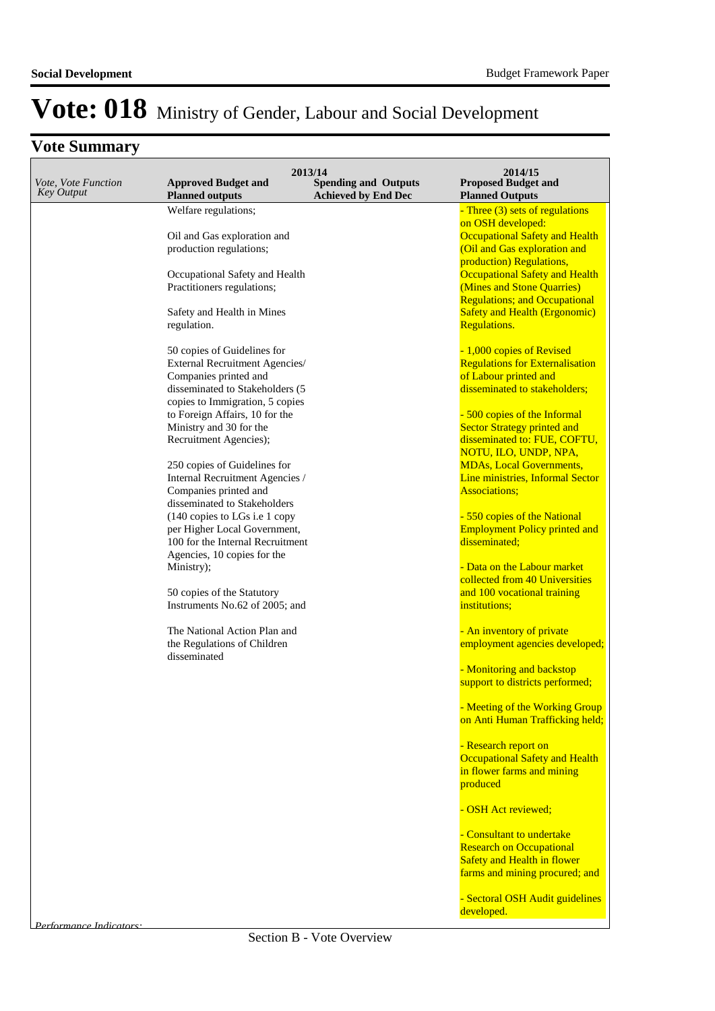|                                          |                                                                    | 2013/14                                                   | 2014/15                                                      |
|------------------------------------------|--------------------------------------------------------------------|-----------------------------------------------------------|--------------------------------------------------------------|
| Vote, Vote Function<br><b>Key Output</b> | <b>Approved Budget and</b><br><b>Planned outputs</b>               | <b>Spending and Outputs</b><br><b>Achieved by End Dec</b> | <b>Proposed Budget and</b><br><b>Planned Outputs</b>         |
|                                          | Welfare regulations;                                               |                                                           | - Three (3) sets of regulations                              |
|                                          | Oil and Gas exploration and                                        |                                                           | on OSH developed:<br><b>Occupational Safety and Health</b>   |
|                                          | production regulations;                                            |                                                           | (Oil and Gas exploration and                                 |
|                                          |                                                                    |                                                           | production) Regulations,                                     |
|                                          | Occupational Safety and Health                                     |                                                           | <b>Occupational Safety and Health</b>                        |
|                                          | Practitioners regulations;                                         |                                                           | (Mines and Stone Quarries)                                   |
|                                          |                                                                    |                                                           | <b>Regulations; and Occupational</b>                         |
|                                          | Safety and Health in Mines<br>regulation.                          |                                                           | <b>Safety and Health (Ergonomic)</b><br><b>Regulations.</b>  |
|                                          |                                                                    |                                                           |                                                              |
|                                          | 50 copies of Guidelines for                                        |                                                           | - 1,000 copies of Revised                                    |
|                                          | External Recruitment Agencies/                                     |                                                           | <b>Regulations for Externalisation</b>                       |
|                                          | Companies printed and                                              |                                                           | of Labour printed and                                        |
|                                          | disseminated to Stakeholders (5<br>copies to Immigration, 5 copies |                                                           | disseminated to stakeholders;                                |
|                                          | to Foreign Affairs, 10 for the                                     |                                                           | - 500 copies of the Informal                                 |
|                                          | Ministry and 30 for the                                            |                                                           | <b>Sector Strategy printed and</b>                           |
|                                          | Recruitment Agencies);                                             |                                                           | disseminated to: FUE, COFTU,                                 |
|                                          |                                                                    |                                                           | NOTU, ILO, UNDP, NPA,                                        |
|                                          | 250 copies of Guidelines for                                       |                                                           | <b>MDAs, Local Governments,</b>                              |
|                                          | Internal Recruitment Agencies /<br>Companies printed and           |                                                           | Line ministries, Informal Sector<br><b>Associations;</b>     |
|                                          | disseminated to Stakeholders                                       |                                                           |                                                              |
|                                          | (140 copies to LGs i.e 1 copy                                      |                                                           | - 550 copies of the National                                 |
|                                          | per Higher Local Government,                                       |                                                           | <b>Employment Policy printed and</b>                         |
|                                          | 100 for the Internal Recruitment                                   |                                                           | disseminated;                                                |
|                                          | Agencies, 10 copies for the<br>Ministry);                          |                                                           | - Data on the Labour market                                  |
|                                          |                                                                    |                                                           | collected from 40 Universities                               |
|                                          | 50 copies of the Statutory                                         |                                                           | and 100 vocational training                                  |
|                                          | Instruments No.62 of 2005; and                                     |                                                           | institutions;                                                |
|                                          | The National Action Plan and                                       |                                                           | - An inventory of private                                    |
|                                          | the Regulations of Children                                        |                                                           | employment agencies developed;                               |
|                                          | disseminated                                                       |                                                           |                                                              |
|                                          |                                                                    |                                                           | - Monitoring and backstop<br>support to districts performed; |
|                                          |                                                                    |                                                           |                                                              |
|                                          |                                                                    |                                                           | - Meeting of the Working Group                               |
|                                          |                                                                    |                                                           | on Anti Human Trafficking held;                              |
|                                          |                                                                    |                                                           | - Research report on                                         |
|                                          |                                                                    |                                                           | <b>Occupational Safety and Health</b>                        |
|                                          |                                                                    |                                                           | in flower farms and mining                                   |
|                                          |                                                                    |                                                           | produced                                                     |
|                                          |                                                                    |                                                           | - OSH Act reviewed;                                          |
|                                          |                                                                    |                                                           | - Consultant to undertake                                    |
|                                          |                                                                    |                                                           | <b>Research on Occupational</b>                              |
|                                          |                                                                    |                                                           | <b>Safety and Health in flower</b>                           |
|                                          |                                                                    |                                                           | farms and mining procured; and                               |
|                                          |                                                                    |                                                           | - Sectoral OSH Audit guidelines                              |
|                                          |                                                                    |                                                           | developed.                                                   |
| <i>Performance Indicators</i>            |                                                                    |                                                           |                                                              |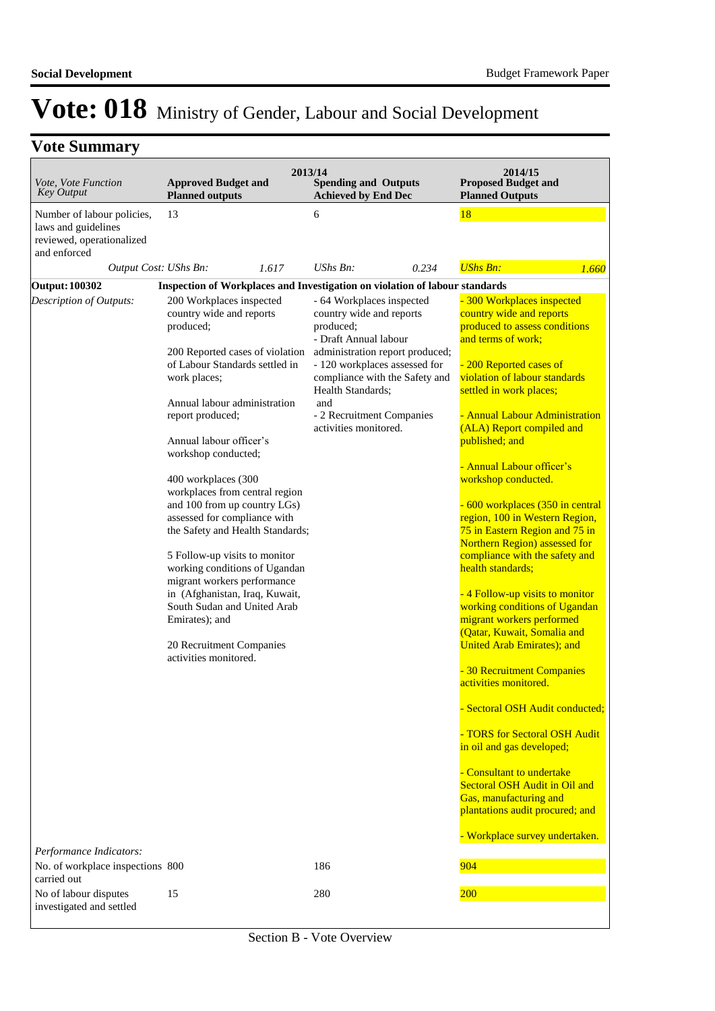| Vote, Vote Function<br><b>Key Output</b>                                                       | 2013/14<br><b>Approved Budget and</b><br><b>Planned outputs</b>                                                                                                                                                                                                                                                                                                                                                                                                                                                                                                                                                                                                    | <b>Spending and Outputs</b><br><b>Achieved by End Dec</b>                                                                                                                                                                                                                           | 2014/15<br><b>Proposed Budget and</b><br><b>Planned Outputs</b>                                                                                                                                                                                                                                                                                                                                                                                                                                                                                                                                                                                                                                                                                                                                                                                                                                                                                                                                    |
|------------------------------------------------------------------------------------------------|--------------------------------------------------------------------------------------------------------------------------------------------------------------------------------------------------------------------------------------------------------------------------------------------------------------------------------------------------------------------------------------------------------------------------------------------------------------------------------------------------------------------------------------------------------------------------------------------------------------------------------------------------------------------|-------------------------------------------------------------------------------------------------------------------------------------------------------------------------------------------------------------------------------------------------------------------------------------|----------------------------------------------------------------------------------------------------------------------------------------------------------------------------------------------------------------------------------------------------------------------------------------------------------------------------------------------------------------------------------------------------------------------------------------------------------------------------------------------------------------------------------------------------------------------------------------------------------------------------------------------------------------------------------------------------------------------------------------------------------------------------------------------------------------------------------------------------------------------------------------------------------------------------------------------------------------------------------------------------|
| Number of labour policies,<br>laws and guidelines<br>reviewed, operationalized<br>and enforced | 13                                                                                                                                                                                                                                                                                                                                                                                                                                                                                                                                                                                                                                                                 | 6                                                                                                                                                                                                                                                                                   | 18                                                                                                                                                                                                                                                                                                                                                                                                                                                                                                                                                                                                                                                                                                                                                                                                                                                                                                                                                                                                 |
| Output Cost: UShs Bn:                                                                          | 1.617                                                                                                                                                                                                                                                                                                                                                                                                                                                                                                                                                                                                                                                              | $UShs Bn$ :<br>0.234                                                                                                                                                                                                                                                                | <b>UShs Bn:</b><br>1.660                                                                                                                                                                                                                                                                                                                                                                                                                                                                                                                                                                                                                                                                                                                                                                                                                                                                                                                                                                           |
| <b>Output: 100302</b>                                                                          | Inspection of Workplaces and Investigation on violation of labour standards                                                                                                                                                                                                                                                                                                                                                                                                                                                                                                                                                                                        |                                                                                                                                                                                                                                                                                     |                                                                                                                                                                                                                                                                                                                                                                                                                                                                                                                                                                                                                                                                                                                                                                                                                                                                                                                                                                                                    |
| Description of Outputs:                                                                        | 200 Workplaces inspected<br>country wide and reports<br>produced;<br>200 Reported cases of violation<br>of Labour Standards settled in<br>work places;<br>Annual labour administration<br>report produced;<br>Annual labour officer's<br>workshop conducted;<br>400 workplaces (300<br>workplaces from central region<br>and 100 from up country LGs)<br>assessed for compliance with<br>the Safety and Health Standards;<br>5 Follow-up visits to monitor<br>working conditions of Ugandan<br>migrant workers performance<br>in (Afghanistan, Iraq, Kuwait,<br>South Sudan and United Arab<br>Emirates); and<br>20 Recruitment Companies<br>activities monitored. | - 64 Workplaces inspected<br>country wide and reports<br>produced;<br>- Draft Annual labour<br>administration report produced;<br>- 120 workplaces assessed for<br>compliance with the Safety and<br>Health Standards:<br>and<br>- 2 Recruitment Companies<br>activities monitored. | - 300 Workplaces inspected<br>country wide and reports<br>produced to assess conditions<br>and terms of work;<br>- 200 Reported cases of<br>violation of labour standards<br>settled in work places;<br>- Annual Labour Administration<br>(ALA) Report compiled and<br>published; and<br>- Annual Labour officer's<br>workshop conducted.<br>- 600 workplaces (350 in central<br>region, 100 in Western Region,<br>75 in Eastern Region and 75 in<br>Northern Region) assessed for<br>compliance with the safety and<br>health standards;<br>- 4 Follow-up visits to monitor<br>working conditions of Ugandan<br>migrant workers performed<br>(Qatar, Kuwait, Somalia and<br><b>United Arab Emirates</b> ); and<br>- 30 Recruitment Companies<br>activities monitored.<br>- Sectoral OSH Audit conducted;<br>- TORS for Sectoral OSH Audit<br>in oil and gas developed;<br>- Consultant to undertake<br>Sectoral OSH Audit in Oil and<br>Gas, manufacturing and<br>plantations audit procured; and |
| Performance Indicators:                                                                        |                                                                                                                                                                                                                                                                                                                                                                                                                                                                                                                                                                                                                                                                    |                                                                                                                                                                                                                                                                                     | - Workplace survey undertaken.                                                                                                                                                                                                                                                                                                                                                                                                                                                                                                                                                                                                                                                                                                                                                                                                                                                                                                                                                                     |
| No. of workplace inspections 800<br>carried out                                                |                                                                                                                                                                                                                                                                                                                                                                                                                                                                                                                                                                                                                                                                    | 186                                                                                                                                                                                                                                                                                 | 904                                                                                                                                                                                                                                                                                                                                                                                                                                                                                                                                                                                                                                                                                                                                                                                                                                                                                                                                                                                                |
| No of labour disputes<br>investigated and settled                                              | 15                                                                                                                                                                                                                                                                                                                                                                                                                                                                                                                                                                                                                                                                 | 280                                                                                                                                                                                                                                                                                 | <b>200</b>                                                                                                                                                                                                                                                                                                                                                                                                                                                                                                                                                                                                                                                                                                                                                                                                                                                                                                                                                                                         |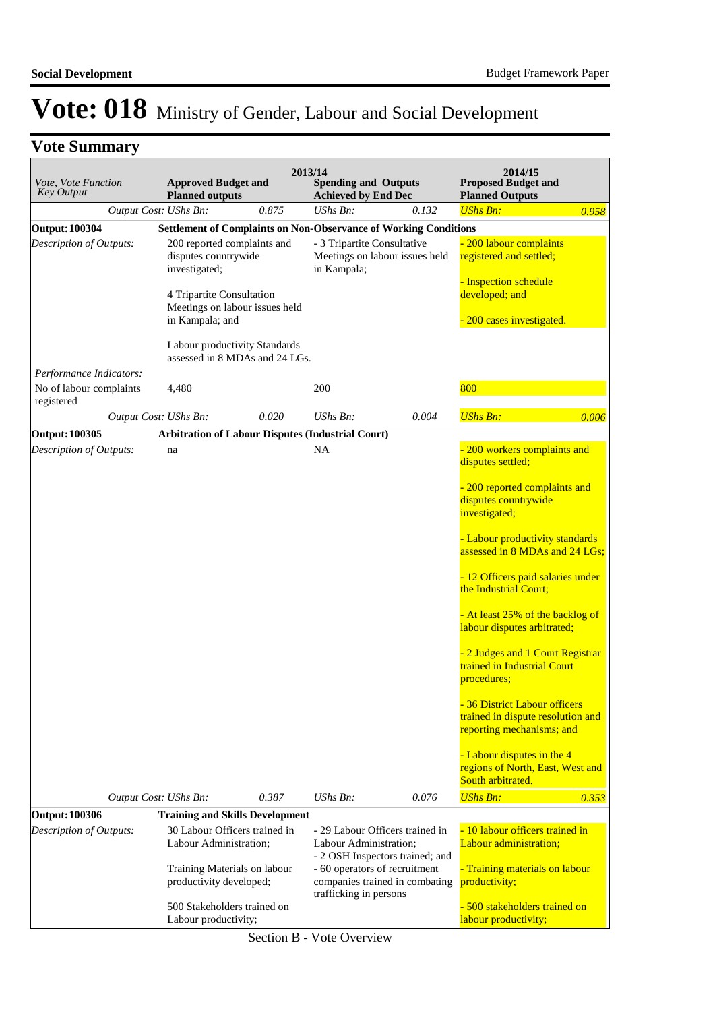|  | <b>Vote Summary</b> |  |
|--|---------------------|--|
|--|---------------------|--|

| Vote, Vote Function<br><b>Key Output</b> | <b>Approved Budget and</b><br><b>Planned outputs</b>                                                                                                                                    |       | 2013/14<br><b>Spending and Outputs</b><br><b>Achieved by End Dec</b>                                                                                                                      |       | 2014/15<br><b>Proposed Budget and</b><br><b>Planned Outputs</b>                                                                                                                                                                                                                                                                                                       |       |
|------------------------------------------|-----------------------------------------------------------------------------------------------------------------------------------------------------------------------------------------|-------|-------------------------------------------------------------------------------------------------------------------------------------------------------------------------------------------|-------|-----------------------------------------------------------------------------------------------------------------------------------------------------------------------------------------------------------------------------------------------------------------------------------------------------------------------------------------------------------------------|-------|
|                                          | Output Cost: UShs Bn:                                                                                                                                                                   | 0.875 | $UShs Bn$ :                                                                                                                                                                               | 0.132 | <b>UShs Bn:</b>                                                                                                                                                                                                                                                                                                                                                       | 0.958 |
| <b>Output: 100304</b>                    |                                                                                                                                                                                         |       | <b>Settlement of Complaints on Non-Observance of Working Conditions</b>                                                                                                                   |       |                                                                                                                                                                                                                                                                                                                                                                       |       |
| Description of Outputs:                  | 200 reported complaints and<br>disputes countrywide<br>investigated;<br>4 Tripartite Consultation<br>Meetings on labour issues held<br>in Kampala; and<br>Labour productivity Standards |       | - 3 Tripartite Consultative<br>Meetings on labour issues held<br>in Kampala;                                                                                                              |       | - 200 labour complaints<br>registered and settled;<br>- Inspection schedule<br>developed; and<br>200 cases investigated.                                                                                                                                                                                                                                              |       |
| Performance Indicators:                  | assessed in 8 MDAs and 24 LGs.                                                                                                                                                          |       |                                                                                                                                                                                           |       |                                                                                                                                                                                                                                                                                                                                                                       |       |
| No of labour complaints<br>registered    | 4,480                                                                                                                                                                                   |       | 200                                                                                                                                                                                       |       | 800                                                                                                                                                                                                                                                                                                                                                                   |       |
|                                          | Output Cost: UShs Bn:                                                                                                                                                                   | 0.020 | UShs Bn:                                                                                                                                                                                  | 0.004 | <b>UShs Bn:</b>                                                                                                                                                                                                                                                                                                                                                       | 0.006 |
| Output: 100305                           |                                                                                                                                                                                         |       | <b>Arbitration of Labour Disputes (Industrial Court)</b>                                                                                                                                  |       |                                                                                                                                                                                                                                                                                                                                                                       |       |
| Description of Outputs:                  | na                                                                                                                                                                                      |       | NA                                                                                                                                                                                        |       | - 200 workers complaints and<br>disputes settled;<br>- 200 reported complaints and<br>disputes countrywide<br>investigated;<br>- Labour productivity standards<br>assessed in 8 MDAs and 24 LGs;<br>- 12 Officers paid salaries under<br>the Industrial Court;<br>- At least 25% of the backlog of<br>labour disputes arbitrated;<br>- 2 Judges and 1 Court Registrar |       |
|                                          |                                                                                                                                                                                         |       |                                                                                                                                                                                           |       | trained in Industrial Court<br>procedures;<br>- 36 District Labour officers<br>trained in dispute resolution and<br>reporting mechanisms; and<br>- Labour disputes in the 4<br>regions of North, East, West and<br>South arbitrated.                                                                                                                                  |       |
|                                          | Output Cost: UShs Bn:                                                                                                                                                                   | 0.387 | $UShs Bn$ :                                                                                                                                                                               | 0.076 | <b>UShs Bn:</b>                                                                                                                                                                                                                                                                                                                                                       | 0.353 |
| <b>Output: 100306</b>                    | <b>Training and Skills Development</b>                                                                                                                                                  |       |                                                                                                                                                                                           |       |                                                                                                                                                                                                                                                                                                                                                                       |       |
| Description of Outputs:                  | 30 Labour Officers trained in<br>Labour Administration;<br>Training Materials on labour<br>productivity developed;                                                                      |       | - 29 Labour Officers trained in<br>Labour Administration;<br>- 2 OSH Inspectors trained; and<br>- 60 operators of recruitment<br>companies trained in combating<br>trafficking in persons |       | - 10 labour officers trained in<br>Labour administration;<br>- Training materials on labour<br>productivity;                                                                                                                                                                                                                                                          |       |
|                                          | 500 Stakeholders trained on<br>Labour productivity;                                                                                                                                     |       |                                                                                                                                                                                           |       | - 500 stakeholders trained on<br>labour productivity;                                                                                                                                                                                                                                                                                                                 |       |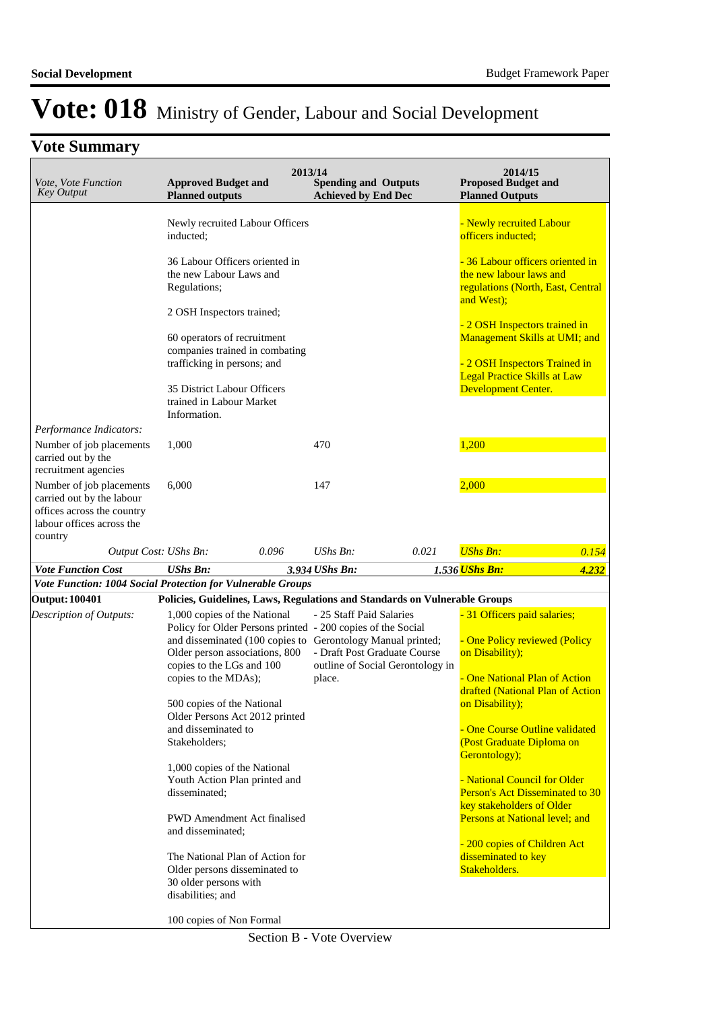| Vote, Vote Function<br><b>Key Output</b>                                                        | <b>Approved Budget and</b><br><b>Planned outputs</b>                                         | 2013/14 | <b>Spending and Outputs</b><br><b>Achieved by End Dec</b> |                                  | 2014/15<br><b>Proposed Budget and</b><br><b>Planned Outputs</b>                                                                        |       |
|-------------------------------------------------------------------------------------------------|----------------------------------------------------------------------------------------------|---------|-----------------------------------------------------------|----------------------------------|----------------------------------------------------------------------------------------------------------------------------------------|-------|
|                                                                                                 | Newly recruited Labour Officers<br>inducted;                                                 |         |                                                           |                                  | - Newly recruited Labour<br>officers inducted:                                                                                         |       |
|                                                                                                 | 36 Labour Officers oriented in<br>the new Labour Laws and<br>Regulations;                    |         |                                                           |                                  | - 36 Labour officers oriented in<br>the new labour laws and<br>regulations (North, East, Central<br>and West);                         |       |
|                                                                                                 | 2 OSH Inspectors trained;                                                                    |         |                                                           |                                  |                                                                                                                                        |       |
|                                                                                                 | 60 operators of recruitment<br>companies trained in combating<br>trafficking in persons; and |         |                                                           |                                  | - 2 OSH Inspectors trained in<br>Management Skills at UMI; and<br>- 2 OSH Inspectors Trained in<br><b>Legal Practice Skills at Law</b> |       |
|                                                                                                 | 35 District Labour Officers<br>trained in Labour Market                                      |         |                                                           |                                  | Development Center.                                                                                                                    |       |
| Performance Indicators:                                                                         | Information.                                                                                 |         |                                                           |                                  |                                                                                                                                        |       |
| Number of job placements<br>carried out by the                                                  | 1,000                                                                                        |         | 470                                                       |                                  | 1,200                                                                                                                                  |       |
| recruitment agencies<br>Number of job placements                                                | 6,000                                                                                        |         | 147                                                       |                                  | 2,000                                                                                                                                  |       |
| carried out by the labour<br>offices across the country<br>labour offices across the<br>country |                                                                                              |         |                                                           |                                  |                                                                                                                                        |       |
| Output Cost: UShs Bn:                                                                           |                                                                                              | 0.096   | $UShs Bn$ :                                               | 0.021                            | <b>UShs Bn:</b>                                                                                                                        | 0.154 |
| <b>Vote Function Cost</b>                                                                       | <b>UShs Bn:</b>                                                                              |         | 3.934 UShs Bn:                                            |                                  | 1.536 UShs Bn:                                                                                                                         | 4.232 |
|                                                                                                 |                                                                                              |         |                                                           |                                  |                                                                                                                                        |       |
|                                                                                                 | Vote Function: 1004 Social Protection for Vulnerable Groups                                  |         |                                                           |                                  |                                                                                                                                        |       |
| <b>Output: 100401</b>                                                                           | Policies, Guidelines, Laws, Regulations and Standards on Vulnerable Groups                   |         |                                                           |                                  |                                                                                                                                        |       |
| Description of Outputs:                                                                         | 1,000 copies of the National<br>Policy for Older Persons printed - 200 copies of the Social  |         | - 25 Staff Paid Salaries                                  |                                  | - 31 Officers paid salaries;                                                                                                           |       |
|                                                                                                 | and disseminated (100 copies to Gerontology Manual printed;                                  |         |                                                           |                                  | - One Policy reviewed (Policy                                                                                                          |       |
|                                                                                                 | Older person associations, 800                                                               |         | - Draft Post Graduate Course                              |                                  | on Disability);                                                                                                                        |       |
|                                                                                                 | copies to the LGs and 100<br>copies to the MDAs);                                            |         | place.                                                    | outline of Social Gerontology in | - One National Plan of Action<br>drafted (National Plan of Action                                                                      |       |
|                                                                                                 | 500 copies of the National                                                                   |         |                                                           |                                  | on Disability);                                                                                                                        |       |
|                                                                                                 | Older Persons Act 2012 printed                                                               |         |                                                           |                                  |                                                                                                                                        |       |
|                                                                                                 | and disseminated to<br>Stakeholders;                                                         |         |                                                           |                                  | - One Course Outline validated<br>(Post Graduate Diploma on                                                                            |       |
|                                                                                                 |                                                                                              |         |                                                           |                                  | Gerontology);                                                                                                                          |       |
|                                                                                                 | 1,000 copies of the National                                                                 |         |                                                           |                                  | - National Council for Older                                                                                                           |       |
|                                                                                                 | Youth Action Plan printed and<br>disseminated;                                               |         |                                                           |                                  | Person's Act Disseminated to 30                                                                                                        |       |
|                                                                                                 |                                                                                              |         |                                                           |                                  | key stakeholders of Older                                                                                                              |       |
|                                                                                                 | <b>PWD</b> Amendment Act finalised<br>and disseminated;                                      |         |                                                           |                                  | Persons at National level; and                                                                                                         |       |
|                                                                                                 |                                                                                              |         |                                                           |                                  | - 200 copies of Children Act                                                                                                           |       |
|                                                                                                 | The National Plan of Action for<br>Older persons disseminated to                             |         |                                                           |                                  | disseminated to key<br>Stakeholders.                                                                                                   |       |
|                                                                                                 | 30 older persons with                                                                        |         |                                                           |                                  |                                                                                                                                        |       |
|                                                                                                 | disabilities; and                                                                            |         |                                                           |                                  |                                                                                                                                        |       |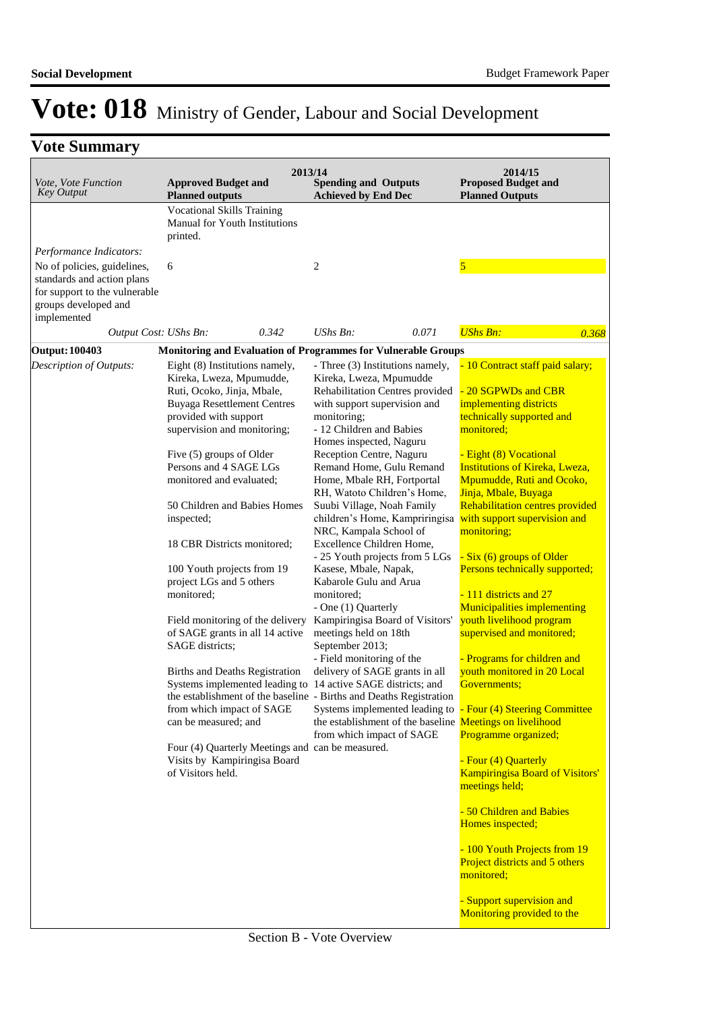| Vote, Vote Function<br><b>Key Output</b>                             | <b>Approved Budget and</b><br><b>Planned outputs</b>                                                                                                                                                                                                                                                                                                                                                                                                                                                                                                                                                                                                                                                                                                      | 2013/14<br><b>Spending and Outputs</b><br><b>Achieved by End Dec</b>                                                                                                                                                                                                                                                                                                                                                                                                                                                                                                                                                                                                                                                                                                                                                                                                                                                                                                                     | 2014/15<br><b>Proposed Budget and</b><br><b>Planned Outputs</b>                                                                                                                                                                                                                                                                                                                                                                                                                                                                                                                                                                                                                                                        |
|----------------------------------------------------------------------|-----------------------------------------------------------------------------------------------------------------------------------------------------------------------------------------------------------------------------------------------------------------------------------------------------------------------------------------------------------------------------------------------------------------------------------------------------------------------------------------------------------------------------------------------------------------------------------------------------------------------------------------------------------------------------------------------------------------------------------------------------------|------------------------------------------------------------------------------------------------------------------------------------------------------------------------------------------------------------------------------------------------------------------------------------------------------------------------------------------------------------------------------------------------------------------------------------------------------------------------------------------------------------------------------------------------------------------------------------------------------------------------------------------------------------------------------------------------------------------------------------------------------------------------------------------------------------------------------------------------------------------------------------------------------------------------------------------------------------------------------------------|------------------------------------------------------------------------------------------------------------------------------------------------------------------------------------------------------------------------------------------------------------------------------------------------------------------------------------------------------------------------------------------------------------------------------------------------------------------------------------------------------------------------------------------------------------------------------------------------------------------------------------------------------------------------------------------------------------------------|
|                                                                      | <b>Vocational Skills Training</b><br>Manual for Youth Institutions<br>printed.                                                                                                                                                                                                                                                                                                                                                                                                                                                                                                                                                                                                                                                                            |                                                                                                                                                                                                                                                                                                                                                                                                                                                                                                                                                                                                                                                                                                                                                                                                                                                                                                                                                                                          |                                                                                                                                                                                                                                                                                                                                                                                                                                                                                                                                                                                                                                                                                                                        |
| Performance Indicators:                                              |                                                                                                                                                                                                                                                                                                                                                                                                                                                                                                                                                                                                                                                                                                                                                           |                                                                                                                                                                                                                                                                                                                                                                                                                                                                                                                                                                                                                                                                                                                                                                                                                                                                                                                                                                                          |                                                                                                                                                                                                                                                                                                                                                                                                                                                                                                                                                                                                                                                                                                                        |
| No of policies, guidelines,                                          | 6                                                                                                                                                                                                                                                                                                                                                                                                                                                                                                                                                                                                                                                                                                                                                         | 2                                                                                                                                                                                                                                                                                                                                                                                                                                                                                                                                                                                                                                                                                                                                                                                                                                                                                                                                                                                        | 5                                                                                                                                                                                                                                                                                                                                                                                                                                                                                                                                                                                                                                                                                                                      |
| standards and action plans                                           |                                                                                                                                                                                                                                                                                                                                                                                                                                                                                                                                                                                                                                                                                                                                                           |                                                                                                                                                                                                                                                                                                                                                                                                                                                                                                                                                                                                                                                                                                                                                                                                                                                                                                                                                                                          |                                                                                                                                                                                                                                                                                                                                                                                                                                                                                                                                                                                                                                                                                                                        |
| for support to the vulnerable<br>groups developed and<br>implemented |                                                                                                                                                                                                                                                                                                                                                                                                                                                                                                                                                                                                                                                                                                                                                           |                                                                                                                                                                                                                                                                                                                                                                                                                                                                                                                                                                                                                                                                                                                                                                                                                                                                                                                                                                                          |                                                                                                                                                                                                                                                                                                                                                                                                                                                                                                                                                                                                                                                                                                                        |
| Output Cost: UShs Bn:                                                | 0.342                                                                                                                                                                                                                                                                                                                                                                                                                                                                                                                                                                                                                                                                                                                                                     | UShs Bn:<br>0.071                                                                                                                                                                                                                                                                                                                                                                                                                                                                                                                                                                                                                                                                                                                                                                                                                                                                                                                                                                        | <b>UShs Bn:</b><br>0.368                                                                                                                                                                                                                                                                                                                                                                                                                                                                                                                                                                                                                                                                                               |
| <b>Output: 100403</b>                                                |                                                                                                                                                                                                                                                                                                                                                                                                                                                                                                                                                                                                                                                                                                                                                           | Monitoring and Evaluation of Programmes for Vulnerable Groups                                                                                                                                                                                                                                                                                                                                                                                                                                                                                                                                                                                                                                                                                                                                                                                                                                                                                                                            |                                                                                                                                                                                                                                                                                                                                                                                                                                                                                                                                                                                                                                                                                                                        |
| Description of Outputs:                                              | Eight (8) Institutions namely,<br>Kireka, Lweza, Mpumudde,<br>Ruti, Ocoko, Jinja, Mbale,<br><b>Buyaga Resettlement Centres</b><br>provided with support<br>supervision and monitoring;<br>Five (5) groups of Older<br>Persons and 4 SAGE LGs<br>monitored and evaluated;<br>50 Children and Babies Homes<br>inspected;<br>18 CBR Districts monitored;<br>100 Youth projects from 19<br>project LGs and 5 others<br>monitored;<br>Field monitoring of the delivery<br>of SAGE grants in all 14 active<br>SAGE districts;<br>Births and Deaths Registration<br>Systems implemented leading to<br>from which impact of SAGE<br>can be measured; and<br>Four (4) Quarterly Meetings and can be measured.<br>Visits by Kampiringisa Board<br>of Visitors held. | - Three (3) Institutions namely,<br>Kireka, Lweza, Mpumudde<br>Rehabilitation Centres provided<br>with support supervision and<br>monitoring;<br>- 12 Children and Babies<br>Homes inspected, Naguru<br>Reception Centre, Naguru<br>Remand Home, Gulu Remand<br>Home, Mbale RH, Fortportal<br>RH, Watoto Children's Home,<br>Suubi Village, Noah Family<br>children's Home, Kampriringisa<br>NRC, Kampala School of<br>Excellence Children Home,<br>- 25 Youth projects from 5 LGs<br>Kasese, Mbale, Napak,<br>Kabarole Gulu and Arua<br>monitored;<br>- One (1) Quarterly<br>Kampiringisa Board of Visitors'<br>meetings held on 18th<br>September 2013;<br>- Field monitoring of the<br>delivery of SAGE grants in all<br>14 active SAGE districts; and<br>the establishment of the baseline - Births and Deaths Registration<br>Systems implemented leading to - Four (4) Steering Committee<br>the establishment of the baseline Meetings on livelihood<br>from which impact of SAGE | 10 Contract staff paid salary;<br>-20 SGPWDs and CBR<br>implementing districts<br>technically supported and<br>monitored;<br>- Eight (8) Vocational<br><b>Institutions of Kireka, Lweza,</b><br>Mpumudde, Ruti and Ocoko,<br>Jinja, Mbale, Buyaga<br>Rehabilitation centres provided<br>with support supervision and<br>monitoring;<br>- Six (6) groups of Older<br>Persons technically supported;<br>- 111 districts and 27<br>Municipalities implementing<br>youth livelihood program<br>supervised and monitored;<br>- Programs for children and<br>youth monitored in 20 Local<br><b>Governments</b> ;<br>Programme organized;<br>- Four (4) Quarterly<br><b>Kampiringisa Board of Visitors'</b><br>meetings held; |
|                                                                      |                                                                                                                                                                                                                                                                                                                                                                                                                                                                                                                                                                                                                                                                                                                                                           |                                                                                                                                                                                                                                                                                                                                                                                                                                                                                                                                                                                                                                                                                                                                                                                                                                                                                                                                                                                          | - 50 Children and Babies<br>Homes inspected;<br>- 100 Youth Projects from 19<br>Project districts and 5 others<br>monitored;<br>- Support supervision and<br>Monitoring provided to the                                                                                                                                                                                                                                                                                                                                                                                                                                                                                                                                |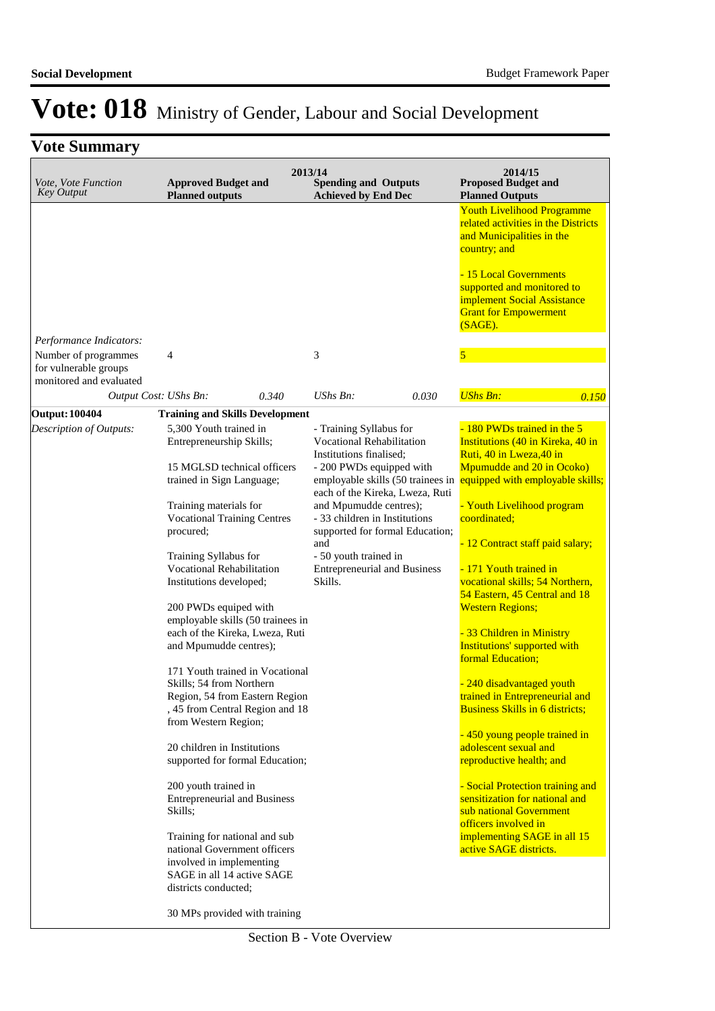| Vote, Vote Function<br><b>Key Output</b>                                 | <b>Approved Budget and</b><br><b>Planned outputs</b>                                                                                                                                                                                                                                                                                                                                                                                                                                                                                                                                                                                                                                                        |       | 2013/14<br><b>Spending and Outputs</b><br><b>Achieved by End Dec</b>                                                                                                                                                                                                                                                                                                       |       | 2014/15<br><b>Proposed Budget and</b><br><b>Planned Outputs</b>                                                                                                                                                                                                                                                                                                                                                                                                                                                                                                                                                                                                                                                                 |       |
|--------------------------------------------------------------------------|-------------------------------------------------------------------------------------------------------------------------------------------------------------------------------------------------------------------------------------------------------------------------------------------------------------------------------------------------------------------------------------------------------------------------------------------------------------------------------------------------------------------------------------------------------------------------------------------------------------------------------------------------------------------------------------------------------------|-------|----------------------------------------------------------------------------------------------------------------------------------------------------------------------------------------------------------------------------------------------------------------------------------------------------------------------------------------------------------------------------|-------|---------------------------------------------------------------------------------------------------------------------------------------------------------------------------------------------------------------------------------------------------------------------------------------------------------------------------------------------------------------------------------------------------------------------------------------------------------------------------------------------------------------------------------------------------------------------------------------------------------------------------------------------------------------------------------------------------------------------------------|-------|
|                                                                          |                                                                                                                                                                                                                                                                                                                                                                                                                                                                                                                                                                                                                                                                                                             |       |                                                                                                                                                                                                                                                                                                                                                                            |       | <b>Youth Livelihood Programme</b><br>related activities in the Districts<br>and Municipalities in the<br>country; and<br>- 15 Local Governments<br>supported and monitored to<br>implement Social Assistance<br><b>Grant for Empowerment</b><br>$(SAGE)$ .                                                                                                                                                                                                                                                                                                                                                                                                                                                                      |       |
| Performance Indicators:                                                  |                                                                                                                                                                                                                                                                                                                                                                                                                                                                                                                                                                                                                                                                                                             |       |                                                                                                                                                                                                                                                                                                                                                                            |       |                                                                                                                                                                                                                                                                                                                                                                                                                                                                                                                                                                                                                                                                                                                                 |       |
| Number of programmes<br>for vulnerable groups<br>monitored and evaluated | 4                                                                                                                                                                                                                                                                                                                                                                                                                                                                                                                                                                                                                                                                                                           |       | 3                                                                                                                                                                                                                                                                                                                                                                          |       |                                                                                                                                                                                                                                                                                                                                                                                                                                                                                                                                                                                                                                                                                                                                 |       |
|                                                                          | Output Cost: UShs Bn:                                                                                                                                                                                                                                                                                                                                                                                                                                                                                                                                                                                                                                                                                       | 0.340 | UShs Bn:                                                                                                                                                                                                                                                                                                                                                                   | 0.030 | <b>UShs Bn:</b>                                                                                                                                                                                                                                                                                                                                                                                                                                                                                                                                                                                                                                                                                                                 | 0.150 |
| <b>Output: 100404</b>                                                    | <b>Training and Skills Development</b>                                                                                                                                                                                                                                                                                                                                                                                                                                                                                                                                                                                                                                                                      |       |                                                                                                                                                                                                                                                                                                                                                                            |       |                                                                                                                                                                                                                                                                                                                                                                                                                                                                                                                                                                                                                                                                                                                                 |       |
| Description of Outputs:                                                  | 5,300 Youth trained in<br>Entrepreneurship Skills;<br>15 MGLSD technical officers<br>trained in Sign Language;<br>Training materials for<br><b>Vocational Training Centres</b><br>procured;<br>Training Syllabus for<br><b>Vocational Rehabilitation</b><br>Institutions developed;<br>200 PWDs equiped with<br>employable skills (50 trainees in<br>each of the Kireka, Lweza, Ruti<br>and Mpumudde centres);<br>171 Youth trained in Vocational<br>Skills; 54 from Northern<br>Region, 54 from Eastern Region<br>, 45 from Central Region and 18<br>from Western Region;<br>20 children in Institutions<br>supported for formal Education;<br>200 youth trained in<br><b>Entrepreneurial and Business</b> |       | - Training Syllabus for<br><b>Vocational Rehabilitation</b><br>Institutions finalised;<br>- 200 PWDs equipped with<br>employable skills (50 trainees in<br>each of the Kireka, Lweza, Ruti<br>and Mpumudde centres);<br>- 33 children in Institutions<br>supported for formal Education;<br>and<br>- 50 youth trained in<br><b>Entrepreneurial and Business</b><br>Skills. |       | - 180 PWDs trained in the 5<br>Institutions (40 in Kireka, 40 in<br>Ruti, 40 in Lweza, 40 in<br>Mpumudde and 20 in Ocoko)<br>equipped with employable skills;<br>- Youth Livelihood program<br>coordinated;<br>- 12 Contract staff paid salary;<br>- 171 Youth trained in<br>vocational skills; 54 Northern,<br>54 Eastern, 45 Central and 18<br><b>Western Regions;</b><br>- 33 Children in Ministry<br>Institutions' supported with<br>formal Education;<br>- 240 disadvantaged youth<br>trained in Entrepreneurial and<br><b>Business Skills in 6 districts;</b><br>- 450 young people trained in<br>adolescent sexual and<br>reproductive health; and<br>- Social Protection training and<br>sensitization for national and |       |
|                                                                          | Skills;<br>Training for national and sub<br>national Government officers<br>involved in implementing<br>SAGE in all 14 active SAGE<br>districts conducted;<br>30 MPs provided with training                                                                                                                                                                                                                                                                                                                                                                                                                                                                                                                 |       |                                                                                                                                                                                                                                                                                                                                                                            |       | sub national Government<br>officers involved in<br>implementing SAGE in all 15<br>active SAGE districts.                                                                                                                                                                                                                                                                                                                                                                                                                                                                                                                                                                                                                        |       |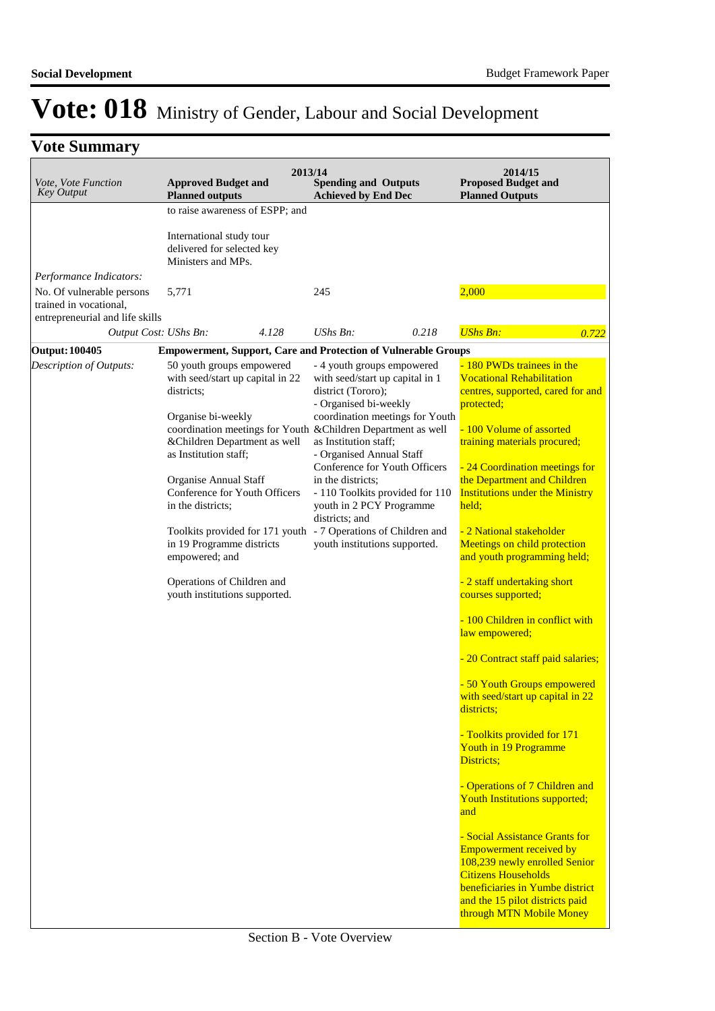| Vote, Vote Function<br><b>Key Output</b>                                       | 2013/14<br><b>Approved Budget and</b><br><b>Planned outputs</b>                                                                                                                                                             | <b>Spending and Outputs</b><br><b>Achieved by End Dec</b>                                                                                                                                                                                                  | 2014/15<br><b>Proposed Budget and</b><br><b>Planned Outputs</b>                                                                                                                                               |
|--------------------------------------------------------------------------------|-----------------------------------------------------------------------------------------------------------------------------------------------------------------------------------------------------------------------------|------------------------------------------------------------------------------------------------------------------------------------------------------------------------------------------------------------------------------------------------------------|---------------------------------------------------------------------------------------------------------------------------------------------------------------------------------------------------------------|
|                                                                                | to raise awareness of ESPP; and<br>International study tour<br>delivered for selected key<br>Ministers and MPs.                                                                                                             |                                                                                                                                                                                                                                                            |                                                                                                                                                                                                               |
| Performance Indicators:<br>No. Of vulnerable persons<br>trained in vocational, | 5,771                                                                                                                                                                                                                       | 245                                                                                                                                                                                                                                                        | 2,000                                                                                                                                                                                                         |
| entrepreneurial and life skills                                                |                                                                                                                                                                                                                             |                                                                                                                                                                                                                                                            |                                                                                                                                                                                                               |
|                                                                                | Output Cost: UShs Bn:<br>4.128                                                                                                                                                                                              | UShs Bn:<br>0.218                                                                                                                                                                                                                                          | <b>UShs Bn:</b><br>0.722                                                                                                                                                                                      |
| <b>Output: 100405</b>                                                          | <b>Empowerment, Support, Care and Protection of Vulnerable Groups</b>                                                                                                                                                       |                                                                                                                                                                                                                                                            |                                                                                                                                                                                                               |
| Description of Outputs:                                                        | 50 youth groups empowered<br>with seed/start up capital in 22<br>districts;<br>Organise bi-weekly<br>coordination meetings for Youth & Children Department as well<br>&Children Department as well<br>as Institution staff; | - 4 youth groups empowered<br>with seed/start up capital in 1<br>district (Tororo);<br>- Organised bi-weekly<br>coordination meetings for Youth<br>as Institution staff;<br>- Organised Annual Staff<br>Conference for Youth Officers<br>in the districts; | - 180 PWDs trainees in the<br><b>Vocational Rehabilitation</b><br>centres, supported, cared for and<br>protected;<br>- 100 Volume of assorted<br>training materials procured;<br>24 Coordination meetings for |
|                                                                                | Organise Annual Staff<br>Conference for Youth Officers<br>in the districts;                                                                                                                                                 | - 110 Toolkits provided for 110<br>youth in 2 PCY Programme<br>districts; and                                                                                                                                                                              | the Department and Children<br><b>Institutions under the Ministry</b><br>held;                                                                                                                                |
|                                                                                | Toolkits provided for 171 youth - 7 Operations of Children and<br>in 19 Programme districts<br>empowered; and                                                                                                               | youth institutions supported.                                                                                                                                                                                                                              | - 2 National stakeholder<br>Meetings on child protection<br>and youth programming held;                                                                                                                       |
|                                                                                | Operations of Children and<br>youth institutions supported.                                                                                                                                                                 |                                                                                                                                                                                                                                                            | - 2 staff undertaking short<br>courses supported;                                                                                                                                                             |
|                                                                                |                                                                                                                                                                                                                             |                                                                                                                                                                                                                                                            | - 100 Children in conflict with<br>law empowered;                                                                                                                                                             |
|                                                                                |                                                                                                                                                                                                                             |                                                                                                                                                                                                                                                            | 20 Contract staff paid salaries;                                                                                                                                                                              |
|                                                                                |                                                                                                                                                                                                                             |                                                                                                                                                                                                                                                            | - 50 Youth Groups empowered<br>with seed/start up capital in 22<br>districts;                                                                                                                                 |
|                                                                                |                                                                                                                                                                                                                             |                                                                                                                                                                                                                                                            | - Toolkits provided for 171<br>Youth in 19 Programme<br>Districts;                                                                                                                                            |
|                                                                                |                                                                                                                                                                                                                             |                                                                                                                                                                                                                                                            | - Operations of 7 Children and<br>Youth Institutions supported;<br>and                                                                                                                                        |
|                                                                                |                                                                                                                                                                                                                             |                                                                                                                                                                                                                                                            | - Social Assistance Grants for<br><b>Empowerment received by</b><br>108,239 newly enrolled Senior<br><b>Citizens Households</b><br>beneficiaries in Yumbe district                                            |
|                                                                                |                                                                                                                                                                                                                             |                                                                                                                                                                                                                                                            | and the 15 pilot districts paid<br>through MTN Mobile Money                                                                                                                                                   |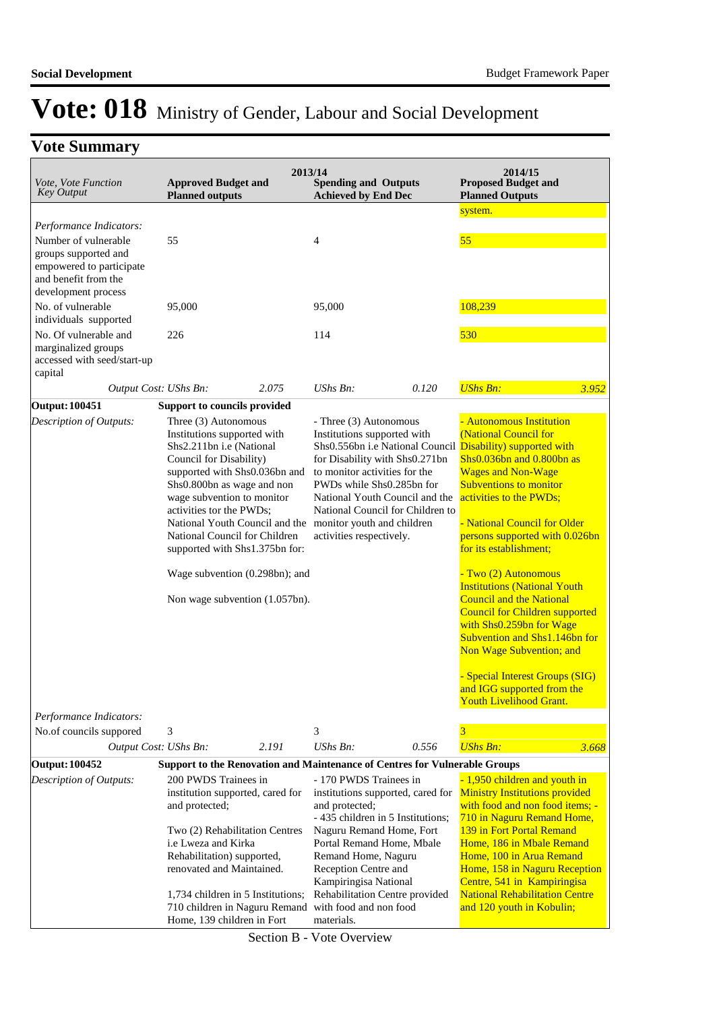## **Vote Summary**

| system.<br>Performance Indicators:<br>55<br>Number of vulnerable<br>55<br>4<br>groups supported and<br>empowered to participate<br>and benefit from the<br>development process<br>108,239<br>No. of vulnerable<br>95,000<br>95,000<br>individuals supported<br>No. Of vulnerable and<br>530<br>226<br>114<br>marginalized groups<br>accessed with seed/start-up<br>capital<br><b>UShs Bn:</b><br>2.075<br>UShs Bn:<br>Output Cost: UShs Bn:<br>0.120<br>3.952<br><b>Output: 100451</b><br>Support to councils provided<br>- Autonomous Institution<br>Description of Outputs:<br>Three (3) Autonomous<br>- Three (3) Autonomous<br>Institutions supported with<br>(National Council for<br>Institutions supported with<br>Shs2.211bn i.e (National<br>Shs0.556bn i.e National Council<br>Disability) supported with<br>Council for Disability)<br>for Disability with Shs0.271bn<br>Shs0.036bn and 0.800bn as<br>supported with Shs0.036bn and<br>to monitor activities for the<br><b>Wages and Non-Wage</b><br><b>Subventions to monitor</b><br>Shs0.800bn as wage and non<br>PWDs while Shs0.285bn for<br>activities to the PWDs;<br>wage subvention to monitor<br>National Youth Council and the<br>activities tor the PWDs;<br>National Council for Children to<br>- National Council for Older<br>National Youth Council and the<br>monitor youth and children<br>National Council for Children<br>activities respectively.<br>persons supported with 0.026bn<br>for its establishment;<br>supported with Shs1.375bn for:<br>- Two (2) Autonomous<br>Wage subvention (0.298bn); and<br><b>Institutions (National Youth</b><br><b>Council and the National</b><br>Non wage subvention (1.057bn).<br><b>Council for Children supported</b><br>with Shs0.259bn for Wage<br>Subvention and Shs1.146bn for<br>Non Wage Subvention; and<br>- Special Interest Groups (SIG)<br>and IGG supported from the<br><u> Youth Livelihood Grant.</u><br>Performance Indicators:<br>3<br>3<br>3<br>No.of councils suppored<br>UShs Bn:<br>Output Cost: UShs Bn:<br>2.191<br>0.556<br><b>UShs Bn:</b><br>3.668<br>Support to the Renovation and Maintenance of Centres for Vulnerable Groups<br>200 PWDS Trainees in<br>- 170 PWDS Trainees in<br>- 1,950 children and youth in<br>Description of Outputs:<br><b>Ministry Institutions provided</b><br>institution supported, cared for<br>institutions supported, cared for<br>with food and non food items; -<br>and protected;<br>and protected;<br>- 435 children in 5 Institutions;<br>710 in Naguru Remand Home,<br>Naguru Remand Home, Fort<br>139 in Fort Portal Remand<br>Two (2) Rehabilitation Centres<br>Portal Remand Home, Mbale<br>Home, 186 in Mbale Remand<br>i.e Lweza and Kirka<br>Rehabilitation) supported,<br>Remand Home, Naguru<br>Home, 100 in Arua Remand<br>renovated and Maintained.<br>Reception Centre and<br>Home, 158 in Naguru Reception<br>Kampiringisa National<br>Centre, 541 in Kampiringisa<br><b>National Rehabilitation Centre</b><br>Rehabilitation Centre provided<br>1,734 children in 5 Institutions;<br>710 children in Naguru Remand<br>with food and non food<br>and 120 youth in Kobulin; | Vote, Vote Function<br><b>Key Output</b> | <b>Approved Budget and</b><br><b>Planned outputs</b> | 2013/14<br><b>Spending and Outputs</b><br><b>Achieved by End Dec</b> | 2014/15<br><b>Proposed Budget and</b><br><b>Planned Outputs</b> |  |
|-------------------------------------------------------------------------------------------------------------------------------------------------------------------------------------------------------------------------------------------------------------------------------------------------------------------------------------------------------------------------------------------------------------------------------------------------------------------------------------------------------------------------------------------------------------------------------------------------------------------------------------------------------------------------------------------------------------------------------------------------------------------------------------------------------------------------------------------------------------------------------------------------------------------------------------------------------------------------------------------------------------------------------------------------------------------------------------------------------------------------------------------------------------------------------------------------------------------------------------------------------------------------------------------------------------------------------------------------------------------------------------------------------------------------------------------------------------------------------------------------------------------------------------------------------------------------------------------------------------------------------------------------------------------------------------------------------------------------------------------------------------------------------------------------------------------------------------------------------------------------------------------------------------------------------------------------------------------------------------------------------------------------------------------------------------------------------------------------------------------------------------------------------------------------------------------------------------------------------------------------------------------------------------------------------------------------------------------------------------------------------------------------------------------------------------------------------------------------------------------------------------------------------------------------------------------------------------------------------------------------------------------------------------------------------------------------------------------------------------------------------------------------------------------------------------------------------------------------------------------------------------------------------------------------------------------------------------------------------------------------------------------------------------------------------------------------------------------------------------------------------------------------------------------------------|------------------------------------------|------------------------------------------------------|----------------------------------------------------------------------|-----------------------------------------------------------------|--|
|                                                                                                                                                                                                                                                                                                                                                                                                                                                                                                                                                                                                                                                                                                                                                                                                                                                                                                                                                                                                                                                                                                                                                                                                                                                                                                                                                                                                                                                                                                                                                                                                                                                                                                                                                                                                                                                                                                                                                                                                                                                                                                                                                                                                                                                                                                                                                                                                                                                                                                                                                                                                                                                                                                                                                                                                                                                                                                                                                                                                                                                                                                                                                                               |                                          |                                                      |                                                                      |                                                                 |  |
|                                                                                                                                                                                                                                                                                                                                                                                                                                                                                                                                                                                                                                                                                                                                                                                                                                                                                                                                                                                                                                                                                                                                                                                                                                                                                                                                                                                                                                                                                                                                                                                                                                                                                                                                                                                                                                                                                                                                                                                                                                                                                                                                                                                                                                                                                                                                                                                                                                                                                                                                                                                                                                                                                                                                                                                                                                                                                                                                                                                                                                                                                                                                                                               |                                          |                                                      |                                                                      |                                                                 |  |
|                                                                                                                                                                                                                                                                                                                                                                                                                                                                                                                                                                                                                                                                                                                                                                                                                                                                                                                                                                                                                                                                                                                                                                                                                                                                                                                                                                                                                                                                                                                                                                                                                                                                                                                                                                                                                                                                                                                                                                                                                                                                                                                                                                                                                                                                                                                                                                                                                                                                                                                                                                                                                                                                                                                                                                                                                                                                                                                                                                                                                                                                                                                                                                               |                                          |                                                      |                                                                      |                                                                 |  |
|                                                                                                                                                                                                                                                                                                                                                                                                                                                                                                                                                                                                                                                                                                                                                                                                                                                                                                                                                                                                                                                                                                                                                                                                                                                                                                                                                                                                                                                                                                                                                                                                                                                                                                                                                                                                                                                                                                                                                                                                                                                                                                                                                                                                                                                                                                                                                                                                                                                                                                                                                                                                                                                                                                                                                                                                                                                                                                                                                                                                                                                                                                                                                                               |                                          |                                                      |                                                                      |                                                                 |  |
|                                                                                                                                                                                                                                                                                                                                                                                                                                                                                                                                                                                                                                                                                                                                                                                                                                                                                                                                                                                                                                                                                                                                                                                                                                                                                                                                                                                                                                                                                                                                                                                                                                                                                                                                                                                                                                                                                                                                                                                                                                                                                                                                                                                                                                                                                                                                                                                                                                                                                                                                                                                                                                                                                                                                                                                                                                                                                                                                                                                                                                                                                                                                                                               |                                          |                                                      |                                                                      |                                                                 |  |
|                                                                                                                                                                                                                                                                                                                                                                                                                                                                                                                                                                                                                                                                                                                                                                                                                                                                                                                                                                                                                                                                                                                                                                                                                                                                                                                                                                                                                                                                                                                                                                                                                                                                                                                                                                                                                                                                                                                                                                                                                                                                                                                                                                                                                                                                                                                                                                                                                                                                                                                                                                                                                                                                                                                                                                                                                                                                                                                                                                                                                                                                                                                                                                               |                                          |                                                      |                                                                      |                                                                 |  |
|                                                                                                                                                                                                                                                                                                                                                                                                                                                                                                                                                                                                                                                                                                                                                                                                                                                                                                                                                                                                                                                                                                                                                                                                                                                                                                                                                                                                                                                                                                                                                                                                                                                                                                                                                                                                                                                                                                                                                                                                                                                                                                                                                                                                                                                                                                                                                                                                                                                                                                                                                                                                                                                                                                                                                                                                                                                                                                                                                                                                                                                                                                                                                                               |                                          |                                                      |                                                                      |                                                                 |  |
|                                                                                                                                                                                                                                                                                                                                                                                                                                                                                                                                                                                                                                                                                                                                                                                                                                                                                                                                                                                                                                                                                                                                                                                                                                                                                                                                                                                                                                                                                                                                                                                                                                                                                                                                                                                                                                                                                                                                                                                                                                                                                                                                                                                                                                                                                                                                                                                                                                                                                                                                                                                                                                                                                                                                                                                                                                                                                                                                                                                                                                                                                                                                                                               |                                          |                                                      |                                                                      |                                                                 |  |
|                                                                                                                                                                                                                                                                                                                                                                                                                                                                                                                                                                                                                                                                                                                                                                                                                                                                                                                                                                                                                                                                                                                                                                                                                                                                                                                                                                                                                                                                                                                                                                                                                                                                                                                                                                                                                                                                                                                                                                                                                                                                                                                                                                                                                                                                                                                                                                                                                                                                                                                                                                                                                                                                                                                                                                                                                                                                                                                                                                                                                                                                                                                                                                               |                                          |                                                      |                                                                      |                                                                 |  |
|                                                                                                                                                                                                                                                                                                                                                                                                                                                                                                                                                                                                                                                                                                                                                                                                                                                                                                                                                                                                                                                                                                                                                                                                                                                                                                                                                                                                                                                                                                                                                                                                                                                                                                                                                                                                                                                                                                                                                                                                                                                                                                                                                                                                                                                                                                                                                                                                                                                                                                                                                                                                                                                                                                                                                                                                                                                                                                                                                                                                                                                                                                                                                                               |                                          |                                                      |                                                                      |                                                                 |  |
|                                                                                                                                                                                                                                                                                                                                                                                                                                                                                                                                                                                                                                                                                                                                                                                                                                                                                                                                                                                                                                                                                                                                                                                                                                                                                                                                                                                                                                                                                                                                                                                                                                                                                                                                                                                                                                                                                                                                                                                                                                                                                                                                                                                                                                                                                                                                                                                                                                                                                                                                                                                                                                                                                                                                                                                                                                                                                                                                                                                                                                                                                                                                                                               |                                          |                                                      |                                                                      |                                                                 |  |
|                                                                                                                                                                                                                                                                                                                                                                                                                                                                                                                                                                                                                                                                                                                                                                                                                                                                                                                                                                                                                                                                                                                                                                                                                                                                                                                                                                                                                                                                                                                                                                                                                                                                                                                                                                                                                                                                                                                                                                                                                                                                                                                                                                                                                                                                                                                                                                                                                                                                                                                                                                                                                                                                                                                                                                                                                                                                                                                                                                                                                                                                                                                                                                               |                                          |                                                      |                                                                      |                                                                 |  |
|                                                                                                                                                                                                                                                                                                                                                                                                                                                                                                                                                                                                                                                                                                                                                                                                                                                                                                                                                                                                                                                                                                                                                                                                                                                                                                                                                                                                                                                                                                                                                                                                                                                                                                                                                                                                                                                                                                                                                                                                                                                                                                                                                                                                                                                                                                                                                                                                                                                                                                                                                                                                                                                                                                                                                                                                                                                                                                                                                                                                                                                                                                                                                                               |                                          |                                                      |                                                                      |                                                                 |  |
|                                                                                                                                                                                                                                                                                                                                                                                                                                                                                                                                                                                                                                                                                                                                                                                                                                                                                                                                                                                                                                                                                                                                                                                                                                                                                                                                                                                                                                                                                                                                                                                                                                                                                                                                                                                                                                                                                                                                                                                                                                                                                                                                                                                                                                                                                                                                                                                                                                                                                                                                                                                                                                                                                                                                                                                                                                                                                                                                                                                                                                                                                                                                                                               |                                          |                                                      |                                                                      |                                                                 |  |
|                                                                                                                                                                                                                                                                                                                                                                                                                                                                                                                                                                                                                                                                                                                                                                                                                                                                                                                                                                                                                                                                                                                                                                                                                                                                                                                                                                                                                                                                                                                                                                                                                                                                                                                                                                                                                                                                                                                                                                                                                                                                                                                                                                                                                                                                                                                                                                                                                                                                                                                                                                                                                                                                                                                                                                                                                                                                                                                                                                                                                                                                                                                                                                               |                                          |                                                      |                                                                      |                                                                 |  |
|                                                                                                                                                                                                                                                                                                                                                                                                                                                                                                                                                                                                                                                                                                                                                                                                                                                                                                                                                                                                                                                                                                                                                                                                                                                                                                                                                                                                                                                                                                                                                                                                                                                                                                                                                                                                                                                                                                                                                                                                                                                                                                                                                                                                                                                                                                                                                                                                                                                                                                                                                                                                                                                                                                                                                                                                                                                                                                                                                                                                                                                                                                                                                                               |                                          |                                                      |                                                                      |                                                                 |  |
|                                                                                                                                                                                                                                                                                                                                                                                                                                                                                                                                                                                                                                                                                                                                                                                                                                                                                                                                                                                                                                                                                                                                                                                                                                                                                                                                                                                                                                                                                                                                                                                                                                                                                                                                                                                                                                                                                                                                                                                                                                                                                                                                                                                                                                                                                                                                                                                                                                                                                                                                                                                                                                                                                                                                                                                                                                                                                                                                                                                                                                                                                                                                                                               |                                          |                                                      |                                                                      |                                                                 |  |
|                                                                                                                                                                                                                                                                                                                                                                                                                                                                                                                                                                                                                                                                                                                                                                                                                                                                                                                                                                                                                                                                                                                                                                                                                                                                                                                                                                                                                                                                                                                                                                                                                                                                                                                                                                                                                                                                                                                                                                                                                                                                                                                                                                                                                                                                                                                                                                                                                                                                                                                                                                                                                                                                                                                                                                                                                                                                                                                                                                                                                                                                                                                                                                               |                                          |                                                      |                                                                      |                                                                 |  |
|                                                                                                                                                                                                                                                                                                                                                                                                                                                                                                                                                                                                                                                                                                                                                                                                                                                                                                                                                                                                                                                                                                                                                                                                                                                                                                                                                                                                                                                                                                                                                                                                                                                                                                                                                                                                                                                                                                                                                                                                                                                                                                                                                                                                                                                                                                                                                                                                                                                                                                                                                                                                                                                                                                                                                                                                                                                                                                                                                                                                                                                                                                                                                                               |                                          |                                                      |                                                                      |                                                                 |  |
|                                                                                                                                                                                                                                                                                                                                                                                                                                                                                                                                                                                                                                                                                                                                                                                                                                                                                                                                                                                                                                                                                                                                                                                                                                                                                                                                                                                                                                                                                                                                                                                                                                                                                                                                                                                                                                                                                                                                                                                                                                                                                                                                                                                                                                                                                                                                                                                                                                                                                                                                                                                                                                                                                                                                                                                                                                                                                                                                                                                                                                                                                                                                                                               |                                          |                                                      |                                                                      |                                                                 |  |
|                                                                                                                                                                                                                                                                                                                                                                                                                                                                                                                                                                                                                                                                                                                                                                                                                                                                                                                                                                                                                                                                                                                                                                                                                                                                                                                                                                                                                                                                                                                                                                                                                                                                                                                                                                                                                                                                                                                                                                                                                                                                                                                                                                                                                                                                                                                                                                                                                                                                                                                                                                                                                                                                                                                                                                                                                                                                                                                                                                                                                                                                                                                                                                               |                                          |                                                      |                                                                      |                                                                 |  |
|                                                                                                                                                                                                                                                                                                                                                                                                                                                                                                                                                                                                                                                                                                                                                                                                                                                                                                                                                                                                                                                                                                                                                                                                                                                                                                                                                                                                                                                                                                                                                                                                                                                                                                                                                                                                                                                                                                                                                                                                                                                                                                                                                                                                                                                                                                                                                                                                                                                                                                                                                                                                                                                                                                                                                                                                                                                                                                                                                                                                                                                                                                                                                                               |                                          |                                                      |                                                                      |                                                                 |  |
|                                                                                                                                                                                                                                                                                                                                                                                                                                                                                                                                                                                                                                                                                                                                                                                                                                                                                                                                                                                                                                                                                                                                                                                                                                                                                                                                                                                                                                                                                                                                                                                                                                                                                                                                                                                                                                                                                                                                                                                                                                                                                                                                                                                                                                                                                                                                                                                                                                                                                                                                                                                                                                                                                                                                                                                                                                                                                                                                                                                                                                                                                                                                                                               |                                          |                                                      |                                                                      |                                                                 |  |
|                                                                                                                                                                                                                                                                                                                                                                                                                                                                                                                                                                                                                                                                                                                                                                                                                                                                                                                                                                                                                                                                                                                                                                                                                                                                                                                                                                                                                                                                                                                                                                                                                                                                                                                                                                                                                                                                                                                                                                                                                                                                                                                                                                                                                                                                                                                                                                                                                                                                                                                                                                                                                                                                                                                                                                                                                                                                                                                                                                                                                                                                                                                                                                               |                                          |                                                      |                                                                      |                                                                 |  |
|                                                                                                                                                                                                                                                                                                                                                                                                                                                                                                                                                                                                                                                                                                                                                                                                                                                                                                                                                                                                                                                                                                                                                                                                                                                                                                                                                                                                                                                                                                                                                                                                                                                                                                                                                                                                                                                                                                                                                                                                                                                                                                                                                                                                                                                                                                                                                                                                                                                                                                                                                                                                                                                                                                                                                                                                                                                                                                                                                                                                                                                                                                                                                                               |                                          |                                                      |                                                                      |                                                                 |  |
|                                                                                                                                                                                                                                                                                                                                                                                                                                                                                                                                                                                                                                                                                                                                                                                                                                                                                                                                                                                                                                                                                                                                                                                                                                                                                                                                                                                                                                                                                                                                                                                                                                                                                                                                                                                                                                                                                                                                                                                                                                                                                                                                                                                                                                                                                                                                                                                                                                                                                                                                                                                                                                                                                                                                                                                                                                                                                                                                                                                                                                                                                                                                                                               |                                          |                                                      |                                                                      |                                                                 |  |
|                                                                                                                                                                                                                                                                                                                                                                                                                                                                                                                                                                                                                                                                                                                                                                                                                                                                                                                                                                                                                                                                                                                                                                                                                                                                                                                                                                                                                                                                                                                                                                                                                                                                                                                                                                                                                                                                                                                                                                                                                                                                                                                                                                                                                                                                                                                                                                                                                                                                                                                                                                                                                                                                                                                                                                                                                                                                                                                                                                                                                                                                                                                                                                               |                                          |                                                      |                                                                      |                                                                 |  |
|                                                                                                                                                                                                                                                                                                                                                                                                                                                                                                                                                                                                                                                                                                                                                                                                                                                                                                                                                                                                                                                                                                                                                                                                                                                                                                                                                                                                                                                                                                                                                                                                                                                                                                                                                                                                                                                                                                                                                                                                                                                                                                                                                                                                                                                                                                                                                                                                                                                                                                                                                                                                                                                                                                                                                                                                                                                                                                                                                                                                                                                                                                                                                                               |                                          |                                                      |                                                                      |                                                                 |  |
|                                                                                                                                                                                                                                                                                                                                                                                                                                                                                                                                                                                                                                                                                                                                                                                                                                                                                                                                                                                                                                                                                                                                                                                                                                                                                                                                                                                                                                                                                                                                                                                                                                                                                                                                                                                                                                                                                                                                                                                                                                                                                                                                                                                                                                                                                                                                                                                                                                                                                                                                                                                                                                                                                                                                                                                                                                                                                                                                                                                                                                                                                                                                                                               |                                          |                                                      |                                                                      |                                                                 |  |
|                                                                                                                                                                                                                                                                                                                                                                                                                                                                                                                                                                                                                                                                                                                                                                                                                                                                                                                                                                                                                                                                                                                                                                                                                                                                                                                                                                                                                                                                                                                                                                                                                                                                                                                                                                                                                                                                                                                                                                                                                                                                                                                                                                                                                                                                                                                                                                                                                                                                                                                                                                                                                                                                                                                                                                                                                                                                                                                                                                                                                                                                                                                                                                               |                                          |                                                      |                                                                      |                                                                 |  |
|                                                                                                                                                                                                                                                                                                                                                                                                                                                                                                                                                                                                                                                                                                                                                                                                                                                                                                                                                                                                                                                                                                                                                                                                                                                                                                                                                                                                                                                                                                                                                                                                                                                                                                                                                                                                                                                                                                                                                                                                                                                                                                                                                                                                                                                                                                                                                                                                                                                                                                                                                                                                                                                                                                                                                                                                                                                                                                                                                                                                                                                                                                                                                                               |                                          |                                                      |                                                                      |                                                                 |  |
|                                                                                                                                                                                                                                                                                                                                                                                                                                                                                                                                                                                                                                                                                                                                                                                                                                                                                                                                                                                                                                                                                                                                                                                                                                                                                                                                                                                                                                                                                                                                                                                                                                                                                                                                                                                                                                                                                                                                                                                                                                                                                                                                                                                                                                                                                                                                                                                                                                                                                                                                                                                                                                                                                                                                                                                                                                                                                                                                                                                                                                                                                                                                                                               |                                          |                                                      |                                                                      |                                                                 |  |
|                                                                                                                                                                                                                                                                                                                                                                                                                                                                                                                                                                                                                                                                                                                                                                                                                                                                                                                                                                                                                                                                                                                                                                                                                                                                                                                                                                                                                                                                                                                                                                                                                                                                                                                                                                                                                                                                                                                                                                                                                                                                                                                                                                                                                                                                                                                                                                                                                                                                                                                                                                                                                                                                                                                                                                                                                                                                                                                                                                                                                                                                                                                                                                               |                                          |                                                      |                                                                      |                                                                 |  |
|                                                                                                                                                                                                                                                                                                                                                                                                                                                                                                                                                                                                                                                                                                                                                                                                                                                                                                                                                                                                                                                                                                                                                                                                                                                                                                                                                                                                                                                                                                                                                                                                                                                                                                                                                                                                                                                                                                                                                                                                                                                                                                                                                                                                                                                                                                                                                                                                                                                                                                                                                                                                                                                                                                                                                                                                                                                                                                                                                                                                                                                                                                                                                                               |                                          |                                                      |                                                                      |                                                                 |  |
|                                                                                                                                                                                                                                                                                                                                                                                                                                                                                                                                                                                                                                                                                                                                                                                                                                                                                                                                                                                                                                                                                                                                                                                                                                                                                                                                                                                                                                                                                                                                                                                                                                                                                                                                                                                                                                                                                                                                                                                                                                                                                                                                                                                                                                                                                                                                                                                                                                                                                                                                                                                                                                                                                                                                                                                                                                                                                                                                                                                                                                                                                                                                                                               | <b>Output: 100452</b>                    |                                                      |                                                                      |                                                                 |  |
|                                                                                                                                                                                                                                                                                                                                                                                                                                                                                                                                                                                                                                                                                                                                                                                                                                                                                                                                                                                                                                                                                                                                                                                                                                                                                                                                                                                                                                                                                                                                                                                                                                                                                                                                                                                                                                                                                                                                                                                                                                                                                                                                                                                                                                                                                                                                                                                                                                                                                                                                                                                                                                                                                                                                                                                                                                                                                                                                                                                                                                                                                                                                                                               |                                          |                                                      |                                                                      |                                                                 |  |
|                                                                                                                                                                                                                                                                                                                                                                                                                                                                                                                                                                                                                                                                                                                                                                                                                                                                                                                                                                                                                                                                                                                                                                                                                                                                                                                                                                                                                                                                                                                                                                                                                                                                                                                                                                                                                                                                                                                                                                                                                                                                                                                                                                                                                                                                                                                                                                                                                                                                                                                                                                                                                                                                                                                                                                                                                                                                                                                                                                                                                                                                                                                                                                               |                                          |                                                      |                                                                      |                                                                 |  |
|                                                                                                                                                                                                                                                                                                                                                                                                                                                                                                                                                                                                                                                                                                                                                                                                                                                                                                                                                                                                                                                                                                                                                                                                                                                                                                                                                                                                                                                                                                                                                                                                                                                                                                                                                                                                                                                                                                                                                                                                                                                                                                                                                                                                                                                                                                                                                                                                                                                                                                                                                                                                                                                                                                                                                                                                                                                                                                                                                                                                                                                                                                                                                                               |                                          |                                                      |                                                                      |                                                                 |  |
|                                                                                                                                                                                                                                                                                                                                                                                                                                                                                                                                                                                                                                                                                                                                                                                                                                                                                                                                                                                                                                                                                                                                                                                                                                                                                                                                                                                                                                                                                                                                                                                                                                                                                                                                                                                                                                                                                                                                                                                                                                                                                                                                                                                                                                                                                                                                                                                                                                                                                                                                                                                                                                                                                                                                                                                                                                                                                                                                                                                                                                                                                                                                                                               |                                          |                                                      |                                                                      |                                                                 |  |
|                                                                                                                                                                                                                                                                                                                                                                                                                                                                                                                                                                                                                                                                                                                                                                                                                                                                                                                                                                                                                                                                                                                                                                                                                                                                                                                                                                                                                                                                                                                                                                                                                                                                                                                                                                                                                                                                                                                                                                                                                                                                                                                                                                                                                                                                                                                                                                                                                                                                                                                                                                                                                                                                                                                                                                                                                                                                                                                                                                                                                                                                                                                                                                               |                                          |                                                      |                                                                      |                                                                 |  |
|                                                                                                                                                                                                                                                                                                                                                                                                                                                                                                                                                                                                                                                                                                                                                                                                                                                                                                                                                                                                                                                                                                                                                                                                                                                                                                                                                                                                                                                                                                                                                                                                                                                                                                                                                                                                                                                                                                                                                                                                                                                                                                                                                                                                                                                                                                                                                                                                                                                                                                                                                                                                                                                                                                                                                                                                                                                                                                                                                                                                                                                                                                                                                                               |                                          |                                                      |                                                                      |                                                                 |  |
|                                                                                                                                                                                                                                                                                                                                                                                                                                                                                                                                                                                                                                                                                                                                                                                                                                                                                                                                                                                                                                                                                                                                                                                                                                                                                                                                                                                                                                                                                                                                                                                                                                                                                                                                                                                                                                                                                                                                                                                                                                                                                                                                                                                                                                                                                                                                                                                                                                                                                                                                                                                                                                                                                                                                                                                                                                                                                                                                                                                                                                                                                                                                                                               |                                          |                                                      |                                                                      |                                                                 |  |
|                                                                                                                                                                                                                                                                                                                                                                                                                                                                                                                                                                                                                                                                                                                                                                                                                                                                                                                                                                                                                                                                                                                                                                                                                                                                                                                                                                                                                                                                                                                                                                                                                                                                                                                                                                                                                                                                                                                                                                                                                                                                                                                                                                                                                                                                                                                                                                                                                                                                                                                                                                                                                                                                                                                                                                                                                                                                                                                                                                                                                                                                                                                                                                               |                                          |                                                      |                                                                      |                                                                 |  |
| Home, 139 children in Fort<br>materials.                                                                                                                                                                                                                                                                                                                                                                                                                                                                                                                                                                                                                                                                                                                                                                                                                                                                                                                                                                                                                                                                                                                                                                                                                                                                                                                                                                                                                                                                                                                                                                                                                                                                                                                                                                                                                                                                                                                                                                                                                                                                                                                                                                                                                                                                                                                                                                                                                                                                                                                                                                                                                                                                                                                                                                                                                                                                                                                                                                                                                                                                                                                                      |                                          |                                                      |                                                                      |                                                                 |  |

Section B - Vote Overview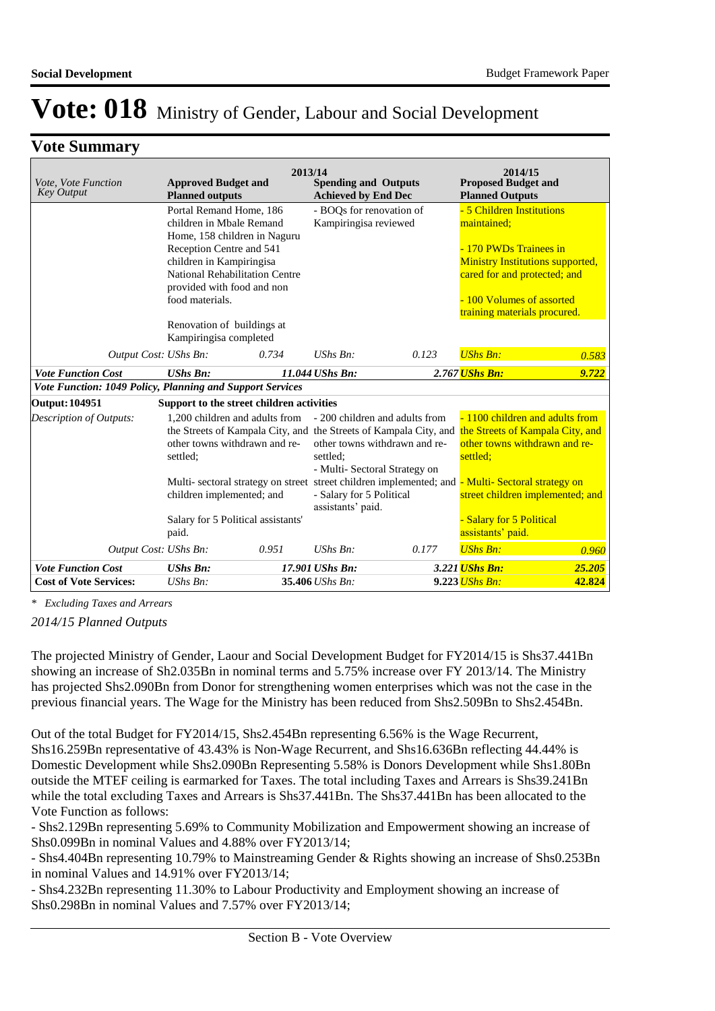## **Vote Summary**

| Vote, Vote Function<br><b>Key Output</b>                  | <b>Approved Budget and</b><br><b>Planned outputs</b>                                                                                             | 2013/14 | <b>Spending and Outputs</b><br><b>Achieved by End Dec</b> |                                                                 | 2014/15<br><b>Proposed Budget and</b><br><b>Planned Outputs</b>    |                                                                                                      |
|-----------------------------------------------------------|--------------------------------------------------------------------------------------------------------------------------------------------------|---------|-----------------------------------------------------------|-----------------------------------------------------------------|--------------------------------------------------------------------|------------------------------------------------------------------------------------------------------|
|                                                           | Portal Remand Home, 186<br>children in Mbale Remand<br>Home, 158 children in Naguru                                                              |         | - BOOs for renovation of<br>Kampiringisa reviewed         |                                                                 | - 5 Children Institutions<br>maintained:<br>- 170 PWDs Trainees in |                                                                                                      |
|                                                           | Reception Centre and 541<br>children in Kampiringisa<br>National Rehabilitation Centre<br>provided with food and non                             |         |                                                           |                                                                 | cared for and protected; and                                       | <b>Ministry Institutions supported,</b>                                                              |
|                                                           | food materials.<br>Renovation of buildings at                                                                                                    |         |                                                           |                                                                 | -100 Volumes of assorted<br>training materials procured.           |                                                                                                      |
| Output Cost: UShs Bn:                                     | Kampiringisa completed                                                                                                                           | 0.734   | $UShs Bn$ :                                               | 0.123                                                           | <b>UShs Bn:</b>                                                    | 0.583                                                                                                |
| <b>Vote Function Cost</b>                                 | <b>UShs Bn:</b>                                                                                                                                  |         | 11.044 UShs Bn:                                           |                                                                 | 2.767 <i>UShs Bn:</i>                                              | 9.722                                                                                                |
| Vote Function: 1049 Policy, Planning and Support Services |                                                                                                                                                  |         |                                                           |                                                                 |                                                                    |                                                                                                      |
| Output: 104951                                            | Support to the street children activities                                                                                                        |         |                                                           |                                                                 |                                                                    |                                                                                                      |
| Description of Outputs:                                   | 1.200 children and adults from<br>the Streets of Kampala City, and the Streets of Kampala City, and<br>other towns withdrawn and re-<br>settled: |         | settled;<br>- Multi- Sectoral Strategy on                 | - 200 children and adults from<br>other towns withdrawn and re- | settled;                                                           | - 1100 children and adults from<br>the Streets of Kampala City, and<br>other towns withdrawn and re- |
|                                                           | Multi- sectoral strategy on street street children implemented; and - Multi- Sectoral strategy on<br>children implemented; and                   |         | - Salary for 5 Political<br>assistants' paid.             |                                                                 |                                                                    | street children implemented; and                                                                     |
|                                                           | Salary for 5 Political assistants'<br>paid.                                                                                                      |         |                                                           |                                                                 | <b>Salary for 5 Political</b><br>assistants' paid.                 |                                                                                                      |
| Output Cost: UShs Bn:                                     |                                                                                                                                                  | 0.951   | $UShs Bn$ :                                               | 0.177                                                           | <b>UShs Bn:</b>                                                    | 0.960                                                                                                |
| <b>Vote Function Cost</b>                                 | <b>UShs Bn:</b>                                                                                                                                  |         | 17.901 UShs Bn:                                           |                                                                 | 3.221 <i>UShs Bn:</i>                                              | 25.205                                                                                               |
| <b>Cost of Vote Services:</b>                             | UShs Bn:                                                                                                                                         |         | 35.406 UShs Bn:                                           |                                                                 | $9.223$ UShs Bn:                                                   | 42.824                                                                                               |

*\* Excluding Taxes and Arrears*

*2014/15 Planned Outputs*

The projected Ministry of Gender, Laour and Social Development Budget for FY2014/15 is Shs37.441Bn showing an increase of Sh2.035Bn in nominal terms and 5.75% increase over FY 2013/14. The Ministry has projected Shs2.090Bn from Donor for strengthening women enterprises which was not the case in the previous financial years. The Wage for the Ministry has been reduced from Shs2.509Bn to Shs2.454Bn.

Out of the total Budget for FY2014/15, Shs2.454Bn representing 6.56% is the Wage Recurrent, Shs16.259Bn representative of 43.43% is Non-Wage Recurrent, and Shs16.636Bn reflecting 44.44% is Domestic Development while Shs2.090Bn Representing 5.58% is Donors Development while Shs1.80Bn outside the MTEF ceiling is earmarked for Taxes. The total including Taxes and Arrears is Shs39.241Bn while the total excluding Taxes and Arrears is Shs37.441Bn. The Shs37.441Bn has been allocated to the Vote Function as follows:

- Shs2.129Bn representing 5.69% to Community Mobilization and Empowerment showing an increase of Shs0.099Bn in nominal Values and 4.88% over FY2013/14;

- Shs4.404Bn representing 10.79% to Mainstreaming Gender & Rights showing an increase of Shs0.253Bn in nominal Values and 14.91% over FY2013/14;

- Shs4.232Bn representing 11.30% to Labour Productivity and Employment showing an increase of Shs0.298Bn in nominal Values and 7.57% over FY2013/14;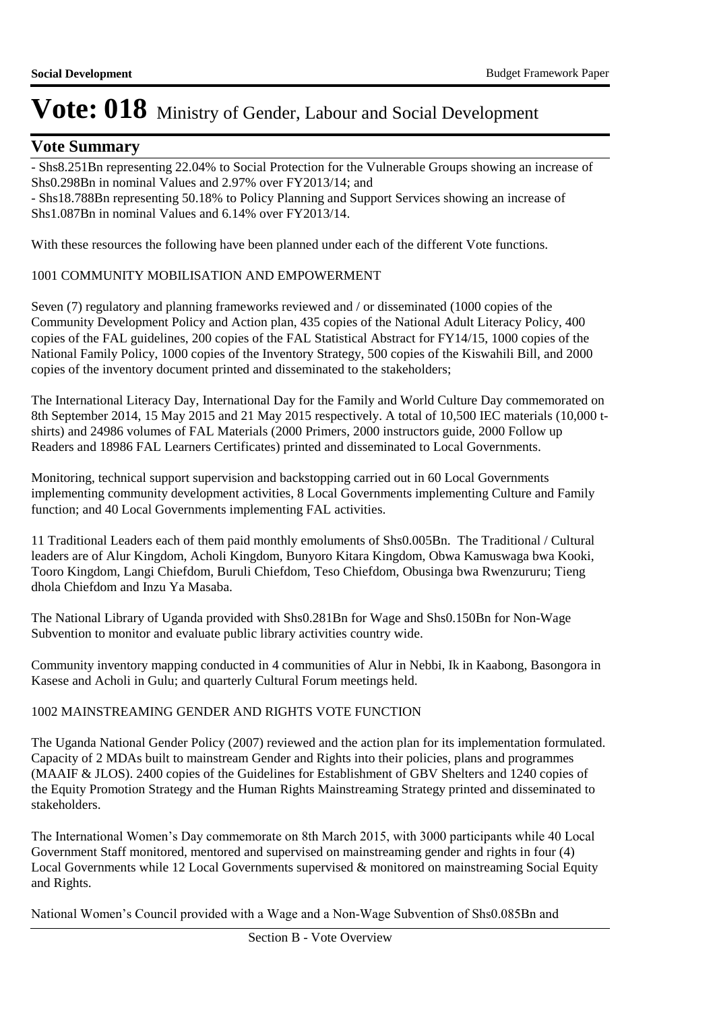## **Vote Summary**

- Shs8.251Bn representing 22.04% to Social Protection for the Vulnerable Groups showing an increase of Shs0.298Bn in nominal Values and 2.97% over FY2013/14; and

- Shs18.788Bn representing 50.18% to Policy Planning and Support Services showing an increase of Shs1.087Bn in nominal Values and 6.14% over FY2013/14.

With these resources the following have been planned under each of the different Vote functions.

### 1001 COMMUNITY MOBILISATION AND EMPOWERMENT

Seven (7) regulatory and planning frameworks reviewed and / or disseminated (1000 copies of the Community Development Policy and Action plan, 435 copies of the National Adult Literacy Policy, 400 copies of the FAL guidelines, 200 copies of the FAL Statistical Abstract for FY14/15, 1000 copies of the National Family Policy, 1000 copies of the Inventory Strategy, 500 copies of the Kiswahili Bill, and 2000 copies of the inventory document printed and disseminated to the stakeholders;

The International Literacy Day, International Day for the Family and World Culture Day commemorated on 8th September 2014, 15 May 2015 and 21 May 2015 respectively. A total of 10,500 IEC materials (10,000 tshirts) and 24986 volumes of FAL Materials (2000 Primers, 2000 instructors guide, 2000 Follow up Readers and 18986 FAL Learners Certificates) printed and disseminated to Local Governments.

Monitoring, technical support supervision and backstopping carried out in 60 Local Governments implementing community development activities, 8 Local Governments implementing Culture and Family function; and 40 Local Governments implementing FAL activities.

11 Traditional Leaders each of them paid monthly emoluments of Shs0.005Bn. The Traditional / Cultural leaders are of Alur Kingdom, Acholi Kingdom, Bunyoro Kitara Kingdom, Obwa Kamuswaga bwa Kooki, Tooro Kingdom, Langi Chiefdom, Buruli Chiefdom, Teso Chiefdom, Obusinga bwa Rwenzururu; Tieng dhola Chiefdom and Inzu Ya Masaba.

The National Library of Uganda provided with Shs0.281Bn for Wage and Shs0.150Bn for Non-Wage Subvention to monitor and evaluate public library activities country wide.

Community inventory mapping conducted in 4 communities of Alur in Nebbi, Ik in Kaabong, Basongora in Kasese and Acholi in Gulu; and quarterly Cultural Forum meetings held.

### 1002 MAINSTREAMING GENDER AND RIGHTS VOTE FUNCTION

The Uganda National Gender Policy (2007) reviewed and the action plan for its implementation formulated. Capacity of 2 MDAs built to mainstream Gender and Rights into their policies, plans and programmes (MAAIF & JLOS). 2400 copies of the Guidelines for Establishment of GBV Shelters and 1240 copies of the Equity Promotion Strategy and the Human Rights Mainstreaming Strategy printed and disseminated to stakeholders.

The International Women's Day commemorate on 8th March 2015, with 3000 participants while 40 Local Government Staff monitored, mentored and supervised on mainstreaming gender and rights in four (4) Local Governments while 12 Local Governments supervised & monitored on mainstreaming Social Equity and Rights.

National Women's Council provided with a Wage and a Non-Wage Subvention of Shs0.085Bn and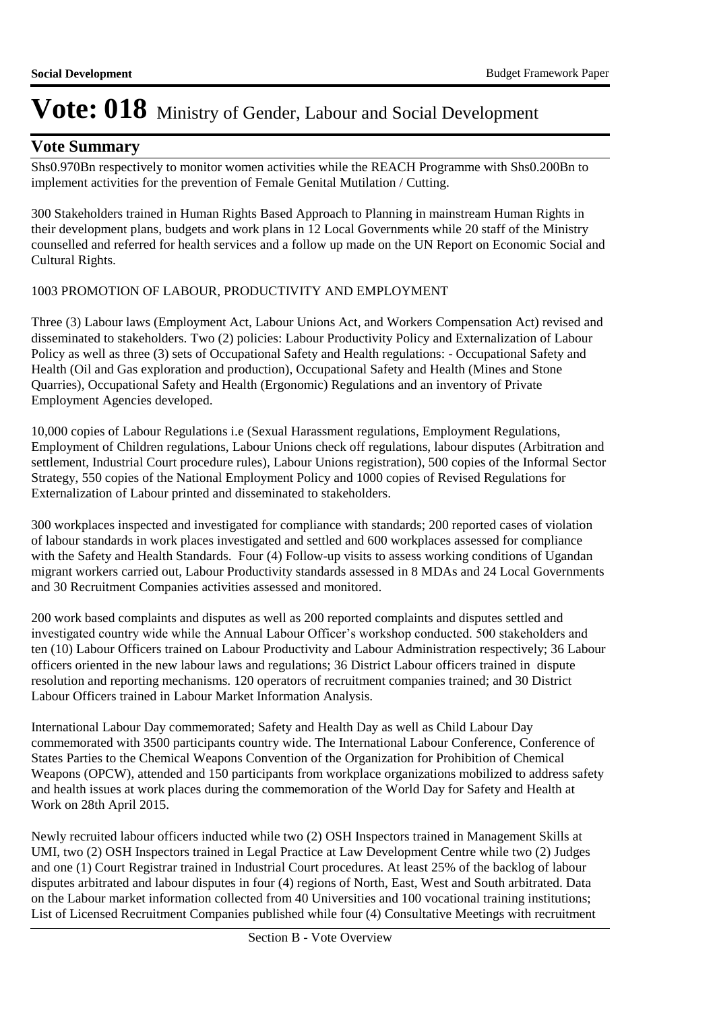## **Vote Summary**

Shs0.970Bn respectively to monitor women activities while the REACH Programme with Shs0.200Bn to implement activities for the prevention of Female Genital Mutilation / Cutting.

300 Stakeholders trained in Human Rights Based Approach to Planning in mainstream Human Rights in their development plans, budgets and work plans in 12 Local Governments while 20 staff of the Ministry counselled and referred for health services and a follow up made on the UN Report on Economic Social and Cultural Rights.

### 1003 PROMOTION OF LABOUR, PRODUCTIVITY AND EMPLOYMENT

Three (3) Labour laws (Employment Act, Labour Unions Act, and Workers Compensation Act) revised and disseminated to stakeholders. Two (2) policies: Labour Productivity Policy and Externalization of Labour Policy as well as three (3) sets of Occupational Safety and Health regulations: - Occupational Safety and Health (Oil and Gas exploration and production), Occupational Safety and Health (Mines and Stone Quarries), Occupational Safety and Health (Ergonomic) Regulations and an inventory of Private Employment Agencies developed.

10,000 copies of Labour Regulations i.e (Sexual Harassment regulations, Employment Regulations, Employment of Children regulations, Labour Unions check off regulations, labour disputes (Arbitration and settlement, Industrial Court procedure rules), Labour Unions registration), 500 copies of the Informal Sector Strategy, 550 copies of the National Employment Policy and 1000 copies of Revised Regulations for Externalization of Labour printed and disseminated to stakeholders.

300 workplaces inspected and investigated for compliance with standards; 200 reported cases of violation of labour standards in work places investigated and settled and 600 workplaces assessed for compliance with the Safety and Health Standards. Four (4) Follow-up visits to assess working conditions of Ugandan migrant workers carried out, Labour Productivity standards assessed in 8 MDAs and 24 Local Governments and 30 Recruitment Companies activities assessed and monitored.

200 work based complaints and disputes as well as 200 reported complaints and disputes settled and investigated country wide while the Annual Labour Officer's workshop conducted. 500 stakeholders and ten (10) Labour Officers trained on Labour Productivity and Labour Administration respectively; 36 Labour officers oriented in the new labour laws and regulations; 36 District Labour officers trained in dispute resolution and reporting mechanisms. 120 operators of recruitment companies trained; and 30 District Labour Officers trained in Labour Market Information Analysis.

International Labour Day commemorated; Safety and Health Day as well as Child Labour Day commemorated with 3500 participants country wide. The International Labour Conference, Conference of States Parties to the Chemical Weapons Convention of the Organization for Prohibition of Chemical Weapons (OPCW), attended and 150 participants from workplace organizations mobilized to address safety and health issues at work places during the commemoration of the World Day for Safety and Health at Work on 28th April 2015.

Newly recruited labour officers inducted while two (2) OSH Inspectors trained in Management Skills at UMI, two (2) OSH Inspectors trained in Legal Practice at Law Development Centre while two (2) Judges and one (1) Court Registrar trained in Industrial Court procedures. At least 25% of the backlog of labour disputes arbitrated and labour disputes in four (4) regions of North, East, West and South arbitrated. Data on the Labour market information collected from 40 Universities and 100 vocational training institutions; List of Licensed Recruitment Companies published while four (4) Consultative Meetings with recruitment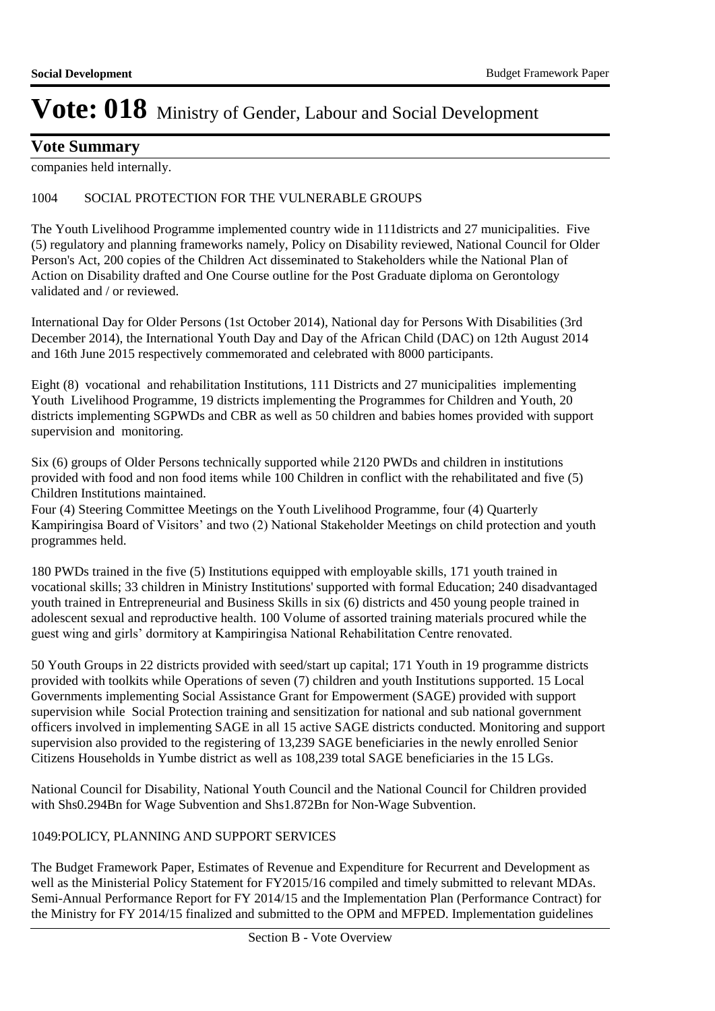## **Vote Summary**

companies held internally.

### 1004 SOCIAL PROTECTION FOR THE VULNERABLE GROUPS

The Youth Livelihood Programme implemented country wide in 111districts and 27 municipalities. Five (5) regulatory and planning frameworks namely, Policy on Disability reviewed, National Council for Older Person's Act, 200 copies of the Children Act disseminated to Stakeholders while the National Plan of Action on Disability drafted and One Course outline for the Post Graduate diploma on Gerontology validated and / or reviewed.

International Day for Older Persons (1st October 2014), National day for Persons With Disabilities (3rd December 2014), the International Youth Day and Day of the African Child (DAC) on 12th August 2014 and 16th June 2015 respectively commemorated and celebrated with 8000 participants.

Eight (8) vocational and rehabilitation Institutions, 111 Districts and 27 municipalities implementing Youth Livelihood Programme, 19 districts implementing the Programmes for Children and Youth, 20 districts implementing SGPWDs and CBR as well as 50 children and babies homes provided with support supervision and monitoring.

Six (6) groups of Older Persons technically supported while 2120 PWDs and children in institutions provided with food and non food items while 100 Children in conflict with the rehabilitated and five (5) Children Institutions maintained.

Four (4) Steering Committee Meetings on the Youth Livelihood Programme, four (4) Quarterly Kampiringisa Board of Visitors' and two (2) National Stakeholder Meetings on child protection and youth programmes held.

180 PWDs trained in the five (5) Institutions equipped with employable skills, 171 youth trained in vocational skills; 33 children in Ministry Institutions' supported with formal Education; 240 disadvantaged youth trained in Entrepreneurial and Business Skills in six (6) districts and 450 young people trained in adolescent sexual and reproductive health. 100 Volume of assorted training materials procured while the guest wing and girls' dormitory at Kampiringisa National Rehabilitation Centre renovated.

50 Youth Groups in 22 districts provided with seed/start up capital; 171 Youth in 19 programme districts provided with toolkits while Operations of seven (7) children and youth Institutions supported. 15 Local Governments implementing Social Assistance Grant for Empowerment (SAGE) provided with support supervision while Social Protection training and sensitization for national and sub national government officers involved in implementing SAGE in all 15 active SAGE districts conducted. Monitoring and support supervision also provided to the registering of 13,239 SAGE beneficiaries in the newly enrolled Senior Citizens Households in Yumbe district as well as 108,239 total SAGE beneficiaries in the 15 LGs.

National Council for Disability, National Youth Council and the National Council for Children provided with Shs0.294Bn for Wage Subvention and Shs1.872Bn for Non-Wage Subvention.

### 1049: POLICY, PLANNING AND SUPPORT SERVICES

The Budget Framework Paper, Estimates of Revenue and Expenditure for Recurrent and Development as well as the Ministerial Policy Statement for FY2015/16 compiled and timely submitted to relevant MDAs. Semi-Annual Performance Report for FY 2014/15 and the Implementation Plan (Performance Contract) for the Ministry for FY 2014/15 finalized and submitted to the OPM and MFPED. Implementation guidelines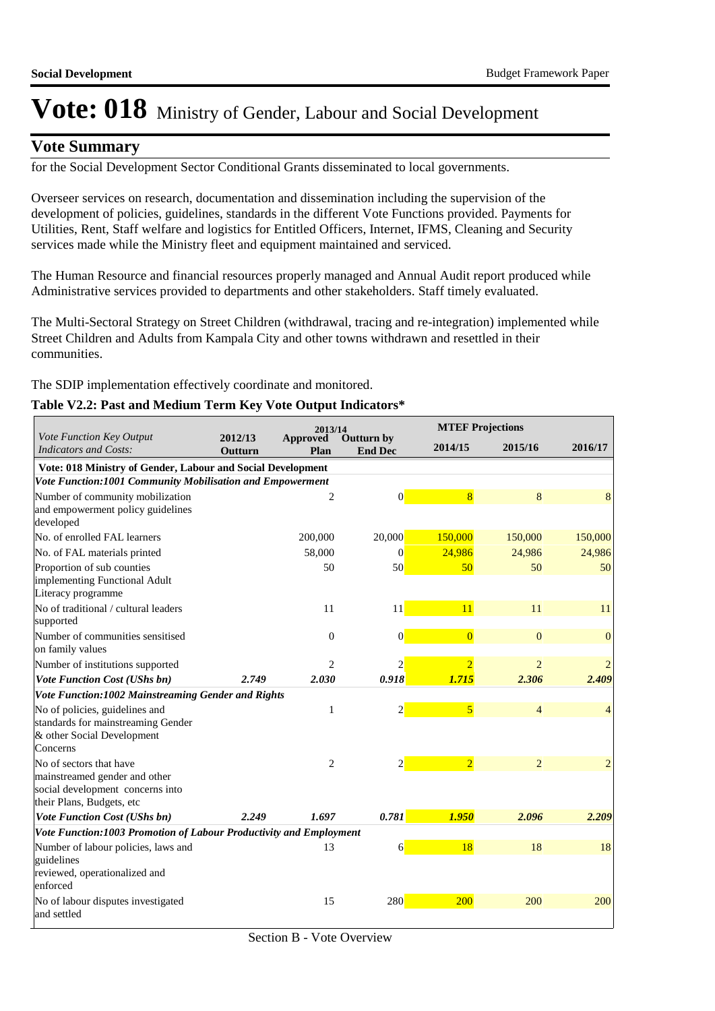## **Vote Summary**

for the Social Development Sector Conditional Grants disseminated to local governments.

Overseer services on research, documentation and dissemination including the supervision of the development of policies, guidelines, standards in the different Vote Functions provided. Payments for Utilities, Rent, Staff welfare and logistics for Entitled Officers, Internet, IFMS, Cleaning and Security services made while the Ministry fleet and equipment maintained and serviced.

The Human Resource and financial resources properly managed and Annual Audit report produced while Administrative services provided to departments and other stakeholders. Staff timely evaluated.

The Multi-Sectoral Strategy on Street Children (withdrawal, tracing and re-integration) implemented while Street Children and Adults from Kampala City and other towns withdrawn and resettled in their communities.

The SDIP implementation effectively coordinate and monitored.

### **Table V2.2: Past and Medium Term Key Vote Output Indicators\***

|                                                                                                                | 2013/14<br>2012/13 |                  |                              |                | <b>MTEF Projections</b> |                |  |  |
|----------------------------------------------------------------------------------------------------------------|--------------------|------------------|------------------------------|----------------|-------------------------|----------------|--|--|
| Vote Function Key Output<br><b>Indicators and Costs:</b>                                                       | Outturn            | Approved<br>Plan | Outturn by<br><b>End Dec</b> | 2014/15        | 2015/16                 | 2016/17        |  |  |
| Vote: 018 Ministry of Gender, Labour and Social Development                                                    |                    |                  |                              |                |                         |                |  |  |
| Vote Function:1001 Community Mobilisation and Empowerment                                                      |                    |                  |                              |                |                         |                |  |  |
| Number of community mobilization<br>and empowerment policy guidelines<br>developed                             |                    | 2                | $\overline{0}$               | 8              | 8                       | 8              |  |  |
| No. of enrolled FAL learners                                                                                   |                    | 200,000          | 20,000                       | 150,000        | 150,000                 | 150,000        |  |  |
| No. of FAL materials printed                                                                                   |                    | 58,000           | $\vert 0 \vert$              | 24,986         | 24,986                  | 24,986         |  |  |
| Proportion of sub counties<br>implementing Functional Adult<br>Literacy programme                              |                    | 50               | 50                           | 50             | 50                      | 50             |  |  |
| No of traditional / cultural leaders<br>supported                                                              |                    | 11               | 11                           | 11             | 11                      | 11             |  |  |
| Number of communities sensitised<br>on family values                                                           |                    | $\boldsymbol{0}$ | $\vert 0 \vert$              | $\overline{0}$ | $\overline{0}$          | $\mathbf{0}$   |  |  |
| Number of institutions supported                                                                               |                    | 2                | 2                            | $\overline{2}$ | $\overline{2}$          |                |  |  |
| <b>Vote Function Cost (UShs bn)</b>                                                                            | 2.749              | 2.030            | 0.918                        | 1.715          | 2.306                   | 2.409          |  |  |
| Vote Function:1002 Mainstreaming Gender and Rights                                                             |                    |                  |                              |                |                         |                |  |  |
| No of policies, guidelines and<br>standards for mainstreaming Gender<br>& other Social Development<br>Concerns |                    | 1                | $\overline{2}$               | $\overline{5}$ | $\overline{4}$          | $\overline{4}$ |  |  |
| No of sectors that have                                                                                        |                    | $\overline{c}$   | $\overline{2}$               | $\overline{2}$ | $\overline{2}$          | $\overline{2}$ |  |  |
| mainstreamed gender and other<br>social development concerns into<br>their Plans, Budgets, etc                 |                    |                  |                              |                |                         |                |  |  |
| <b>Vote Function Cost (UShs bn)</b>                                                                            | 2.249              | 1.697            | 0.781                        | 1.950          | 2.096                   | 2.209          |  |  |
| Vote Function:1003 Promotion of Labour Productivity and Employment                                             |                    |                  |                              |                |                         |                |  |  |
| Number of labour policies, laws and<br>guidelines<br>reviewed, operationalized and<br>enforced                 |                    | 13               | $6 \overline{}$              | 18             | 18                      | 18             |  |  |
| No of labour disputes investigated<br>and settled                                                              |                    | 15               | 280                          | 200            | 200                     | 200            |  |  |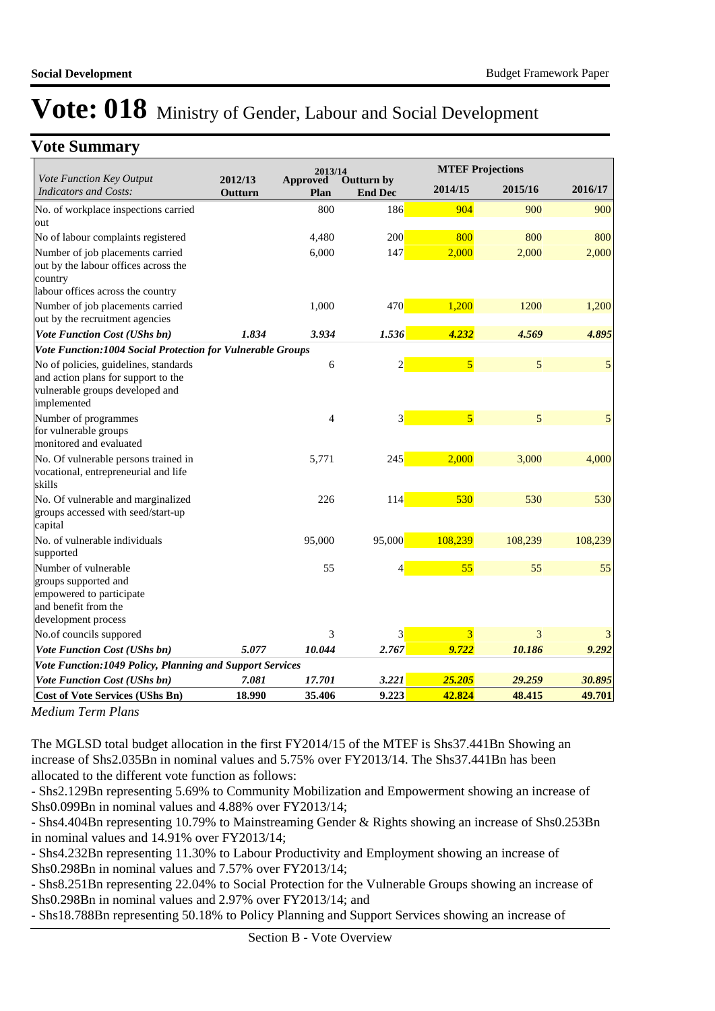## **Vote Summary**

|                                                                                                                                |                    | 2013/14          |                              |                | <b>MTEF Projections</b> |         |
|--------------------------------------------------------------------------------------------------------------------------------|--------------------|------------------|------------------------------|----------------|-------------------------|---------|
| Vote Function Key Output<br><b>Indicators and Costs:</b>                                                                       | 2012/13<br>Outturn | Approved<br>Plan | Outturn by<br><b>End Dec</b> | 2014/15        | 2015/16                 | 2016/17 |
| No. of workplace inspections carried<br>out                                                                                    |                    | 800              | 186                          | 904            | 900                     | 900     |
| No of labour complaints registered                                                                                             |                    | 4,480            | 200                          | 800            | 800                     | 800     |
| Number of job placements carried<br>out by the labour offices across the<br>country                                            |                    | 6,000            | 147                          | 2,000          | 2,000                   | 2,000   |
| labour offices across the country                                                                                              |                    |                  |                              |                |                         |         |
| Number of job placements carried<br>out by the recruitment agencies                                                            |                    | 1,000            | 470                          | 1,200          | 1200                    | 1,200   |
| <b>Vote Function Cost (UShs bn)</b>                                                                                            | 1.834              | 3.934            | 1.536                        | 4.232          | 4.569                   | 4.895   |
| Vote Function:1004 Social Protection for Vulnerable Groups                                                                     |                    |                  |                              |                |                         |         |
| No of policies, guidelines, standards<br>and action plans for support to the<br>vulnerable groups developed and<br>implemented |                    | 6                | $\overline{2}$               | $\overline{5}$ | 5                       | 5       |
| Number of programmes<br>for vulnerable groups<br>monitored and evaluated                                                       |                    | $\overline{4}$   | 3                            | $\overline{5}$ | 5                       | 5       |
| No. Of vulnerable persons trained in<br>vocational, entrepreneurial and life<br>skills                                         |                    | 5,771            | 245                          | 2,000          | 3,000                   | 4,000   |
| No. Of vulnerable and marginalized<br>groups accessed with seed/start-up<br>capital                                            |                    | 226              | 114                          | 530            | 530                     | 530     |
| No. of vulnerable individuals<br>supported                                                                                     |                    | 95,000           | 95,000                       | 108,239        | 108,239                 | 108,239 |
| Number of vulnerable<br>groups supported and<br>empowered to participate<br>and benefit from the<br>development process        |                    | 55               |                              | 55             | 55                      | 55      |
| No.of councils suppored                                                                                                        |                    | 3                | 3                            | 3              | 3                       |         |
| <b>Vote Function Cost (UShs bn)</b>                                                                                            | 5.077              | 10.044           | 2.767                        | 9.722          | 10.186                  | 9.292   |
| Vote Function:1049 Policy, Planning and Support Services                                                                       |                    |                  |                              |                |                         |         |
| <b>Vote Function Cost (UShs bn)</b>                                                                                            | 7.081              | 17.701           | 3.221                        | 25.205         | 29.259                  | 30.895  |
| <b>Cost of Vote Services (UShs Bn)</b>                                                                                         | 18.990             | 35.406           | 9.223                        | 42.824         | 48.415                  | 49.701  |

*Medium Term Plans*

The MGLSD total budget allocation in the first FY2014/15 of the MTEF is Shs37.441Bn Showing an increase of Shs2.035Bn in nominal values and 5.75% over FY2013/14. The Shs37.441Bn has been allocated to the different vote function as follows:

- Shs2.129Bn representing 5.69% to Community Mobilization and Empowerment showing an increase of Shs0.099Bn in nominal values and 4.88% over FY2013/14;

- Shs4.404Bn representing 10.79% to Mainstreaming Gender & Rights showing an increase of Shs0.253Bn in nominal values and 14.91% over FY2013/14;

- Shs4.232Bn representing 11.30% to Labour Productivity and Employment showing an increase of Shs0.298Bn in nominal values and 7.57% over FY2013/14;

- Shs8.251Bn representing 22.04% to Social Protection for the Vulnerable Groups showing an increase of Shs0.298Bn in nominal values and 2.97% over FY2013/14; and

- Shs18.788Bn representing 50.18% to Policy Planning and Support Services showing an increase of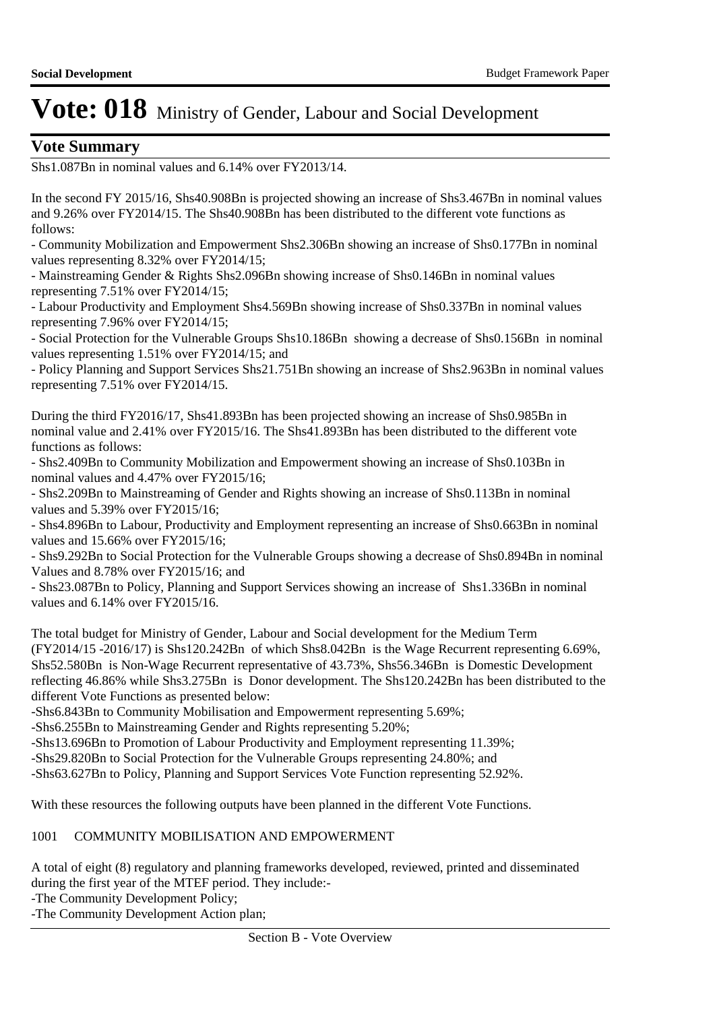## **Vote Summary**

Shs1.087Bn in nominal values and 6.14% over FY2013/14.

In the second FY 2015/16, Shs40.908Bn is projected showing an increase of Shs3.467Bn in nominal values and 9.26% over FY2014/15. The Shs40.908Bn has been distributed to the different vote functions as follows:

- Community Mobilization and Empowerment Shs2.306Bn showing an increase of Shs0.177Bn in nominal values representing 8.32% over FY2014/15;

- Mainstreaming Gender & Rights Shs2.096Bn showing increase of Shs0.146Bn in nominal values representing 7.51% over FY2014/15;

- Labour Productivity and Employment Shs4.569Bn showing increase of Shs0.337Bn in nominal values representing 7.96% over FY2014/15;

- Social Protection for the Vulnerable Groups Shs10.186Bn showing a decrease of Shs0.156Bn in nominal values representing 1.51% over FY2014/15; and

- Policy Planning and Support Services Shs21.751Bn showing an increase of Shs2.963Bn in nominal values representing 7.51% over FY2014/15.

During the third FY2016/17, Shs41.893Bn has been projected showing an increase of Shs0.985Bn in nominal value and 2.41% over FY2015/16. The Shs41.893Bn has been distributed to the different vote functions as follows:

- Shs2.409Bn to Community Mobilization and Empowerment showing an increase of Shs0.103Bn in nominal values and 4.47% over FY2015/16;

- Shs2.209Bn to Mainstreaming of Gender and Rights showing an increase of Shs0.113Bn in nominal values and 5.39% over FY2015/16;

- Shs4.896Bn to Labour, Productivity and Employment representing an increase of Shs0.663Bn in nominal values and 15.66% over FY2015/16;

- Shs9.292Bn to Social Protection for the Vulnerable Groups showing a decrease of Shs0.894Bn in nominal Values and 8.78% over FY2015/16; and

- Shs23.087Bn to Policy, Planning and Support Services showing an increase of Shs1.336Bn in nominal values and 6.14% over FY2015/16.

The total budget for Ministry of Gender, Labour and Social development for the Medium Term (FY2014/15 -2016/17) is Shs120.242Bn of which Shs8.042Bn is the Wage Recurrent representing 6.69%, Shs52.580Bn is Non-Wage Recurrent representative of 43.73%, Shs56.346Bn is Domestic Development reflecting 46.86% while Shs3.275Bn is Donor development. The Shs120.242Bn has been distributed to the different Vote Functions as presented below:

-Shs6.843Bn to Community Mobilisation and Empowerment representing 5.69%;

-Shs6.255Bn to Mainstreaming Gender and Rights representing 5.20%;

-Shs13.696Bn to Promotion of Labour Productivity and Employment representing 11.39%;

-Shs29.820Bn to Social Protection for the Vulnerable Groups representing 24.80%; and

-Shs63.627Bn to Policy, Planning and Support Services Vote Function representing 52.92%.

With these resources the following outputs have been planned in the different Vote Functions.

### 1001 COMMUNITY MOBILISATION AND EMPOWERMENT

A total of eight (8) regulatory and planning frameworks developed, reviewed, printed and disseminated during the first year of the MTEF period. They include:-

-The Community Development Policy;

-The Community Development Action plan;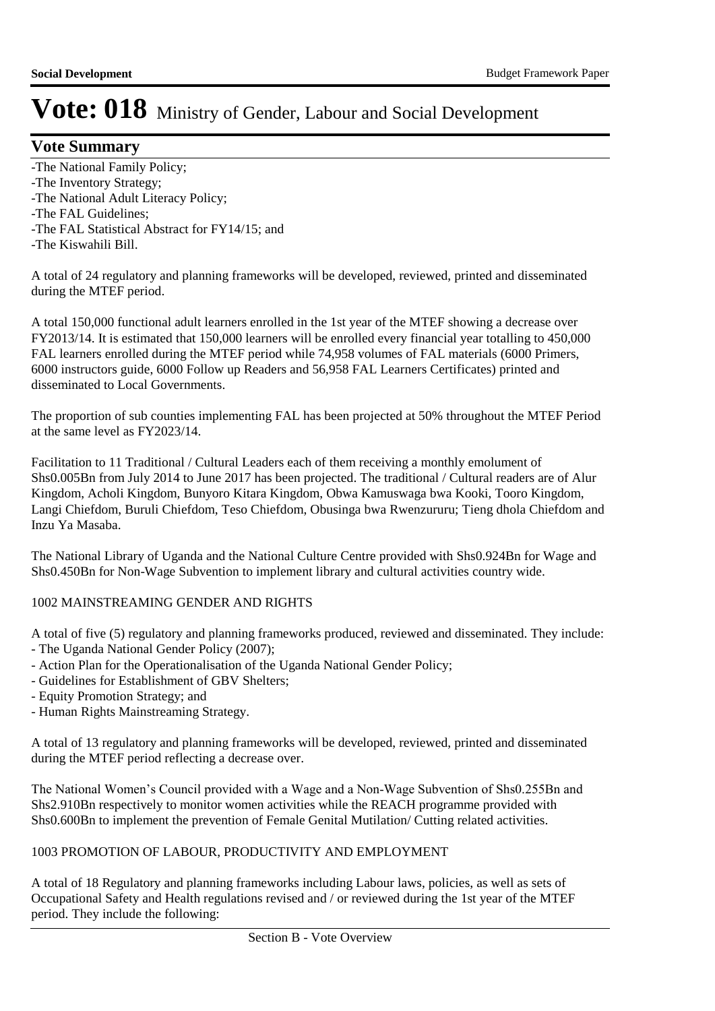## **Vote Summary**

- -The National Family Policy;
- -The Inventory Strategy;
- -The National Adult Literacy Policy;
- -The FAL Guidelines;
- -The FAL Statistical Abstract for FY14/15; and
- -The Kiswahili Bill.

A total of 24 regulatory and planning frameworks will be developed, reviewed, printed and disseminated during the MTEF period.

A total 150,000 functional adult learners enrolled in the 1st year of the MTEF showing a decrease over FY2013/14. It is estimated that 150,000 learners will be enrolled every financial year totalling to 450,000 FAL learners enrolled during the MTEF period while 74,958 volumes of FAL materials (6000 Primers, 6000 instructors guide, 6000 Follow up Readers and 56,958 FAL Learners Certificates) printed and disseminated to Local Governments.

The proportion of sub counties implementing FAL has been projected at 50% throughout the MTEF Period at the same level as FY2023/14.

Facilitation to 11 Traditional / Cultural Leaders each of them receiving a monthly emolument of Shs0.005Bn from July 2014 to June 2017 has been projected. The traditional / Cultural readers are of Alur Kingdom, Acholi Kingdom, Bunyoro Kitara Kingdom, Obwa Kamuswaga bwa Kooki, Tooro Kingdom, Langi Chiefdom, Buruli Chiefdom, Teso Chiefdom, Obusinga bwa Rwenzururu; Tieng dhola Chiefdom and Inzu Ya Masaba.

The National Library of Uganda and the National Culture Centre provided with Shs0.924Bn for Wage and Shs0.450Bn for Non-Wage Subvention to implement library and cultural activities country wide.

### 1002 MAINSTREAMING GENDER AND RIGHTS

A total of five (5) regulatory and planning frameworks produced, reviewed and disseminated. They include: - The Uganda National Gender Policy (2007);

- Action Plan for the Operationalisation of the Uganda National Gender Policy;
- Guidelines for Establishment of GBV Shelters;
- Equity Promotion Strategy; and
- Human Rights Mainstreaming Strategy.

A total of 13 regulatory and planning frameworks will be developed, reviewed, printed and disseminated during the MTEF period reflecting a decrease over.

The National Women's Council provided with a Wage and a Non-Wage Subvention of Shs0.255Bn and Shs2.910Bn respectively to monitor women activities while the REACH programme provided with Shs0.600Bn to implement the prevention of Female Genital Mutilation/ Cutting related activities.

### 1003 PROMOTION OF LABOUR, PRODUCTIVITY AND EMPLOYMENT

A total of 18 Regulatory and planning frameworks including Labour laws, policies, as well as sets of Occupational Safety and Health regulations revised and / or reviewed during the 1st year of the MTEF period. They include the following: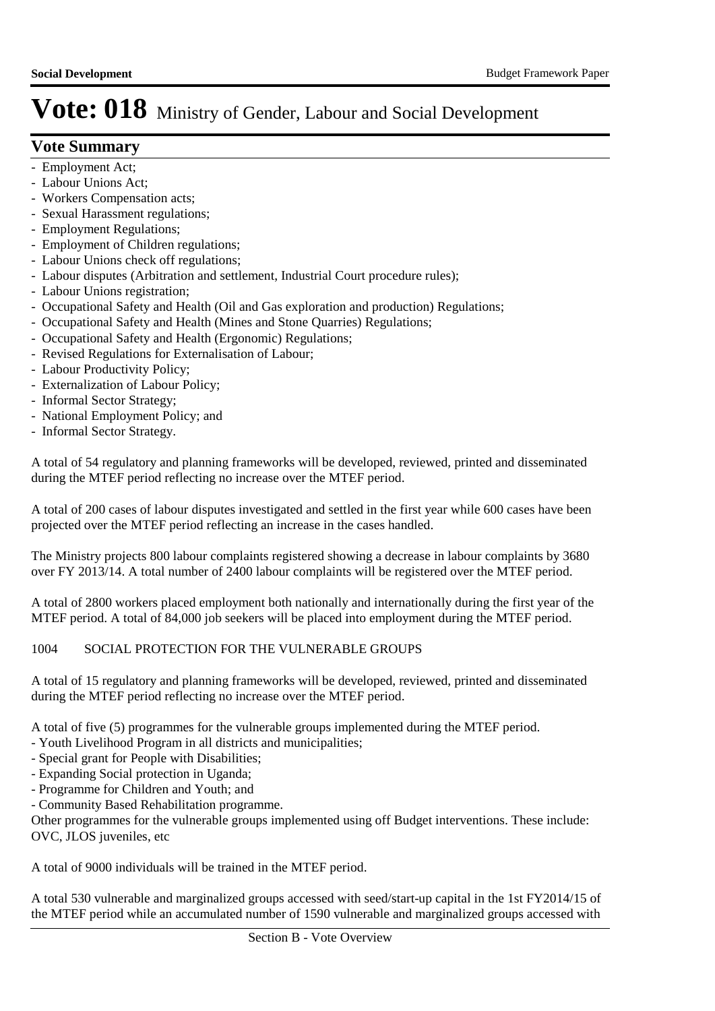## **Vote Summary**

- Employment Act;
- Labour Unions Act;
- Workers Compensation acts;
- Sexual Harassment regulations;
- Employment Regulations;
- Employment of Children regulations;
- Labour Unions check off regulations;
- Labour disputes (Arbitration and settlement, Industrial Court procedure rules);
- Labour Unions registration;
- Occupational Safety and Health (Oil and Gas exploration and production) Regulations;
- Occupational Safety and Health (Mines and Stone Quarries) Regulations;
- Occupational Safety and Health (Ergonomic) Regulations;
- Revised Regulations for Externalisation of Labour;
- Labour Productivity Policy;
- Externalization of Labour Policy;
- Informal Sector Strategy;
- National Employment Policy; and
- Informal Sector Strategy.

A total of 54 regulatory and planning frameworks will be developed, reviewed, printed and disseminated during the MTEF period reflecting no increase over the MTEF period.

A total of 200 cases of labour disputes investigated and settled in the first year while 600 cases have been projected over the MTEF period reflecting an increase in the cases handled.

The Ministry projects 800 labour complaints registered showing a decrease in labour complaints by 3680 over FY 2013/14. A total number of 2400 labour complaints will be registered over the MTEF period.

A total of 2800 workers placed employment both nationally and internationally during the first year of the MTEF period. A total of 84,000 job seekers will be placed into employment during the MTEF period.

### 1004 SOCIAL PROTECTION FOR THE VULNERABLE GROUPS

A total of 15 regulatory and planning frameworks will be developed, reviewed, printed and disseminated during the MTEF period reflecting no increase over the MTEF period.

A total of five (5) programmes for the vulnerable groups implemented during the MTEF period.

- Youth Livelihood Program in all districts and municipalities;
- Special grant for People with Disabilities;
- Expanding Social protection in Uganda;
- Programme for Children and Youth; and
- Community Based Rehabilitation programme.

Other programmes for the vulnerable groups implemented using off Budget interventions. These include: OVC, JLOS juveniles, etc

A total of 9000 individuals will be trained in the MTEF period.

A total 530 vulnerable and marginalized groups accessed with seed/start-up capital in the 1st FY2014/15 of the MTEF period while an accumulated number of 1590 vulnerable and marginalized groups accessed with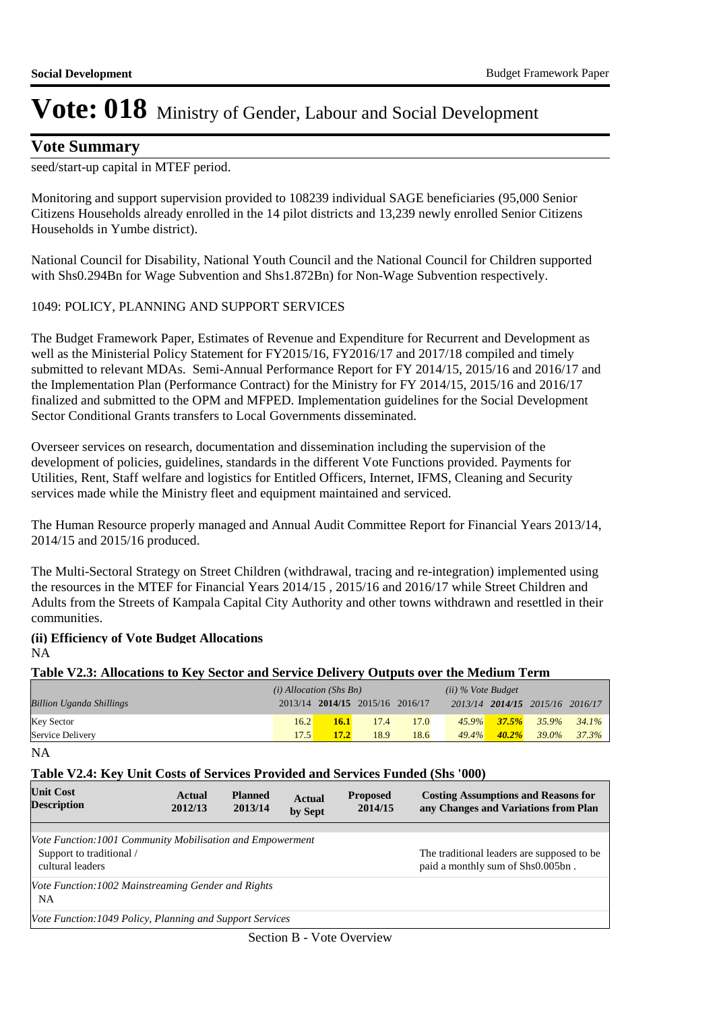### **Vote Summary**

seed/start-up capital in MTEF period.

Monitoring and support supervision provided to 108239 individual SAGE beneficiaries (95,000 Senior Citizens Households already enrolled in the 14 pilot districts and 13,239 newly enrolled Senior Citizens Households in Yumbe district).

National Council for Disability, National Youth Council and the National Council for Children supported with Shs0.294Bn for Wage Subvention and Shs1.872Bn) for Non-Wage Subvention respectively.

### 1049: POLICY, PLANNING AND SUPPORT SERVICES

The Budget Framework Paper, Estimates of Revenue and Expenditure for Recurrent and Development as well as the Ministerial Policy Statement for FY2015/16, FY2016/17 and 2017/18 compiled and timely submitted to relevant MDAs. Semi-Annual Performance Report for FY 2014/15, 2015/16 and 2016/17 and the Implementation Plan (Performance Contract) for the Ministry for FY 2014/15, 2015/16 and 2016/17 finalized and submitted to the OPM and MFPED. Implementation guidelines for the Social Development Sector Conditional Grants transfers to Local Governments disseminated.

Overseer services on research, documentation and dissemination including the supervision of the development of policies, guidelines, standards in the different Vote Functions provided. Payments for Utilities, Rent, Staff welfare and logistics for Entitled Officers, Internet, IFMS, Cleaning and Security services made while the Ministry fleet and equipment maintained and serviced.

The Human Resource properly managed and Annual Audit Committee Report for Financial Years 2013/14, 2014/15 and 2015/16 produced.

The Multi-Sectoral Strategy on Street Children (withdrawal, tracing and re-integration) implemented using the resources in the MTEF for Financial Years 2014/15 , 2015/16 and 2016/17 while Street Children and Adults from the Streets of Kampala Capital City Authority and other towns withdrawn and resettled in their communities.

### **(ii) Efficiency of Vote Budget Allocations** NA

### **Table V2.3: Allocations to Key Sector and Service Delivery Outputs over the Medium Term**

|                                 | $(i)$ Allocation (Shs Bn) |                                 |      |      | $(ii)$ % Vote Budget |           |                                                                         |                   |
|---------------------------------|---------------------------|---------------------------------|------|------|----------------------|-----------|-------------------------------------------------------------------------|-------------------|
| <b>Billion Uganda Shillings</b> |                           | 2013/14 2014/15 2015/16 2016/17 |      |      |                      |           | 2013/14 2014/15 2015/16 2016/17                                         |                   |
| <b>Key Sector</b>               | 16.2                      | 16.1                            | 17.4 | 17.0 |                      |           | $\frac{45.9\%}{37.5\%}$ $\frac{35.9\%}{35.9\%}$ $\frac{34.1\%}{34.1\%}$ |                   |
| Service Delivery                | 17.5                      | 17.2                            | 18.9 | 18.6 | $49.4\%$             | $-40.2\%$ |                                                                         | $39.0\%$ $37.3\%$ |

NA

### **Table V2.4: Key Unit Costs of Services Provided and Services Funded (Shs '000)**

| <b>Unit Cost</b><br><b>Description</b>                                                                    | Actual<br>2012/13 | <b>Planned</b><br>2013/14 | <b>Actual</b><br>by Sept | <b>Proposed</b><br>2014/15 | <b>Costing Assumptions and Reasons for</b><br>any Changes and Variations from Plan |
|-----------------------------------------------------------------------------------------------------------|-------------------|---------------------------|--------------------------|----------------------------|------------------------------------------------------------------------------------|
|                                                                                                           |                   |                           |                          |                            |                                                                                    |
| Vote Function:1001 Community Mobilisation and Empowerment<br>Support to traditional /<br>cultural leaders |                   |                           |                          |                            | The traditional leaders are supposed to be.<br>paid a monthly sum of Shs0.005bn.   |
| Vote Function: 1002 Mainstreaming Gender and Rights<br>NA                                                 |                   |                           |                          |                            |                                                                                    |
| Vote Function: 1049 Policy, Planning and Support Services                                                 |                   |                           |                          |                            |                                                                                    |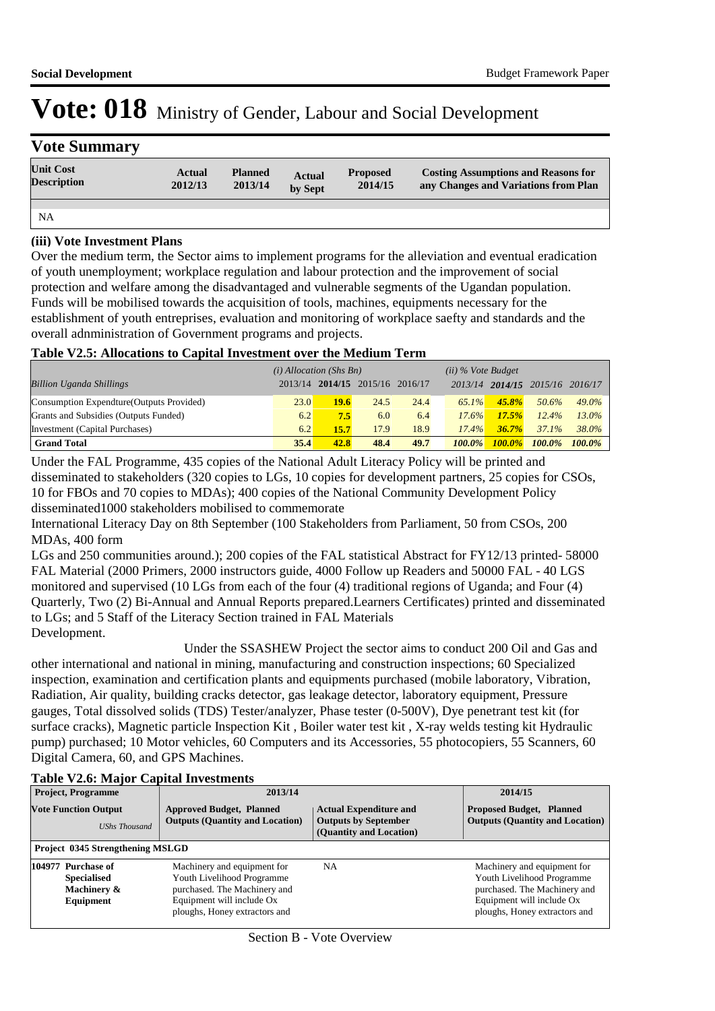| <b>Vote Summary</b>                    |                          |                           |                          |                            |                                                                                    |
|----------------------------------------|--------------------------|---------------------------|--------------------------|----------------------------|------------------------------------------------------------------------------------|
| <b>Unit Cost</b><br><b>Description</b> | <b>Actual</b><br>2012/13 | <b>Planned</b><br>2013/14 | <b>Actual</b><br>by Sept | <b>Proposed</b><br>2014/15 | <b>Costing Assumptions and Reasons for</b><br>any Changes and Variations from Plan |
|                                        |                          |                           |                          |                            |                                                                                    |
| <b>NA</b>                              |                          |                           |                          |                            |                                                                                    |

### **(iii) Vote Investment Plans**

Over the medium term, the Sector aims to implement programs for the alleviation and eventual eradication of youth unemployment; workplace regulation and labour protection and the improvement of social protection and welfare among the disadvantaged and vulnerable segments of the Ugandan population. Funds will be mobilised towards the acquisition of tools, machines, equipments necessary for the establishment of youth entreprises, evaluation and monitoring of workplace saefty and standards and the overall adnministration of Government programs and projects.

### **Table V2.5: Allocations to Capital Investment over the Medium Term**

|                                           | $(i)$ Allocation (Shs Bn) |      |                                 | $(ii)$ % Vote Budget |           |           |                         |           |
|-------------------------------------------|---------------------------|------|---------------------------------|----------------------|-----------|-----------|-------------------------|-----------|
| <b>Billion Uganda Shillings</b>           |                           |      | 2013/14 2014/15 2015/16 2016/17 |                      | 2013/14   |           | 2014/15 2015/16 2016/17 |           |
| Consumption Expendture (Outputs Provided) | 23.0                      | 19.6 | 24.5                            | 24.4                 | $65.1\%$  | 45.8%     | 50.6%                   | $49.0\%$  |
| Grants and Subsidies (Outputs Funded)     | 6.2                       | 7.5  | 6.0                             | 6.4                  | 17.6%     | 17.5%     | 12.4%                   | $13.0\%$  |
| Investment (Capital Purchases)            | 6.2                       | 15.7 | 17.9                            | 18.9                 | $17.4\%$  | 36.7%     | $37.1\%$                | 38.0%     |
| <b>Grand Total</b>                        | 35.4                      | 42.8 | 48.4                            | 49.7                 | $100.0\%$ | $100.0\%$ | $100.0\%$               | $100.0\%$ |

Under the FAL Programme, 435 copies of the National Adult Literacy Policy will be printed and disseminated to stakeholders (320 copies to LGs, 10 copies for development partners, 25 copies for CSOs, 10 for FBOs and 70 copies to MDAs); 400 copies of the National Community Development Policy disseminated1000 stakeholders mobilised to commemorate

International Literacy Day on 8th September (100 Stakeholders from Parliament, 50 from CSOs, 200 MDAs, 400 form

LGs and 250 communities around.); 200 copies of the FAL statistical Abstract for FY12/13 printed- 58000 FAL Material (2000 Primers, 2000 instructors guide, 4000 Follow up Readers and 50000 FAL - 40 LGS monitored and supervised (10 LGs from each of the four (4) traditional regions of Uganda; and Four (4) Quarterly, Two (2) Bi-Annual and Annual Reports prepared.Learners Certificates) printed and disseminated to LGs; and 5 Staff of the Literacy Section trained in FAL Materials Development.

 Under the SSASHEW Project the sector aims to conduct 200 Oil and Gas and other international and national in mining, manufacturing and construction inspections; 60 Specialized inspection, examination and certification plants and equipments purchased (mobile laboratory, Vibration, Radiation, Air quality, building cracks detector, gas leakage detector, laboratory equipment, Pressure gauges, Total dissolved solids (TDS) Tester/analyzer, Phase tester (0-500V), Dye penetrant test kit (for surface cracks), Magnetic particle Inspection Kit , Boiler water test kit , X-ray welds testing kit Hydraulic pump) purchased; 10 Motor vehicles, 60 Computers and its Accessories, 55 photocopiers, 55 Scanners, 60 Digital Camera, 60, and GPS Machines.

|                                                     | <b>Project, Programme</b>                                            | 2013/14                                                                                                                                                 | 2014/15                                                                                 |                                                                                                                                                         |  |
|-----------------------------------------------------|----------------------------------------------------------------------|---------------------------------------------------------------------------------------------------------------------------------------------------------|-----------------------------------------------------------------------------------------|---------------------------------------------------------------------------------------------------------------------------------------------------------|--|
| <b>Vote Function Output</b><br><b>UShs Thousand</b> |                                                                      | <b>Approved Budget, Planned</b><br><b>Outputs (Quantity and Location)</b>                                                                               | <b>Actual Expenditure and</b><br><b>Outputs by September</b><br>(Quantity and Location) | <b>Proposed Budget, Planned</b><br><b>Outputs (Quantity and Location)</b>                                                                               |  |
|                                                     | <b>Project 0345 Strengthening MSLGD</b>                              |                                                                                                                                                         |                                                                                         |                                                                                                                                                         |  |
|                                                     | 104977 Purchase of<br><b>Specialised</b><br>Machinery &<br>Equipment | Machinery and equipment for<br>Youth Livelihood Programme<br>purchased. The Machinery and<br>Equipment will include Ox<br>ploughs, Honey extractors and | <b>NA</b>                                                                               | Machinery and equipment for<br>Youth Livelihood Programme<br>purchased. The Machinery and<br>Equipment will include Ox<br>ploughs, Honey extractors and |  |

## **Table V2.6: Major Capital Investments**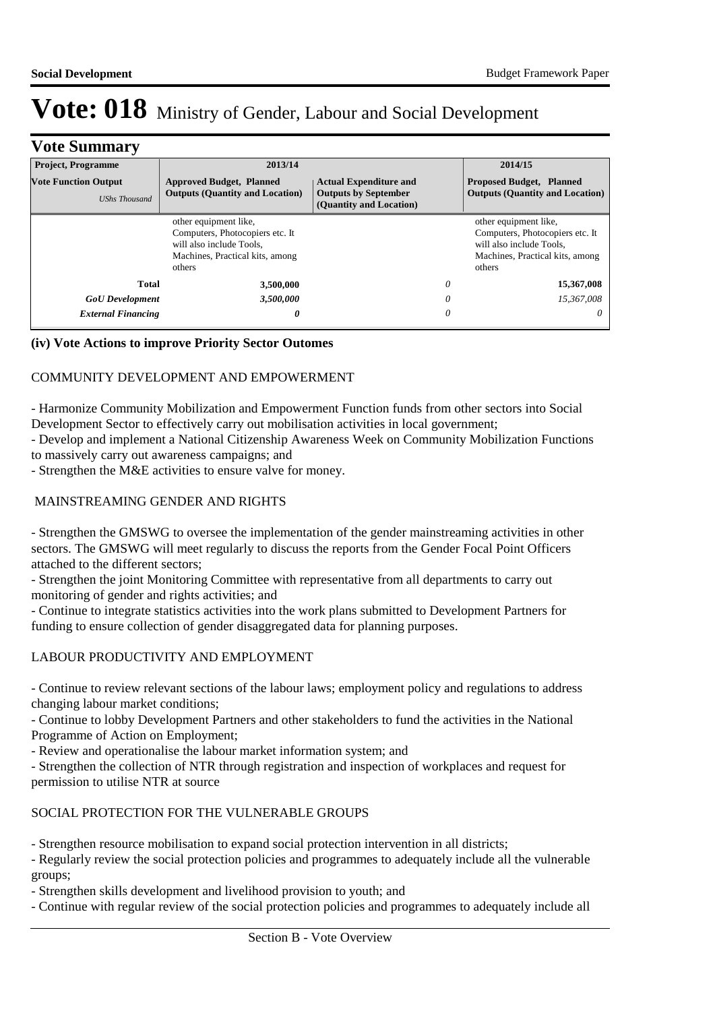| <b>Vote Summary</b>                                 |                                                                                                                                   |                                                                                         |                                                                                                                                   |                                        |  |  |  |  |
|-----------------------------------------------------|-----------------------------------------------------------------------------------------------------------------------------------|-----------------------------------------------------------------------------------------|-----------------------------------------------------------------------------------------------------------------------------------|----------------------------------------|--|--|--|--|
| <b>Project, Programme</b>                           | 2013/14                                                                                                                           | 2014/15                                                                                 |                                                                                                                                   |                                        |  |  |  |  |
| <b>Vote Function Output</b><br><b>UShs Thousand</b> | <b>Approved Budget, Planned</b><br><b>Outputs (Quantity and Location)</b>                                                         | <b>Actual Expenditure and</b><br><b>Outputs by September</b><br>(Quantity and Location) | <b>Proposed Budget, Planned</b>                                                                                                   | <b>Outputs (Quantity and Location)</b> |  |  |  |  |
|                                                     | other equipment like,<br>Computers, Photocopiers etc. It<br>will also include Tools.<br>Machines, Practical kits, among<br>others |                                                                                         | other equipment like,<br>Computers, Photocopiers etc. It<br>will also include Tools.<br>Machines, Practical kits, among<br>others |                                        |  |  |  |  |
| Total<br>3,500,000                                  |                                                                                                                                   |                                                                                         | 0<br>15,367,008                                                                                                                   |                                        |  |  |  |  |
| <b>GoU</b> Development                              | 3,500,000                                                                                                                         |                                                                                         | 0<br>15,367,008                                                                                                                   |                                        |  |  |  |  |
| <b>External Financing</b>                           | 0                                                                                                                                 |                                                                                         | 0                                                                                                                                 | $\theta$                               |  |  |  |  |

### **(iv) Vote Actions to improve Priority Sector Outomes**

### COMMUNITY DEVELOPMENT AND EMPOWERMENT

- Harmonize Community Mobilization and Empowerment Function funds from other sectors into Social Development Sector to effectively carry out mobilisation activities in local government;

- Develop and implement a National Citizenship Awareness Week on Community Mobilization Functions to massively carry out awareness campaigns; and

- Strengthen the M&E activities to ensure valve for money.

### MAINSTREAMING GENDER AND RIGHTS

- Strengthen the GMSWG to oversee the implementation of the gender mainstreaming activities in other sectors. The GMSWG will meet regularly to discuss the reports from the Gender Focal Point Officers attached to the different sectors;

- Strengthen the joint Monitoring Committee with representative from all departments to carry out monitoring of gender and rights activities; and

- Continue to integrate statistics activities into the work plans submitted to Development Partners for funding to ensure collection of gender disaggregated data for planning purposes.

### LABOUR PRODUCTIVITY AND EMPLOYMENT

- Continue to review relevant sections of the labour laws; employment policy and regulations to address changing labour market conditions;

- Continue to lobby Development Partners and other stakeholders to fund the activities in the National Programme of Action on Employment;

- Review and operationalise the labour market information system; and

- Strengthen the collection of NTR through registration and inspection of workplaces and request for permission to utilise NTR at source

### SOCIAL PROTECTION FOR THE VULNERABLE GROUPS

- Strengthen resource mobilisation to expand social protection intervention in all districts;

- Regularly review the social protection policies and programmes to adequately include all the vulnerable groups;

- Strengthen skills development and livelihood provision to youth; and

- Continue with regular review of the social protection policies and programmes to adequately include all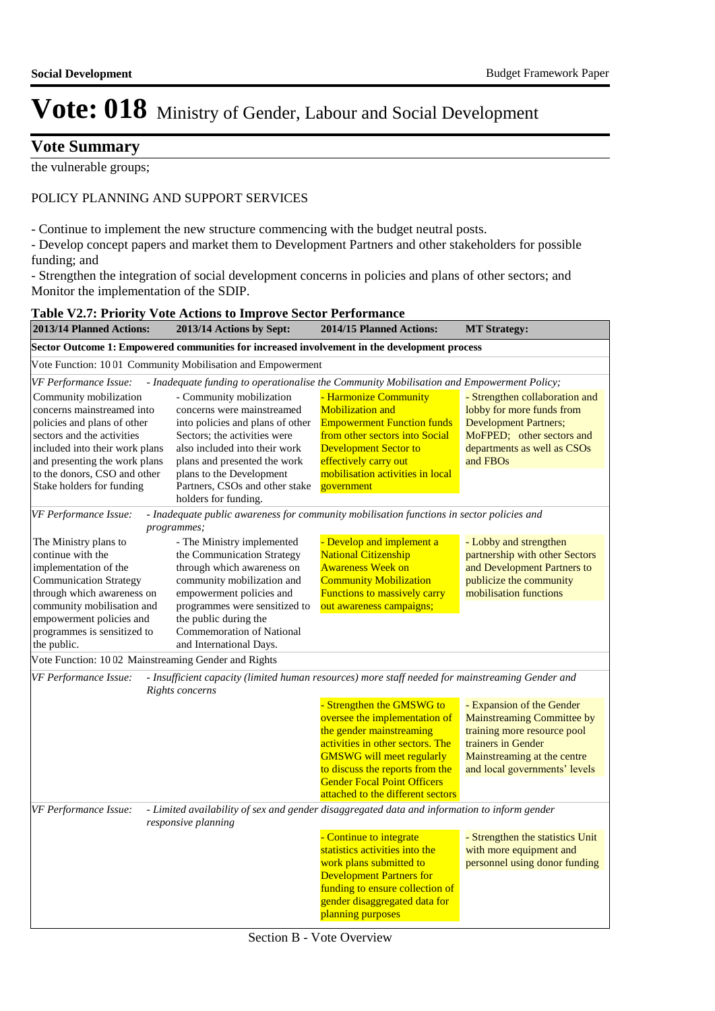## **Vote Summary**

the vulnerable groups;

#### POLICY PLANNING AND SUPPORT SERVICES

- Continue to implement the new structure commencing with the budget neutral posts.

- Develop concept papers and market them to Development Partners and other stakeholders for possible funding; and

- Strengthen the integration of social development concerns in policies and plans of other sectors; and Monitor the implementation of the SDIP.

| 2013/14 Planned Actions:                                                                                                                                                                                                                          | <b>Table V2.7: Priority Vote Actions to Improve Sector Performance</b><br>2013/14 Actions by Sept:                                                                                                                                                                                       | 2014/15 Planned Actions:                                                                                                                                                                                                                                                     | <b>MT Strategy:</b>                                                                                                                                                          |
|---------------------------------------------------------------------------------------------------------------------------------------------------------------------------------------------------------------------------------------------------|------------------------------------------------------------------------------------------------------------------------------------------------------------------------------------------------------------------------------------------------------------------------------------------|------------------------------------------------------------------------------------------------------------------------------------------------------------------------------------------------------------------------------------------------------------------------------|------------------------------------------------------------------------------------------------------------------------------------------------------------------------------|
|                                                                                                                                                                                                                                                   | Sector Outcome 1: Empowered communities for increased involvement in the development process                                                                                                                                                                                             |                                                                                                                                                                                                                                                                              |                                                                                                                                                                              |
|                                                                                                                                                                                                                                                   | Vote Function: 1001 Community Mobilisation and Empowerment                                                                                                                                                                                                                               |                                                                                                                                                                                                                                                                              |                                                                                                                                                                              |
| VF Performance Issue:                                                                                                                                                                                                                             | - Inadequate funding to operationalise the Community Mobilisation and Empowerment Policy;                                                                                                                                                                                                |                                                                                                                                                                                                                                                                              |                                                                                                                                                                              |
| Community mobilization<br>concerns mainstreamed into<br>policies and plans of other<br>sectors and the activities<br>included into their work plans<br>and presenting the work plans<br>to the donors, CSO and other<br>Stake holders for funding | - Community mobilization<br>concerns were mainstreamed<br>into policies and plans of other<br>Sectors; the activities were<br>also included into their work<br>plans and presented the work<br>plans to the Development<br>Partners, CSOs and other stake<br>holders for funding.        | - Harmonize Community<br><b>Mobilization and</b><br><b>Empowerment Function funds</b><br>from other sectors into Social<br><b>Development Sector to</b><br>effectively carry out<br>mobilisation activities in local<br>government                                           | - Strengthen collaboration and<br>lobby for more funds from<br><b>Development Partners;</b><br>MoFPED; other sectors and<br>departments as well as CSOs<br>and FBOs          |
| VF Performance Issue:                                                                                                                                                                                                                             | - Inadequate public awareness for community mobilisation functions in sector policies and                                                                                                                                                                                                |                                                                                                                                                                                                                                                                              |                                                                                                                                                                              |
| The Ministry plans to<br>continue with the<br>implementation of the<br><b>Communication Strategy</b><br>through which awareness on<br>community mobilisation and<br>empowerment policies and<br>programmes is sensitized to<br>the public.        | programmes;<br>- The Ministry implemented<br>the Communication Strategy<br>through which awareness on<br>community mobilization and<br>empowerment policies and<br>programmes were sensitized to<br>the public during the<br><b>Commemoration of National</b><br>and International Days. | - Develop and implement a<br><b>National Citizenship</b><br><b>Awareness Week on</b><br><b>Community Mobilization</b><br><b>Functions to massively carry</b><br>out awareness campaigns;                                                                                     | - Lobby and strengthen<br>partnership with other Sectors<br>and Development Partners to<br>publicize the community<br>mobilisation functions                                 |
| Vote Function: 10 02 Mainstreaming Gender and Rights                                                                                                                                                                                              |                                                                                                                                                                                                                                                                                          |                                                                                                                                                                                                                                                                              |                                                                                                                                                                              |
| VF Performance Issue:                                                                                                                                                                                                                             | - Insufficient capacity (limited human resources) more staff needed for mainstreaming Gender and<br>Rights concerns                                                                                                                                                                      |                                                                                                                                                                                                                                                                              |                                                                                                                                                                              |
|                                                                                                                                                                                                                                                   |                                                                                                                                                                                                                                                                                          | - Strengthen the GMSWG to<br>oversee the implementation of<br>the gender mainstreaming<br>activities in other sectors. The<br><b>GMSWG</b> will meet regularly<br>to discuss the reports from the<br><b>Gender Focal Point Officers</b><br>attached to the different sectors | - Expansion of the Gender<br>Mainstreaming Committee by<br>training more resource pool<br>trainers in Gender<br>Mainstreaming at the centre<br>and local governments' levels |
| VF Performance Issue:                                                                                                                                                                                                                             | - Limited availability of sex and gender disaggregated data and information to inform gender<br>responsive planning                                                                                                                                                                      |                                                                                                                                                                                                                                                                              |                                                                                                                                                                              |
|                                                                                                                                                                                                                                                   |                                                                                                                                                                                                                                                                                          | - Continue to integrate<br>statistics activities into the<br>work plans submitted to<br><b>Development Partners for</b><br>funding to ensure collection of<br>gender disaggregated data for<br>planning purposes                                                             | - Strengthen the statistics Unit<br>with more equipment and<br>personnel using donor funding                                                                                 |

#### Section B - Vote Overview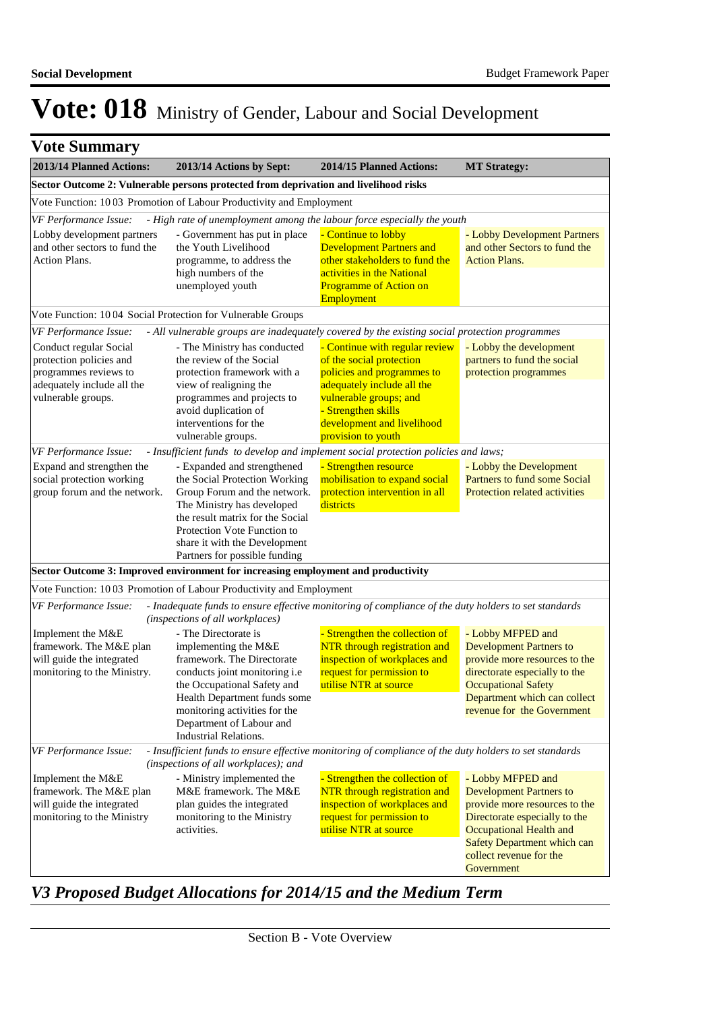| <b>Vote Summary</b>                                                                                                            |                                                                                                                                                                                                                                                                         |                                                                                                                                                                                                                             |                                                                                                                                                                                                                                 |
|--------------------------------------------------------------------------------------------------------------------------------|-------------------------------------------------------------------------------------------------------------------------------------------------------------------------------------------------------------------------------------------------------------------------|-----------------------------------------------------------------------------------------------------------------------------------------------------------------------------------------------------------------------------|---------------------------------------------------------------------------------------------------------------------------------------------------------------------------------------------------------------------------------|
| 2013/14 Planned Actions:                                                                                                       | 2013/14 Actions by Sept:                                                                                                                                                                                                                                                | 2014/15 Planned Actions:                                                                                                                                                                                                    | <b>MT Strategy:</b>                                                                                                                                                                                                             |
|                                                                                                                                | Sector Outcome 2: Vulnerable persons protected from deprivation and livelihood risks                                                                                                                                                                                    |                                                                                                                                                                                                                             |                                                                                                                                                                                                                                 |
|                                                                                                                                | Vote Function: 1003 Promotion of Labour Productivity and Employment                                                                                                                                                                                                     |                                                                                                                                                                                                                             |                                                                                                                                                                                                                                 |
| VF Performance Issue:                                                                                                          | - High rate of unemployment among the labour force especially the youth                                                                                                                                                                                                 |                                                                                                                                                                                                                             |                                                                                                                                                                                                                                 |
| Lobby development partners<br>and other sectors to fund the<br>Action Plans.                                                   | - Government has put in place<br>the Youth Livelihood<br>programme, to address the<br>high numbers of the<br>unemployed youth                                                                                                                                           | - Continue to lobby<br><b>Development Partners and</b><br>other stakeholders to fund the<br>activities in the National<br><b>Programme of Action on</b><br>Employment                                                       | - Lobby Development Partners<br>and other Sectors to fund the<br><b>Action Plans.</b>                                                                                                                                           |
|                                                                                                                                | Vote Function: 10 04 Social Protection for Vulnerable Groups                                                                                                                                                                                                            |                                                                                                                                                                                                                             |                                                                                                                                                                                                                                 |
| VF Performance Issue:                                                                                                          | - All vulnerable groups are inadequately covered by the existing social protection programmes                                                                                                                                                                           |                                                                                                                                                                                                                             |                                                                                                                                                                                                                                 |
| Conduct regular Social<br>protection policies and<br>programmes reviews to<br>adequately include all the<br>vulnerable groups. | - The Ministry has conducted<br>the review of the Social<br>protection framework with a<br>view of realigning the<br>programmes and projects to<br>avoid duplication of<br>interventions for the<br>vulnerable groups.                                                  | - Continue with regular review<br>of the social protection<br>policies and programmes to<br>adequately include all the<br>vulnerable groups; and<br>- Strengthen skills<br>development and livelihood<br>provision to youth | - Lobby the development<br>partners to fund the social<br>protection programmes                                                                                                                                                 |
| VF Performance Issue:                                                                                                          | - Insufficient funds to develop and implement social protection policies and laws;                                                                                                                                                                                      |                                                                                                                                                                                                                             |                                                                                                                                                                                                                                 |
| Expand and strengthen the<br>social protection working<br>group forum and the network.                                         | - Expanded and strengthened<br>the Social Protection Working<br>Group Forum and the network.<br>The Ministry has developed<br>the result matrix for the Social<br>Protection Vote Function to<br>share it with the Development<br>Partners for possible funding         | - Strengthen resource<br>mobilisation to expand social<br>protection intervention in all<br>districts                                                                                                                       | - Lobby the Development<br>Partners to fund some Social<br>Protection related activities                                                                                                                                        |
|                                                                                                                                | Sector Outcome 3: Improved environment for increasing employment and productivity                                                                                                                                                                                       |                                                                                                                                                                                                                             |                                                                                                                                                                                                                                 |
|                                                                                                                                | Vote Function: 1003 Promotion of Labour Productivity and Employment                                                                                                                                                                                                     |                                                                                                                                                                                                                             |                                                                                                                                                                                                                                 |
| VF Performance Issue:                                                                                                          | - Inadequate funds to ensure effective monitoring of compliance of the duty holders to set standards<br>(inspections of all workplaces)                                                                                                                                 |                                                                                                                                                                                                                             |                                                                                                                                                                                                                                 |
| Implement the M&E<br>framework. The M&E plan<br>will guide the integrated<br>monitoring to the Ministry.                       | - The Directorate is<br>implementing the M&E<br>framework. The Directorate<br>conducts joint monitoring i.e<br>the Occupational Safety and<br>Health Department funds some<br>monitoring activities for the<br>Department of Labour and<br><b>Industrial Relations.</b> | - Strengthen the collection of<br><b>NTR</b> through registration and<br>inspection of workplaces and<br>request for permission to<br>utilise NTR at source                                                                 | - Lobby MFPED and<br><b>Development Partners to</b><br>provide more resources to the<br>directorate especially to the<br><b>Occupational Safety</b><br>Department which can collect<br>revenue for the Government               |
| VF Performance Issue:                                                                                                          | - Insufficient funds to ensure effective monitoring of compliance of the duty holders to set standards<br>(inspections of all workplaces); and                                                                                                                          |                                                                                                                                                                                                                             |                                                                                                                                                                                                                                 |
| Implement the M&E<br>framework. The M&E plan<br>will guide the integrated<br>monitoring to the Ministry                        | - Ministry implemented the<br>M&E framework. The M&E<br>plan guides the integrated<br>monitoring to the Ministry<br>activities.                                                                                                                                         | - Strengthen the collection of<br>NTR through registration and<br>inspection of workplaces and<br>request for permission to<br>utilise NTR at source                                                                        | - Lobby MFPED and<br><b>Development Partners to</b><br>provide more resources to the<br>Directorate especially to the<br>Occupational Health and<br><b>Safety Department which can</b><br>collect revenue for the<br>Government |

*V3 Proposed Budget Allocations for 2014/15 and the Medium Term*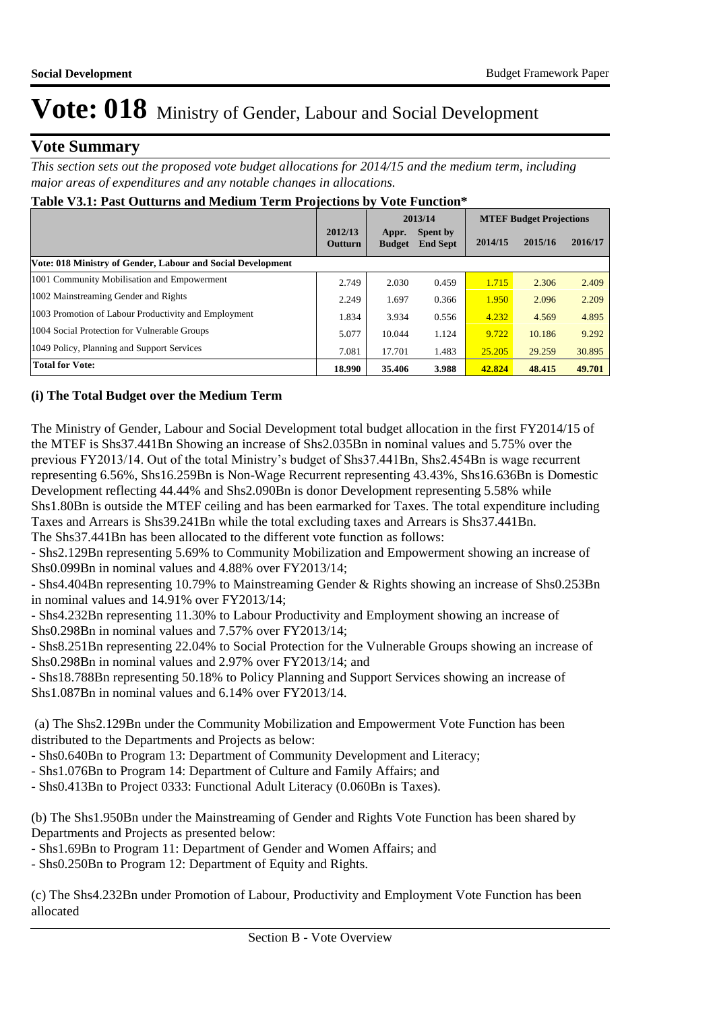### **Vote Summary**

*This section sets out the proposed vote budget allocations for 2014/15 and the medium term, including major areas of expenditures and any notable changes in allocations.* 

| Table v3.1: Past Outturns and Medium Term Projections by vote Function $\cdot$ |                           |                        |                                    |                                |         |         |  |
|--------------------------------------------------------------------------------|---------------------------|------------------------|------------------------------------|--------------------------------|---------|---------|--|
|                                                                                |                           | 2013/14                |                                    | <b>MTEF Budget Projections</b> |         |         |  |
|                                                                                | 2012/13<br><b>Outturn</b> | Appr.<br><b>Budget</b> | <b>Spent by</b><br><b>End Sept</b> | 2014/15                        | 2015/16 | 2016/17 |  |
| Vote: 018 Ministry of Gender, Labour and Social Development                    |                           |                        |                                    |                                |         |         |  |
| 1001 Community Mobilisation and Empowerment                                    | 2.749                     | 2.030                  | 0.459                              | 1.715                          | 2.306   | 2.409   |  |
| 1002 Mainstreaming Gender and Rights                                           | 2.249                     | 1.697                  | 0.366                              | 1.950                          | 2.096   | 2.209   |  |
| 1003 Promotion of Labour Productivity and Employment                           | 1.834                     | 3.934                  | 0.556                              | 4.232                          | 4.569   | 4.895   |  |
| 1004 Social Protection for Vulnerable Groups                                   | 5.077                     | 10.044                 | 1.124                              | 9.722                          | 10.186  | 9.292   |  |
| 1049 Policy, Planning and Support Services                                     | 7.081                     | 17.701                 | 1.483                              | 25,205                         | 29.259  | 30.895  |  |
| <b>Total for Vote:</b>                                                         | 18.990                    | 35.406                 | 3.988                              | 42.824                         | 48.415  | 49.701  |  |

## **Table V3.1: Past Outturns and Medium Term Projections by Vote Function\***

### **(i) The Total Budget over the Medium Term**

The Ministry of Gender, Labour and Social Development total budget allocation in the first FY2014/15 of the MTEF is Shs37.441Bn Showing an increase of Shs2.035Bn in nominal values and 5.75% over the previous FY2013/14. Out of the total Ministry's budget of Shs37.441Bn, Shs2.454Bn is wage recurrent representing 6.56%, Shs16.259Bn is Non-Wage Recurrent representing 43.43%, Shs16.636Bn is Domestic Development reflecting 44.44% and Shs2.090Bn is donor Development representing 5.58% while Shs1.80Bn is outside the MTEF ceiling and has been earmarked for Taxes. The total expenditure including Taxes and Arrears is Shs39.241Bn while the total excluding taxes and Arrears is Shs37.441Bn.

The Shs37.441Bn has been allocated to the different vote function as follows:

- Shs2.129Bn representing 5.69% to Community Mobilization and Empowerment showing an increase of Shs0.099Bn in nominal values and 4.88% over FY2013/14;

- Shs4.404Bn representing 10.79% to Mainstreaming Gender & Rights showing an increase of Shs0.253Bn in nominal values and 14.91% over FY2013/14;

- Shs4.232Bn representing 11.30% to Labour Productivity and Employment showing an increase of Shs0.298Bn in nominal values and 7.57% over FY2013/14;

- Shs8.251Bn representing 22.04% to Social Protection for the Vulnerable Groups showing an increase of Shs0.298Bn in nominal values and 2.97% over FY2013/14; and

- Shs18.788Bn representing 50.18% to Policy Planning and Support Services showing an increase of Shs1.087Bn in nominal values and 6.14% over FY2013/14.

 (a) The Shs2.129Bn under the Community Mobilization and Empowerment Vote Function has been distributed to the Departments and Projects as below:

- Shs0.640Bn to Program 13: Department of Community Development and Literacy;

- Shs1.076Bn to Program 14: Department of Culture and Family Affairs; and

- Shs0.413Bn to Project 0333: Functional Adult Literacy (0.060Bn is Taxes).

(b) The Shs1.950Bn under the Mainstreaming of Gender and Rights Vote Function has been shared by Departments and Projects as presented below:

- Shs1.69Bn to Program 11: Department of Gender and Women Affairs; and

- Shs0.250Bn to Program 12: Department of Equity and Rights.

(c) The Shs4.232Bn under Promotion of Labour, Productivity and Employment Vote Function has been allocated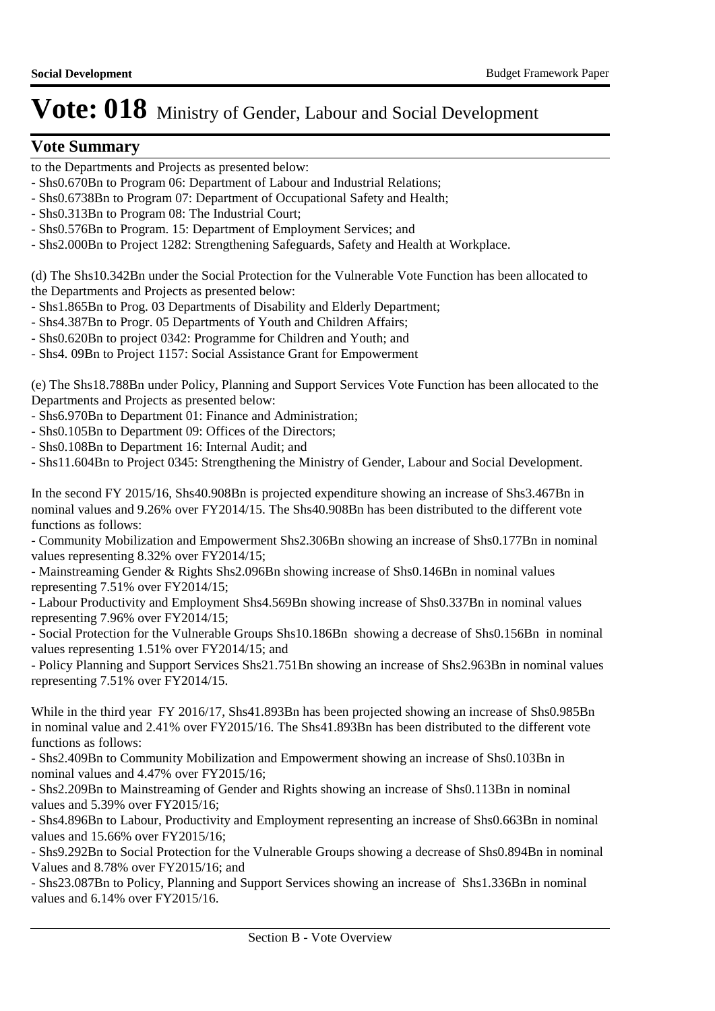### **Vote Summary**

- to the Departments and Projects as presented below:
- Shs0.670Bn to Program 06: Department of Labour and Industrial Relations;
- Shs0.6738Bn to Program 07: Department of Occupational Safety and Health;
- Shs0.313Bn to Program 08: The Industrial Court;
- Shs0.576Bn to Program. 15: Department of Employment Services; and
- Shs2.000Bn to Project 1282: Strengthening Safeguards, Safety and Health at Workplace.

(d) The Shs10.342Bn under the Social Protection for the Vulnerable Vote Function has been allocated to the Departments and Projects as presented below:

- Shs1.865Bn to Prog. 03 Departments of Disability and Elderly Department;
- Shs4.387Bn to Progr. 05 Departments of Youth and Children Affairs;
- Shs0.620Bn to project 0342: Programme for Children and Youth; and
- Shs4. 09Bn to Project 1157: Social Assistance Grant for Empowerment

(e) The Shs18.788Bn under Policy, Planning and Support Services Vote Function has been allocated to the Departments and Projects as presented below:

- Shs6.970Bn to Department 01: Finance and Administration;
- Shs0.105Bn to Department 09: Offices of the Directors;
- Shs0.108Bn to Department 16: Internal Audit; and

- Shs11.604Bn to Project 0345: Strengthening the Ministry of Gender, Labour and Social Development.

In the second FY 2015/16, Shs40.908Bn is projected expenditure showing an increase of Shs3.467Bn in nominal values and 9.26% over FY2014/15. The Shs40.908Bn has been distributed to the different vote functions as follows:

- Community Mobilization and Empowerment Shs2.306Bn showing an increase of Shs0.177Bn in nominal values representing 8.32% over FY2014/15;

- Mainstreaming Gender & Rights Shs2.096Bn showing increase of Shs0.146Bn in nominal values representing 7.51% over FY2014/15;

- Labour Productivity and Employment Shs4.569Bn showing increase of Shs0.337Bn in nominal values representing 7.96% over FY2014/15;

- Social Protection for the Vulnerable Groups Shs10.186Bn showing a decrease of Shs0.156Bn in nominal values representing 1.51% over FY2014/15; and

- Policy Planning and Support Services Shs21.751Bn showing an increase of Shs2.963Bn in nominal values representing 7.51% over FY2014/15.

While in the third year FY 2016/17, Shs41.893Bn has been projected showing an increase of Shs0.985Bn in nominal value and 2.41% over FY2015/16. The Shs41.893Bn has been distributed to the different vote functions as follows:

- Shs2.409Bn to Community Mobilization and Empowerment showing an increase of Shs0.103Bn in nominal values and 4.47% over FY2015/16;

- Shs2.209Bn to Mainstreaming of Gender and Rights showing an increase of Shs0.113Bn in nominal values and 5.39% over FY2015/16;

- Shs4.896Bn to Labour, Productivity and Employment representing an increase of Shs0.663Bn in nominal values and 15.66% over FY2015/16;

- Shs9.292Bn to Social Protection for the Vulnerable Groups showing a decrease of Shs0.894Bn in nominal Values and 8.78% over FY2015/16; and

- Shs23.087Bn to Policy, Planning and Support Services showing an increase of Shs1.336Bn in nominal values and 6.14% over FY2015/16.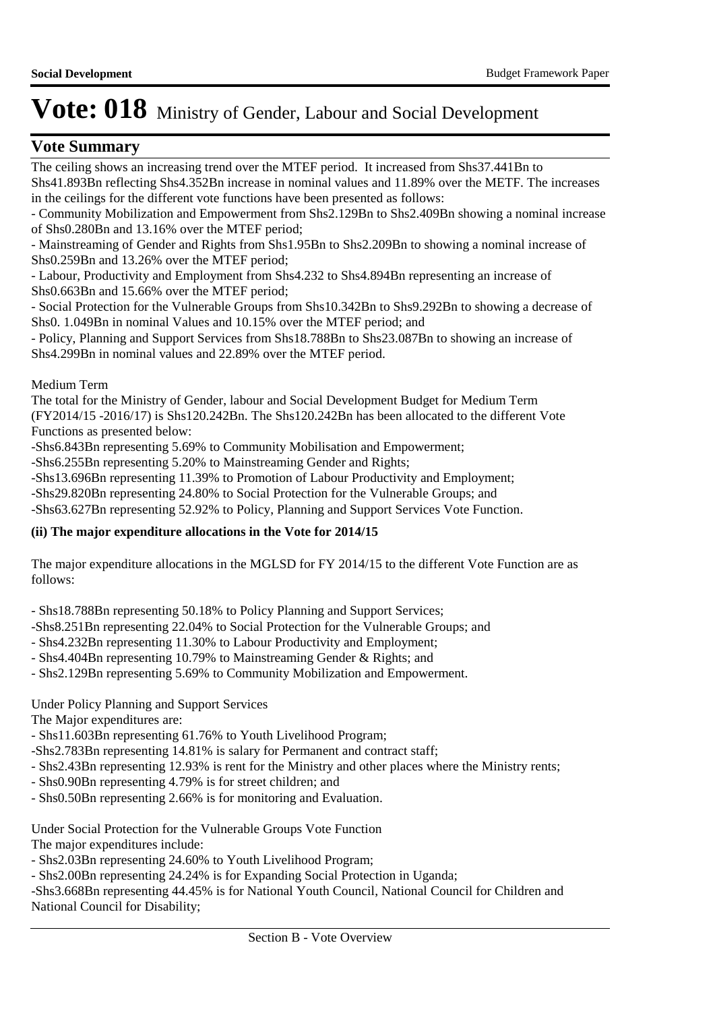### **Vote Summary**

The ceiling shows an increasing trend over the MTEF period. It increased from Shs37.441Bn to Shs41.893Bn reflecting Shs4.352Bn increase in nominal values and 11.89% over the METF. The increases

in the ceilings for the different vote functions have been presented as follows:

- Community Mobilization and Empowerment from Shs2.129Bn to Shs2.409Bn showing a nominal increase of Shs0.280Bn and 13.16% over the MTEF period;

- Mainstreaming of Gender and Rights from Shs1.95Bn to Shs2.209Bn to showing a nominal increase of Shs0.259Bn and 13.26% over the MTEF period;

- Labour, Productivity and Employment from Shs4.232 to Shs4.894Bn representing an increase of Shs0.663Bn and 15.66% over the MTEF period;

- Social Protection for the Vulnerable Groups from Shs10.342Bn to Shs9.292Bn to showing a decrease of Shs0. 1.049Bn in nominal Values and 10.15% over the MTEF period; and

- Policy, Planning and Support Services from Shs18.788Bn to Shs23.087Bn to showing an increase of Shs4.299Bn in nominal values and 22.89% over the MTEF period.

Medium Term

The total for the Ministry of Gender, labour and Social Development Budget for Medium Term (FY2014/15 -2016/17) is Shs120.242Bn. The Shs120.242Bn has been allocated to the different Vote Functions as presented below:

-Shs6.843Bn representing 5.69% to Community Mobilisation and Empowerment;

-Shs6.255Bn representing 5.20% to Mainstreaming Gender and Rights;

-Shs13.696Bn representing 11.39% to Promotion of Labour Productivity and Employment;

-Shs29.820Bn representing 24.80% to Social Protection for the Vulnerable Groups; and

-Shs63.627Bn representing 52.92% to Policy, Planning and Support Services Vote Function.

### **(ii) The major expenditure allocations in the Vote for 2014/15**

The major expenditure allocations in the MGLSD for FY 2014/15 to the different Vote Function are as follows:

- Shs18.788Bn representing 50.18% to Policy Planning and Support Services;

- -Shs8.251Bn representing 22.04% to Social Protection for the Vulnerable Groups; and
- Shs4.232Bn representing 11.30% to Labour Productivity and Employment;
- Shs4.404Bn representing 10.79% to Mainstreaming Gender & Rights; and
- Shs2.129Bn representing 5.69% to Community Mobilization and Empowerment.

Under Policy Planning and Support Services

The Major expenditures are:

- Shs11.603Bn representing 61.76% to Youth Livelihood Program;
- -Shs2.783Bn representing 14.81% is salary for Permanent and contract staff;
- Shs2.43Bn representing 12.93% is rent for the Ministry and other places where the Ministry rents;
- Shs0.90Bn representing 4.79% is for street children; and
- Shs0.50Bn representing 2.66% is for monitoring and Evaluation.

Under Social Protection for the Vulnerable Groups Vote Function The major expenditures include:

- Shs2.03Bn representing 24.60% to Youth Livelihood Program;

- Shs2.00Bn representing 24.24% is for Expanding Social Protection in Uganda;

-Shs3.668Bn representing 44.45% is for National Youth Council, National Council for Children and National Council for Disability;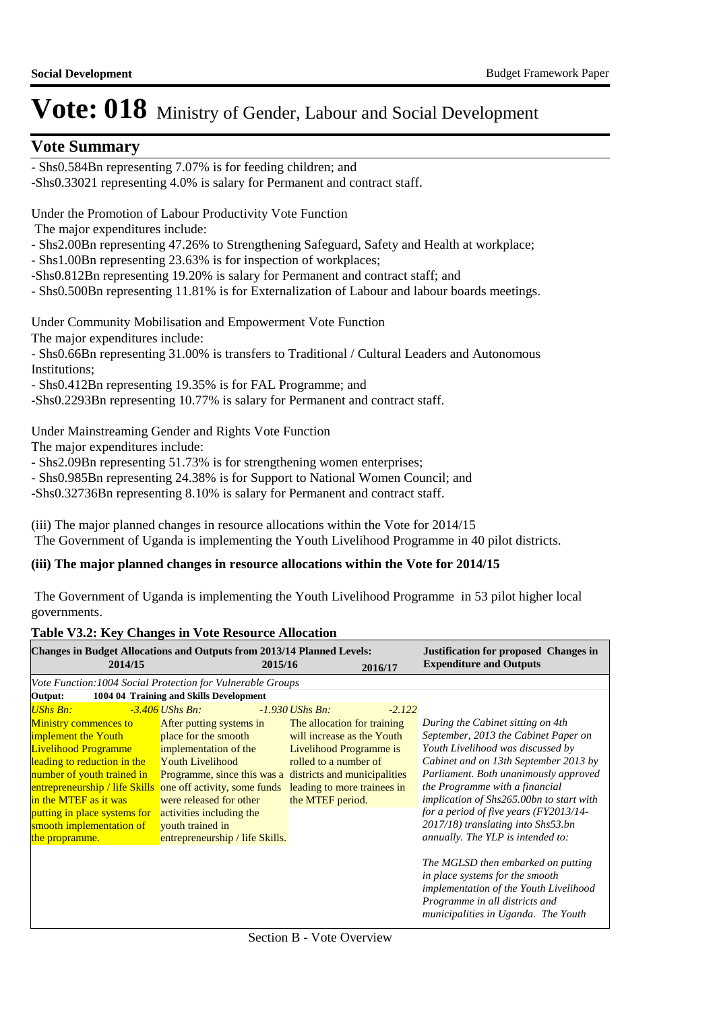### **Vote Summary**

- Shs0.584Bn representing 7.07% is for feeding children; and

-Shs0.33021 representing 4.0% is salary for Permanent and contract staff.

Under the Promotion of Labour Productivity Vote Function

- The major expenditures include:
- Shs2.00Bn representing 47.26% to Strengthening Safeguard, Safety and Health at workplace;
- Shs1.00Bn representing 23.63% is for inspection of workplaces;
- -Shs0.812Bn representing 19.20% is salary for Permanent and contract staff; and
- Shs0.500Bn representing 11.81% is for Externalization of Labour and labour boards meetings.

Under Community Mobilisation and Empowerment Vote Function

The major expenditures include:

- Shs0.66Bn representing 31.00% is transfers to Traditional / Cultural Leaders and Autonomous Institutions;

- Shs0.412Bn representing 19.35% is for FAL Programme; and

-Shs0.2293Bn representing 10.77% is salary for Permanent and contract staff.

Under Mainstreaming Gender and Rights Vote Function

The major expenditures include:

- Shs2.09Bn representing 51.73% is for strengthening women enterprises;

- Shs0.985Bn representing 24.38% is for Support to National Women Council; and

-Shs0.32736Bn representing 8.10% is salary for Permanent and contract staff.

(iii) The major planned changes in resource allocations within the Vote for 2014/15 The Government of Uganda is implementing the Youth Livelihood Programme in 40 pilot districts.

#### **(iii) The major planned changes in resource allocations within the Vote for 2014/15**

 The Government of Uganda is implementing the Youth Livelihood Programme in 53 pilot higher local governments.

#### **Table V3.2: Key Changes in Vote Resource Allocation**

| <b>Changes in Budget Allocations and Outputs from 2013/14 Planned Levels:</b> |                                                          |                             | <b>Justification for proposed Changes in</b> |                                          |
|-------------------------------------------------------------------------------|----------------------------------------------------------|-----------------------------|----------------------------------------------|------------------------------------------|
| 2014/15                                                                       | 2015/16                                                  |                             | 2016/17                                      | <b>Expenditure and Outputs</b>           |
| Vote Function: 1004 Social Protection for Vulnerable Groups                   |                                                          |                             |                                              |                                          |
| Output:                                                                       | 1004 04 Training and Skills Development                  |                             |                                              |                                          |
| $UShs Bn$ :                                                                   | $-3.406$ UShs Bn:                                        | $-1.930$ UShs Bn:           | $-2.122$                                     |                                          |
| <b>Ministry commences to</b>                                                  | After putting systems in                                 | The allocation for training |                                              | During the Cabinet sitting on 4th        |
| implement the Youth                                                           | place for the smooth                                     | will increase as the Youth  |                                              | September, 2013 the Cabinet Paper on     |
| <b>Livelihood Programme</b>                                                   | implementation of the                                    | Livelihood Programme is     |                                              | Youth Livelihood was discussed by        |
| leading to reduction in the                                                   | <b>Youth Livelihood</b>                                  | rolled to a number of       |                                              | Cabinet and on 13th September 2013 by    |
| number of youth trained in                                                    | Programme, since this was a districts and municipalities |                             |                                              | Parliament. Both unanimously approved    |
| entrepreneurship / life Skills                                                | one off activity, some funds                             | leading to more trainees in |                                              | the Programme with a financial           |
| in the MTEF as it was                                                         | were released for other                                  | the MTEF period.            |                                              | implication of Shs265.00bn to start with |
| putting in place systems for                                                  | activities including the                                 |                             |                                              | for a period of five years $(FY2013/14-$ |
| smooth implementation of                                                      | vouth trained in                                         |                             |                                              | 2017/18) translating into Shs53.bn       |
| the propramme.                                                                | entrepreneurship / life Skills.                          |                             |                                              | annually. The YLP is intended to:        |
|                                                                               |                                                          |                             |                                              |                                          |
|                                                                               |                                                          |                             |                                              | The MGLSD then embarked on putting       |
|                                                                               |                                                          |                             |                                              | in place systems for the smooth          |
|                                                                               |                                                          |                             |                                              | implementation of the Youth Livelihood   |
|                                                                               |                                                          |                             |                                              | Programme in all districts and           |
|                                                                               |                                                          |                             |                                              | municipalities in Uganda. The Youth      |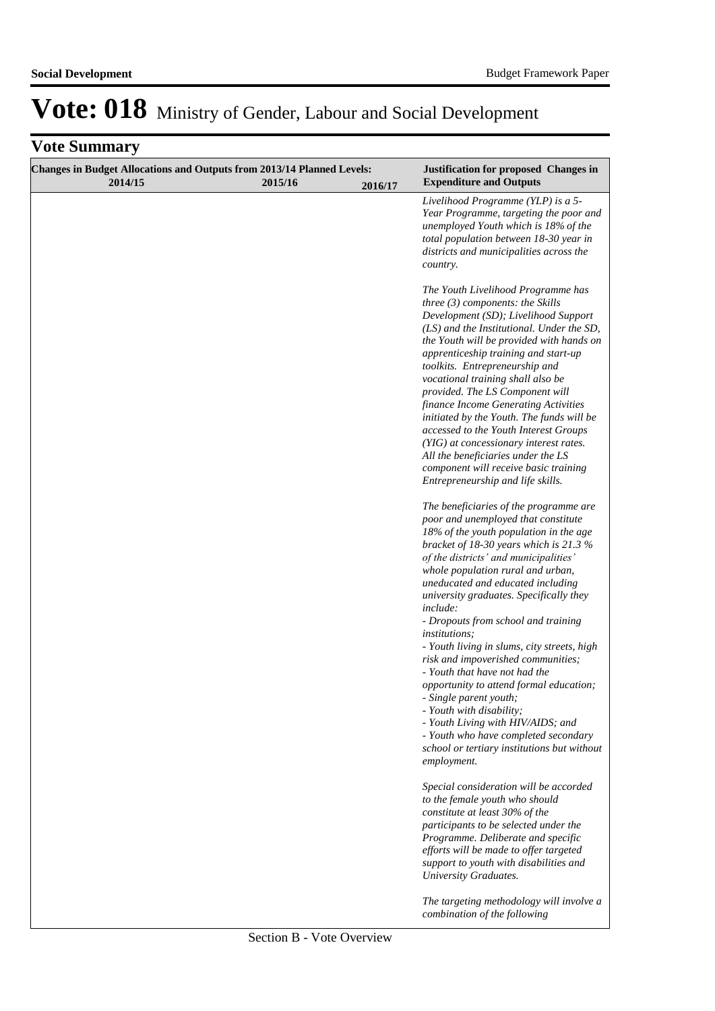| <b>Changes in Budget Allocations and Outputs from 2013/14 Planned Levels:</b><br>2014/15 | 2015/16 | 2016/17 | Justification for proposed Changes in<br><b>Expenditure and Outputs</b>                                                                                                                                                                                                                                                                                                                                                                                                                                                                                                                                                                                 |
|------------------------------------------------------------------------------------------|---------|---------|---------------------------------------------------------------------------------------------------------------------------------------------------------------------------------------------------------------------------------------------------------------------------------------------------------------------------------------------------------------------------------------------------------------------------------------------------------------------------------------------------------------------------------------------------------------------------------------------------------------------------------------------------------|
|                                                                                          |         |         | Livelihood Programme (YLP) is a 5-<br>Year Programme, targeting the poor and<br>unemployed Youth which is 18% of the<br>total population between 18-30 year in<br>districts and municipalities across the<br>country.                                                                                                                                                                                                                                                                                                                                                                                                                                   |
|                                                                                          |         |         | The Youth Livelihood Programme has<br>three $(3)$ components: the Skills<br>Development (SD); Livelihood Support<br>(LS) and the Institutional. Under the SD,<br>the Youth will be provided with hands on<br>apprenticeship training and start-up<br>toolkits. Entrepreneurship and<br>vocational training shall also be<br>provided. The LS Component will<br>finance Income Generating Activities<br>initiated by the Youth. The funds will be<br>accessed to the Youth Interest Groups<br>(YIG) at concessionary interest rates.<br>All the beneficiaries under the LS<br>component will receive basic training<br>Entrepreneurship and life skills. |
|                                                                                          |         |         | The beneficiaries of the programme are<br>poor and unemployed that constitute<br>$18\%$ of the youth population in the age<br>bracket of 18-30 years which is 21.3 %<br>of the districts' and municipalities'<br>whole population rural and urban,<br>uneducated and educated including<br>university graduates. Specifically they<br><i>include:</i><br>- Dropouts from school and training<br><i>institutions:</i><br>- Youth living in slums, city streets, high                                                                                                                                                                                     |
|                                                                                          |         |         | risk and impoverished communities;<br>- Youth that have not had the<br>opportunity to attend formal education;<br>- Single parent youth;<br>- Youth with disability;<br>- Youth Living with HIV/AIDS; and<br>- Youth who have completed secondary<br>school or tertiary institutions but without<br>employment.                                                                                                                                                                                                                                                                                                                                         |
|                                                                                          |         |         | Special consideration will be accorded<br>to the female youth who should<br>constitute at least 30% of the<br>participants to be selected under the<br>Programme. Deliberate and specific<br>efforts will be made to offer targeted<br>support to youth with disabilities and<br><b>University Graduates.</b>                                                                                                                                                                                                                                                                                                                                           |
|                                                                                          |         |         | The targeting methodology will involve a<br>combination of the following                                                                                                                                                                                                                                                                                                                                                                                                                                                                                                                                                                                |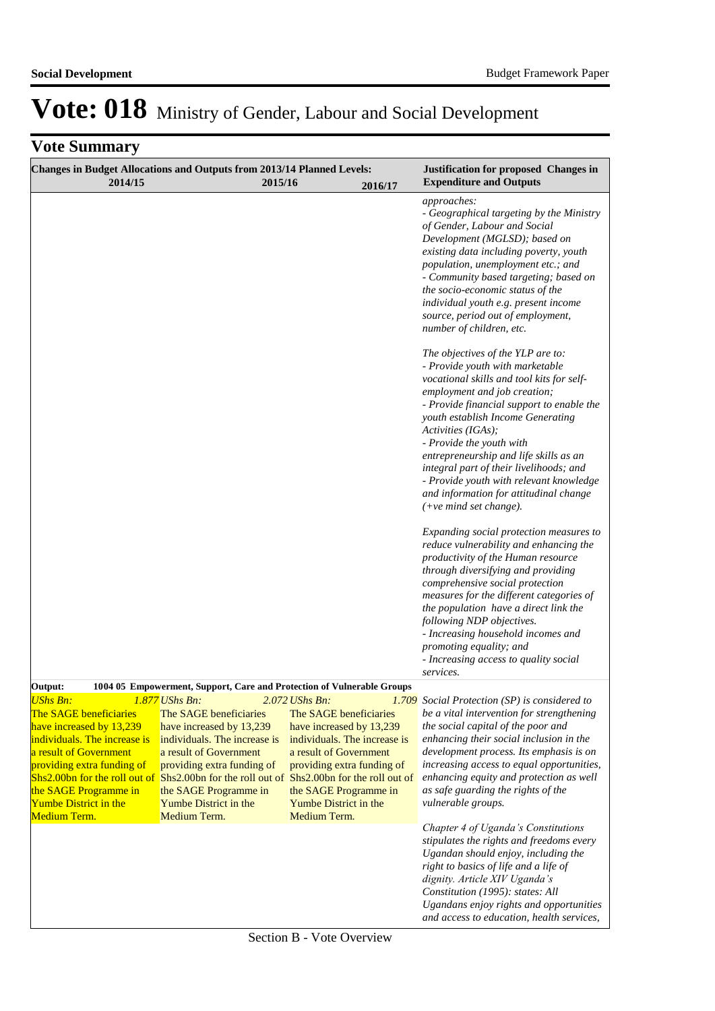| 2014/15                                                                                                                                                                                                                                                                 | Changes in Budget Allocations and Outputs from 2013/14 Planned Levels:<br>2015/16                                                                                                                                                             | 2016/17                                                                                                                                                                                                                                       | <b>Justification for proposed Changes in</b><br><b>Expenditure and Outputs</b>                                                                                                                                                                                                                                                                                                                                                                                                                                                                                                                                                                                                                  |
|-------------------------------------------------------------------------------------------------------------------------------------------------------------------------------------------------------------------------------------------------------------------------|-----------------------------------------------------------------------------------------------------------------------------------------------------------------------------------------------------------------------------------------------|-----------------------------------------------------------------------------------------------------------------------------------------------------------------------------------------------------------------------------------------------|-------------------------------------------------------------------------------------------------------------------------------------------------------------------------------------------------------------------------------------------------------------------------------------------------------------------------------------------------------------------------------------------------------------------------------------------------------------------------------------------------------------------------------------------------------------------------------------------------------------------------------------------------------------------------------------------------|
|                                                                                                                                                                                                                                                                         |                                                                                                                                                                                                                                               |                                                                                                                                                                                                                                               | approaches:<br>- Geographical targeting by the Ministry<br>of Gender, Labour and Social<br>Development (MGLSD); based on<br>existing data including poverty, youth<br>population, unemployment etc.; and<br>- Community based targeting; based on<br>the socio-economic status of the<br>individual youth e.g. present income<br>source, period out of employment,<br>number of children, etc.                                                                                                                                                                                                                                                                                                  |
|                                                                                                                                                                                                                                                                         |                                                                                                                                                                                                                                               |                                                                                                                                                                                                                                               | The objectives of the YLP are to:<br>- Provide youth with marketable<br>vocational skills and tool kits for self-<br>employment and job creation;<br>- Provide financial support to enable the<br>youth establish Income Generating<br>Activities (IGAs);<br>- Provide the youth with<br>entrepreneurship and life skills as an<br>integral part of their livelihoods; and<br>- Provide youth with relevant knowledge<br>and information for attitudinal change<br>$(+ve$ mind set change).<br>Expanding social protection measures to<br>reduce vulnerability and enhancing the<br>productivity of the Human resource<br>through diversifying and providing<br>comprehensive social protection |
|                                                                                                                                                                                                                                                                         |                                                                                                                                                                                                                                               |                                                                                                                                                                                                                                               | measures for the different categories of<br>the population have a direct link the<br>following NDP objectives.<br>- Increasing household incomes and<br>promoting equality; and<br>- Increasing access to quality social<br>services.                                                                                                                                                                                                                                                                                                                                                                                                                                                           |
| Output:                                                                                                                                                                                                                                                                 | 1004 05 Empowerment, Support, Care and Protection of Vulnerable Groups                                                                                                                                                                        |                                                                                                                                                                                                                                               |                                                                                                                                                                                                                                                                                                                                                                                                                                                                                                                                                                                                                                                                                                 |
| <b>UShs Bn:</b><br>The SAGE beneficiaries<br>have increased by 13,239<br>individuals. The increase is<br>a result of Government<br>providing extra funding of<br>Shs2.00bn for the roll out of<br>the SAGE Programme in<br><b>Yumbe District in the</b><br>Medium Term. | The SAGE beneficiaries<br>have increased by 13,239<br>individuals. The increase is<br>a result of Government<br>providing extra funding of<br>Shs2.00bn for the roll out of<br>the SAGE Programme in<br>Yumbe District in the<br>Medium Term. | The SAGE beneficiaries<br>have increased by 13,239<br>individuals. The increase is<br>a result of Government<br>providing extra funding of<br>Shs2.00bn for the roll out of<br>the SAGE Programme in<br>Yumbe District in the<br>Medium Term. | <b>1.877</b> UShs Bn: 2.072 UShs Bn: 1.709 Social Protection (SP) is considered to<br>be a vital intervention for strengthening<br>the social capital of the poor and<br>enhancing their social inclusion in the<br>development process. Its emphasis is on<br>increasing access to equal opportunities,<br>enhancing equity and protection as well<br>as safe guarding the rights of the<br>vulnerable groups.                                                                                                                                                                                                                                                                                 |
|                                                                                                                                                                                                                                                                         |                                                                                                                                                                                                                                               |                                                                                                                                                                                                                                               | Chapter 4 of Uganda's Constitutions<br>stipulates the rights and freedoms every<br>Ugandan should enjoy, including the<br>right to basics of life and a life of<br>dignity. Article XIV Uganda's<br>Constitution (1995): states: All<br>Ugandans enjoy rights and opportunities<br>and access to education, health services,                                                                                                                                                                                                                                                                                                                                                                    |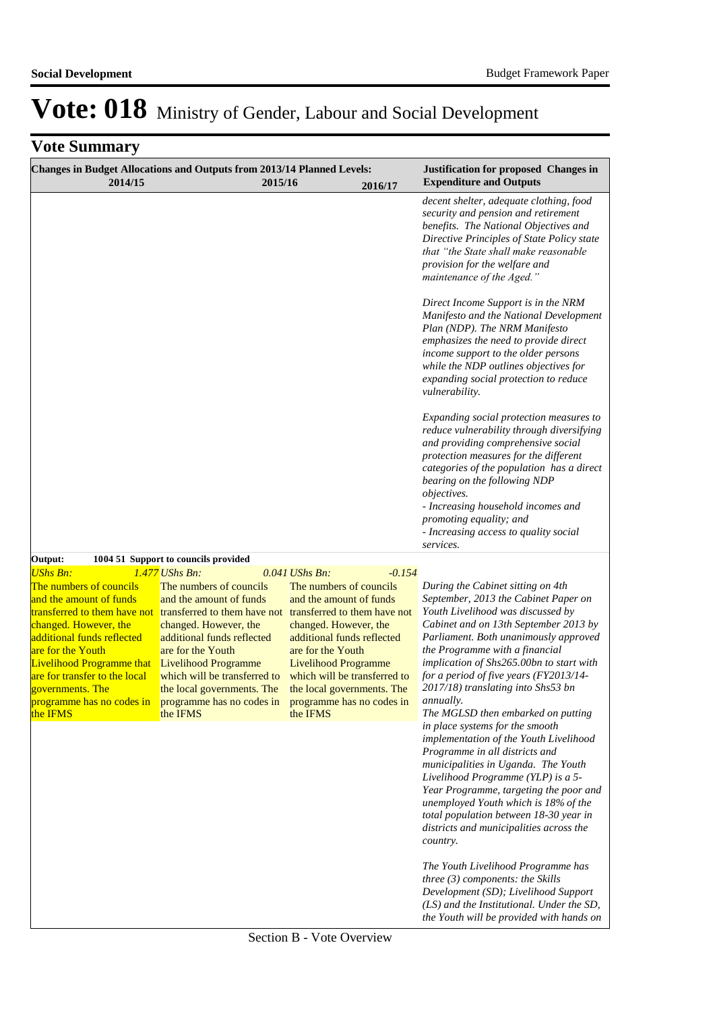| Changes in Budget Allocations and Outputs from 2013/14 Planned Levels:<br>2014/15                                                                                                                                                                                                                                                                                       |                                                                                                                                                                                                                                                                                      | 2015/16                                                                                                                                                                                                                                                                              | 2016/17  | <b>Justification for proposed Changes in</b><br><b>Expenditure and Outputs</b>                                                                                                                                                                                                                                                                                                                                    |
|-------------------------------------------------------------------------------------------------------------------------------------------------------------------------------------------------------------------------------------------------------------------------------------------------------------------------------------------------------------------------|--------------------------------------------------------------------------------------------------------------------------------------------------------------------------------------------------------------------------------------------------------------------------------------|--------------------------------------------------------------------------------------------------------------------------------------------------------------------------------------------------------------------------------------------------------------------------------------|----------|-------------------------------------------------------------------------------------------------------------------------------------------------------------------------------------------------------------------------------------------------------------------------------------------------------------------------------------------------------------------------------------------------------------------|
|                                                                                                                                                                                                                                                                                                                                                                         |                                                                                                                                                                                                                                                                                      |                                                                                                                                                                                                                                                                                      |          | decent shelter, adequate clothing, food<br>security and pension and retirement<br>benefits. The National Objectives and<br>Directive Principles of State Policy state<br>that "the State shall make reasonable<br>provision for the welfare and<br>maintenance of the Aged."                                                                                                                                      |
|                                                                                                                                                                                                                                                                                                                                                                         |                                                                                                                                                                                                                                                                                      |                                                                                                                                                                                                                                                                                      |          | Direct Income Support is in the NRM<br>Manifesto and the National Development<br>Plan (NDP). The NRM Manifesto<br>emphasizes the need to provide direct<br>income support to the older persons<br>while the NDP outlines objectives for<br>expanding social protection to reduce<br>vulnerability.                                                                                                                |
|                                                                                                                                                                                                                                                                                                                                                                         |                                                                                                                                                                                                                                                                                      |                                                                                                                                                                                                                                                                                      |          | Expanding social protection measures to<br>reduce vulnerability through diversifying<br>and providing comprehensive social<br>protection measures for the different<br>categories of the population has a direct<br>bearing on the following NDP<br>objectives.<br>- Increasing household incomes and<br>promoting equality; and<br>- Increasing access to quality social<br>services.                            |
| Output:                                                                                                                                                                                                                                                                                                                                                                 | 1004 51 Support to councils provided                                                                                                                                                                                                                                                 |                                                                                                                                                                                                                                                                                      |          |                                                                                                                                                                                                                                                                                                                                                                                                                   |
| <b>UShs Bn:</b><br>The numbers of councils<br>and the amount of funds<br>transferred to them have not<br>changed. However, the<br>additional funds reflected<br>are for the Youth<br><b>Livelihood Programme that</b><br>are for transfer to the local<br>governments. The<br>programme has no codes in programme has no codes in programme has no codes in<br>the IFMS | $1.477$ UShs Bn:<br>The numbers of councils<br>and the amount of funds<br>transferred to them have not<br>changed. However, the<br>additional funds reflected<br>are for the Youth<br>Livelihood Programme<br>which will be transferred to<br>the local governments. The<br>the IFMS | $0.041$ UShs Bn:<br>The numbers of councils<br>and the amount of funds<br>transferred to them have not<br>changed. However, the<br>additional funds reflected<br>are for the Youth<br>Livelihood Programme<br>which will be transferred to<br>the local governments. The<br>the IFMS | $-0.154$ | During the Cabinet sitting on 4th<br>September, 2013 the Cabinet Paper on<br>Youth Livelihood was discussed by<br>Cabinet and on 13th September 2013 by<br>Parliament. Both unanimously approved<br>the Programme with a financial<br>implication of Shs265.00bn to start with<br>for a period of five years (FY2013/14-<br>2017/18) translating into Shs53 bn<br>annually.<br>The MGLSD then embarked on putting |
|                                                                                                                                                                                                                                                                                                                                                                         |                                                                                                                                                                                                                                                                                      |                                                                                                                                                                                                                                                                                      |          | in place systems for the smooth<br>implementation of the Youth Livelihood<br>Programme in all districts and<br>municipalities in Uganda. The Youth<br>Livelihood Programme (YLP) is a 5-<br>Year Programme, targeting the poor and<br>unemployed Youth which is 18% of the<br>total population between 18-30 year in<br>districts and municipalities across the<br>country.                                       |
|                                                                                                                                                                                                                                                                                                                                                                         |                                                                                                                                                                                                                                                                                      |                                                                                                                                                                                                                                                                                      |          | The Youth Livelihood Programme has<br>three $(3)$ components: the Skills<br>Development (SD); Livelihood Support<br>(LS) and the Institutional. Under the SD,<br>the Youth will be provided with hands on                                                                                                                                                                                                         |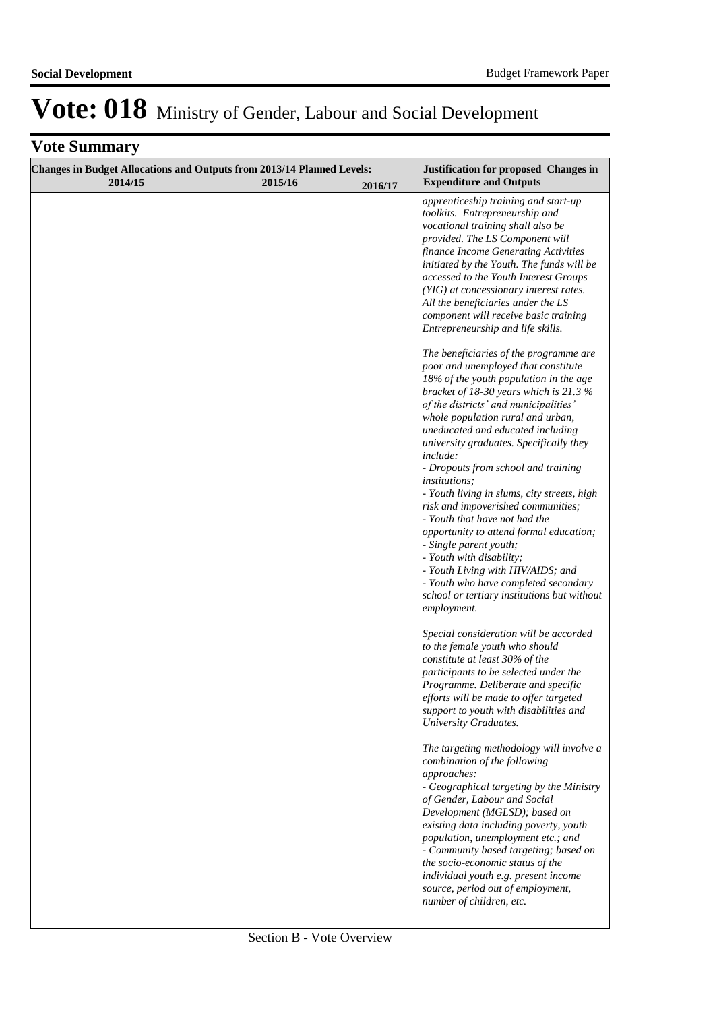| <b>Changes in Budget Allocations and Outputs from 2013/14 Planned Levels:</b><br>2014/15 | 2015/16 | 2016/17 | <b>Justification for proposed Changes in</b><br><b>Expenditure and Outputs</b>                                                                                                                                                                                                                                                                                                                                                                                                                                                                                                                                                                                                                                                                                                 |
|------------------------------------------------------------------------------------------|---------|---------|--------------------------------------------------------------------------------------------------------------------------------------------------------------------------------------------------------------------------------------------------------------------------------------------------------------------------------------------------------------------------------------------------------------------------------------------------------------------------------------------------------------------------------------------------------------------------------------------------------------------------------------------------------------------------------------------------------------------------------------------------------------------------------|
|                                                                                          |         |         | apprenticeship training and start-up<br>toolkits. Entrepreneurship and<br>vocational training shall also be<br>provided. The LS Component will<br>finance Income Generating Activities<br>initiated by the Youth. The funds will be<br>accessed to the Youth Interest Groups<br>(YIG) at concessionary interest rates.<br>All the beneficiaries under the LS<br>component will receive basic training<br>Entrepreneurship and life skills.                                                                                                                                                                                                                                                                                                                                     |
|                                                                                          |         |         | The beneficiaries of the programme are<br>poor and unemployed that constitute<br>18% of the youth population in the age<br>bracket of 18-30 years which is 21.3 $%$<br>of the districts' and municipalities'<br>whole population rural and urban,<br>uneducated and educated including<br>university graduates. Specifically they<br>include:<br>- Dropouts from school and training<br><i>institutions;</i><br>- Youth living in slums, city streets, high<br>risk and impoverished communities;<br>- Youth that have not had the<br>opportunity to attend formal education;<br>- Single parent youth;<br>- Youth with disability;<br>- Youth Living with HIV/AIDS; and<br>- Youth who have completed secondary<br>school or tertiary institutions but without<br>employment. |
|                                                                                          |         |         | Special consideration will be accorded<br>to the female youth who should<br>constitute at least 30% of the<br>participants to be selected under the<br>Programme. Deliberate and specific<br>efforts will be made to offer targeted<br>support to youth with disabilities and<br><b>University Graduates.</b>                                                                                                                                                                                                                                                                                                                                                                                                                                                                  |
|                                                                                          |         |         | The targeting methodology will involve a<br>combination of the following<br>approaches:<br>- Geographical targeting by the Ministry<br>of Gender, Labour and Social<br>Development (MGLSD); based on<br>existing data including poverty, youth<br>population, unemployment etc.; and<br>- Community based targeting; based on<br>the socio-economic status of the<br>individual youth e.g. present income<br>source, period out of employment,<br>number of children, etc.                                                                                                                                                                                                                                                                                                     |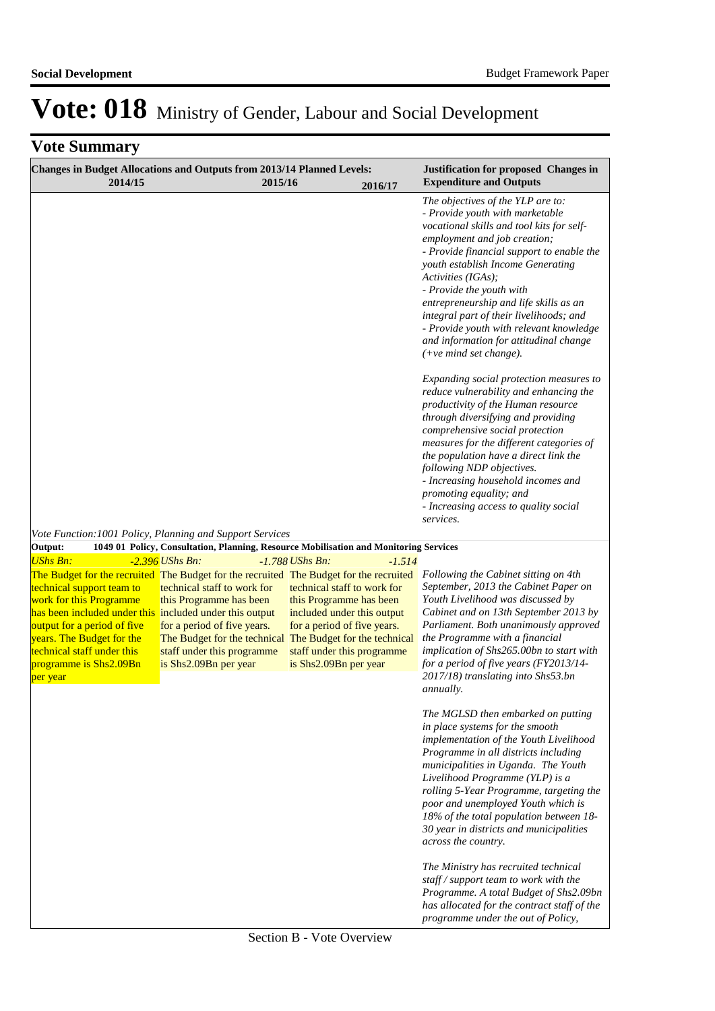| <b>Changes in Budget Allocations and Outputs from 2013/14 Planned Levels:</b><br>2014/15                                                                                                                                                                                                                                                  | 2015/16                                                                                                                                      | 2016/17                                                                                                                                                                                                                                 | <b>Justification for proposed Changes in</b><br><b>Expenditure and Outputs</b>                                                                                                                                                                                                                                                                                                                                                                                                                                                                                                                                                                               |
|-------------------------------------------------------------------------------------------------------------------------------------------------------------------------------------------------------------------------------------------------------------------------------------------------------------------------------------------|----------------------------------------------------------------------------------------------------------------------------------------------|-----------------------------------------------------------------------------------------------------------------------------------------------------------------------------------------------------------------------------------------|--------------------------------------------------------------------------------------------------------------------------------------------------------------------------------------------------------------------------------------------------------------------------------------------------------------------------------------------------------------------------------------------------------------------------------------------------------------------------------------------------------------------------------------------------------------------------------------------------------------------------------------------------------------|
|                                                                                                                                                                                                                                                                                                                                           |                                                                                                                                              |                                                                                                                                                                                                                                         | The objectives of the YLP are to:<br>- Provide youth with marketable<br>vocational skills and tool kits for self-<br>employment and job creation;<br>- Provide financial support to enable the<br>youth establish Income Generating<br>Activities (IGAs);<br>- Provide the youth with<br>entrepreneurship and life skills as an<br>integral part of their livelihoods; and<br>- Provide youth with relevant knowledge<br>and information for attitudinal change<br>$(+ve$ mind set change).<br>Expanding social protection measures to<br>reduce vulnerability and enhancing the<br>productivity of the Human resource<br>through diversifying and providing |
| Vote Function: 1001 Policy, Planning and Support Services                                                                                                                                                                                                                                                                                 |                                                                                                                                              |                                                                                                                                                                                                                                         | comprehensive social protection<br>measures for the different categories of<br>the population have a direct link the<br>following NDP objectives.<br>- Increasing household incomes and<br>promoting equality; and<br>- Increasing access to quality social<br>services.                                                                                                                                                                                                                                                                                                                                                                                     |
| Output:<br><b>UShs Bn:</b>                                                                                                                                                                                                                                                                                                                | $-2.396$ UShs Bn:                                                                                                                            | 1049 01 Policy, Consultation, Planning, Resource Mobilisation and Monitoring Services<br>$-1.788$ UShs Bn:<br>$-1.514$                                                                                                                  |                                                                                                                                                                                                                                                                                                                                                                                                                                                                                                                                                                                                                                                              |
| The Budget for the recruited The Budget for the recruited The Budget for the recruited<br>technical support team to<br>work for this Programme<br>has been included under this included under this output<br>output for a period of five<br>years. The Budget for the<br>technical staff under this<br>programme is Shs2.09Bn<br>per year | technical staff to work for<br>this Programme has been<br>for a period of five years.<br>staff under this programme<br>is Shs2.09Bn per year | technical staff to work for<br>this Programme has been<br>included under this output<br>for a period of five years.<br>The Budget for the technical The Budget for the technical<br>staff under this programme<br>is Shs2.09Bn per year | Following the Cabinet sitting on 4th<br>September, 2013 the Cabinet Paper on<br>Youth Livelihood was discussed by<br>Cabinet and on 13th September 2013 by<br>Parliament. Both unanimously approved<br>the Programme with a financial<br>implication of Shs265.00bn to start with<br>for a period of five years (FY2013/14-<br>2017/18) translating into Shs53.bn<br>annually.                                                                                                                                                                                                                                                                               |
|                                                                                                                                                                                                                                                                                                                                           |                                                                                                                                              |                                                                                                                                                                                                                                         | The MGLSD then embarked on putting<br>in place systems for the smooth<br>implementation of the Youth Livelihood<br>Programme in all districts including<br>municipalities in Uganda. The Youth<br>Livelihood Programme (YLP) is a<br>rolling 5-Year Programme, targeting the<br>poor and unemployed Youth which is<br>18% of the total population between 18-<br>30 year in districts and municipalities<br>across the country.                                                                                                                                                                                                                              |
|                                                                                                                                                                                                                                                                                                                                           |                                                                                                                                              |                                                                                                                                                                                                                                         | The Ministry has recruited technical<br>staff / support team to work with the<br>Programme. A total Budget of Shs2.09bn<br>has allocated for the contract staff of the<br>programme under the out of Policy,                                                                                                                                                                                                                                                                                                                                                                                                                                                 |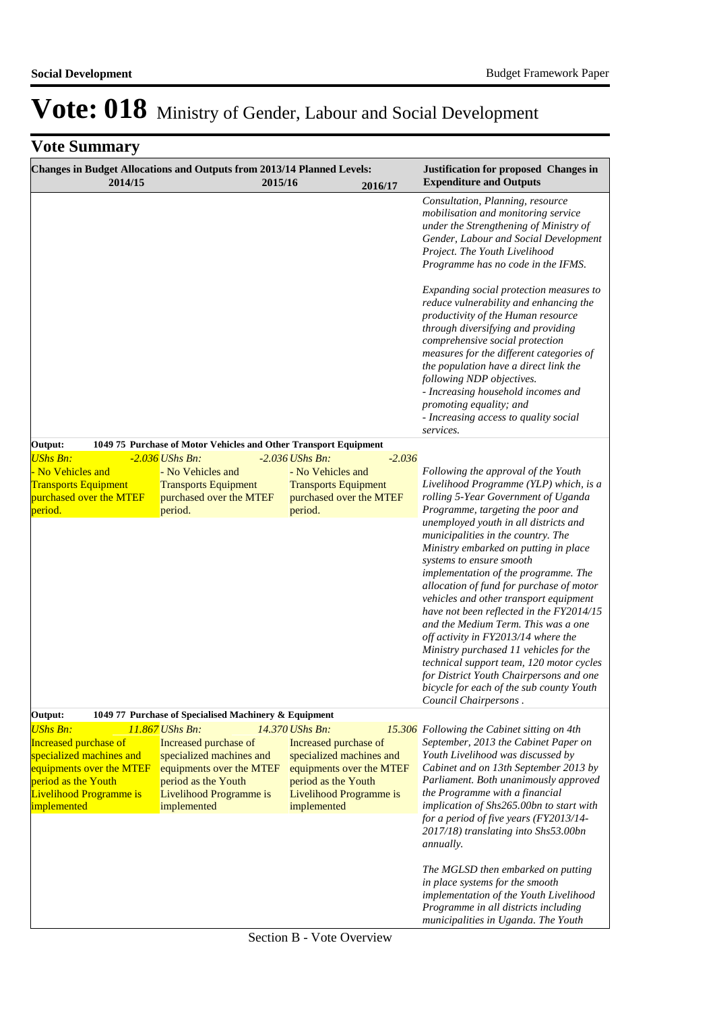| Changes in Budget Allocations and Outputs from 2013/14 Planned Levels:<br>2014/15 |                                                                  | 2015/16           | 2016/17                                                |          | <b>Justification for proposed Changes in</b><br><b>Expenditure and Outputs</b>                                                                                                                                                                                                                                                                                                                                                                                                                                                                                                                                 |
|-----------------------------------------------------------------------------------|------------------------------------------------------------------|-------------------|--------------------------------------------------------|----------|----------------------------------------------------------------------------------------------------------------------------------------------------------------------------------------------------------------------------------------------------------------------------------------------------------------------------------------------------------------------------------------------------------------------------------------------------------------------------------------------------------------------------------------------------------------------------------------------------------------|
|                                                                                   |                                                                  |                   |                                                        |          | Consultation, Planning, resource<br>mobilisation and monitoring service<br>under the Strengthening of Ministry of<br>Gender, Labour and Social Development<br>Project. The Youth Livelihood<br>Programme has no code in the IFMS.                                                                                                                                                                                                                                                                                                                                                                              |
|                                                                                   |                                                                  |                   |                                                        |          | Expanding social protection measures to<br>reduce vulnerability and enhancing the<br>productivity of the Human resource<br>through diversifying and providing<br>comprehensive social protection<br>measures for the different categories of<br>the population have a direct link the<br>following NDP objectives.<br>- Increasing household incomes and<br>promoting equality; and<br>- Increasing access to quality social<br>services.                                                                                                                                                                      |
| Output:                                                                           | 1049 75 Purchase of Motor Vehicles and Other Transport Equipment |                   |                                                        |          |                                                                                                                                                                                                                                                                                                                                                                                                                                                                                                                                                                                                                |
| <b>UShs Bn:</b>                                                                   | $-2.036$ UShs Bn:                                                | $-2.036$ UShs Bn: |                                                        | $-2.036$ |                                                                                                                                                                                                                                                                                                                                                                                                                                                                                                                                                                                                                |
| No Vehicles and                                                                   | - No Vehicles and                                                |                   | - No Vehicles and                                      |          | Following the approval of the Youth                                                                                                                                                                                                                                                                                                                                                                                                                                                                                                                                                                            |
| <b>Transports Equipment</b><br>purchased over the MTEF                            | <b>Transports Equipment</b><br>purchased over the MTEF           |                   | <b>Transports Equipment</b><br>purchased over the MTEF |          | Livelihood Programme (YLP) which, is a<br>rolling 5-Year Government of Uganda                                                                                                                                                                                                                                                                                                                                                                                                                                                                                                                                  |
| period.                                                                           | period.                                                          | period.           |                                                        |          | Programme, targeting the poor and                                                                                                                                                                                                                                                                                                                                                                                                                                                                                                                                                                              |
|                                                                                   |                                                                  |                   |                                                        |          | unemployed youth in all districts and<br>municipalities in the country. The<br>Ministry embarked on putting in place<br>systems to ensure smooth<br>implementation of the programme. The<br>allocation of fund for purchase of motor<br>vehicles and other transport equipment<br>have not been reflected in the FY2014/15<br>and the Medium Term. This was a one<br>off activity in FY2013/14 where the<br>Ministry purchased 11 vehicles for the<br>technical support team, 120 motor cycles<br>for District Youth Chairpersons and one<br>bicycle for each of the sub county Youth<br>Council Chairpersons. |
| Output:                                                                           | 1049 77 Purchase of Specialised Machinery & Equipment            |                   |                                                        |          |                                                                                                                                                                                                                                                                                                                                                                                                                                                                                                                                                                                                                |
| <b>UShs Bn:</b><br><b>Increased purchase of</b>                                   | 11.867 UShs Bn:<br>Increased purchase of                         | 14.370 UShs Bn:   | Increased purchase of                                  |          | 15.306 Following the Cabinet sitting on 4th<br>September, 2013 the Cabinet Paper on                                                                                                                                                                                                                                                                                                                                                                                                                                                                                                                            |
| specialized machines and                                                          | specialized machines and                                         |                   | specialized machines and                               |          | Youth Livelihood was discussed by                                                                                                                                                                                                                                                                                                                                                                                                                                                                                                                                                                              |
| equipments over the MTEF                                                          | equipments over the MTEF                                         |                   | equipments over the MTEF                               |          | Cabinet and on 13th September 2013 by                                                                                                                                                                                                                                                                                                                                                                                                                                                                                                                                                                          |
| period as the Youth                                                               | period as the Youth                                              |                   | period as the Youth                                    |          | Parliament. Both unanimously approved                                                                                                                                                                                                                                                                                                                                                                                                                                                                                                                                                                          |
| Livelihood Programme is                                                           | Livelihood Programme is                                          |                   | Livelihood Programme is                                |          | the Programme with a financial                                                                                                                                                                                                                                                                                                                                                                                                                                                                                                                                                                                 |
| implemented                                                                       | implemented                                                      | implemented       |                                                        |          | implication of Shs265.00bn to start with<br>for a period of five years (FY2013/14-<br>2017/18) translating into Shs53.00bn<br><i>annually.</i>                                                                                                                                                                                                                                                                                                                                                                                                                                                                 |
|                                                                                   |                                                                  |                   |                                                        |          | The MGLSD then embarked on putting<br>in place systems for the smooth<br>implementation of the Youth Livelihood<br>Programme in all districts including<br>municipalities in Uganda. The Youth                                                                                                                                                                                                                                                                                                                                                                                                                 |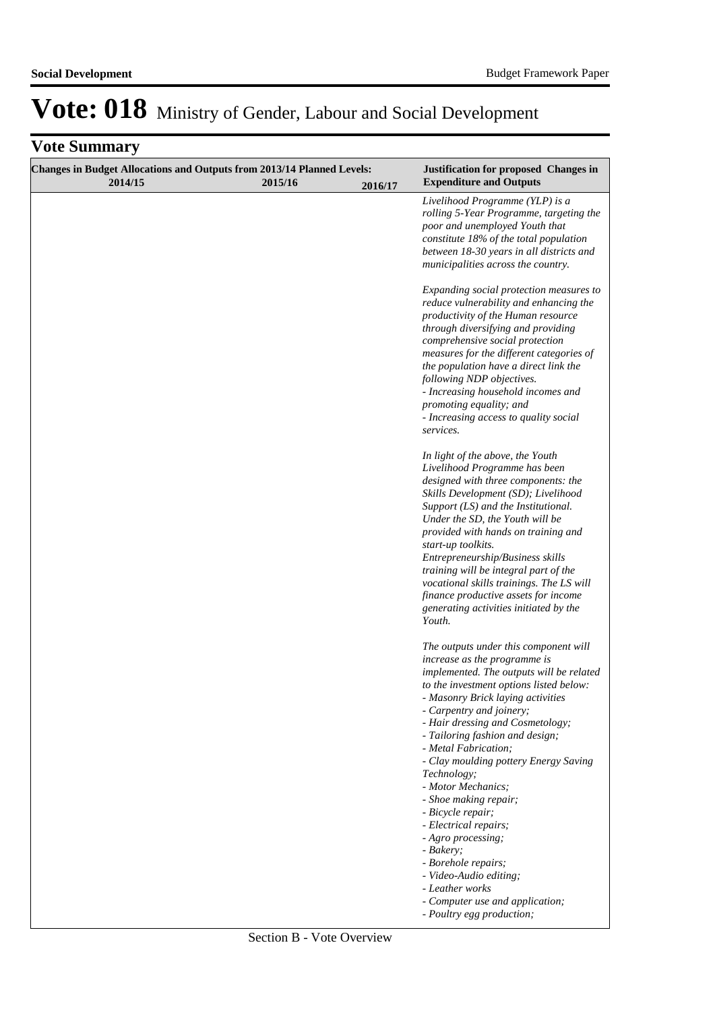| Changes in Budget Allocations and Outputs from 2013/14 Planned Levels:<br>2014/15 | 2015/16 | Justification for proposed Changes in<br><b>Expenditure and Outputs</b>                                                                                                                                                                                                                                                                                                                                                                                                                                                                                                                                                                                  |
|-----------------------------------------------------------------------------------|---------|----------------------------------------------------------------------------------------------------------------------------------------------------------------------------------------------------------------------------------------------------------------------------------------------------------------------------------------------------------------------------------------------------------------------------------------------------------------------------------------------------------------------------------------------------------------------------------------------------------------------------------------------------------|
|                                                                                   | 2016/17 | Livelihood Programme (YLP) is a<br>rolling 5-Year Programme, targeting the<br>poor and unemployed Youth that<br>constitute 18% of the total population<br>between 18-30 years in all districts and<br>municipalities across the country.                                                                                                                                                                                                                                                                                                                                                                                                                 |
|                                                                                   |         | Expanding social protection measures to<br>reduce vulnerability and enhancing the<br>productivity of the Human resource<br>through diversifying and providing<br>comprehensive social protection<br>measures for the different categories of<br>the population have a direct link the<br>following NDP objectives.<br>- Increasing household incomes and<br>promoting equality; and<br>- Increasing access to quality social<br>services.                                                                                                                                                                                                                |
|                                                                                   |         | In light of the above, the Youth<br>Livelihood Programme has been<br>designed with three components: the<br>Skills Development (SD); Livelihood<br>Support (LS) and the Institutional.<br>Under the SD, the Youth will be<br>provided with hands on training and<br>start-up toolkits.<br>Entrepreneurship/Business skills<br>training will be integral part of the<br>vocational skills trainings. The LS will<br>finance productive assets for income<br>generating activities initiated by the<br>Youth.                                                                                                                                              |
|                                                                                   |         | The outputs under this component will<br>increase as the programme is<br>implemented. The outputs will be related<br>to the investment options listed below:<br>- Masonry Brick laying activities<br>- Carpentry and joinery;<br>- Hair dressing and Cosmetology;<br>- Tailoring fashion and design;<br>- Metal Fabrication;<br>- Clay moulding pottery Energy Saving<br>Technology;<br>- Motor Mechanics;<br>- Shoe making repair;<br>- Bicycle repair;<br>- Electrical repairs;<br>- Agro processing;<br>- Bakery;<br>- Borehole repairs;<br>- Video-Audio editing;<br>- Leather works<br>- Computer use and application;<br>- Poultry egg production; |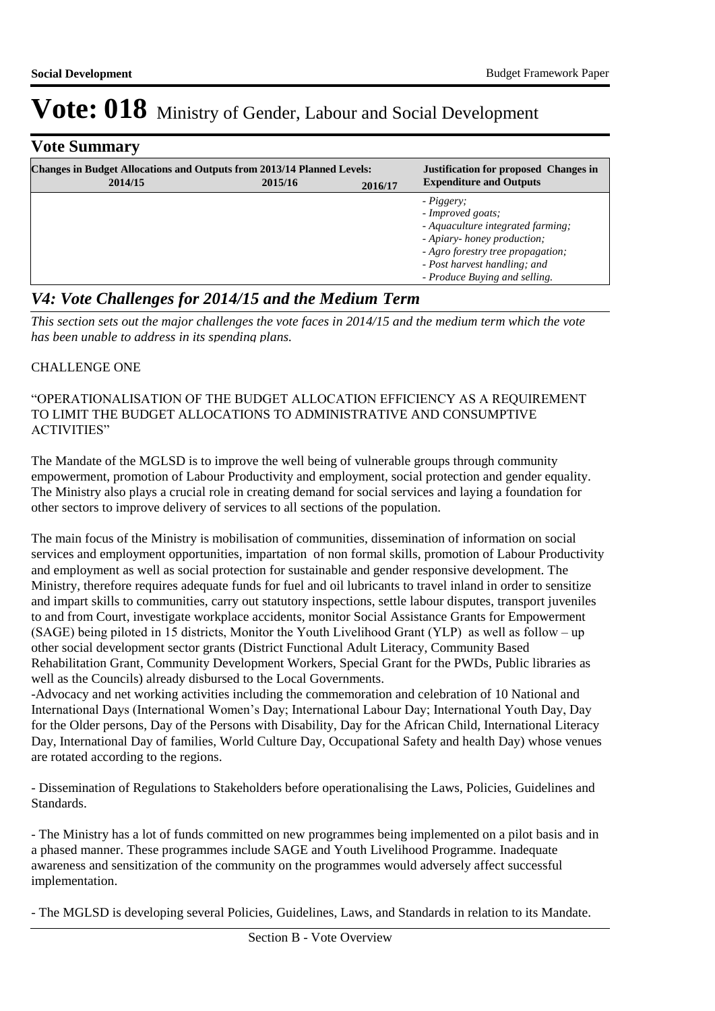## **Vote Summary**

| <b>Changes in Budget Allocations and Outputs from 2013/14 Planned Levels:</b><br>2014/15 | 2015/16 | 2016/17 | <b>Justification for proposed Changes in</b><br><b>Expenditure and Outputs</b>                                                                                                                            |
|------------------------------------------------------------------------------------------|---------|---------|-----------------------------------------------------------------------------------------------------------------------------------------------------------------------------------------------------------|
|                                                                                          |         |         | - Piggery;<br>- Improved goats;<br>- Aquaculture integrated farming;<br>- Apiary- honey production;<br>- Agro forestry tree propagation;<br>- Post harvest handling; and<br>- Produce Buying and selling. |

## *V4: Vote Challenges for 2014/15 and the Medium Term*

*This section sets out the major challenges the vote faces in 2014/15 and the medium term which the vote has been unable to address in its spending plans.*

### CHALLENGE ONE

#### "OPERATIONALISATION OF THE BUDGET ALLOCATION EFFICIENCY AS A REQUIREMENT TO LIMIT THE BUDGET ALLOCATIONS TO ADMINISTRATIVE AND CONSUMPTIVE ACTIVITIES"

The Mandate of the MGLSD is to improve the well being of vulnerable groups through community empowerment, promotion of Labour Productivity and employment, social protection and gender equality. The Ministry also plays a crucial role in creating demand for social services and laying a foundation for other sectors to improve delivery of services to all sections of the population.

The main focus of the Ministry is mobilisation of communities, dissemination of information on social services and employment opportunities, impartation of non formal skills, promotion of Labour Productivity and employment as well as social protection for sustainable and gender responsive development. The Ministry, therefore requires adequate funds for fuel and oil lubricants to travel inland in order to sensitize and impart skills to communities, carry out statutory inspections, settle labour disputes, transport juveniles to and from Court, investigate workplace accidents, monitor Social Assistance Grants for Empowerment (SAGE) being piloted in 15 districts, Monitor the Youth Livelihood Grant (YLP) as well as follow – up other social development sector grants (District Functional Adult Literacy, Community Based Rehabilitation Grant, Community Development Workers, Special Grant for the PWDs, Public libraries as well as the Councils) already disbursed to the Local Governments.

-Advocacy and net working activities including the commemoration and celebration of 10 National and International Days (International Women's Day; International Labour Day; International Youth Day, Day for the Older persons, Day of the Persons with Disability, Day for the African Child, International Literacy Day, International Day of families, World Culture Day, Occupational Safety and health Day) whose venues are rotated according to the regions.

- Dissemination of Regulations to Stakeholders before operationalising the Laws, Policies, Guidelines and Standards.

- The Ministry has a lot of funds committed on new programmes being implemented on a pilot basis and in a phased manner. These programmes include SAGE and Youth Livelihood Programme. Inadequate awareness and sensitization of the community on the programmes would adversely affect successful implementation.

- The MGLSD is developing several Policies, Guidelines, Laws, and Standards in relation to its Mandate.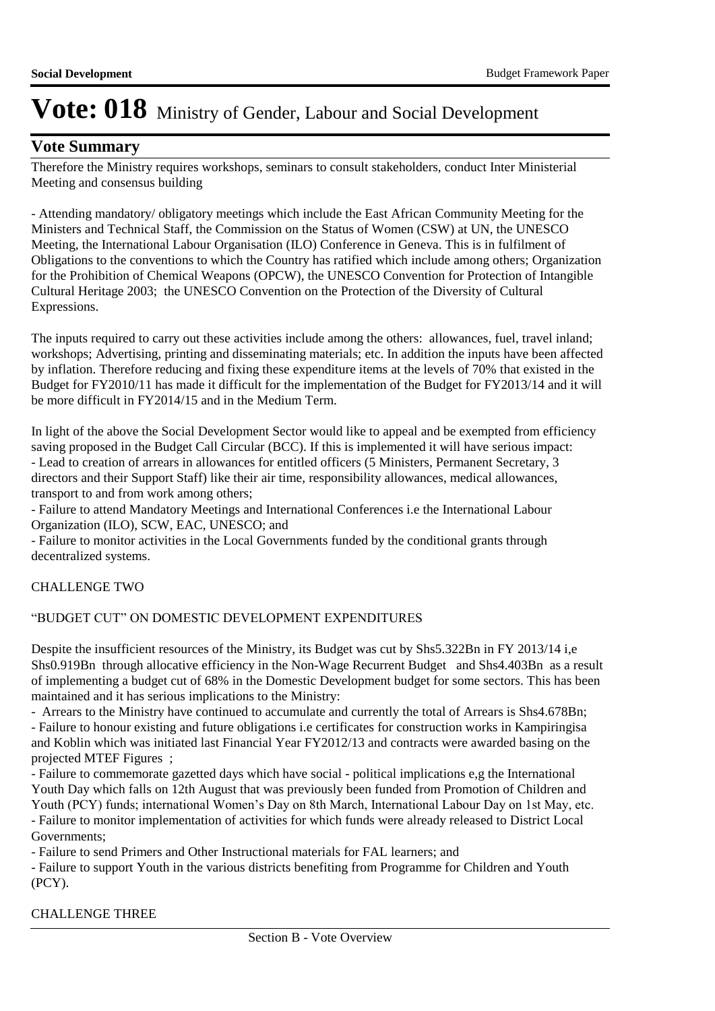### **Vote Summary**

Therefore the Ministry requires workshops, seminars to consult stakeholders, conduct Inter Ministerial Meeting and consensus building

- Attending mandatory/ obligatory meetings which include the East African Community Meeting for the Ministers and Technical Staff, the Commission on the Status of Women (CSW) at UN, the UNESCO Meeting, the International Labour Organisation (ILO) Conference in Geneva. This is in fulfilment of Obligations to the conventions to which the Country has ratified which include among others; Organization for the Prohibition of Chemical Weapons (OPCW), the UNESCO Convention for Protection of Intangible Cultural Heritage 2003; the UNESCO Convention on the Protection of the Diversity of Cultural Expressions.

The inputs required to carry out these activities include among the others: allowances, fuel, travel inland; workshops; Advertising, printing and disseminating materials; etc. In addition the inputs have been affected by inflation. Therefore reducing and fixing these expenditure items at the levels of 70% that existed in the Budget for FY2010/11 has made it difficult for the implementation of the Budget for FY2013/14 and it will be more difficult in FY2014/15 and in the Medium Term.

In light of the above the Social Development Sector would like to appeal and be exempted from efficiency saving proposed in the Budget Call Circular (BCC). If this is implemented it will have serious impact: - Lead to creation of arrears in allowances for entitled officers (5 Ministers, Permanent Secretary, 3 directors and their Support Staff) like their air time, responsibility allowances, medical allowances, transport to and from work among others;

- Failure to attend Mandatory Meetings and International Conferences i.e the International Labour Organization (ILO), SCW, EAC, UNESCO; and

- Failure to monitor activities in the Local Governments funded by the conditional grants through decentralized systems.

### CHALLENGE TWO

#### "BUDGET CUT" ON DOMESTIC DEVELOPMENT EXPENDITURES

Despite the insufficient resources of the Ministry, its Budget was cut by Shs5.322Bn in FY 2013/14 i,e Shs0.919Bn through allocative efficiency in the Non-Wage Recurrent Budget and Shs4.403Bn as a result of implementing a budget cut of 68% in the Domestic Development budget for some sectors. This has been maintained and it has serious implications to the Ministry:

- Arrears to the Ministry have continued to accumulate and currently the total of Arrears is Shs4.678Bn; - Failure to honour existing and future obligations i.e certificates for construction works in Kampiringisa and Koblin which was initiated last Financial Year FY2012/13 and contracts were awarded basing on the projected MTEF Figures ;

- Failure to commemorate gazetted days which have social - political implications e,g the International Youth Day which falls on 12th August that was previously been funded from Promotion of Children and Youth (PCY) funds; international Women's Day on 8th March, International Labour Day on 1st May, etc. - Failure to monitor implementation of activities for which funds were already released to District Local Governments;

- Failure to send Primers and Other Instructional materials for FAL learners; and

- Failure to support Youth in the various districts benefiting from Programme for Children and Youth (PCY).

CHALLENGE THREE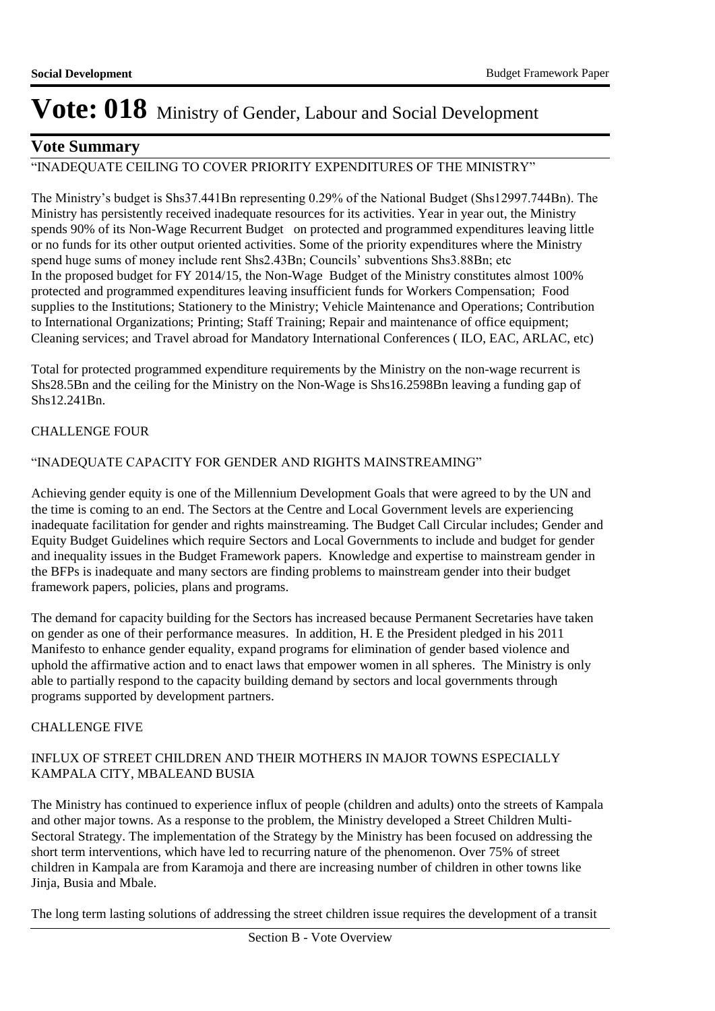### **Vote Summary**

## "INADEQUATE CEILING TO COVER PRIORITY EXPENDITURES OF THE MINISTRY"

The Ministry's budget is Shs37.441Bn representing 0.29% of the National Budget (Shs12997.744Bn). The Ministry has persistently received inadequate resources for its activities. Year in year out, the Ministry spends 90% of its Non-Wage Recurrent Budget on protected and programmed expenditures leaving little or no funds for its other output oriented activities. Some of the priority expenditures where the Ministry spend huge sums of money include rent Shs2.43Bn; Councils' subventions Shs3.88Bn; etc In the proposed budget for FY 2014/15, the Non-Wage Budget of the Ministry constitutes almost 100% protected and programmed expenditures leaving insufficient funds for Workers Compensation; Food supplies to the Institutions; Stationery to the Ministry; Vehicle Maintenance and Operations; Contribution to International Organizations; Printing; Staff Training; Repair and maintenance of office equipment; Cleaning services; and Travel abroad for Mandatory International Conferences ( ILO, EAC, ARLAC, etc)

Total for protected programmed expenditure requirements by the Ministry on the non-wage recurrent is Shs28.5Bn and the ceiling for the Ministry on the Non-Wage is Shs16.2598Bn leaving a funding gap of Shs12.241Bn.

### CHALLENGE FOUR

### "INADEQUATE CAPACITY FOR GENDER AND RIGHTS MAINSTREAMING"

Achieving gender equity is one of the Millennium Development Goals that were agreed to by the UN and the time is coming to an end. The Sectors at the Centre and Local Government levels are experiencing inadequate facilitation for gender and rights mainstreaming. The Budget Call Circular includes; Gender and Equity Budget Guidelines which require Sectors and Local Governments to include and budget for gender and inequality issues in the Budget Framework papers. Knowledge and expertise to mainstream gender in the BFPs is inadequate and many sectors are finding problems to mainstream gender into their budget framework papers, policies, plans and programs.

The demand for capacity building for the Sectors has increased because Permanent Secretaries have taken on gender as one of their performance measures. In addition, H. E the President pledged in his 2011 Manifesto to enhance gender equality, expand programs for elimination of gender based violence and uphold the affirmative action and to enact laws that empower women in all spheres. The Ministry is only able to partially respond to the capacity building demand by sectors and local governments through programs supported by development partners.

#### CHALLENGE FIVE

### INFLUX OF STREET CHILDREN AND THEIR MOTHERS IN MAJOR TOWNS ESPECIALLY KAMPALA CITY, MBALEAND BUSIA

The Ministry has continued to experience influx of people (children and adults) onto the streets of Kampala and other major towns. As a response to the problem, the Ministry developed a Street Children Multi-Sectoral Strategy. The implementation of the Strategy by the Ministry has been focused on addressing the short term interventions, which have led to recurring nature of the phenomenon. Over 75% of street children in Kampala are from Karamoja and there are increasing number of children in other towns like Jinja, Busia and Mbale.

The long term lasting solutions of addressing the street children issue requires the development of a transit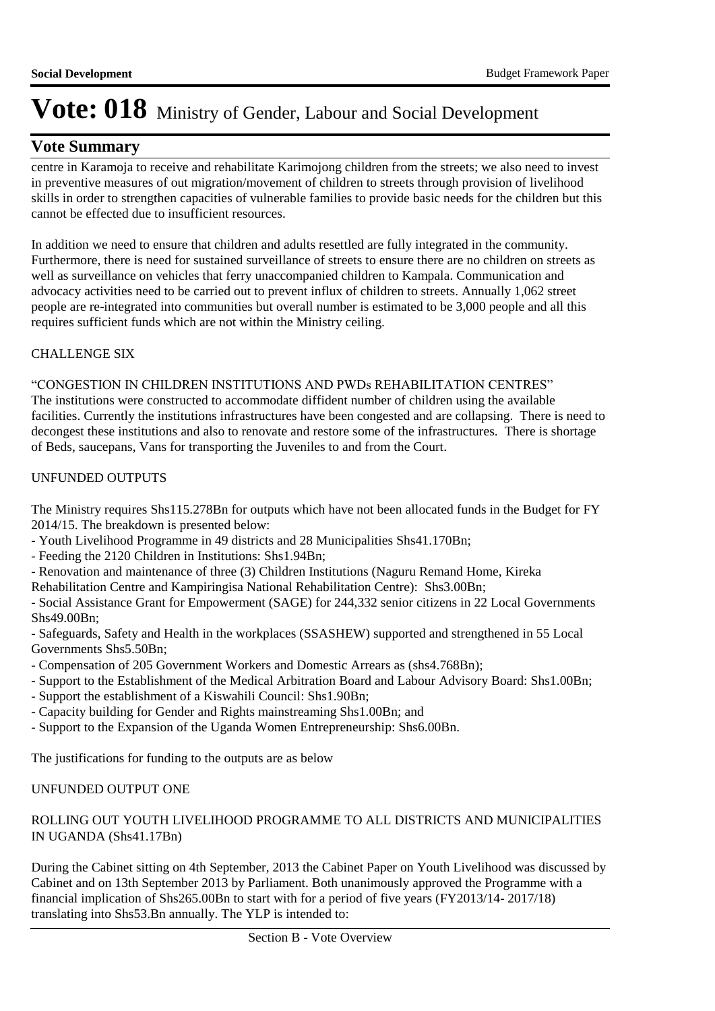### **Vote Summary**

centre in Karamoja to receive and rehabilitate Karimojong children from the streets; we also need to invest in preventive measures of out migration/movement of children to streets through provision of livelihood skills in order to strengthen capacities of vulnerable families to provide basic needs for the children but this cannot be effected due to insufficient resources.

In addition we need to ensure that children and adults resettled are fully integrated in the community. Furthermore, there is need for sustained surveillance of streets to ensure there are no children on streets as well as surveillance on vehicles that ferry unaccompanied children to Kampala. Communication and advocacy activities need to be carried out to prevent influx of children to streets. Annually 1,062 street people are re-integrated into communities but overall number is estimated to be 3,000 people and all this requires sufficient funds which are not within the Ministry ceiling.

### CHALLENGE SIX

### "CONGESTION IN CHILDREN INSTITUTIONS AND PWDs REHABILITATION CENTRES"

The institutions were constructed to accommodate diffident number of children using the available facilities. Currently the institutions infrastructures have been congested and are collapsing. There is need to decongest these institutions and also to renovate and restore some of the infrastructures. There is shortage of Beds, saucepans, Vans for transporting the Juveniles to and from the Court.

### UNFUNDED OUTPUTS

The Ministry requires Shs115.278Bn for outputs which have not been allocated funds in the Budget for FY 2014/15. The breakdown is presented below:

- Youth Livelihood Programme in 49 districts and 28 Municipalities Shs41.170Bn;
- Feeding the 2120 Children in Institutions: Shs1.94Bn;
- Renovation and maintenance of three (3) Children Institutions (Naguru Remand Home, Kireka
- Rehabilitation Centre and Kampiringisa National Rehabilitation Centre): Shs3.00Bn;

- Social Assistance Grant for Empowerment (SAGE) for 244,332 senior citizens in 22 Local Governments Shs49.00Bn;

- Safeguards, Safety and Health in the workplaces (SSASHEW) supported and strengthened in 55 Local Governments Shs5.50Bn;

- Compensation of 205 Government Workers and Domestic Arrears as (shs4.768Bn);
- Support to the Establishment of the Medical Arbitration Board and Labour Advisory Board: Shs1.00Bn;
- Support the establishment of a Kiswahili Council: Shs1.90Bn;
- Capacity building for Gender and Rights mainstreaming Shs1.00Bn; and
- Support to the Expansion of the Uganda Women Entrepreneurship: Shs6.00Bn.

The justifications for funding to the outputs are as below

### UNFUNDED OUTPUT ONE

### ROLLING OUT YOUTH LIVELIHOOD PROGRAMME TO ALL DISTRICTS AND MUNICIPALITIES IN UGANDA (Shs41.17Bn)

During the Cabinet sitting on 4th September, 2013 the Cabinet Paper on Youth Livelihood was discussed by Cabinet and on 13th September 2013 by Parliament. Both unanimously approved the Programme with a financial implication of Shs265.00Bn to start with for a period of five years (FY2013/14- 2017/18) translating into Shs53.Bn annually. The YLP is intended to: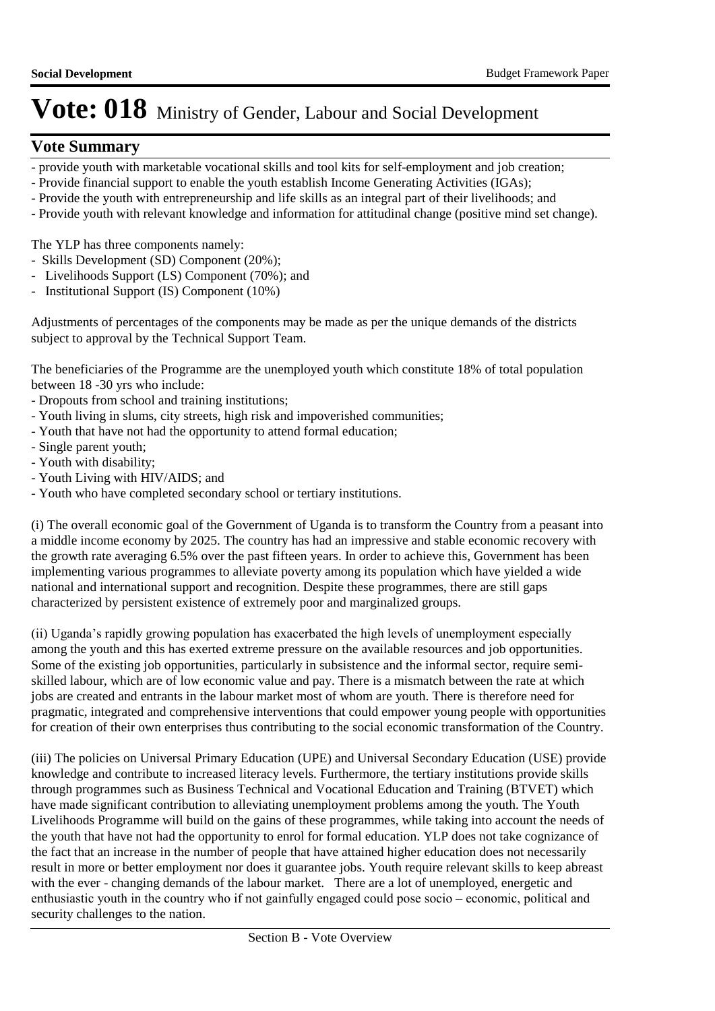### **Vote Summary**

- provide youth with marketable vocational skills and tool kits for self-employment and job creation;
- Provide financial support to enable the youth establish Income Generating Activities (IGAs);
- Provide the youth with entrepreneurship and life skills as an integral part of their livelihoods; and
- Provide youth with relevant knowledge and information for attitudinal change (positive mind set change).

The YLP has three components namely:

- Skills Development (SD) Component (20%);
- Livelihoods Support (LS) Component (70%); and
- Institutional Support (IS) Component (10%)

Adjustments of percentages of the components may be made as per the unique demands of the districts subject to approval by the Technical Support Team.

The beneficiaries of the Programme are the unemployed youth which constitute 18% of total population between 18 -30 yrs who include:

- Dropouts from school and training institutions;
- Youth living in slums, city streets, high risk and impoverished communities;
- Youth that have not had the opportunity to attend formal education;
- Single parent youth;
- Youth with disability;
- Youth Living with HIV/AIDS; and
- Youth who have completed secondary school or tertiary institutions.

(i) The overall economic goal of the Government of Uganda is to transform the Country from a peasant into a middle income economy by 2025. The country has had an impressive and stable economic recovery with the growth rate averaging 6.5% over the past fifteen years. In order to achieve this, Government has been implementing various programmes to alleviate poverty among its population which have yielded a wide national and international support and recognition. Despite these programmes, there are still gaps characterized by persistent existence of extremely poor and marginalized groups.

(ii) Uganda's rapidly growing population has exacerbated the high levels of unemployment especially among the youth and this has exerted extreme pressure on the available resources and job opportunities. Some of the existing job opportunities, particularly in subsistence and the informal sector, require semiskilled labour, which are of low economic value and pay. There is a mismatch between the rate at which jobs are created and entrants in the labour market most of whom are youth. There is therefore need for pragmatic, integrated and comprehensive interventions that could empower young people with opportunities for creation of their own enterprises thus contributing to the social economic transformation of the Country.

(iii) The policies on Universal Primary Education (UPE) and Universal Secondary Education (USE) provide knowledge and contribute to increased literacy levels. Furthermore, the tertiary institutions provide skills through programmes such as Business Technical and Vocational Education and Training (BTVET) which have made significant contribution to alleviating unemployment problems among the youth. The Youth Livelihoods Programme will build on the gains of these programmes, while taking into account the needs of the youth that have not had the opportunity to enrol for formal education. YLP does not take cognizance of the fact that an increase in the number of people that have attained higher education does not necessarily result in more or better employment nor does it guarantee jobs. Youth require relevant skills to keep abreast with the ever - changing demands of the labour market. There are a lot of unemployed, energetic and enthusiastic youth in the country who if not gainfully engaged could pose socio – economic, political and security challenges to the nation.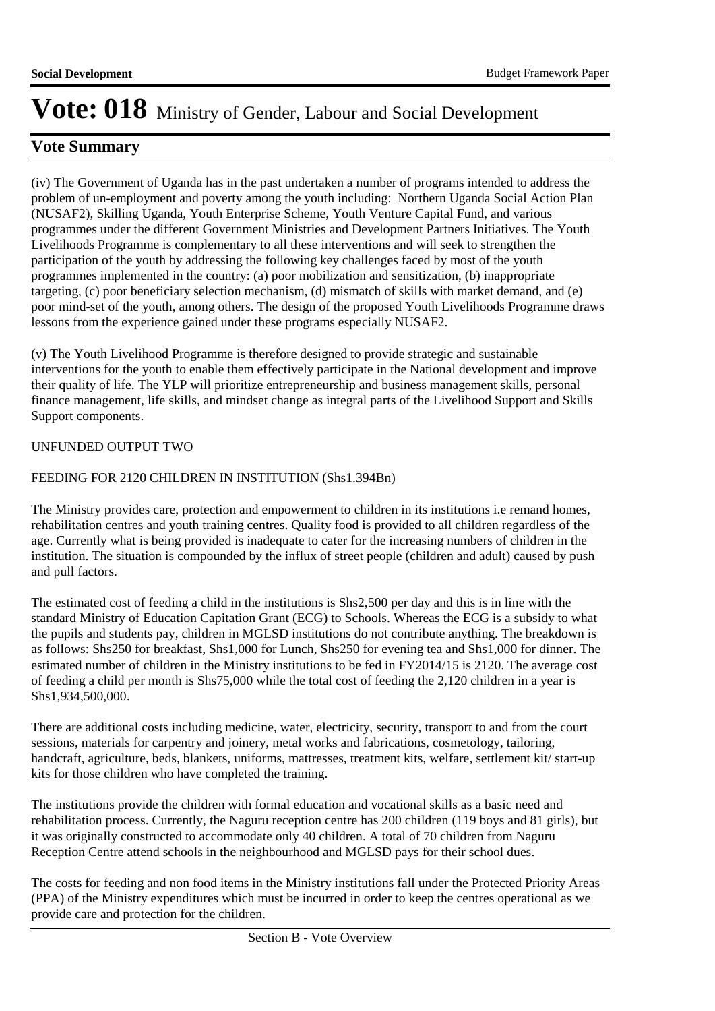## **Vote Summary**

(iv) The Government of Uganda has in the past undertaken a number of programs intended to address the problem of un-employment and poverty among the youth including: Northern Uganda Social Action Plan (NUSAF2), Skilling Uganda, Youth Enterprise Scheme, Youth Venture Capital Fund, and various programmes under the different Government Ministries and Development Partners Initiatives. The Youth Livelihoods Programme is complementary to all these interventions and will seek to strengthen the participation of the youth by addressing the following key challenges faced by most of the youth programmes implemented in the country: (a) poor mobilization and sensitization, (b) inappropriate targeting, (c) poor beneficiary selection mechanism, (d) mismatch of skills with market demand, and (e) poor mind-set of the youth, among others. The design of the proposed Youth Livelihoods Programme draws lessons from the experience gained under these programs especially NUSAF2.

(v) The Youth Livelihood Programme is therefore designed to provide strategic and sustainable interventions for the youth to enable them effectively participate in the National development and improve their quality of life. The YLP will prioritize entrepreneurship and business management skills, personal finance management, life skills, and mindset change as integral parts of the Livelihood Support and Skills Support components.

### UNFUNDED OUTPUT TWO

### FEEDING FOR 2120 CHILDREN IN INSTITUTION (Shs1.394Bn)

The Ministry provides care, protection and empowerment to children in its institutions i.e remand homes, rehabilitation centres and youth training centres. Quality food is provided to all children regardless of the age. Currently what is being provided is inadequate to cater for the increasing numbers of children in the institution. The situation is compounded by the influx of street people (children and adult) caused by push and pull factors.

The estimated cost of feeding a child in the institutions is Shs2,500 per day and this is in line with the standard Ministry of Education Capitation Grant (ECG) to Schools. Whereas the ECG is a subsidy to what the pupils and students pay, children in MGLSD institutions do not contribute anything. The breakdown is as follows: Shs250 for breakfast, Shs1,000 for Lunch, Shs250 for evening tea and Shs1,000 for dinner. The estimated number of children in the Ministry institutions to be fed in FY2014/15 is 2120. The average cost of feeding a child per month is Shs75,000 while the total cost of feeding the 2,120 children in a year is Shs1,934,500,000.

There are additional costs including medicine, water, electricity, security, transport to and from the court sessions, materials for carpentry and joinery, metal works and fabrications, cosmetology, tailoring, handcraft, agriculture, beds, blankets, uniforms, mattresses, treatment kits, welfare, settlement kit/ start-up kits for those children who have completed the training.

The institutions provide the children with formal education and vocational skills as a basic need and rehabilitation process. Currently, the Naguru reception centre has 200 children (119 boys and 81 girls), but it was originally constructed to accommodate only 40 children. A total of 70 children from Naguru Reception Centre attend schools in the neighbourhood and MGLSD pays for their school dues.

The costs for feeding and non food items in the Ministry institutions fall under the Protected Priority Areas (PPA) of the Ministry expenditures which must be incurred in order to keep the centres operational as we provide care and protection for the children.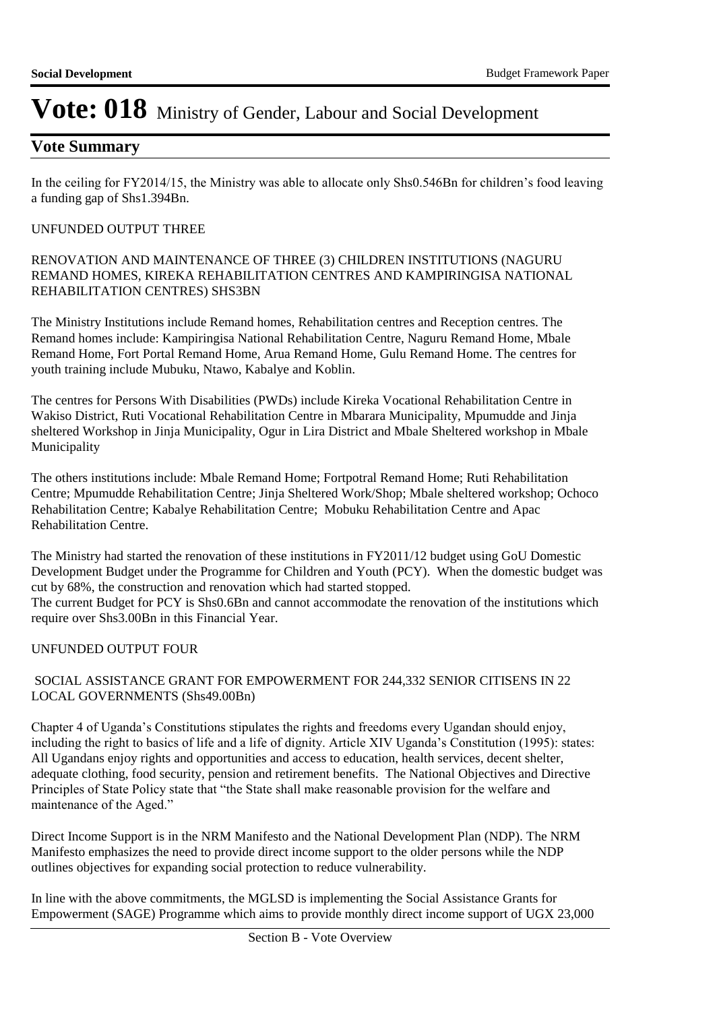### **Vote Summary**

In the ceiling for FY2014/15, the Ministry was able to allocate only Shs0.546Bn for children's food leaving a funding gap of Shs1.394Bn.

#### UNFUNDED OUTPUT THREE

RENOVATION AND MAINTENANCE OF THREE (3) CHILDREN INSTITUTIONS (NAGURU REMAND HOMES, KIREKA REHABILITATION CENTRES AND KAMPIRINGISA NATIONAL REHABILITATION CENTRES) SHS3BN

The Ministry Institutions include Remand homes, Rehabilitation centres and Reception centres. The Remand homes include: Kampiringisa National Rehabilitation Centre, Naguru Remand Home, Mbale Remand Home, Fort Portal Remand Home, Arua Remand Home, Gulu Remand Home. The centres for youth training include Mubuku, Ntawo, Kabalye and Koblin.

The centres for Persons With Disabilities (PWDs) include Kireka Vocational Rehabilitation Centre in Wakiso District, Ruti Vocational Rehabilitation Centre in Mbarara Municipality, Mpumudde and Jinja sheltered Workshop in Jinja Municipality, Ogur in Lira District and Mbale Sheltered workshop in Mbale Municipality

The others institutions include: Mbale Remand Home; Fortpotral Remand Home; Ruti Rehabilitation Centre; Mpumudde Rehabilitation Centre; Jinja Sheltered Work/Shop; Mbale sheltered workshop; Ochoco Rehabilitation Centre; Kabalye Rehabilitation Centre; Mobuku Rehabilitation Centre and Apac Rehabilitation Centre.

The Ministry had started the renovation of these institutions in FY2011/12 budget using GoU Domestic Development Budget under the Programme for Children and Youth (PCY). When the domestic budget was cut by 68%, the construction and renovation which had started stopped. The current Budget for PCY is Shs0.6Bn and cannot accommodate the renovation of the institutions which require over Shs3.00Bn in this Financial Year.

#### UNFUNDED OUTPUT FOUR

#### SOCIAL ASSISTANCE GRANT FOR EMPOWERMENT FOR 244,332 SENIOR CITISENS IN 22 LOCAL GOVERNMENTS (Shs49.00Bn)

Chapter 4 of Uganda's Constitutions stipulates the rights and freedoms every Ugandan should enjoy, including the right to basics of life and a life of dignity. Article XIV Uganda's Constitution (1995): states: All Ugandans enjoy rights and opportunities and access to education, health services, decent shelter, adequate clothing, food security, pension and retirement benefits. The National Objectives and Directive Principles of State Policy state that "the State shall make reasonable provision for the welfare and maintenance of the Aged."

Direct Income Support is in the NRM Manifesto and the National Development Plan (NDP). The NRM Manifesto emphasizes the need to provide direct income support to the older persons while the NDP outlines objectives for expanding social protection to reduce vulnerability.

In line with the above commitments, the MGLSD is implementing the Social Assistance Grants for Empowerment (SAGE) Programme which aims to provide monthly direct income support of UGX 23,000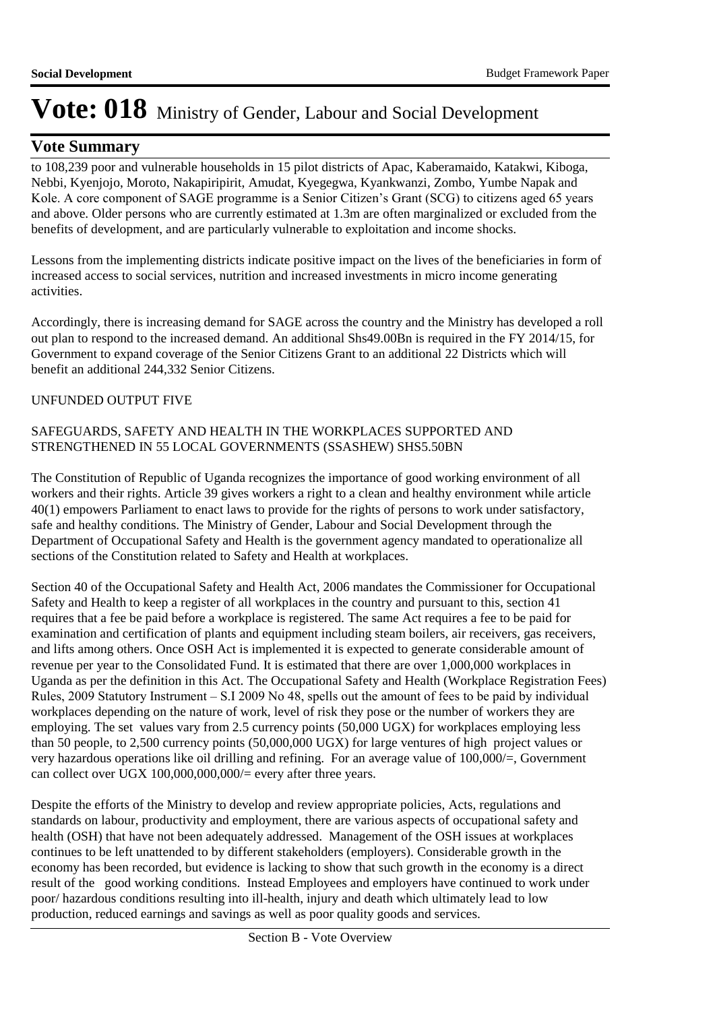### **Vote Summary**

to 108,239 poor and vulnerable households in 15 pilot districts of Apac, Kaberamaido, Katakwi, Kiboga, Nebbi, Kyenjojo, Moroto, Nakapiripirit, Amudat, Kyegegwa, Kyankwanzi, Zombo, Yumbe Napak and Kole. A core component of SAGE programme is a Senior Citizen's Grant (SCG) to citizens aged 65 years and above. Older persons who are currently estimated at 1.3m are often marginalized or excluded from the benefits of development, and are particularly vulnerable to exploitation and income shocks.

Lessons from the implementing districts indicate positive impact on the lives of the beneficiaries in form of increased access to social services, nutrition and increased investments in micro income generating activities.

Accordingly, there is increasing demand for SAGE across the country and the Ministry has developed a roll out plan to respond to the increased demand. An additional Shs49.00Bn is required in the FY 2014/15, for Government to expand coverage of the Senior Citizens Grant to an additional 22 Districts which will benefit an additional 244,332 Senior Citizens.

### UNFUNDED OUTPUT FIVE

#### SAFEGUARDS, SAFETY AND HEALTH IN THE WORKPLACES SUPPORTED AND STRENGTHENED IN 55 LOCAL GOVERNMENTS (SSASHEW) SHS5.50BN

The Constitution of Republic of Uganda recognizes the importance of good working environment of all workers and their rights. Article 39 gives workers a right to a clean and healthy environment while article 40(1) empowers Parliament to enact laws to provide for the rights of persons to work under satisfactory, safe and healthy conditions. The Ministry of Gender, Labour and Social Development through the Department of Occupational Safety and Health is the government agency mandated to operationalize all sections of the Constitution related to Safety and Health at workplaces.

Section 40 of the Occupational Safety and Health Act, 2006 mandates the Commissioner for Occupational Safety and Health to keep a register of all workplaces in the country and pursuant to this, section 41 requires that a fee be paid before a workplace is registered. The same Act requires a fee to be paid for examination and certification of plants and equipment including steam boilers, air receivers, gas receivers, and lifts among others. Once OSH Act is implemented it is expected to generate considerable amount of revenue per year to the Consolidated Fund. It is estimated that there are over 1,000,000 workplaces in Uganda as per the definition in this Act. The Occupational Safety and Health (Workplace Registration Fees) Rules, 2009 Statutory Instrument – S.I 2009 No 48, spells out the amount of fees to be paid by individual workplaces depending on the nature of work, level of risk they pose or the number of workers they are employing. The set values vary from 2.5 currency points (50,000 UGX) for workplaces employing less than 50 people, to 2,500 currency points (50,000,000 UGX) for large ventures of high project values or very hazardous operations like oil drilling and refining. For an average value of  $100,000/$ , Government can collect over UGX 100,000,000,000/= every after three years.

Despite the efforts of the Ministry to develop and review appropriate policies, Acts, regulations and standards on labour, productivity and employment, there are various aspects of occupational safety and health (OSH) that have not been adequately addressed. Management of the OSH issues at workplaces continues to be left unattended to by different stakeholders (employers). Considerable growth in the economy has been recorded, but evidence is lacking to show that such growth in the economy is a direct result of the good working conditions. Instead Employees and employers have continued to work under poor/ hazardous conditions resulting into ill-health, injury and death which ultimately lead to low production, reduced earnings and savings as well as poor quality goods and services.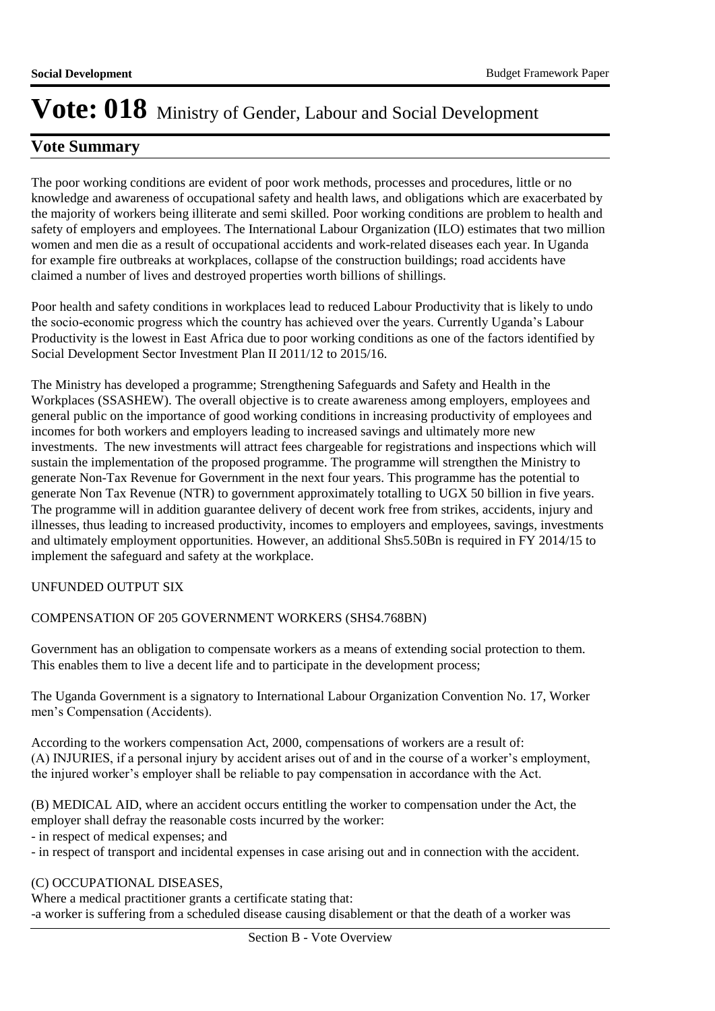## **Vote Summary**

The poor working conditions are evident of poor work methods, processes and procedures, little or no knowledge and awareness of occupational safety and health laws, and obligations which are exacerbated by the majority of workers being illiterate and semi skilled. Poor working conditions are problem to health and safety of employers and employees. The International Labour Organization (ILO) estimates that two million women and men die as a result of occupational accidents and work-related diseases each year. In Uganda for example fire outbreaks at workplaces, collapse of the construction buildings; road accidents have claimed a number of lives and destroyed properties worth billions of shillings.

Poor health and safety conditions in workplaces lead to reduced Labour Productivity that is likely to undo the socio-economic progress which the country has achieved over the years. Currently Uganda's Labour Productivity is the lowest in East Africa due to poor working conditions as one of the factors identified by Social Development Sector Investment Plan II 2011/12 to 2015/16.

The Ministry has developed a programme; Strengthening Safeguards and Safety and Health in the Workplaces (SSASHEW). The overall objective is to create awareness among employers, employees and general public on the importance of good working conditions in increasing productivity of employees and incomes for both workers and employers leading to increased savings and ultimately more new investments. The new investments will attract fees chargeable for registrations and inspections which will sustain the implementation of the proposed programme. The programme will strengthen the Ministry to generate Non-Tax Revenue for Government in the next four years. This programme has the potential to generate Non Tax Revenue (NTR) to government approximately totalling to UGX 50 billion in five years. The programme will in addition guarantee delivery of decent work free from strikes, accidents, injury and illnesses, thus leading to increased productivity, incomes to employers and employees, savings, investments and ultimately employment opportunities. However, an additional Shs5.50Bn is required in FY 2014/15 to implement the safeguard and safety at the workplace.

### UNFUNDED OUTPUT SIX

#### COMPENSATION OF 205 GOVERNMENT WORKERS (SHS4.768BN)

Government has an obligation to compensate workers as a means of extending social protection to them. This enables them to live a decent life and to participate in the development process;

The Uganda Government is a signatory to International Labour Organization Convention No. 17, Worker men's Compensation (Accidents).

According to the workers compensation Act, 2000, compensations of workers are a result of: (A) INJURIES, if a personal injury by accident arises out of and in the course of a worker's employment, the injured worker's employer shall be reliable to pay compensation in accordance with the Act.

(B) MEDICAL AID, where an accident occurs entitling the worker to compensation under the Act, the employer shall defray the reasonable costs incurred by the worker:

- in respect of medical expenses; and

- in respect of transport and incidental expenses in case arising out and in connection with the accident.

#### (C) OCCUPATIONAL DISEASES,

Where a medical practitioner grants a certificate stating that: -a worker is suffering from a scheduled disease causing disablement or that the death of a worker was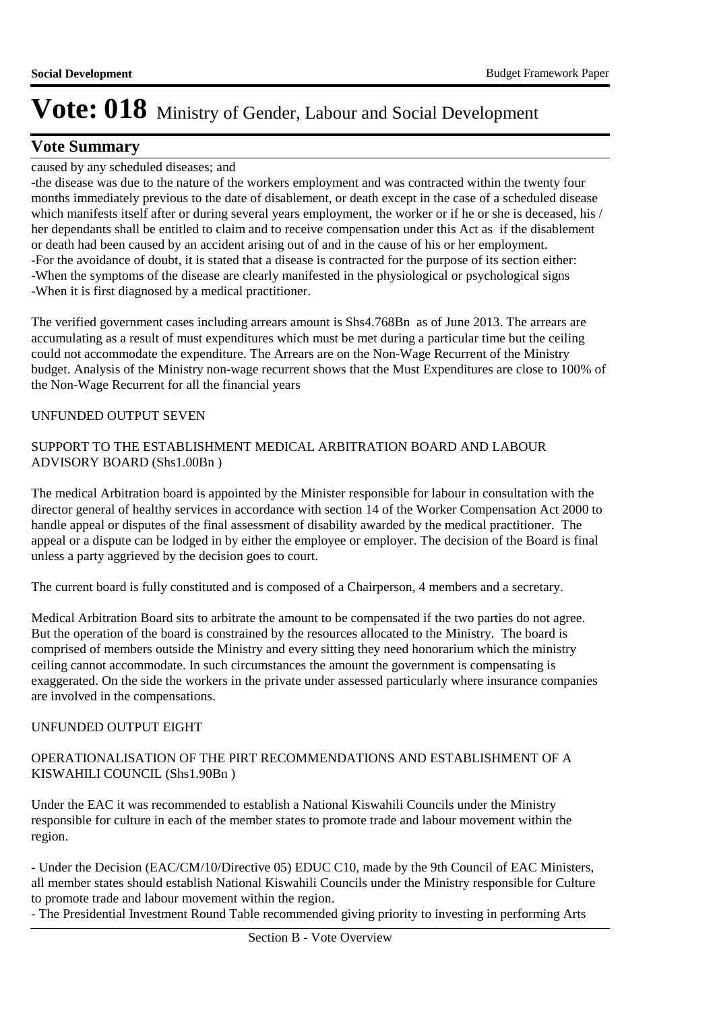## **Vote Summary**

### caused by any scheduled diseases; and

-the disease was due to the nature of the workers employment and was contracted within the twenty four months immediately previous to the date of disablement, or death except in the case of a scheduled disease which manifests itself after or during several years employment, the worker or if he or she is deceased, his / her dependants shall be entitled to claim and to receive compensation under this Act as if the disablement or death had been caused by an accident arising out of and in the cause of his or her employment. -For the avoidance of doubt, it is stated that a disease is contracted for the purpose of its section either: -When the symptoms of the disease are clearly manifested in the physiological or psychological signs -When it is first diagnosed by a medical practitioner.

The verified government cases including arrears amount is Shs4.768Bn as of June 2013. The arrears are accumulating as a result of must expenditures which must be met during a particular time but the ceiling could not accommodate the expenditure. The Arrears are on the Non-Wage Recurrent of the Ministry budget. Analysis of the Ministry non-wage recurrent shows that the Must Expenditures are close to 100% of the Non-Wage Recurrent for all the financial years

### UNFUNDED OUTPUT SEVEN

### SUPPORT TO THE ESTABLISHMENT MEDICAL ARBITRATION BOARD AND LABOUR ADVISORY BOARD (Shs1.00Bn )

The medical Arbitration board is appointed by the Minister responsible for labour in consultation with the director general of healthy services in accordance with section 14 of the Worker Compensation Act 2000 to handle appeal or disputes of the final assessment of disability awarded by the medical practitioner. The appeal or a dispute can be lodged in by either the employee or employer. The decision of the Board is final unless a party aggrieved by the decision goes to court.

The current board is fully constituted and is composed of a Chairperson, 4 members and a secretary.

Medical Arbitration Board sits to arbitrate the amount to be compensated if the two parties do not agree. But the operation of the board is constrained by the resources allocated to the Ministry. The board is comprised of members outside the Ministry and every sitting they need honorarium which the ministry ceiling cannot accommodate. In such circumstances the amount the government is compensating is exaggerated. On the side the workers in the private under assessed particularly where insurance companies are involved in the compensations.

### UNFUNDED OUTPUT EIGHT

### OPERATIONALISATION OF THE PIRT RECOMMENDATIONS AND ESTABLISHMENT OF A KISWAHILI COUNCIL (Shs1.90Bn )

Under the EAC it was recommended to establish a National Kiswahili Councils under the Ministry responsible for culture in each of the member states to promote trade and labour movement within the region.

- Under the Decision (EAC/CM/10/Directive 05) EDUC C10, made by the 9th Council of EAC Ministers, all member states should establish National Kiswahili Councils under the Ministry responsible for Culture to promote trade and labour movement within the region.

- The Presidential Investment Round Table recommended giving priority to investing in performing Arts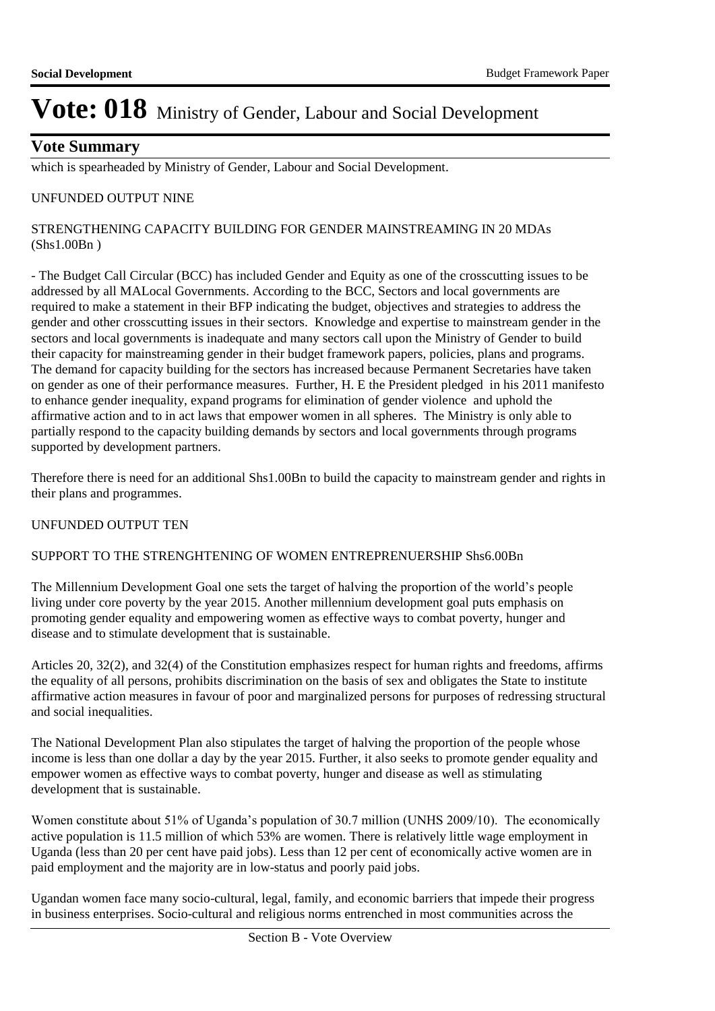### **Vote Summary**

which is spearheaded by Ministry of Gender, Labour and Social Development.

#### UNFUNDED OUTPUT NINE

#### STRENGTHENING CAPACITY BUILDING FOR GENDER MAINSTREAMING IN 20 MDAs (Shs1.00Bn )

- The Budget Call Circular (BCC) has included Gender and Equity as one of the crosscutting issues to be addressed by all MALocal Governments. According to the BCC, Sectors and local governments are required to make a statement in their BFP indicating the budget, objectives and strategies to address the gender and other crosscutting issues in their sectors. Knowledge and expertise to mainstream gender in the sectors and local governments is inadequate and many sectors call upon the Ministry of Gender to build their capacity for mainstreaming gender in their budget framework papers, policies, plans and programs. The demand for capacity building for the sectors has increased because Permanent Secretaries have taken on gender as one of their performance measures. Further, H. E the President pledged in his 2011 manifesto to enhance gender inequality, expand programs for elimination of gender violence and uphold the affirmative action and to in act laws that empower women in all spheres. The Ministry is only able to partially respond to the capacity building demands by sectors and local governments through programs supported by development partners.

Therefore there is need for an additional Shs1.00Bn to build the capacity to mainstream gender and rights in their plans and programmes.

#### UNFUNDED OUTPUT TEN

#### SUPPORT TO THE STRENGHTENING OF WOMEN ENTREPRENUERSHIP Shs6.00Bn

The Millennium Development Goal one sets the target of halving the proportion of the world's people living under core poverty by the year 2015. Another millennium development goal puts emphasis on promoting gender equality and empowering women as effective ways to combat poverty, hunger and disease and to stimulate development that is sustainable.

Articles 20, 32(2), and 32(4) of the Constitution emphasizes respect for human rights and freedoms, affirms the equality of all persons, prohibits discrimination on the basis of sex and obligates the State to institute affirmative action measures in favour of poor and marginalized persons for purposes of redressing structural and social inequalities.

The National Development Plan also stipulates the target of halving the proportion of the people whose income is less than one dollar a day by the year 2015. Further, it also seeks to promote gender equality and empower women as effective ways to combat poverty, hunger and disease as well as stimulating development that is sustainable.

Women constitute about 51% of Uganda's population of 30.7 million (UNHS 2009/10). The economically active population is 11.5 million of which 53% are women. There is relatively little wage employment in Uganda (less than 20 per cent have paid jobs). Less than 12 per cent of economically active women are in paid employment and the majority are in low-status and poorly paid jobs.

Ugandan women face many socio-cultural, legal, family, and economic barriers that impede their progress in business enterprises. Socio-cultural and religious norms entrenched in most communities across the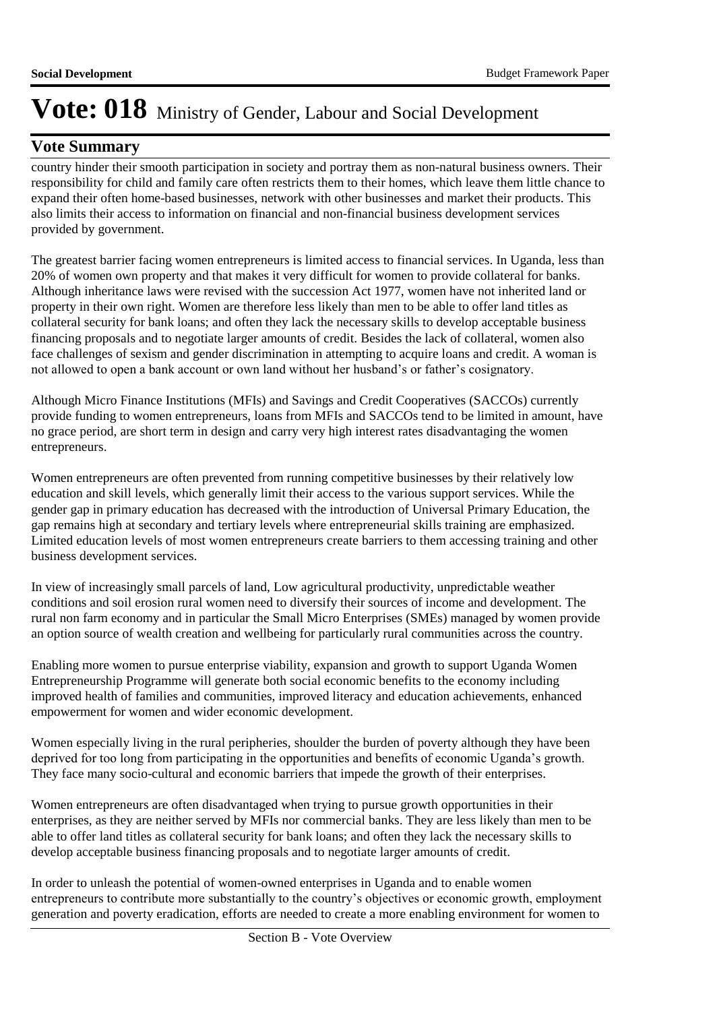## **Vote Summary**

country hinder their smooth participation in society and portray them as non-natural business owners. Their responsibility for child and family care often restricts them to their homes, which leave them little chance to expand their often home-based businesses, network with other businesses and market their products. This also limits their access to information on financial and non-financial business development services provided by government.

The greatest barrier facing women entrepreneurs is limited access to financial services. In Uganda, less than 20% of women own property and that makes it very difficult for women to provide collateral for banks. Although inheritance laws were revised with the succession Act 1977, women have not inherited land or property in their own right. Women are therefore less likely than men to be able to offer land titles as collateral security for bank loans; and often they lack the necessary skills to develop acceptable business financing proposals and to negotiate larger amounts of credit. Besides the lack of collateral, women also face challenges of sexism and gender discrimination in attempting to acquire loans and credit. A woman is not allowed to open a bank account or own land without her husband's or father's cosignatory.

Although Micro Finance Institutions (MFIs) and Savings and Credit Cooperatives (SACCOs) currently provide funding to women entrepreneurs, loans from MFIs and SACCOs tend to be limited in amount, have no grace period, are short term in design and carry very high interest rates disadvantaging the women entrepreneurs.

Women entrepreneurs are often prevented from running competitive businesses by their relatively low education and skill levels, which generally limit their access to the various support services. While the gender gap in primary education has decreased with the introduction of Universal Primary Education, the gap remains high at secondary and tertiary levels where entrepreneurial skills training are emphasized. Limited education levels of most women entrepreneurs create barriers to them accessing training and other business development services.

In view of increasingly small parcels of land, Low agricultural productivity, unpredictable weather conditions and soil erosion rural women need to diversify their sources of income and development. The rural non farm economy and in particular the Small Micro Enterprises (SMEs) managed by women provide an option source of wealth creation and wellbeing for particularly rural communities across the country.

Enabling more women to pursue enterprise viability, expansion and growth to support Uganda Women Entrepreneurship Programme will generate both social economic benefits to the economy including improved health of families and communities, improved literacy and education achievements, enhanced empowerment for women and wider economic development.

Women especially living in the rural peripheries, shoulder the burden of poverty although they have been deprived for too long from participating in the opportunities and benefits of economic Uganda's growth. They face many socio-cultural and economic barriers that impede the growth of their enterprises.

Women entrepreneurs are often disadvantaged when trying to pursue growth opportunities in their enterprises, as they are neither served by MFIs nor commercial banks. They are less likely than men to be able to offer land titles as collateral security for bank loans; and often they lack the necessary skills to develop acceptable business financing proposals and to negotiate larger amounts of credit.

In order to unleash the potential of women-owned enterprises in Uganda and to enable women entrepreneurs to contribute more substantially to the country's objectives or economic growth, employment generation and poverty eradication, efforts are needed to create a more enabling environment for women to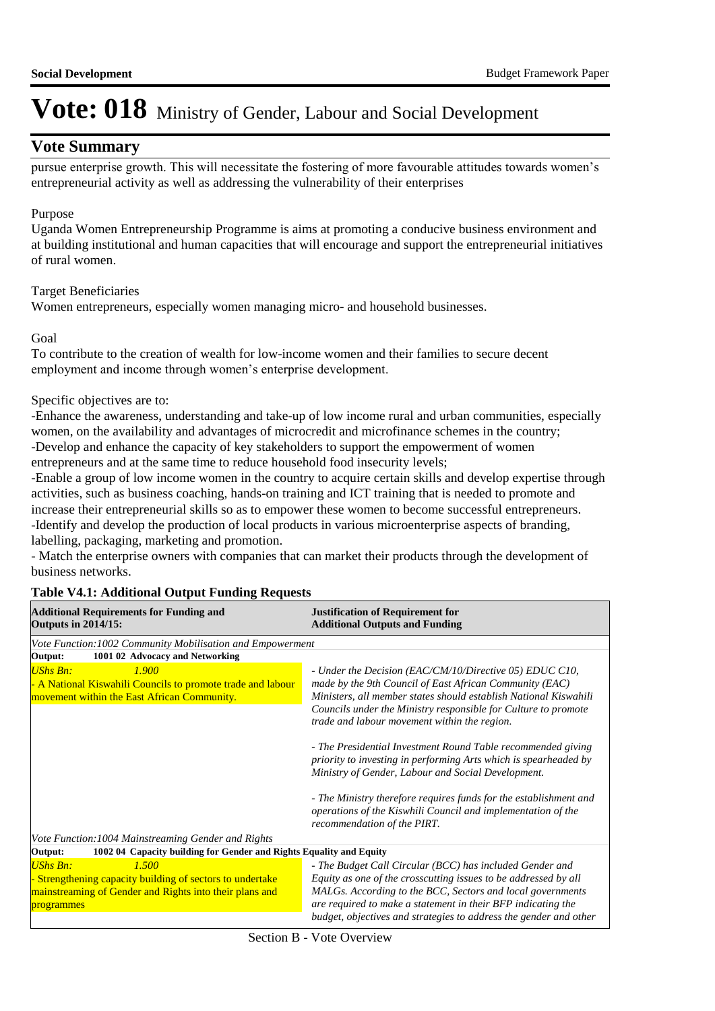### **Vote Summary**

pursue enterprise growth. This will necessitate the fostering of more favourable attitudes towards women's entrepreneurial activity as well as addressing the vulnerability of their enterprises

#### Purpose

Uganda Women Entrepreneurship Programme is aims at promoting a conducive business environment and at building institutional and human capacities that will encourage and support the entrepreneurial initiatives of rural women.

#### Target Beneficiaries

Women entrepreneurs, especially women managing micro- and household businesses.

#### Goal

To contribute to the creation of wealth for low-income women and their families to secure decent employment and income through women's enterprise development.

#### Specific objectives are to:

-Enhance the awareness, understanding and take-up of low income rural and urban communities, especially women, on the availability and advantages of microcredit and microfinance schemes in the country; -Develop and enhance the capacity of key stakeholders to support the empowerment of women entrepreneurs and at the same time to reduce household food insecurity levels;

-Enable a group of low income women in the country to acquire certain skills and develop expertise through activities, such as business coaching, hands-on training and ICT training that is needed to promote and increase their entrepreneurial skills so as to empower these women to become successful entrepreneurs. -Identify and develop the production of local products in various microenterprise aspects of branding, labelling, packaging, marketing and promotion.

- Match the enterprise owners with companies that can market their products through the development of business networks.

#### **Table V4.1: Additional Output Funding Requests**

| <b>Additional Requirements for Funding and</b><br><b>Outputs in 2014/15:</b>                                                                                 | <b>Justification of Requirement for</b><br><b>Additional Outputs and Funding</b>                                                                                                                                                                                                                                                                           |
|--------------------------------------------------------------------------------------------------------------------------------------------------------------|------------------------------------------------------------------------------------------------------------------------------------------------------------------------------------------------------------------------------------------------------------------------------------------------------------------------------------------------------------|
| Vote Function: 1002 Community Mobilisation and Empowerment                                                                                                   |                                                                                                                                                                                                                                                                                                                                                            |
| 1001 02 Advocacy and Networking<br>Output:                                                                                                                   |                                                                                                                                                                                                                                                                                                                                                            |
| <b>UShs Bn:</b><br>1.900<br>A National Kiswahili Councils to promote trade and labour<br>movement within the East African Community.                         | - Under the Decision (EAC/CM/10/Directive 05) EDUC C10,<br>made by the 9th Council of East African Community (EAC)<br>Ministers, all member states should establish National Kiswahili<br>Councils under the Ministry responsible for Culture to promote<br>trade and labour movement within the region.                                                   |
|                                                                                                                                                              | - The Presidential Investment Round Table recommended giving<br>priority to investing in performing Arts which is spearheaded by<br>Ministry of Gender, Labour and Social Development.<br>- The Ministry therefore requires funds for the establishment and<br>operations of the Kiswhili Council and implementation of the<br>recommendation of the PIRT. |
| Vote Function: 1004 Mainstreaming Gender and Rights                                                                                                          |                                                                                                                                                                                                                                                                                                                                                            |
| 1002 04 Capacity building for Gender and Rights Equality and Equity<br>Output:                                                                               |                                                                                                                                                                                                                                                                                                                                                            |
| <b>UShs Bn:</b><br>1.500<br>Strengthening capacity building of sectors to undertake<br>mainstreaming of Gender and Rights into their plans and<br>programmes | - The Budget Call Circular (BCC) has included Gender and<br>Equity as one of the crosscutting issues to be addressed by all<br>MALGs. According to the BCC, Sectors and local governments<br>are required to make a statement in their BFP indicating the<br>budget, objectives and strategies to address the gender and other                             |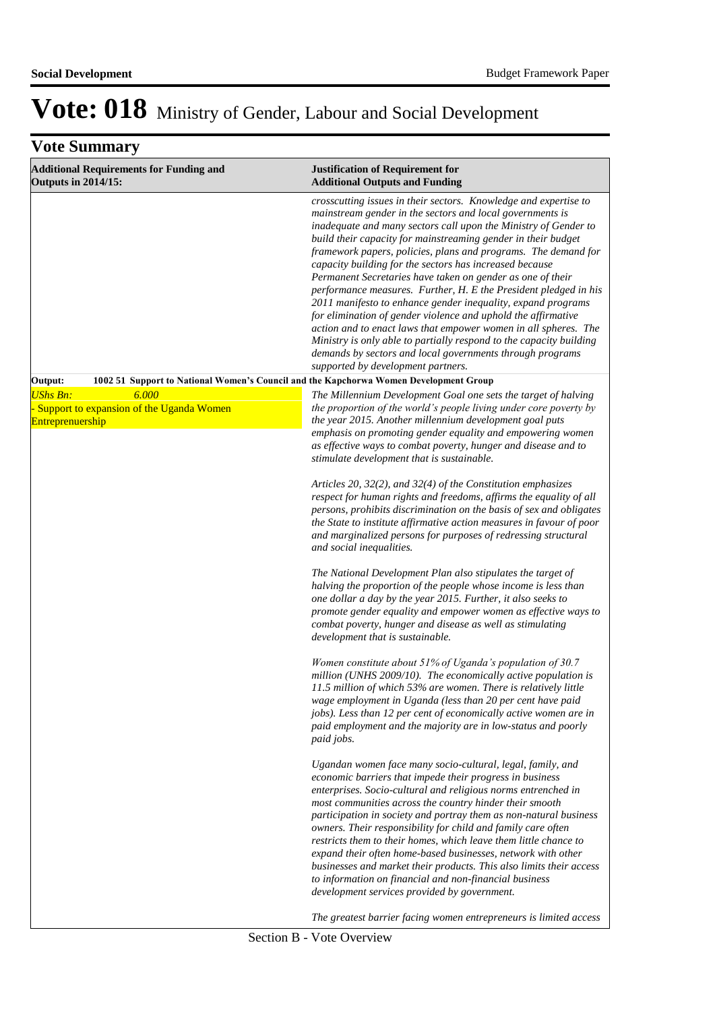| <b>Vote Summary</b>                                                                        |                                                                                                                                                                                                                                                                                                                                                                                                                                                                                                                                                                                                                                                                                                                                                                                                                                                                                                                |
|--------------------------------------------------------------------------------------------|----------------------------------------------------------------------------------------------------------------------------------------------------------------------------------------------------------------------------------------------------------------------------------------------------------------------------------------------------------------------------------------------------------------------------------------------------------------------------------------------------------------------------------------------------------------------------------------------------------------------------------------------------------------------------------------------------------------------------------------------------------------------------------------------------------------------------------------------------------------------------------------------------------------|
| <b>Additional Requirements for Funding and</b><br><b>Outputs in 2014/15:</b>               | <b>Justification of Requirement for</b><br><b>Additional Outputs and Funding</b>                                                                                                                                                                                                                                                                                                                                                                                                                                                                                                                                                                                                                                                                                                                                                                                                                               |
|                                                                                            | crosscutting issues in their sectors. Knowledge and expertise to<br>mainstream gender in the sectors and local governments is<br>inadequate and many sectors call upon the Ministry of Gender to<br>build their capacity for mainstreaming gender in their budget<br>framework papers, policies, plans and programs. The demand for<br>capacity building for the sectors has increased because<br>Permanent Secretaries have taken on gender as one of their<br>performance measures. Further, H. E the President pledged in his<br>2011 manifesto to enhance gender inequality, expand programs<br>for elimination of gender violence and uphold the affirmative<br>action and to enact laws that empower women in all spheres. The<br>Ministry is only able to partially respond to the capacity building<br>demands by sectors and local governments through programs<br>supported by development partners. |
| Output:                                                                                    | 1002 51 Support to National Women's Council and the Kapchorwa Women Development Group                                                                                                                                                                                                                                                                                                                                                                                                                                                                                                                                                                                                                                                                                                                                                                                                                          |
| <b>UShs Bn:</b><br>6,000<br>- Support to expansion of the Uganda Women<br>Entreprenuership | The Millennium Development Goal one sets the target of halving<br>the proportion of the world's people living under core poverty by<br>the year 2015. Another millennium development goal puts<br>emphasis on promoting gender equality and empowering women<br>as effective ways to combat poverty, hunger and disease and to<br>stimulate development that is sustainable.                                                                                                                                                                                                                                                                                                                                                                                                                                                                                                                                   |
|                                                                                            | Articles 20, 32(2), and 32(4) of the Constitution emphasizes<br>respect for human rights and freedoms, affirms the equality of all<br>persons, prohibits discrimination on the basis of sex and obligates<br>the State to institute affirmative action measures in favour of poor<br>and marginalized persons for purposes of redressing structural<br>and social inequalities.                                                                                                                                                                                                                                                                                                                                                                                                                                                                                                                                |
|                                                                                            | The National Development Plan also stipulates the target of<br>halving the proportion of the people whose income is less than<br>one dollar a day by the year 2015. Further, it also seeks to<br>promote gender equality and empower women as effective ways to<br>combat poverty, hunger and disease as well as stimulating<br>development that is sustainable.                                                                                                                                                                                                                                                                                                                                                                                                                                                                                                                                               |
|                                                                                            | Women constitute about 51% of Uganda's population of 30.7<br>million (UNHS 2009/10). The economically active population is<br>11.5 million of which 53% are women. There is relatively little<br>wage employment in Uganda (less than 20 per cent have paid<br>jobs). Less than 12 per cent of economically active women are in<br>paid employment and the majority are in low-status and poorly<br>paid jobs.                                                                                                                                                                                                                                                                                                                                                                                                                                                                                                 |
|                                                                                            | Ugandan women face many socio-cultural, legal, family, and<br>economic barriers that impede their progress in business<br>enterprises. Socio-cultural and religious norms entrenched in<br>most communities across the country hinder their smooth<br>participation in society and portray them as non-natural business<br>owners. Their responsibility for child and family care often<br>restricts them to their homes, which leave them little chance to<br>expand their often home-based businesses, network with other<br>businesses and market their products. This also limits their access<br>to information on financial and non-financial business<br>development services provided by government.<br>The greatest barrier facing women entrepreneurs is limited access                                                                                                                              |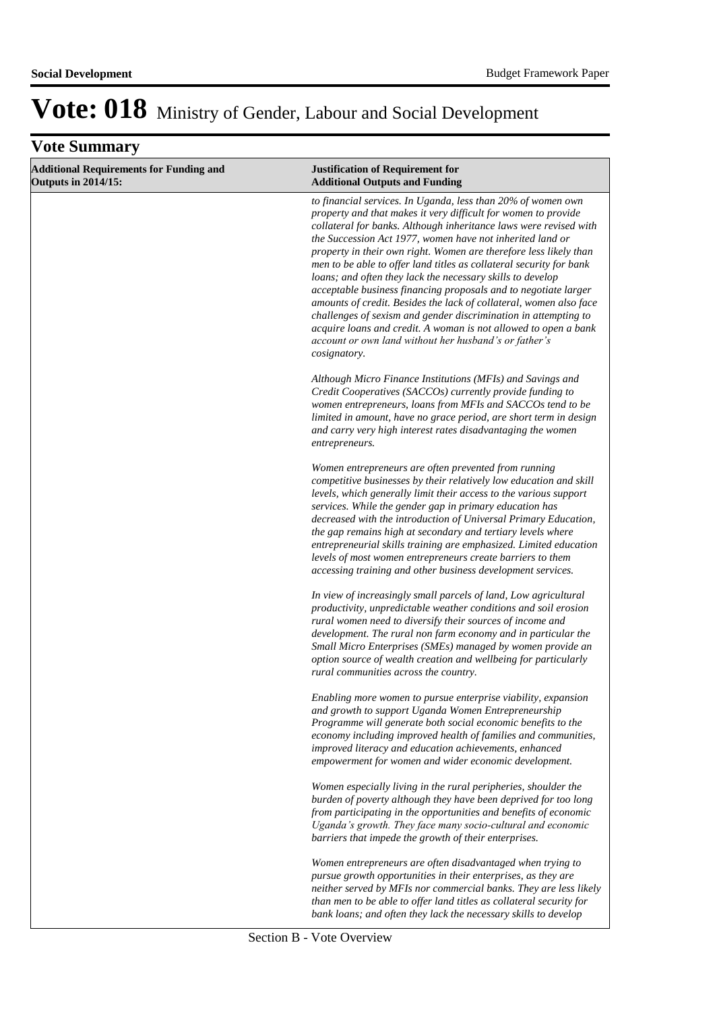|  | <b>Vote Summary</b> |  |
|--|---------------------|--|
|--|---------------------|--|

| <b>Additional Requirements for Funding and</b><br><b>Outputs in 2014/15:</b> | <b>Justification of Requirement for</b><br><b>Additional Outputs and Funding</b>                                                                                                                                                                                                                                                                                                                                                                                                                                                                                                                                                                                                                                                                                                                                                   |
|------------------------------------------------------------------------------|------------------------------------------------------------------------------------------------------------------------------------------------------------------------------------------------------------------------------------------------------------------------------------------------------------------------------------------------------------------------------------------------------------------------------------------------------------------------------------------------------------------------------------------------------------------------------------------------------------------------------------------------------------------------------------------------------------------------------------------------------------------------------------------------------------------------------------|
|                                                                              | to financial services. In Uganda, less than 20% of women own<br>property and that makes it very difficult for women to provide<br>collateral for banks. Although inheritance laws were revised with<br>the Succession Act 1977, women have not inherited land or<br>property in their own right. Women are therefore less likely than<br>men to be able to offer land titles as collateral security for bank<br>loans; and often they lack the necessary skills to develop<br>acceptable business financing proposals and to negotiate larger<br>amounts of credit. Besides the lack of collateral, women also face<br>challenges of sexism and gender discrimination in attempting to<br>acquire loans and credit. A woman is not allowed to open a bank<br>account or own land without her husband's or father's<br>cosignatory. |
|                                                                              | Although Micro Finance Institutions (MFIs) and Savings and<br>Credit Cooperatives (SACCOs) currently provide funding to<br>women entrepreneurs, loans from MFIs and SACCOs tend to be<br>limited in amount, have no grace period, are short term in design<br>and carry very high interest rates disadvantaging the women<br>entrepreneurs.                                                                                                                                                                                                                                                                                                                                                                                                                                                                                        |
|                                                                              | Women entrepreneurs are often prevented from running<br>competitive businesses by their relatively low education and skill<br>levels, which generally limit their access to the various support<br>services. While the gender gap in primary education has<br>decreased with the introduction of Universal Primary Education,<br>the gap remains high at secondary and tertiary levels where<br>entrepreneurial skills training are emphasized. Limited education<br>levels of most women entrepreneurs create barriers to them<br>accessing training and other business development services.                                                                                                                                                                                                                                     |
|                                                                              | In view of increasingly small parcels of land, Low agricultural<br>productivity, unpredictable weather conditions and soil erosion<br>rural women need to diversify their sources of income and<br>development. The rural non farm economy and in particular the<br>Small Micro Enterprises (SMEs) managed by women provide an<br>option source of wealth creation and wellbeing for particularly<br>rural communities across the country.                                                                                                                                                                                                                                                                                                                                                                                         |
|                                                                              | Enabling more women to pursue enterprise viability, expansion<br>and growth to support Uganda Women Entrepreneurship<br>Programme will generate both social economic benefits to the<br>economy including improved health of families and communities,<br>improved literacy and education achievements, enhanced<br>empowerment for women and wider economic development.                                                                                                                                                                                                                                                                                                                                                                                                                                                          |
|                                                                              | Women especially living in the rural peripheries, shoulder the<br>burden of poverty although they have been deprived for too long<br>from participating in the opportunities and benefits of economic<br>Uganda's growth. They face many socio-cultural and economic<br>barriers that impede the growth of their enterprises.                                                                                                                                                                                                                                                                                                                                                                                                                                                                                                      |
|                                                                              | Women entrepreneurs are often disadvantaged when trying to<br>pursue growth opportunities in their enterprises, as they are<br>neither served by MFIs nor commercial banks. They are less likely<br>than men to be able to offer land titles as collateral security for<br>bank loans; and often they lack the necessary skills to develop                                                                                                                                                                                                                                                                                                                                                                                                                                                                                         |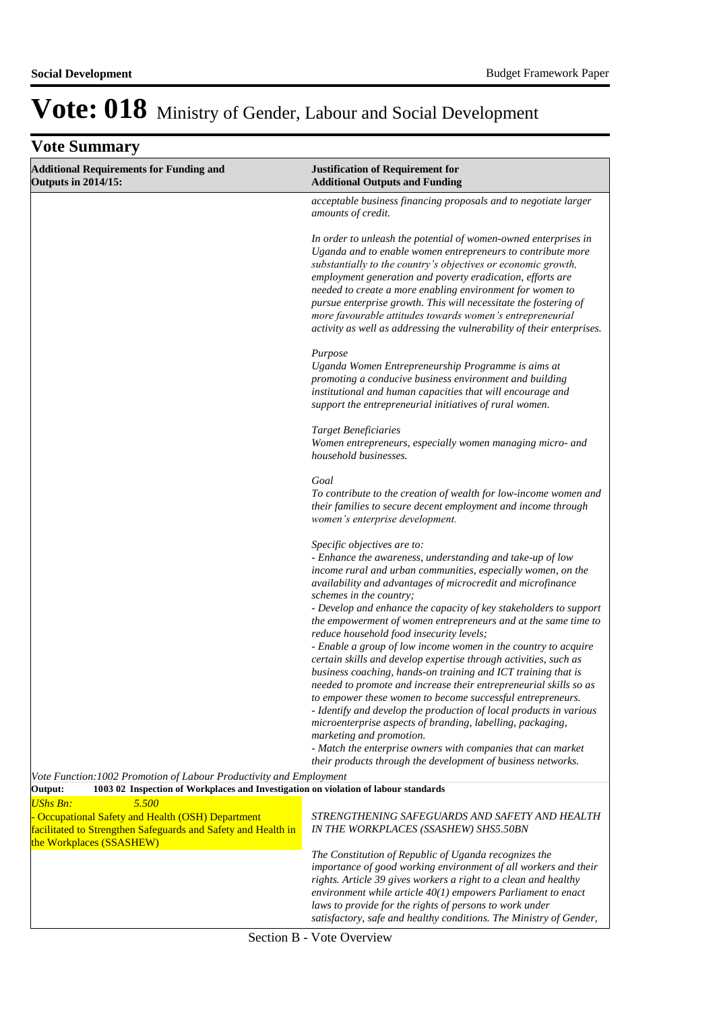| <b>Vote Summary</b>                                                                                                                                                        |                                                                                                                                                                                                                                                                                                                                                                                                                                                                                                                                                                                                                                                                                                                                                                                                                                                                                                                                                                                                                                                                                 |  |
|----------------------------------------------------------------------------------------------------------------------------------------------------------------------------|---------------------------------------------------------------------------------------------------------------------------------------------------------------------------------------------------------------------------------------------------------------------------------------------------------------------------------------------------------------------------------------------------------------------------------------------------------------------------------------------------------------------------------------------------------------------------------------------------------------------------------------------------------------------------------------------------------------------------------------------------------------------------------------------------------------------------------------------------------------------------------------------------------------------------------------------------------------------------------------------------------------------------------------------------------------------------------|--|
| <b>Additional Requirements for Funding and</b><br><b>Outputs in 2014/15:</b>                                                                                               | <b>Justification of Requirement for</b><br><b>Additional Outputs and Funding</b>                                                                                                                                                                                                                                                                                                                                                                                                                                                                                                                                                                                                                                                                                                                                                                                                                                                                                                                                                                                                |  |
|                                                                                                                                                                            | acceptable business financing proposals and to negotiate larger<br>amounts of credit.                                                                                                                                                                                                                                                                                                                                                                                                                                                                                                                                                                                                                                                                                                                                                                                                                                                                                                                                                                                           |  |
|                                                                                                                                                                            | In order to unleash the potential of women-owned enterprises in<br>Uganda and to enable women entrepreneurs to contribute more<br>substantially to the country's objectives or economic growth,<br>employment generation and poverty eradication, efforts are<br>needed to create a more enabling environment for women to<br>pursue enterprise growth. This will necessitate the fostering of<br>more favourable attitudes towards women's entrepreneurial<br>activity as well as addressing the vulnerability of their enterprises.                                                                                                                                                                                                                                                                                                                                                                                                                                                                                                                                           |  |
|                                                                                                                                                                            | Purpose<br>Uganda Women Entrepreneurship Programme is aims at<br>promoting a conducive business environment and building<br>institutional and human capacities that will encourage and<br>support the entrepreneurial initiatives of rural women.                                                                                                                                                                                                                                                                                                                                                                                                                                                                                                                                                                                                                                                                                                                                                                                                                               |  |
|                                                                                                                                                                            | <b>Target Beneficiaries</b><br>Women entrepreneurs, especially women managing micro- and<br>household businesses.                                                                                                                                                                                                                                                                                                                                                                                                                                                                                                                                                                                                                                                                                                                                                                                                                                                                                                                                                               |  |
|                                                                                                                                                                            | Goal<br>To contribute to the creation of wealth for low-income women and<br>their families to secure decent employment and income through<br>women's enterprise development.                                                                                                                                                                                                                                                                                                                                                                                                                                                                                                                                                                                                                                                                                                                                                                                                                                                                                                    |  |
|                                                                                                                                                                            | Specific objectives are to:<br>- Enhance the awareness, understanding and take-up of low<br>income rural and urban communities, especially women, on the<br>availability and advantages of microcredit and microfinance<br>schemes in the country;<br>- Develop and enhance the capacity of key stakeholders to support<br>the empowerment of women entrepreneurs and at the same time to<br>reduce household food insecurity levels;<br>- Enable a group of low income women in the country to acquire<br>certain skills and develop expertise through activities, such as<br>business coaching, hands-on training and ICT training that is<br>needed to promote and increase their entrepreneurial skills so as<br>to empower these women to become successful entrepreneurs.<br>- Identify and develop the production of local products in various<br>microenterprise aspects of branding, labelling, packaging,<br>marketing and promotion.<br>- Match the enterprise owners with companies that can market<br>their products through the development of business networks. |  |
| Vote Function: 1002 Promotion of Labour Productivity and Employment<br>Output:<br>1003 02 Inspection of Workplaces and Investigation on violation of labour standards      |                                                                                                                                                                                                                                                                                                                                                                                                                                                                                                                                                                                                                                                                                                                                                                                                                                                                                                                                                                                                                                                                                 |  |
| <b>UShs Bn:</b><br>5.500<br>- Occupational Safety and Health (OSH) Department<br>facilitated to Strengthen Safeguards and Safety and Health in<br>the Workplaces (SSASHEW) | STRENGTHENING SAFEGUARDS AND SAFETY AND HEALTH<br>IN THE WORKPLACES (SSASHEW) SHS5.50BN                                                                                                                                                                                                                                                                                                                                                                                                                                                                                                                                                                                                                                                                                                                                                                                                                                                                                                                                                                                         |  |
|                                                                                                                                                                            | The Constitution of Republic of Uganda recognizes the<br>importance of good working environment of all workers and their<br>rights. Article 39 gives workers a right to a clean and healthy<br>environment while article $40(1)$ empowers Parliament to enact<br>laws to provide for the rights of persons to work under                                                                                                                                                                                                                                                                                                                                                                                                                                                                                                                                                                                                                                                                                                                                                        |  |

*satisfactory, safe and healthy conditions. The Ministry of Gender,*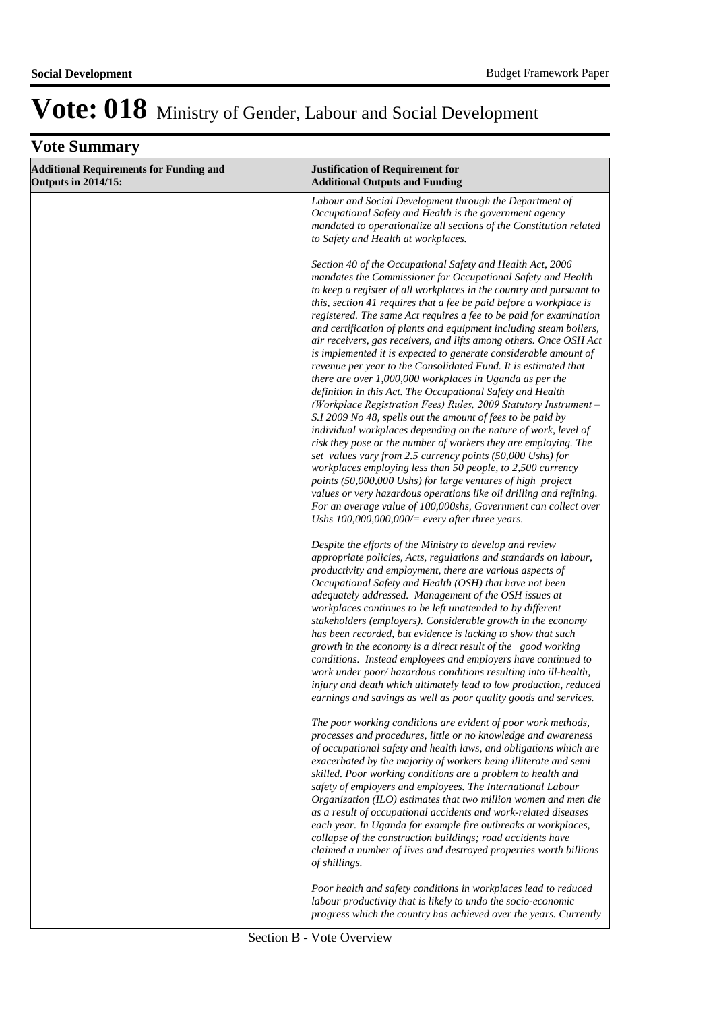| <b>Additional Requirements for Funding and</b><br><b>Outputs in 2014/15:</b> | <b>Justification of Requirement for</b><br><b>Additional Outputs and Funding</b>                                                                                                                                                                                                                                                                                                                                                                                                                                                                                                                                                                                                                                                                                                                                                                                                                                                                                                                                                                                                                                                                                                                                                                                                                                                                                                                                                |
|------------------------------------------------------------------------------|---------------------------------------------------------------------------------------------------------------------------------------------------------------------------------------------------------------------------------------------------------------------------------------------------------------------------------------------------------------------------------------------------------------------------------------------------------------------------------------------------------------------------------------------------------------------------------------------------------------------------------------------------------------------------------------------------------------------------------------------------------------------------------------------------------------------------------------------------------------------------------------------------------------------------------------------------------------------------------------------------------------------------------------------------------------------------------------------------------------------------------------------------------------------------------------------------------------------------------------------------------------------------------------------------------------------------------------------------------------------------------------------------------------------------------|
|                                                                              | Labour and Social Development through the Department of<br>Occupational Safety and Health is the government agency<br>mandated to operationalize all sections of the Constitution related<br>to Safety and Health at workplaces.                                                                                                                                                                                                                                                                                                                                                                                                                                                                                                                                                                                                                                                                                                                                                                                                                                                                                                                                                                                                                                                                                                                                                                                                |
|                                                                              | Section 40 of the Occupational Safety and Health Act, 2006<br>mandates the Commissioner for Occupational Safety and Health<br>to keep a register of all workplaces in the country and pursuant to<br>this, section 41 requires that a fee be paid before a workplace is<br>registered. The same Act requires a fee to be paid for examination<br>and certification of plants and equipment including steam boilers,<br>air receivers, gas receivers, and lifts among others. Once OSH Act<br>is implemented it is expected to generate considerable amount of<br>revenue per year to the Consolidated Fund. It is estimated that<br>there are over 1,000,000 workplaces in Uganda as per the<br>definition in this Act. The Occupational Safety and Health<br>(Workplace Registration Fees) Rules, 2009 Statutory Instrument -<br>S.I 2009 No 48, spells out the amount of fees to be paid by<br>individual workplaces depending on the nature of work, level of<br>risk they pose or the number of workers they are employing. The<br>set values vary from 2.5 currency points (50,000 Ushs) for<br>workplaces employing less than 50 people, to 2,500 currency<br>points (50,000,000 Ushs) for large ventures of high project<br>values or very hazardous operations like oil drilling and refining.<br>For an average value of 100,000shs, Government can collect over<br>Ushs $100,000,000,000/$ = every after three years. |
|                                                                              | Despite the efforts of the Ministry to develop and review<br>appropriate policies, Acts, regulations and standards on labour,<br>productivity and employment, there are various aspects of<br>Occupational Safety and Health (OSH) that have not been<br>adequately addressed. Management of the OSH issues at<br>workplaces continues to be left unattended to by different<br>stakeholders (employers). Considerable growth in the economy<br>has been recorded, but evidence is lacking to show that such<br>growth in the economy is a direct result of the good working<br>conditions. Instead employees and employers have continued to<br>work under poor/ hazardous conditions resulting into ill-health,<br>injury and death which ultimately lead to low production, reduced<br>earnings and savings as well as poor quality goods and services.                                                                                                                                                                                                                                                                                                                                                                                                                                                                                                                                                                      |
|                                                                              | The poor working conditions are evident of poor work methods,<br>processes and procedures, little or no knowledge and awareness<br>of occupational safety and health laws, and obligations which are<br>exacerbated by the majority of workers being illiterate and semi<br>skilled. Poor working conditions are a problem to health and<br>safety of employers and employees. The International Labour<br>Organization (ILO) estimates that two million women and men die<br>as a result of occupational accidents and work-related diseases<br>each year. In Uganda for example fire outbreaks at workplaces,<br>collapse of the construction buildings; road accidents have<br>claimed a number of lives and destroyed properties worth billions<br>of shillings.                                                                                                                                                                                                                                                                                                                                                                                                                                                                                                                                                                                                                                                            |
|                                                                              | Poor health and safety conditions in workplaces lead to reduced<br>labour productivity that is likely to undo the socio-economic<br>progress which the country has achieved over the years. Currently                                                                                                                                                                                                                                                                                                                                                                                                                                                                                                                                                                                                                                                                                                                                                                                                                                                                                                                                                                                                                                                                                                                                                                                                                           |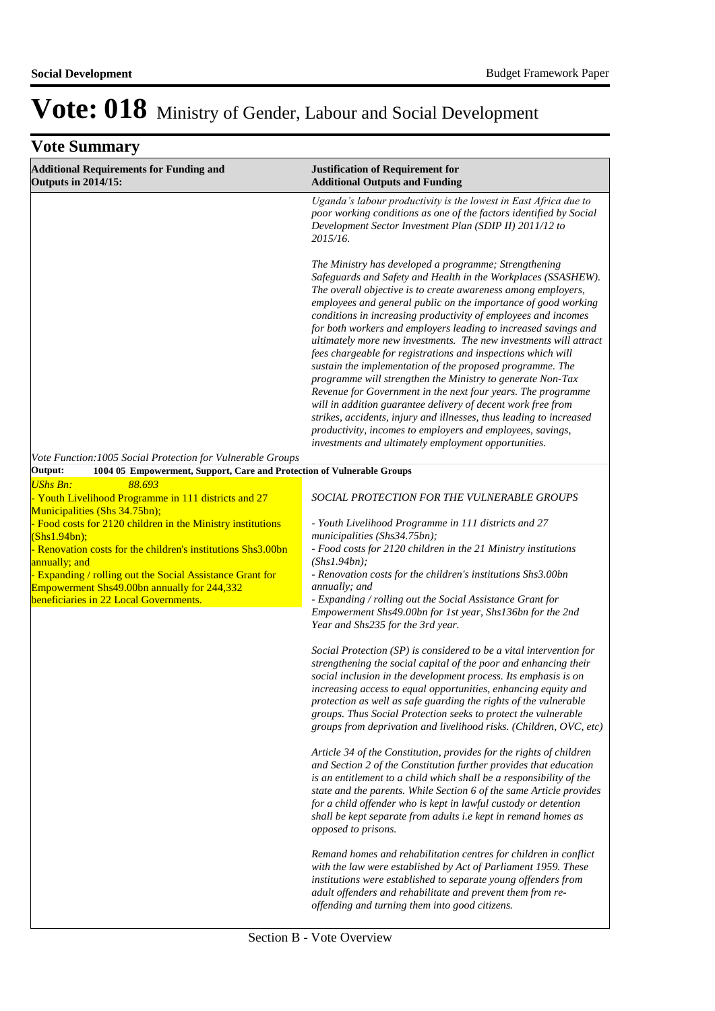| <b>Vote Summary</b>                                                                                                                                                                                                                                                                                            |                                                                                                                                                                                                                                                                                                                                                                                                                                                                                                                                                                                                                                                                                                                                                                                                                                                                                                                                                                                             |  |
|----------------------------------------------------------------------------------------------------------------------------------------------------------------------------------------------------------------------------------------------------------------------------------------------------------------|---------------------------------------------------------------------------------------------------------------------------------------------------------------------------------------------------------------------------------------------------------------------------------------------------------------------------------------------------------------------------------------------------------------------------------------------------------------------------------------------------------------------------------------------------------------------------------------------------------------------------------------------------------------------------------------------------------------------------------------------------------------------------------------------------------------------------------------------------------------------------------------------------------------------------------------------------------------------------------------------|--|
| <b>Additional Requirements for Funding and</b><br><b>Outputs in 2014/15:</b>                                                                                                                                                                                                                                   | <b>Justification of Requirement for</b><br><b>Additional Outputs and Funding</b>                                                                                                                                                                                                                                                                                                                                                                                                                                                                                                                                                                                                                                                                                                                                                                                                                                                                                                            |  |
|                                                                                                                                                                                                                                                                                                                | Uganda's labour productivity is the lowest in East Africa due to<br>poor working conditions as one of the factors identified by Social<br>Development Sector Investment Plan (SDIP II) 2011/12 to<br>2015/16.                                                                                                                                                                                                                                                                                                                                                                                                                                                                                                                                                                                                                                                                                                                                                                               |  |
|                                                                                                                                                                                                                                                                                                                | The Ministry has developed a programme; Strengthening<br>Safeguards and Safety and Health in the Workplaces (SSASHEW).<br>The overall objective is to create awareness among employers,<br>employees and general public on the importance of good working<br>conditions in increasing productivity of employees and incomes<br>for both workers and employers leading to increased savings and<br>ultimately more new investments. The new investments will attract<br>fees chargeable for registrations and inspections which will<br>sustain the implementation of the proposed programme. The<br>programme will strengthen the Ministry to generate Non-Tax<br>Revenue for Government in the next four years. The programme<br>will in addition guarantee delivery of decent work free from<br>strikes, accidents, injury and illnesses, thus leading to increased<br>productivity, incomes to employers and employees, savings,<br>investments and ultimately employment opportunities. |  |
| Vote Function: 1005 Social Protection for Vulnerable Groups<br>1004 05 Empowerment, Support, Care and Protection of Vulnerable Groups                                                                                                                                                                          |                                                                                                                                                                                                                                                                                                                                                                                                                                                                                                                                                                                                                                                                                                                                                                                                                                                                                                                                                                                             |  |
| Output:<br><b>UShs Bn:</b><br>88.693                                                                                                                                                                                                                                                                           |                                                                                                                                                                                                                                                                                                                                                                                                                                                                                                                                                                                                                                                                                                                                                                                                                                                                                                                                                                                             |  |
| Vouth Livelihood Programme in 111 districts and 27<br>Municipalities (Shs 34.75bn);                                                                                                                                                                                                                            | SOCIAL PROTECTION FOR THE VULNERABLE GROUPS                                                                                                                                                                                                                                                                                                                                                                                                                                                                                                                                                                                                                                                                                                                                                                                                                                                                                                                                                 |  |
| Food costs for 2120 children in the Ministry institutions<br>(Shs1.94bn);<br>Renovation costs for the children's institutions Shs3.00bn<br>annually; and<br>- Expanding / rolling out the Social Assistance Grant for<br>Empowerment Shs49.00bn annually for 244,332<br>beneficiaries in 22 Local Governments. | - Youth Livelihood Programme in 111 districts and 27<br>municipalities (Shs34.75bn);<br>- Food costs for 2120 children in the 21 Ministry institutions<br>(Shs1.94bn);<br>- Renovation costs for the children's institutions Shs3.00bn<br>annually; and<br>- Expanding / rolling out the Social Assistance Grant for<br>Empowerment Shs49.00bn for 1st year, Shs136bn for the 2nd<br>Year and Shs235 for the 3rd year.                                                                                                                                                                                                                                                                                                                                                                                                                                                                                                                                                                      |  |
|                                                                                                                                                                                                                                                                                                                | Social Protection (SP) is considered to be a vital intervention for<br>strengthening the social capital of the poor and enhancing their<br>social inclusion in the development process. Its emphasis is on<br>increasing access to equal opportunities, enhancing equity and<br>protection as well as safe guarding the rights of the vulnerable<br>groups. Thus Social Protection seeks to protect the vulnerable<br>groups from deprivation and livelihood risks. (Children, OVC, etc)                                                                                                                                                                                                                                                                                                                                                                                                                                                                                                    |  |
|                                                                                                                                                                                                                                                                                                                | Article 34 of the Constitution, provides for the rights of children<br>and Section 2 of the Constitution further provides that education<br>is an entitlement to a child which shall be a responsibility of the<br>state and the parents. While Section 6 of the same Article provides<br>for a child offender who is kept in lawful custody or detention<br>shall be kept separate from adults i.e kept in remand homes as<br>opposed to prisons.                                                                                                                                                                                                                                                                                                                                                                                                                                                                                                                                          |  |
|                                                                                                                                                                                                                                                                                                                | Remand homes and rehabilitation centres for children in conflict<br>with the law were established by Act of Parliament 1959. These<br>institutions were established to separate young offenders from<br>adult offenders and rehabilitate and prevent them from re-<br>offending and turning them into good citizens.                                                                                                                                                                                                                                                                                                                                                                                                                                                                                                                                                                                                                                                                        |  |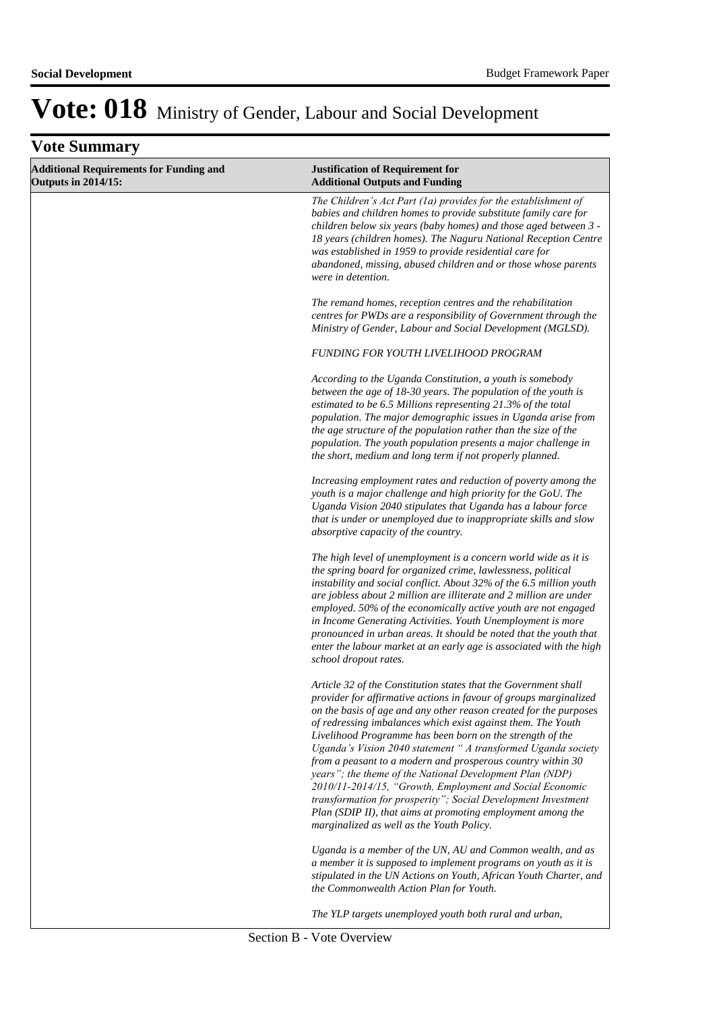| <b>Additional Requirements for Funding and</b><br><b>Outputs in 2014/15:</b> | <b>Justification of Requirement for</b><br><b>Additional Outputs and Funding</b>                                                                                                                                                                                                                                                                                                                                                                                                                                                                                                                                                                                                                                                                                            |
|------------------------------------------------------------------------------|-----------------------------------------------------------------------------------------------------------------------------------------------------------------------------------------------------------------------------------------------------------------------------------------------------------------------------------------------------------------------------------------------------------------------------------------------------------------------------------------------------------------------------------------------------------------------------------------------------------------------------------------------------------------------------------------------------------------------------------------------------------------------------|
|                                                                              | The Children's Act Part (1a) provides for the establishment of<br>babies and children homes to provide substitute family care for<br>children below six years (baby homes) and those aged between 3 -<br>18 years (children homes). The Naguru National Reception Centre<br>was established in 1959 to provide residential care for<br>abandoned, missing, abused children and or those whose parents<br>were in detention.                                                                                                                                                                                                                                                                                                                                                 |
|                                                                              | The remand homes, reception centres and the rehabilitation<br>centres for PWDs are a responsibility of Government through the<br>Ministry of Gender, Labour and Social Development (MGLSD).                                                                                                                                                                                                                                                                                                                                                                                                                                                                                                                                                                                 |
|                                                                              | <b>FUNDING FOR YOUTH LIVELIHOOD PROGRAM</b>                                                                                                                                                                                                                                                                                                                                                                                                                                                                                                                                                                                                                                                                                                                                 |
|                                                                              | According to the Uganda Constitution, a youth is somebody<br>between the age of 18-30 years. The population of the youth is<br>estimated to be 6.5 Millions representing 21.3% of the total<br>population. The major demographic issues in Uganda arise from<br>the age structure of the population rather than the size of the<br>population. The youth population presents a major challenge in<br>the short, medium and long term if not properly planned.                                                                                                                                                                                                                                                                                                               |
|                                                                              | Increasing employment rates and reduction of poverty among the<br>youth is a major challenge and high priority for the GoU. The<br>Uganda Vision 2040 stipulates that Uganda has a labour force<br>that is under or unemployed due to inappropriate skills and slow<br>absorptive capacity of the country.                                                                                                                                                                                                                                                                                                                                                                                                                                                                  |
|                                                                              | The high level of unemployment is a concern world wide as it is<br>the spring board for organized crime, lawlessness, political<br>instability and social conflict. About 32% of the 6.5 million youth<br>are jobless about 2 million are illiterate and 2 million are under<br>employed. 50% of the economically active youth are not engaged<br>in Income Generating Activities. Youth Unemployment is more<br>pronounced in urban areas. It should be noted that the youth that<br>enter the labour market at an early age is associated with the high<br>school dropout rates.                                                                                                                                                                                          |
|                                                                              | Article 32 of the Constitution states that the Government shall<br>provider for affirmative actions in favour of groups marginalized<br>on the basis of age and any other reason created for the purposes<br>of redressing imbalances which exist against them. The Youth<br>Livelihood Programme has been born on the strength of the<br>Uganda's Vision 2040 statement " A transformed Uganda society<br>from a peasant to a modern and prosperous country within 30<br>years"; the theme of the National Development Plan (NDP)<br>2010/11-2014/15, "Growth, Employment and Social Economic<br>transformation for prosperity"; Social Development Investment<br>Plan (SDIP II), that aims at promoting employment among the<br>marginalized as well as the Youth Policy. |
|                                                                              | Uganda is a member of the UN, AU and Common wealth, and as<br>a member it is supposed to implement programs on youth as it is<br>stipulated in the UN Actions on Youth, African Youth Charter, and<br>the Commonwealth Action Plan for Youth.                                                                                                                                                                                                                                                                                                                                                                                                                                                                                                                               |
|                                                                              | The YLP targets unemployed youth both rural and urban,                                                                                                                                                                                                                                                                                                                                                                                                                                                                                                                                                                                                                                                                                                                      |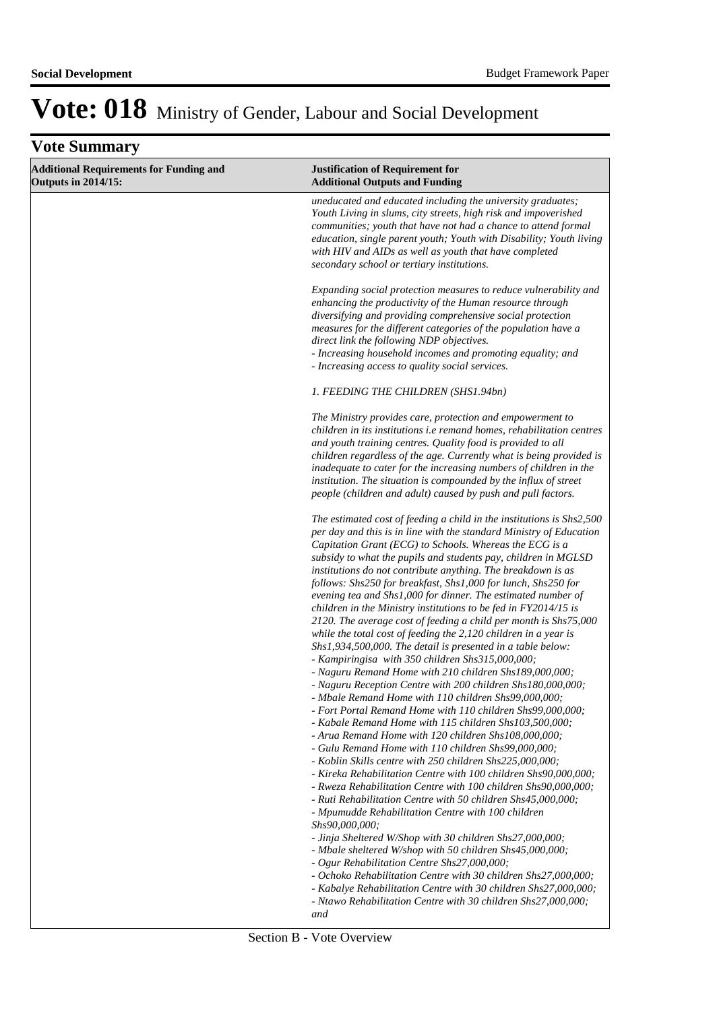| <b>Vote Summary</b>                                                          |                                                                                                                                                                                                                                                                                                                                                                                                                                                                                                                                                                                                                                                                                                                                                                                                                                                                                                                                                                                                                                                                                                                                                                                                                                                                                                                                                                                                                                                                                                                                                                                                                                      |
|------------------------------------------------------------------------------|--------------------------------------------------------------------------------------------------------------------------------------------------------------------------------------------------------------------------------------------------------------------------------------------------------------------------------------------------------------------------------------------------------------------------------------------------------------------------------------------------------------------------------------------------------------------------------------------------------------------------------------------------------------------------------------------------------------------------------------------------------------------------------------------------------------------------------------------------------------------------------------------------------------------------------------------------------------------------------------------------------------------------------------------------------------------------------------------------------------------------------------------------------------------------------------------------------------------------------------------------------------------------------------------------------------------------------------------------------------------------------------------------------------------------------------------------------------------------------------------------------------------------------------------------------------------------------------------------------------------------------------|
| <b>Additional Requirements for Funding and</b><br><b>Outputs in 2014/15:</b> | <b>Justification of Requirement for</b><br><b>Additional Outputs and Funding</b>                                                                                                                                                                                                                                                                                                                                                                                                                                                                                                                                                                                                                                                                                                                                                                                                                                                                                                                                                                                                                                                                                                                                                                                                                                                                                                                                                                                                                                                                                                                                                     |
|                                                                              | uneducated and educated including the university graduates;<br>Youth Living in slums, city streets, high risk and impoverished<br>communities; youth that have not had a chance to attend formal<br>education, single parent youth; Youth with Disability; Youth living<br>with HIV and AIDs as well as youth that have completed<br>secondary school or tertiary institutions.                                                                                                                                                                                                                                                                                                                                                                                                                                                                                                                                                                                                                                                                                                                                                                                                                                                                                                                                                                                                                                                                                                                                                                                                                                                      |
|                                                                              | Expanding social protection measures to reduce vulnerability and<br>enhancing the productivity of the Human resource through<br>diversifying and providing comprehensive social protection<br>measures for the different categories of the population have a<br>direct link the following NDP objectives.<br>- Increasing household incomes and promoting equality; and<br>- Increasing access to quality social services.                                                                                                                                                                                                                                                                                                                                                                                                                                                                                                                                                                                                                                                                                                                                                                                                                                                                                                                                                                                                                                                                                                                                                                                                           |
|                                                                              | 1. FEEDING THE CHILDREN (SHS1.94bn)                                                                                                                                                                                                                                                                                                                                                                                                                                                                                                                                                                                                                                                                                                                                                                                                                                                                                                                                                                                                                                                                                                                                                                                                                                                                                                                                                                                                                                                                                                                                                                                                  |
|                                                                              | The Ministry provides care, protection and empowerment to<br>children in its institutions i.e remand homes, rehabilitation centres<br>and youth training centres. Quality food is provided to all<br>children regardless of the age. Currently what is being provided is<br>inadequate to cater for the increasing numbers of children in the<br>institution. The situation is compounded by the influx of street<br>people (children and adult) caused by push and pull factors.                                                                                                                                                                                                                                                                                                                                                                                                                                                                                                                                                                                                                                                                                                                                                                                                                                                                                                                                                                                                                                                                                                                                                    |
|                                                                              | The estimated cost of feeding a child in the institutions is Shs2,500<br>per day and this is in line with the standard Ministry of Education<br>Capitation Grant (ECG) to Schools. Whereas the ECG is a<br>subsidy to what the pupils and students pay, children in MGLSD<br>institutions do not contribute anything. The breakdown is as<br>follows: Shs250 for breakfast, Shs1,000 for lunch, Shs250 for<br>evening tea and Shs1,000 for dinner. The estimated number of<br>children in the Ministry institutions to be fed in FY2014/15 is<br>2120. The average cost of feeding a child per month is Shs75,000<br>while the total cost of feeding the 2,120 children in a year is<br>Shs1,934,500,000. The detail is presented in a table below:<br>- Kampiringisa with 350 children Shs315,000,000;<br>- Naguru Remand Home with 210 children Shs189,000,000;<br>- Naguru Reception Centre with 200 children Shs180,000,000;<br>- Mbale Remand Home with 110 children Shs99,000,000;<br>- Fort Portal Remand Home with 110 children Shs99,000,000;<br>- Kabale Remand Home with 115 children Shs103,500,000;<br>- Arua Remand Home with 120 children Shs108,000,000;<br>- Gulu Remand Home with 110 children Shs99,000,000;<br>- Koblin Skills centre with 250 children Shs225,000,000;<br>- Kireka Rehabilitation Centre with 100 children Shs90,000,000;<br>- Rweza Rehabilitation Centre with 100 children Shs90,000,000;<br>- Ruti Rehabilitation Centre with 50 children Shs45,000,000;<br>- Mpumudde Rehabilitation Centre with 100 children<br>Shs90,000,000;<br>- Jinja Sheltered W/Shop with 30 children Shs27,000,000; |
|                                                                              | - Mbale sheltered W/shop with 50 children Shs45,000,000;<br>- Ogur Rehabilitation Centre Shs27,000,000;<br>- Ochoko Rehabilitation Centre with 30 children Shs27,000,000;<br>- Kabalye Rehabilitation Centre with 30 children Shs27,000,000;<br>- Ntawo Rehabilitation Centre with 30 children Shs27,000,000;<br>and                                                                                                                                                                                                                                                                                                                                                                                                                                                                                                                                                                                                                                                                                                                                                                                                                                                                                                                                                                                                                                                                                                                                                                                                                                                                                                                 |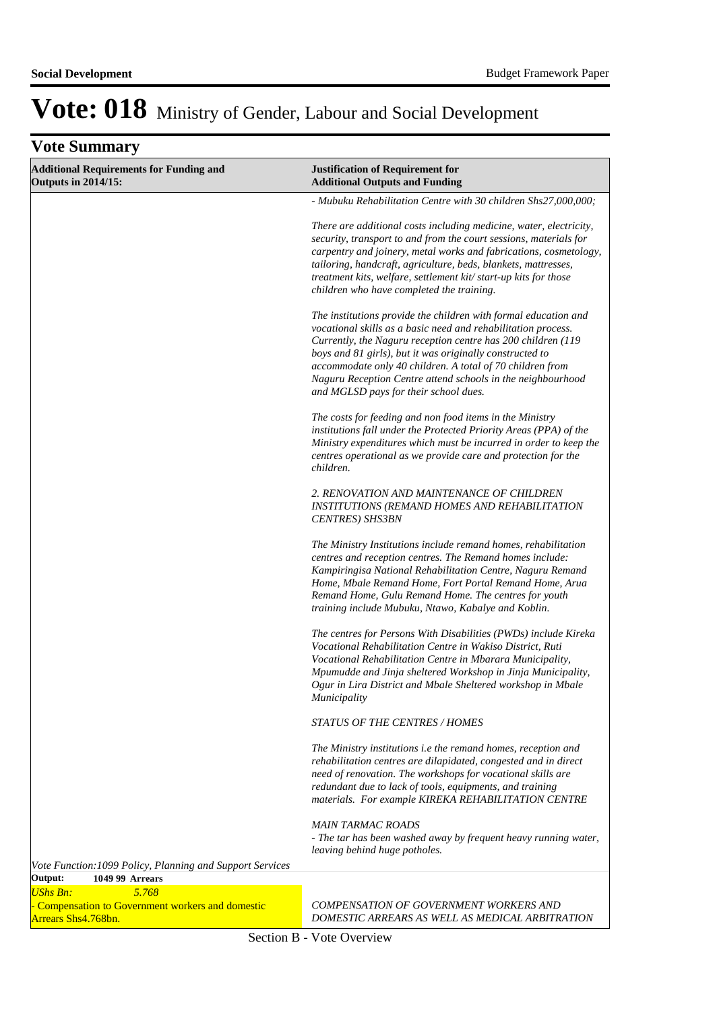| <b>Vote Summary</b>                                                                            |                                                                                                                                                                                                                                                                                                                                                                                                                                   |
|------------------------------------------------------------------------------------------------|-----------------------------------------------------------------------------------------------------------------------------------------------------------------------------------------------------------------------------------------------------------------------------------------------------------------------------------------------------------------------------------------------------------------------------------|
| <b>Additional Requirements for Funding and</b><br><b>Outputs in 2014/15:</b>                   | <b>Justification of Requirement for</b><br><b>Additional Outputs and Funding</b>                                                                                                                                                                                                                                                                                                                                                  |
|                                                                                                | - Mubuku Rehabilitation Centre with 30 children Shs27,000,000;                                                                                                                                                                                                                                                                                                                                                                    |
|                                                                                                | There are additional costs including medicine, water, electricity,<br>security, transport to and from the court sessions, materials for<br>carpentry and joinery, metal works and fabrications, cosmetology,<br>tailoring, handcraft, agriculture, beds, blankets, mattresses,<br>treatment kits, welfare, settlement kit/start-up kits for those<br>children who have completed the training.                                    |
|                                                                                                | The institutions provide the children with formal education and<br>vocational skills as a basic need and rehabilitation process.<br>Currently, the Naguru reception centre has 200 children (119<br>boys and 81 girls), but it was originally constructed to<br>accommodate only 40 children. A total of 70 children from<br>Naguru Reception Centre attend schools in the neighbourhood<br>and MGLSD pays for their school dues. |
|                                                                                                | The costs for feeding and non food items in the Ministry<br>institutions fall under the Protected Priority Areas (PPA) of the<br>Ministry expenditures which must be incurred in order to keep the<br>centres operational as we provide care and protection for the<br>children.                                                                                                                                                  |
|                                                                                                | 2. RENOVATION AND MAINTENANCE OF CHILDREN<br><b>INSTITUTIONS (REMAND HOMES AND REHABILITATION</b><br><b>CENTRES</b> ) SHS3BN                                                                                                                                                                                                                                                                                                      |
|                                                                                                | The Ministry Institutions include remand homes, rehabilitation<br>centres and reception centres. The Remand homes include:<br>Kampiringisa National Rehabilitation Centre, Naguru Remand<br>Home, Mbale Remand Home, Fort Portal Remand Home, Arua<br>Remand Home, Gulu Remand Home. The centres for youth<br>training include Mubuku, Ntawo, Kabalye and Koblin.                                                                 |
|                                                                                                | The centres for Persons With Disabilities (PWDs) include Kireka<br>Vocational Rehabilitation Centre in Wakiso District, Ruti<br>Vocational Rehabilitation Centre in Mbarara Municipality,<br>Mpumudde and Jinja sheltered Workshop in Jinja Municipality,<br>Ogur in Lira District and Mbale Sheltered workshop in Mbale<br><i>Municipality</i>                                                                                   |
|                                                                                                | <b>STATUS OF THE CENTRES / HOMES</b>                                                                                                                                                                                                                                                                                                                                                                                              |
|                                                                                                | The Ministry institutions i.e the remand homes, reception and<br>rehabilitation centres are dilapidated, congested and in direct<br>need of renovation. The workshops for vocational skills are<br>redundant due to lack of tools, equipments, and training<br>materials. For example KIREKA REHABILITATION CENTRE                                                                                                                |
|                                                                                                | <b>MAIN TARMAC ROADS</b><br>- The tar has been washed away by frequent heavy running water,<br>leaving behind huge potholes.                                                                                                                                                                                                                                                                                                      |
| Vote Function: 1099 Policy, Planning and Support Services<br>Output:<br><b>1049 99 Arrears</b> |                                                                                                                                                                                                                                                                                                                                                                                                                                   |
| $I$ <sub>I</sub> $R_b$ <sub>c</sub> $R_b$ .<br>5768                                            |                                                                                                                                                                                                                                                                                                                                                                                                                                   |

*UShs Bn: 5.768* - Compensation to Government workers and domestic Arrears Shs4.768bn.

*COMPENSATION OF GOVERNMENT WORKERS AND DOMESTIC ARREARS AS WELL AS MEDICAL ARBITRATION*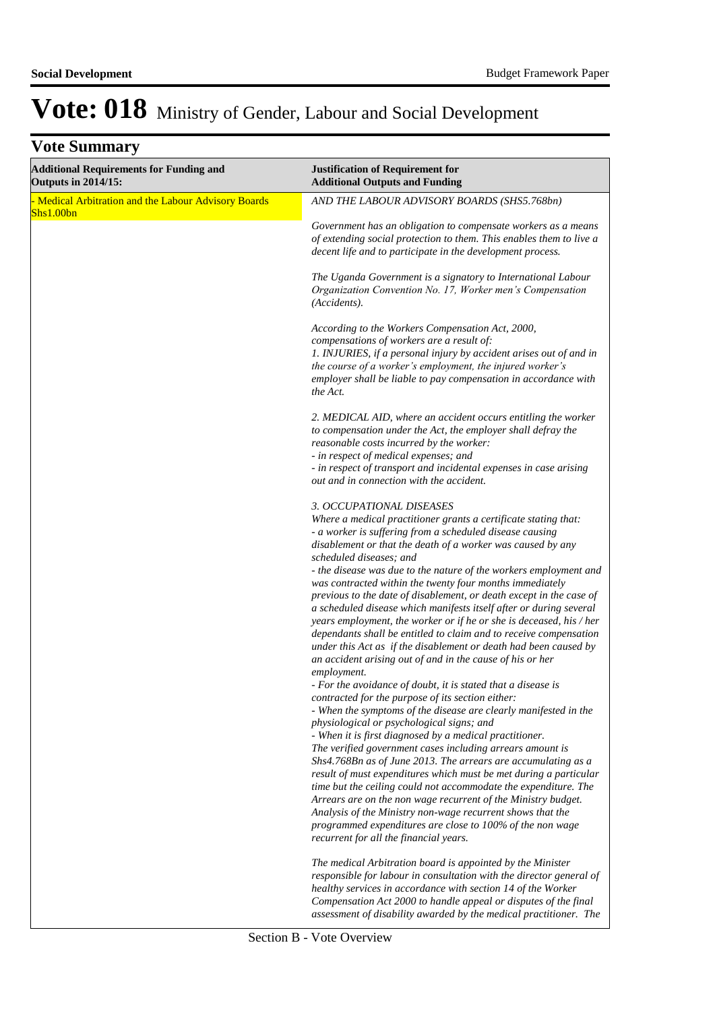| <b>Additional Requirements for Funding and</b><br><b>Outputs in 2014/15:</b> | <b>Justification of Requirement for</b><br><b>Additional Outputs and Funding</b>                                                                                                                                                                                                                                                                                                                                                                                                                                                                                                                                                                                                                                                                                                                                                                                                                                                                                                                                                                                                                                                                                                                                                                                                                                                                                                                   |
|------------------------------------------------------------------------------|----------------------------------------------------------------------------------------------------------------------------------------------------------------------------------------------------------------------------------------------------------------------------------------------------------------------------------------------------------------------------------------------------------------------------------------------------------------------------------------------------------------------------------------------------------------------------------------------------------------------------------------------------------------------------------------------------------------------------------------------------------------------------------------------------------------------------------------------------------------------------------------------------------------------------------------------------------------------------------------------------------------------------------------------------------------------------------------------------------------------------------------------------------------------------------------------------------------------------------------------------------------------------------------------------------------------------------------------------------------------------------------------------|
| - Medical Arbitration and the Labour Advisory Boards<br>Shs1.00bn            | AND THE LABOUR ADVISORY BOARDS (SHS5.768bn)                                                                                                                                                                                                                                                                                                                                                                                                                                                                                                                                                                                                                                                                                                                                                                                                                                                                                                                                                                                                                                                                                                                                                                                                                                                                                                                                                        |
|                                                                              | Government has an obligation to compensate workers as a means<br>of extending social protection to them. This enables them to live a<br>decent life and to participate in the development process.                                                                                                                                                                                                                                                                                                                                                                                                                                                                                                                                                                                                                                                                                                                                                                                                                                                                                                                                                                                                                                                                                                                                                                                                 |
|                                                                              | The Uganda Government is a signatory to International Labour<br>Organization Convention No. 17, Worker men's Compensation<br>(Accidents).                                                                                                                                                                                                                                                                                                                                                                                                                                                                                                                                                                                                                                                                                                                                                                                                                                                                                                                                                                                                                                                                                                                                                                                                                                                          |
|                                                                              | According to the Workers Compensation Act, 2000,<br>compensations of workers are a result of:<br>1. INJURIES, if a personal injury by accident arises out of and in<br>the course of a worker's employment, the injured worker's<br>employer shall be liable to pay compensation in accordance with<br>the Act.                                                                                                                                                                                                                                                                                                                                                                                                                                                                                                                                                                                                                                                                                                                                                                                                                                                                                                                                                                                                                                                                                    |
|                                                                              | 2. MEDICAL AID, where an accident occurs entitling the worker<br>to compensation under the Act, the employer shall defray the<br>reasonable costs incurred by the worker:<br>- in respect of medical expenses; and<br>- in respect of transport and incidental expenses in case arising<br>out and in connection with the accident.                                                                                                                                                                                                                                                                                                                                                                                                                                                                                                                                                                                                                                                                                                                                                                                                                                                                                                                                                                                                                                                                |
|                                                                              | 3. OCCUPATIONAL DISEASES<br>Where a medical practitioner grants a certificate stating that:<br>- a worker is suffering from a scheduled disease causing<br>disablement or that the death of a worker was caused by any<br>scheduled diseases; and<br>- the disease was due to the nature of the workers employment and<br>was contracted within the twenty four months immediately<br>previous to the date of disablement, or death except in the case of<br>a scheduled disease which manifests itself after or during several<br>years employment, the worker or if he or she is deceased, his / her<br>dependants shall be entitled to claim and to receive compensation<br>under this Act as if the disablement or death had been caused by<br>an accident arising out of and in the cause of his or her<br>employment.<br>- For the avoidance of doubt, it is stated that a disease is<br>contracted for the purpose of its section either:<br>- When the symptoms of the disease are clearly manifested in the<br>physiological or psychological signs; and<br>- When it is first diagnosed by a medical practitioner.<br>The verified government cases including arrears amount is<br>Shs4.768Bn as of June 2013. The arrears are accumulating as a<br>result of must expenditures which must be met during a particular<br>time but the ceiling could not accommodate the expenditure. The |
|                                                                              | Arrears are on the non wage recurrent of the Ministry budget.<br>Analysis of the Ministry non-wage recurrent shows that the<br>programmed expenditures are close to 100% of the non wage<br>recurrent for all the financial years.                                                                                                                                                                                                                                                                                                                                                                                                                                                                                                                                                                                                                                                                                                                                                                                                                                                                                                                                                                                                                                                                                                                                                                 |
|                                                                              | The medical Arbitration board is appointed by the Minister<br>responsible for labour in consultation with the director general of<br>healthy services in accordance with section 14 of the Worker<br>Compensation Act 2000 to handle appeal or disputes of the final<br>assessment of disability awarded by the medical practitioner. The                                                                                                                                                                                                                                                                                                                                                                                                                                                                                                                                                                                                                                                                                                                                                                                                                                                                                                                                                                                                                                                          |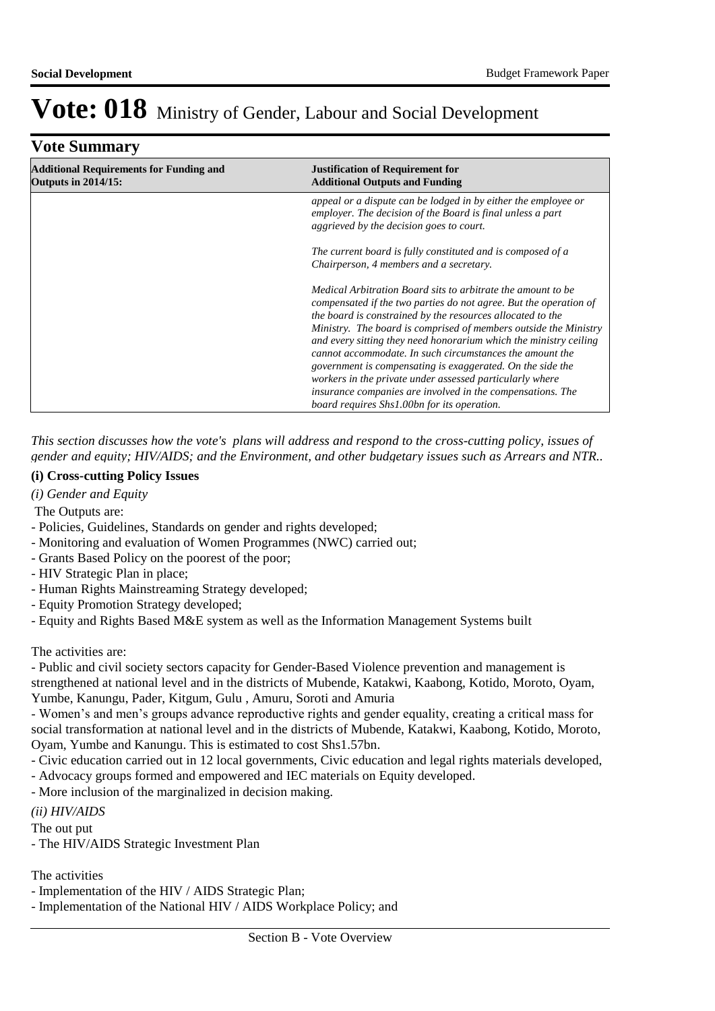| <b>Vote Summary</b>                                                          |                                                                                                                                                                                                                                                                                                                                                                                                                                                                    |
|------------------------------------------------------------------------------|--------------------------------------------------------------------------------------------------------------------------------------------------------------------------------------------------------------------------------------------------------------------------------------------------------------------------------------------------------------------------------------------------------------------------------------------------------------------|
| <b>Additional Requirements for Funding and</b><br><b>Outputs in 2014/15:</b> | <b>Justification of Requirement for</b><br><b>Additional Outputs and Funding</b>                                                                                                                                                                                                                                                                                                                                                                                   |
|                                                                              | appeal or a dispute can be lodged in by either the employee or<br>employer. The decision of the Board is final unless a part<br>aggrieved by the decision goes to court.                                                                                                                                                                                                                                                                                           |
|                                                                              | The current board is fully constituted and is composed of a<br>Chairperson, 4 members and a secretary.                                                                                                                                                                                                                                                                                                                                                             |
|                                                                              | Medical Arbitration Board sits to arbitrate the amount to be<br>compensated if the two parties do not agree. But the operation of<br>the board is constrained by the resources allocated to the<br>Ministry. The board is comprised of members outside the Ministry<br>and every sitting they need honorarium which the ministry ceiling<br>cannot accommodate. In such circumstances the amount the<br>government is compensating is exaggerated. On the side the |
|                                                                              | workers in the private under assessed particularly where<br>insurance companies are involved in the compensations. The<br>board requires Shs1.00bn for its operation.                                                                                                                                                                                                                                                                                              |

*This section discusses how the vote's plans will address and respond to the cross-cutting policy, issues of gender and equity; HIV/AIDS; and the Environment, and other budgetary issues such as Arrears and NTR..* 

#### **(i) Cross-cutting Policy Issues**

- *(i) Gender and Equity*
- The Outputs are:
- Policies, Guidelines, Standards on gender and rights developed;
- Monitoring and evaluation of Women Programmes (NWC) carried out;
- Grants Based Policy on the poorest of the poor;
- HIV Strategic Plan in place;
- Human Rights Mainstreaming Strategy developed;
- Equity Promotion Strategy developed;
- Equity and Rights Based M&E system as well as the Information Management Systems built

The activities are:

- Public and civil society sectors capacity for Gender-Based Violence prevention and management is strengthened at national level and in the districts of Mubende, Katakwi, Kaabong, Kotido, Moroto, Oyam, Yumbe, Kanungu, Pader, Kitgum, Gulu , Amuru, Soroti and Amuria

- Women's and men's groups advance reproductive rights and gender equality, creating a critical mass for social transformation at national level and in the districts of Mubende, Katakwi, Kaabong, Kotido, Moroto, Oyam, Yumbe and Kanungu. This is estimated to cost Shs1.57bn.

- Civic education carried out in 12 local governments, Civic education and legal rights materials developed,
- Advocacy groups formed and empowered and IEC materials on Equity developed.
- More inclusion of the marginalized in decision making.

*(ii) HIV/AIDS*

The out put

- The HIV/AIDS Strategic Investment Plan

The activities

- Implementation of the HIV / AIDS Strategic Plan;

- Implementation of the National HIV / AIDS Workplace Policy; and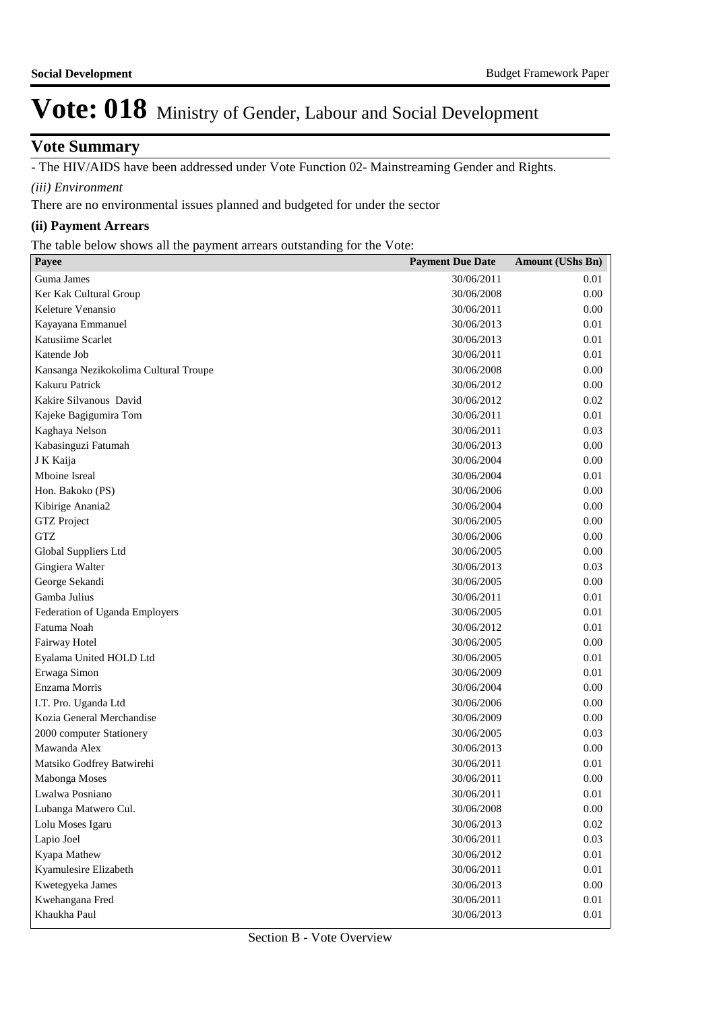#### **Vote Summary**

- The HIV/AIDS have been addressed under Vote Function 02- Mainstreaming Gender and Rights.

*(iii) Environment*

There are no environmental issues planned and budgeted for under the sector

#### **(ii) Payment Arrears**

The table below shows all the payment arrears outstanding for the Vote:

| Payee                                 | <b>Payment Due Date</b> | <b>Amount (UShs Bn)</b> |
|---------------------------------------|-------------------------|-------------------------|
| Guma James                            | 30/06/2011              | 0.01                    |
| Ker Kak Cultural Group                | 30/06/2008              | 0.00                    |
| Keleture Venansio                     | 30/06/2011              | 0.00                    |
| Kayayana Emmanuel                     | 30/06/2013              | 0.01                    |
| Katusiime Scarlet                     | 30/06/2013              | 0.01                    |
| Katende Job                           | 30/06/2011              | 0.01                    |
| Kansanga Nezikokolima Cultural Troupe | 30/06/2008              | 0.00                    |
| Kakuru Patrick                        | 30/06/2012              | 0.00                    |
| Kakire Silvanous David                | 30/06/2012              | 0.02                    |
| Kajeke Bagigumira Tom                 | 30/06/2011              | 0.01                    |
| Kaghaya Nelson                        | 30/06/2011              | 0.03                    |
| Kabasinguzi Fatumah                   | 30/06/2013              | 0.00                    |
| J K Kaija                             | 30/06/2004              | 0.00                    |
| Mboine Isreal                         | 30/06/2004              | 0.01                    |
| Hon. Bakoko (PS)                      | 30/06/2006              | 0.00                    |
| Kibirige Anania2                      | 30/06/2004              | 0.00                    |
| <b>GTZ</b> Project                    | 30/06/2005              | 0.00                    |
| <b>GTZ</b>                            | 30/06/2006              | 0.00                    |
| Global Suppliers Ltd                  | 30/06/2005              | 0.00                    |
| Gingiera Walter                       | 30/06/2013              | 0.03                    |
| George Sekandi                        | 30/06/2005              | 0.00                    |
| Gamba Julius                          | 30/06/2011              | 0.01                    |
| Federation of Uganda Employers        | 30/06/2005              | 0.01                    |
| Fatuma Noah                           | 30/06/2012              | 0.01                    |
| Fairway Hotel                         | 30/06/2005              | 0.00                    |
| Eyalama United HOLD Ltd               | 30/06/2005              | 0.01                    |
| Erwaga Simon                          | 30/06/2009              | 0.01                    |
| Enzama Morris                         | 30/06/2004              | 0.00                    |
| I.T. Pro. Uganda Ltd                  | 30/06/2006              | 0.00                    |
| Kozia General Merchandise             | 30/06/2009              | 0.00                    |
| 2000 computer Stationery              | 30/06/2005              | 0.03                    |
| Mawanda Alex                          | 30/06/2013              | 0.00                    |
| Matsiko Godfrey Batwirehi             | 30/06/2011              | 0.01                    |
| Mabonga Moses                         | 30/06/2011              | 0.00                    |
| Lwalwa Posniano                       | 30/06/2011              | $0.01\,$                |
| Lubanga Matwero Cul.                  | 30/06/2008              | 0.00                    |
| Lolu Moses Igaru                      | 30/06/2013              | 0.02                    |
| Lapio Joel                            | 30/06/2011              | 0.03                    |
| Kyapa Mathew                          | 30/06/2012              | 0.01                    |
| Kyamulesire Elizabeth                 | 30/06/2011              | 0.01                    |
| Kwetegyeka James                      | 30/06/2013              | 0.00                    |
| Kwehangana Fred                       | 30/06/2011              | 0.01                    |
| Khaukha Paul                          | 30/06/2013              | 0.01                    |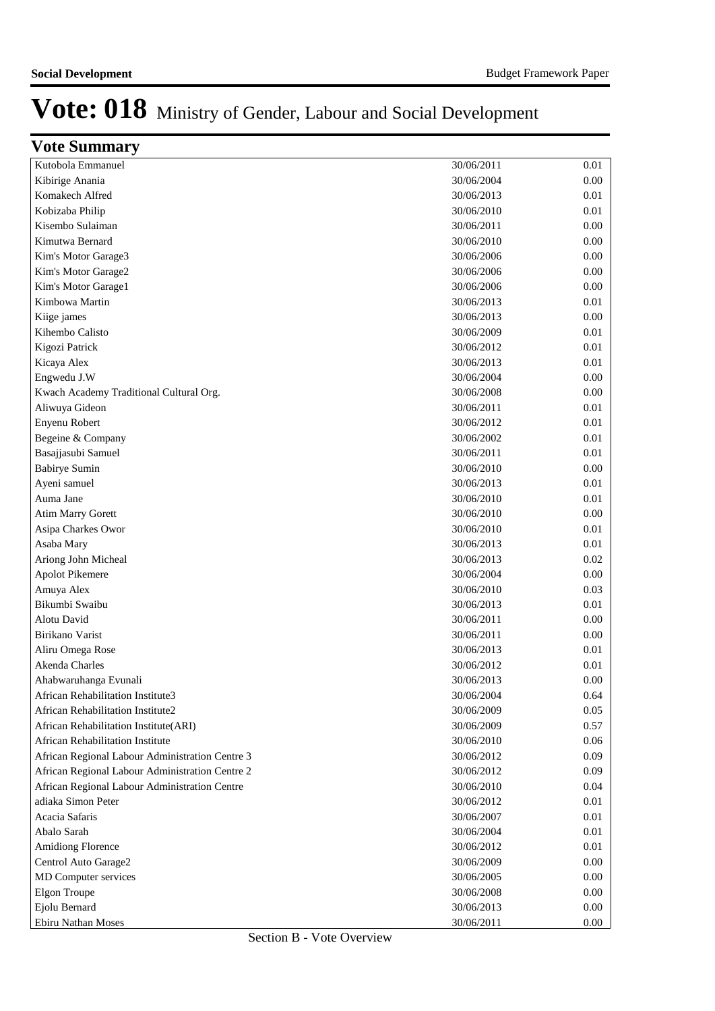| <b>Vote Summary</b>                             |            |      |
|-------------------------------------------------|------------|------|
| Kutobola Emmanuel                               | 30/06/2011 | 0.01 |
| Kibirige Anania                                 | 30/06/2004 | 0.00 |
| Komakech Alfred                                 | 30/06/2013 | 0.01 |
| Kobizaba Philip                                 | 30/06/2010 | 0.01 |
| Kisembo Sulaiman                                | 30/06/2011 | 0.00 |
| Kimutwa Bernard                                 | 30/06/2010 | 0.00 |
| Kim's Motor Garage3                             | 30/06/2006 | 0.00 |
| Kim's Motor Garage2                             | 30/06/2006 | 0.00 |
| Kim's Motor Garage1                             | 30/06/2006 | 0.00 |
| Kimbowa Martin                                  | 30/06/2013 | 0.01 |
| Kiige james                                     | 30/06/2013 | 0.00 |
| Kihembo Calisto                                 | 30/06/2009 | 0.01 |
| Kigozi Patrick                                  | 30/06/2012 | 0.01 |
| Kicaya Alex                                     | 30/06/2013 | 0.01 |
| Engwedu J.W                                     | 30/06/2004 | 0.00 |
| Kwach Academy Traditional Cultural Org.         | 30/06/2008 | 0.00 |
| Aliwuya Gideon                                  | 30/06/2011 | 0.01 |
| Enyenu Robert                                   | 30/06/2012 | 0.01 |
| Begeine & Company                               | 30/06/2002 | 0.01 |
| Basajjasubi Samuel                              | 30/06/2011 | 0.01 |
| <b>Babirye Sumin</b>                            | 30/06/2010 | 0.00 |
| Ayeni samuel                                    | 30/06/2013 | 0.01 |
| Auma Jane                                       | 30/06/2010 | 0.01 |
| <b>Atim Marry Gorett</b>                        | 30/06/2010 | 0.00 |
| Asipa Charkes Owor                              | 30/06/2010 | 0.01 |
| Asaba Mary                                      | 30/06/2013 | 0.01 |
| Ariong John Micheal                             | 30/06/2013 | 0.02 |
| <b>Apolot Pikemere</b>                          | 30/06/2004 | 0.00 |
| Amuya Alex                                      | 30/06/2010 | 0.03 |
| Bikumbi Swaibu                                  | 30/06/2013 | 0.01 |
| Alotu David                                     | 30/06/2011 | 0.00 |
| Birikano Varist                                 | 30/06/2011 | 0.00 |
| Aliru Omega Rose                                | 30/06/2013 | 0.01 |
| Akenda Charles                                  | 30/06/2012 | 0.01 |
| Ahabwaruhanga Evunali                           | 30/06/2013 | 0.00 |
| African Rehabilitation Institute3               | 30/06/2004 | 0.64 |
| African Rehabilitation Institute2               | 30/06/2009 | 0.05 |
| African Rehabilitation Institute(ARI)           | 30/06/2009 | 0.57 |
| <b>African Rehabilitation Institute</b>         | 30/06/2010 | 0.06 |
| African Regional Labour Administration Centre 3 | 30/06/2012 | 0.09 |
| African Regional Labour Administration Centre 2 | 30/06/2012 | 0.09 |
| African Regional Labour Administration Centre   | 30/06/2010 | 0.04 |
| adiaka Simon Peter                              | 30/06/2012 | 0.01 |
| Acacia Safaris                                  | 30/06/2007 | 0.01 |
| Abalo Sarah                                     | 30/06/2004 | 0.01 |
| Amidiong Florence                               | 30/06/2012 | 0.01 |
| Centrol Auto Garage2                            | 30/06/2009 | 0.00 |
| MD Computer services                            | 30/06/2005 | 0.00 |
| <b>Elgon Troupe</b>                             | 30/06/2008 | 0.00 |
| Ejolu Bernard                                   | 30/06/2013 | 0.00 |
| Ebiru Nathan Moses                              | 30/06/2011 | 0.00 |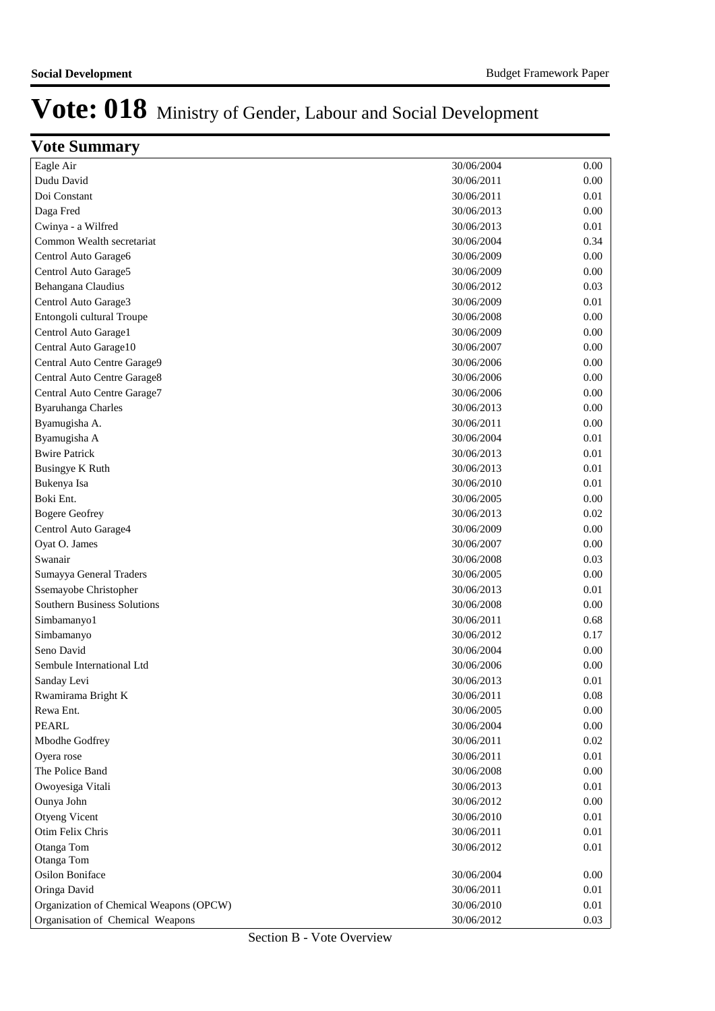| <b>Vote Summary</b>                     |            |          |
|-----------------------------------------|------------|----------|
| Eagle Air                               | 30/06/2004 | 0.00     |
| Dudu David                              | 30/06/2011 | 0.00     |
| Doi Constant                            | 30/06/2011 | 0.01     |
| Daga Fred                               | 30/06/2013 | 0.00     |
| Cwinya - a Wilfred                      | 30/06/2013 | 0.01     |
| Common Wealth secretariat               | 30/06/2004 | 0.34     |
| Centrol Auto Garage6                    | 30/06/2009 | 0.00     |
| Centrol Auto Garage5                    | 30/06/2009 | 0.00     |
| Behangana Claudius                      | 30/06/2012 | 0.03     |
| Centrol Auto Garage3                    | 30/06/2009 | 0.01     |
| Entongoli cultural Troupe               | 30/06/2008 | 0.00     |
| Centrol Auto Garage1                    | 30/06/2009 | 0.00     |
| Central Auto Garage10                   | 30/06/2007 | 0.00     |
| Central Auto Centre Garage9             | 30/06/2006 | 0.00     |
| Central Auto Centre Garage8             | 30/06/2006 | 0.00     |
| Central Auto Centre Garage7             | 30/06/2006 | 0.00     |
| Byaruhanga Charles                      | 30/06/2013 | 0.00     |
| Byamugisha A.                           | 30/06/2011 | 0.00     |
| Byamugisha A                            | 30/06/2004 | 0.01     |
| <b>Bwire Patrick</b>                    | 30/06/2013 | 0.01     |
| <b>Busingye K Ruth</b>                  | 30/06/2013 | 0.01     |
| Bukenya Isa                             | 30/06/2010 | 0.01     |
| Boki Ent.                               | 30/06/2005 | 0.00     |
| <b>Bogere Geofrey</b>                   | 30/06/2013 | 0.02     |
| Centrol Auto Garage4                    | 30/06/2009 | 0.00     |
| Oyat O. James                           | 30/06/2007 | 0.00     |
| Swanair                                 | 30/06/2008 | 0.03     |
| Sumayya General Traders                 | 30/06/2005 | 0.00     |
| Ssemayobe Christopher                   | 30/06/2013 | 0.01     |
| <b>Southern Business Solutions</b>      | 30/06/2008 | 0.00     |
| Simbamanyo1                             | 30/06/2011 | 0.68     |
| Simbamanyo                              | 30/06/2012 | 0.17     |
| Seno David                              | 30/06/2004 | 0.00     |
| Sembule International Ltd               | 30/06/2006 | 0.00     |
| Sanday Levi                             | 30/06/2013 | 0.01     |
| Rwamirama Bright K                      | 30/06/2011 | 0.08     |
| Rewa Ent.                               | 30/06/2005 | $0.00\,$ |
| <b>PEARL</b>                            | 30/06/2004 | $0.00\,$ |
| Mbodhe Godfrey                          | 30/06/2011 | 0.02     |
| Oyera rose                              | 30/06/2011 | $0.01\,$ |
| The Police Band                         | 30/06/2008 | 0.00     |
| Owoyesiga Vitali                        | 30/06/2013 | 0.01     |
| Ounya John                              | 30/06/2012 | 0.00     |
| Otyeng Vicent                           | 30/06/2010 | 0.01     |
| Otim Felix Chris                        | 30/06/2011 | 0.01     |
| Otanga Tom                              | 30/06/2012 | 0.01     |
| Otanga Tom                              |            |          |
| Osilon Boniface                         | 30/06/2004 | 0.00     |
| Oringa David                            | 30/06/2011 | $0.01\,$ |
| Organization of Chemical Weapons (OPCW) | 30/06/2010 | 0.01     |
| Organisation of Chemical Weapons        | 30/06/2012 | 0.03     |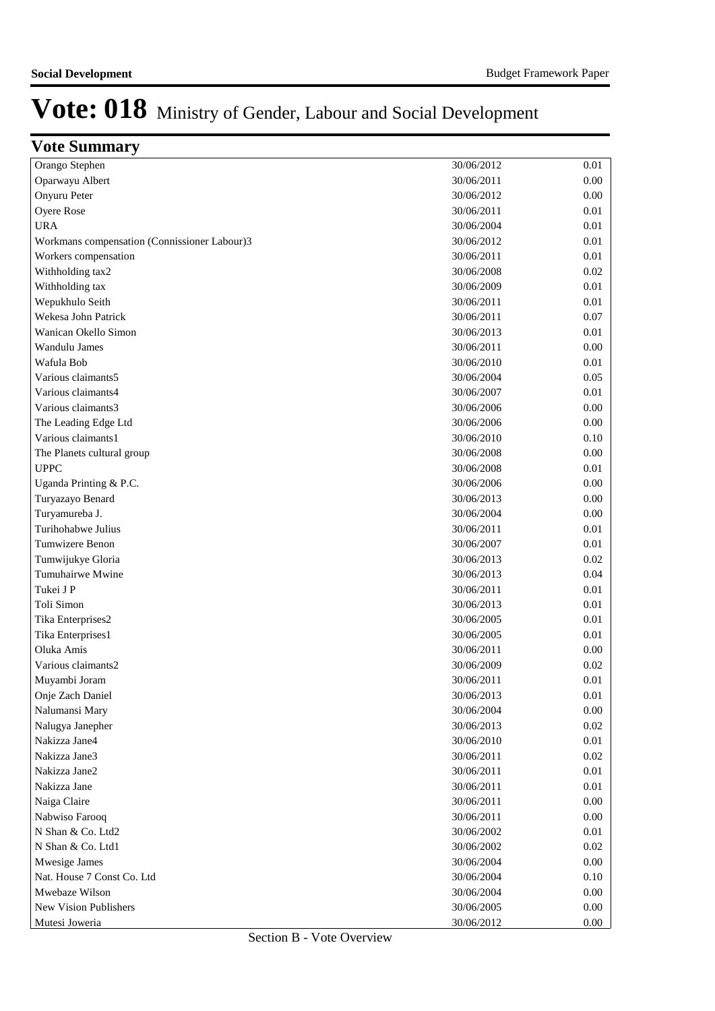| <b>Vote Summary</b>                          |            |      |
|----------------------------------------------|------------|------|
| Orango Stephen                               | 30/06/2012 | 0.01 |
| Oparwayu Albert                              | 30/06/2011 | 0.00 |
| Onyuru Peter                                 | 30/06/2012 | 0.00 |
| Oyere Rose                                   | 30/06/2011 | 0.01 |
| <b>URA</b>                                   | 30/06/2004 | 0.01 |
| Workmans compensation (Connissioner Labour)3 | 30/06/2012 | 0.01 |
| Workers compensation                         | 30/06/2011 | 0.01 |
| Withholding tax2                             | 30/06/2008 | 0.02 |
| Withholding tax                              | 30/06/2009 | 0.01 |
| Wepukhulo Seith                              | 30/06/2011 | 0.01 |
| Wekesa John Patrick                          | 30/06/2011 | 0.07 |
| Wanican Okello Simon                         | 30/06/2013 | 0.01 |
| Wandulu James                                | 30/06/2011 | 0.00 |
| Wafula Bob                                   | 30/06/2010 | 0.01 |
| Various claimants5                           | 30/06/2004 | 0.05 |
| Various claimants4                           | 30/06/2007 | 0.01 |
| Various claimants3                           | 30/06/2006 | 0.00 |
| The Leading Edge Ltd                         | 30/06/2006 | 0.00 |
| Various claimants1                           | 30/06/2010 | 0.10 |
| The Planets cultural group                   | 30/06/2008 | 0.00 |
| <b>UPPC</b>                                  | 30/06/2008 | 0.01 |
| Uganda Printing & P.C.                       | 30/06/2006 | 0.00 |
| Turyazayo Benard                             | 30/06/2013 | 0.00 |
| Turyamureba J.                               | 30/06/2004 | 0.00 |
| Turihohabwe Julius                           | 30/06/2011 | 0.01 |
| Tumwizere Benon                              | 30/06/2007 | 0.01 |
| Tumwijukye Gloria                            | 30/06/2013 | 0.02 |
| Tumuhairwe Mwine                             | 30/06/2013 | 0.04 |
| Tukei J P                                    | 30/06/2011 | 0.01 |
| Toli Simon                                   | 30/06/2013 | 0.01 |
| Tika Enterprises2                            | 30/06/2005 | 0.01 |
| Tika Enterprises1                            | 30/06/2005 | 0.01 |
| Oluka Amis                                   | 30/06/2011 | 0.00 |
| Various claimants2                           | 30/06/2009 | 0.02 |
| Muyambi Joram                                | 30/06/2011 | 0.01 |
| Onje Zach Daniel                             | 30/06/2013 | 0.01 |
| Nalumansi Mary                               | 30/06/2004 | 0.00 |
| Nalugya Janepher                             | 30/06/2013 | 0.02 |
| Nakizza Jane4                                | 30/06/2010 | 0.01 |
| Nakizza Jane3                                | 30/06/2011 | 0.02 |
| Nakizza Jane2                                | 30/06/2011 | 0.01 |
| Nakizza Jane                                 | 30/06/2011 | 0.01 |
| Naiga Claire                                 | 30/06/2011 | 0.00 |
| Nabwiso Farooq                               | 30/06/2011 | 0.00 |
| N Shan & Co. Ltd2                            | 30/06/2002 | 0.01 |
| N Shan & Co. Ltd1                            | 30/06/2002 | 0.02 |
| Mwesige James                                | 30/06/2004 | 0.00 |
| Nat. House 7 Const Co. Ltd                   | 30/06/2004 | 0.10 |
| Mwebaze Wilson                               | 30/06/2004 | 0.00 |
| New Vision Publishers                        | 30/06/2005 | 0.00 |
| Mutesi Joweria                               | 30/06/2012 | 0.00 |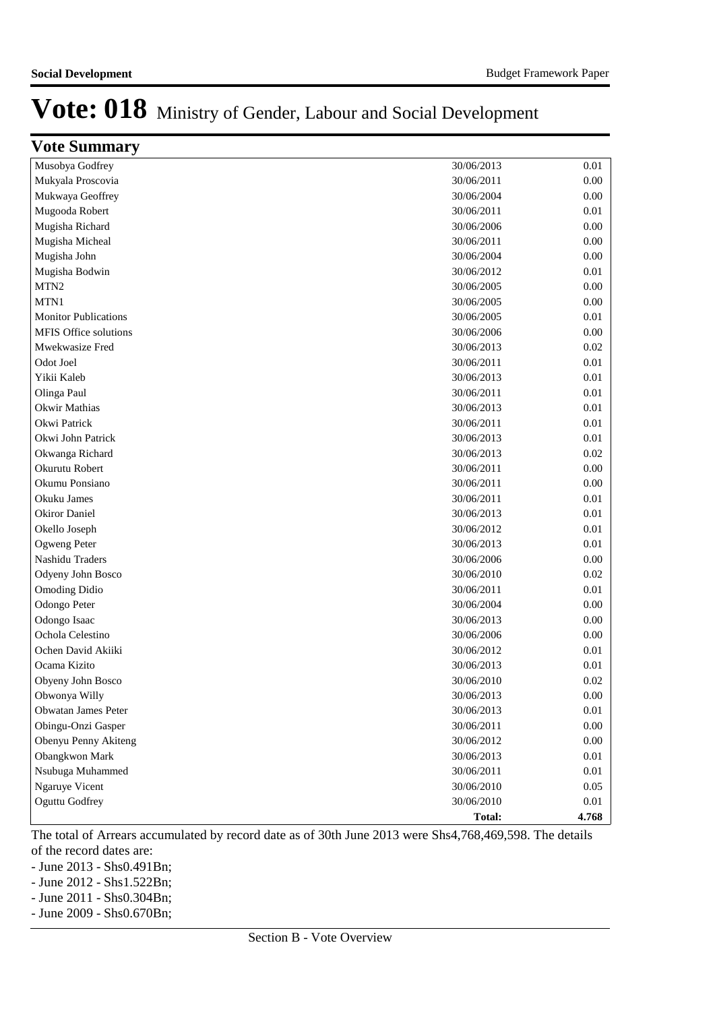| Vote Summary                |               |          |
|-----------------------------|---------------|----------|
| Musobya Godfrey             | 30/06/2013    | 0.01     |
| Mukyala Proscovia           | 30/06/2011    | 0.00     |
| Mukwaya Geoffrey            | 30/06/2004    | 0.00     |
| Mugooda Robert              | 30/06/2011    | 0.01     |
| Mugisha Richard             | 30/06/2006    | 0.00     |
| Mugisha Micheal             | 30/06/2011    | 0.00     |
| Mugisha John                | 30/06/2004    | 0.00     |
| Mugisha Bodwin              | 30/06/2012    | $0.01\,$ |
| MTN <sub>2</sub>            | 30/06/2005    | 0.00     |
| MTN1                        | 30/06/2005    | 0.00     |
| <b>Monitor Publications</b> | 30/06/2005    | 0.01     |
| MFIS Office solutions       | 30/06/2006    | 0.00     |
| Mwekwasize Fred             | 30/06/2013    | 0.02     |
| Odot Joel                   | 30/06/2011    | 0.01     |
| Yikii Kaleb                 | 30/06/2013    | 0.01     |
| Olinga Paul                 | 30/06/2011    | 0.01     |
| Okwir Mathias               | 30/06/2013    | 0.01     |
| Okwi Patrick                | 30/06/2011    | 0.01     |
| Okwi John Patrick           | 30/06/2013    | 0.01     |
| Okwanga Richard             | 30/06/2013    | 0.02     |
| Okurutu Robert              | 30/06/2011    | 0.00     |
| Okumu Ponsiano              | 30/06/2011    | 0.00     |
| Okuku James                 | 30/06/2011    | 0.01     |
| Okiror Daniel               | 30/06/2013    | 0.01     |
| Okello Joseph               | 30/06/2012    | 0.01     |
| Ogweng Peter                | 30/06/2013    | 0.01     |
| Nashidu Traders             | 30/06/2006    | 0.00     |
| Odyeny John Bosco           | 30/06/2010    | 0.02     |
| <b>Omoding Didio</b>        | 30/06/2011    | 0.01     |
| Odongo Peter                | 30/06/2004    | 0.00     |
| Odongo Isaac                | 30/06/2013    | 0.00     |
| Ochola Celestino            | 30/06/2006    | 0.00     |
| Ochen David Akiiki          | 30/06/2012    | 0.01     |
| Ocama Kizito                | 30/06/2013    | 0.01     |
| Obyeny John Bosco           | 30/06/2010    | 0.02     |
| Obwonya Willy               | 30/06/2013    | $0.00\,$ |
| Obwatan James Peter         | 30/06/2013    | $0.01\,$ |
| Obingu-Onzi Gasper          | 30/06/2011    | $0.00\,$ |
| Obenyu Penny Akiteng        | 30/06/2012    | $0.00\,$ |
| Obangkwon Mark              | 30/06/2013    | $0.01\,$ |
| Nsubuga Muhammed            | 30/06/2011    | 0.01     |
| Ngaruye Vicent              | 30/06/2010    | 0.05     |
| Oguttu Godfrey              | 30/06/2010    | 0.01     |
|                             | <b>Total:</b> | 4.768    |

The total of Arrears accumulated by record date as of 30th June 2013 were Shs4,768,469,598. The details of the record dates are:

- June 2013 - Shs0.491Bn;

- June 2012 - Shs1.522Bn;

- June 2011 - Shs0.304Bn;

- June 2009 - Shs0.670Bn;